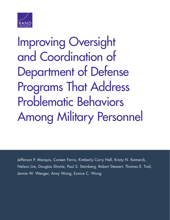

Improving Oversight and Coordination of Department of Defense Programs That Address Problematic Behaviors [Among Military Personnel](http://www.rand.org/pubs/research_reports/RR1352.html)

Jefferson P. Marquis, Coreen Farris, Kimberly Curry Hall, Kristy N. Kamarck, Nelson Lim, Douglas Shontz, Paul S. Steinberg, Robert Stewart, Thomas E. Trail, Jennie W. Wenger, Anny Wong, Eunice C. Wong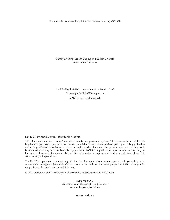For more information on this publication, visit [www.rand.org/t/RR1352](http://www.rand.org/t/RR1352)

Library of Congress Cataloging-in-Publication Data ISBN: 978-0-8330-9568-8

Published by the RAND Corporation, Santa Monica, Calif. © Copyright 2017 RAND Corporation

RAND<sup>®</sup> is a registered trademark.

#### Limited Print and Electronic Distribution Rights

This document and trademark(s) contained herein are protected by law. This representation of RAND intellectual property is provided for noncommercial use only. Unauthorized posting of this publication online is prohibited. Permission is given to duplicate this document for personal use only, as long as it is unaltered and complete. Permission is required from RAND to reproduce, or reuse in another form, any of its research documents for commercial use. For information on reprint and linking permissions, please visit [www.rand.org/pubs/permissions.](http://www.rand.org/pubs/permissions)

The RAND Corporation is a research organization that develops solutions to public policy challenges to help make communities throughout the world safer and more secure, healthier and more prosperous. RAND is nonprofit, nonpartisan, and committed to the public interest.

RAND's publications do not necessarily reflect the opinions of its research clients and sponsors.

Support RAND Make a tax-deductible charitable contribution at [www.rand.org/giving/contribute](http://www.rand.org/giving/contribute)

[www.rand.org](http://www.rand.org)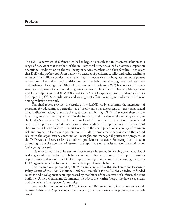The U.S. Department of Defense (DoD) has begun to search for an integrated solution to a range of behaviors that members of the military exhibit that have had an adverse impact on operational readiness or on the well-being of service members and their families—behaviors that DoD calls *problematic*. After nearly two decades of persistent conflict and facing declining resources, the military services have taken steps in recent years to integrate the management of programs that address both positive and negative behaviors affecting personnel readiness and resiliency. Although the Office of the Secretary of Defense (OSD) has followed a largely stovepiped approach to behavioral program supervision, the Office of Diversity Management and Equal Opportunity (ODMEO) asked the RAND Corporation to help identify options for improving OSD's coordination and oversight of efforts to mitigate problematic behavior among military personnel.

This final report provides the results of the RAND study examining the integration of programs for addressing a particular set of problematic behaviors: sexual harassment, sexual assault, discrimination, substance abuse, suicide, and hazing. ODMEO selected these behavioral programs because they fell within the full or partial purview of the military deputy to the Under Secretary of Defense for Personnel and Readiness at the time of our research and because they provided a good basis for integrative analysis. The report combines the results of the two major lines of research: the first related to the development of a typology of common risk and protective factors and prevention methods for problematic behavior, and the second related to the organization, coordination, oversight, and managerial practices of programs at the DoD-wide and service levels to address problematic behavior. Following the discussion of findings from the two lines of research, the report lays out a series of recommendations for OSD going forward.

This report should be of interest to those who are interested in learning about what DoD is doing to address problematic behavior among military personnel. This report examines opportunities and options for DoD to improve oversight and coordination among the many DoD organizations involved in addressing these problematic behaviors.

This research was sponsored by ODMEO and conducted within the Forces and Resources Policy Center of the RAND National Defense Research Institute (NDRI), a federally funded research and development center sponsored by the Office of the Secretary of Defense, the Joint Staff, the Unified Combatant Commands, the Navy, the Marine Corps, the defense agencies, and the defense Intelligence Community.

For more information on the RAND Forces and Resources Policy Center, see [www.rand.](http://www.rand.org/nsrd/ndri/centers/frp) [org/nsrd/ndri/centers/frp](http://www.rand.org/nsrd/ndri/centers/frp) or contact the director (contact information is provided on the web page).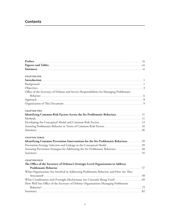# **Contents**

| <b>CHAPTER ONE</b>                                                                       |  |
|------------------------------------------------------------------------------------------|--|
|                                                                                          |  |
|                                                                                          |  |
|                                                                                          |  |
| Office of the Secretary of Defense and Service Responsibilities for Managing Problematic |  |
|                                                                                          |  |
|                                                                                          |  |
|                                                                                          |  |
| <b>CHAPTER TWO</b>                                                                       |  |
| Identifying Common Risk Factors Across the Six Problematic Behaviors 11                  |  |
|                                                                                          |  |
|                                                                                          |  |
|                                                                                          |  |
|                                                                                          |  |
| <b>CHAPTER THREE</b>                                                                     |  |
| Identifying Common Prevention Interventions for the Six Problematic Behaviors  39        |  |
|                                                                                          |  |
| Assessing Prevention Strategies for Addressing the Six Problematic Behaviors 40          |  |
|                                                                                          |  |
|                                                                                          |  |
| <b>CHAPTER FOUR</b>                                                                      |  |
| The Office of the Secretary of Defense's Strategic-Level Organization to Address         |  |
|                                                                                          |  |
| What Organizations Are Involved in Addressing Problematic Behavior, and How Are They     |  |
|                                                                                          |  |
|                                                                                          |  |
| How Well Are Office of the Secretary of Defense Organizations Managing Problematic       |  |
|                                                                                          |  |
|                                                                                          |  |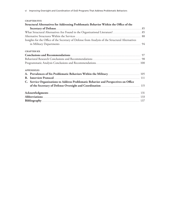| <b>CHAPTER FIVE</b>                                                                              |  |
|--------------------------------------------------------------------------------------------------|--|
| Structural Alternatives for Addressing Problematic Behavior Within the Office of the             |  |
|                                                                                                  |  |
|                                                                                                  |  |
|                                                                                                  |  |
| Insights for the Office of the Secretary of Defense from Analysis of the Structural Alternatives |  |
|                                                                                                  |  |
|                                                                                                  |  |
| <b>CHAPTER SIX</b>                                                                               |  |
|                                                                                                  |  |
|                                                                                                  |  |
|                                                                                                  |  |
|                                                                                                  |  |
| <b>APPENDIXES</b>                                                                                |  |
|                                                                                                  |  |
|                                                                                                  |  |
| C. Service Organizations to Address Problematic Behavior and Perspectives on Office              |  |
|                                                                                                  |  |
|                                                                                                  |  |
|                                                                                                  |  |
|                                                                                                  |  |
|                                                                                                  |  |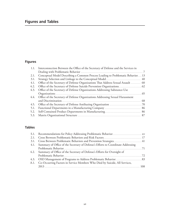# **Figures and Tables**

# **Figures**

|      | 1.1. Interconnection Between the Office of the Secretary of Defense and the Services in |  |
|------|-----------------------------------------------------------------------------------------|--|
|      |                                                                                         |  |
| 2.1. | Conceptual Model Describing a Common Process Leading to Problematic Behavior 13         |  |
| 3.1. |                                                                                         |  |
| 4.1. | Office of the Secretary of Defense Organizations That Address Sexual Assault  60        |  |
| 4.2. |                                                                                         |  |
| 4.3. | Office of the Secretary of Defense Organizations Addressing Substance-Use               |  |
|      |                                                                                         |  |
|      | 4.4. Office of the Secretary of Defense Organizations Addressing Sexual Harassment      |  |
|      |                                                                                         |  |
| 4.5. |                                                                                         |  |
| 5.1. |                                                                                         |  |
| 5.2. |                                                                                         |  |
| 5.3. |                                                                                         |  |
|      |                                                                                         |  |

# **Tables**

| 3.1. Cross Between Problematic Behaviors and Prevention Strategies 41                 |  |
|---------------------------------------------------------------------------------------|--|
| 4.1. Summary of Office of the Secretary of Defense's Efforts to Coordinate Addressing |  |
|                                                                                       |  |
| 4.2. Summary of Office of the Secretary of Defense's Efforts for Oversight of         |  |
|                                                                                       |  |
|                                                                                       |  |
| A.1. Co-Occurring Factors in Service Members Who Died by Suicide, All Services,       |  |
|                                                                                       |  |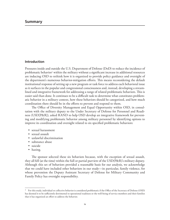## **Introduction**

Pressures inside and outside the U.S. Department of Defense (DoD) to reduce the incidence of problematic behavior<sup>1</sup> within the military without a significant increase in additional resources are inducing OSD to rethink how it is organized to provide policy guidance and oversight of the department's numerous behavior-mitigation efforts. This means reconsidering the default institutional response of setting up a new program or task force to address each behavioral issue as it surfaces in the popular and congressional consciousness and, instead, developing a streamlined and integrative framework for addressing a range of related problematic behaviors. This is easier said than done. It continues to be a difficult task to determine what constitutes problematic behavior in a military context, how these behaviors should be categorized, and how much coordination there should be in the efforts to prevent and respond to them.

The Office of Diversity Management and Equal Opportunity within OSD, in consultation with the military deputy to the Under Secretary of Defense for Personnel and Readiness (USD[P&R]), asked RAND to help OSD develop an integrative framework for preventing and modifying problematic behavior among military personnel by identifying options to improve its coordination and oversight related to six specified problematic behaviors:

- sexual harassment
- sexual assault
- unlawful discrimination
- substance abuse
- suicide
- hazing.

The sponsor selected these six behaviors because, with the exception of sexual assault, they all fell (at the time) within the full or partial purview of the USD(P&R)'s military deputy. Although this set of behaviors provided a reasonable basis for our analysis, we acknowledge that we could have included other behaviors in our study—in particular, family violence, for whose prevention the Deputy Assistant Secretary of Defense for Military Community and Family Policy has oversight responsibility.

<sup>&</sup>lt;sup>1</sup> For this study, individual or collective behavior is considered problematic if the Office of the Secretary of Defense (OSD) has deemed it to be sufficiently detrimental to operational readiness or the well-being of service members and their families that it has organized an effort to address the behavior.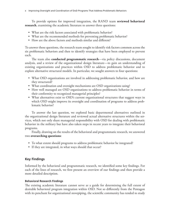To provide options for improved integration, the RAND team **reviewed behavioral research**, examining the academic literature to answer three questions:

- What are the risk factors associated with problematic behavior?
- What are the recommended methods for preventing problematic behavior?
- How are the above factors and methods similar and different?

To answer those questions, the research team sought to identify risk factors common across the six problematic behaviors and then to identify strategies that have been employed to prevent each.

The team also **conducted programmatic research**—via policy discussions, document analysis, and a review of the organizational design literature—to gain an understanding of existing organizations and practices within OSD to address problematic behavior and to explore alternative structural models. In particular, we sought answers to four questions:

- What OSD organizations are involved in addressing problematic behavior, and how are they structured?
- What coordination and oversight mechanisms are OSD organizations using?
- How well managed are OSD organizations to address problematic behavior in terms of their conformity to recognized managerial principles?
- What alternatives exist to OSD's current organizational structures that suggest ways in which OSD might improve its oversight and coordination of programs to address problematic behavior?

To answer the last question, we explored basic departmental alternatives outlined in the organizational design literature and reviewed actual alternative structures within the services, which not only share managerial responsibility with OSD for dealing with problematic behavior in the military but have also taken steps in recent years to integrate their behavioral programs.

Finally, drawing on the results of the behavioral and programmatic research, we answered two **overarching questions**:

- To what extent should programs to address problematic behavior be integrated?
- If they are integrated, in what ways should that occur?

# **Key Findings**

Informed by the behavioral and programmatic research, we identified some key findings. For each of the lines of research, we first present an overview of our findings and then provide a more detailed description.

## **Behavioral Research Findings**

The existing academic literature cannot serve as a guide for determining the full extent of desirable behavioral program integration within OSD. Not so differently from the Pentagon with its penchant for organizational stovepiping, the scientific community has tended to study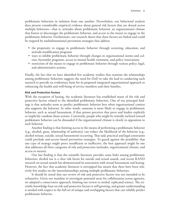problematic behaviors in isolation from one another. Nevertheless, our behavioral analysis does present considerable empirical evidence about general risk factors that are shared across multiple behaviors—that is, attitudes about problematic behavior, an organizational climate that fosters or discourages the problematic behavior, and access to the means to engage in the problematic behavior. Furthermore, our research shows that these factors are linked and could be targeted by multidimensional prevention strategies that address

- the propensity to engage in problematic behavior through screening, education, and attitude-modification programs
- ways to inhibit problematic behavior through changes in organizational norms and culture, bystander programs, access to mental health treatment, and policy innovations
- restriction of the means to engage in problematic behavior through various policy, legal, and administrative actions.

Finally, the fact that we have identified few academic studies that examine the relationships among problematic behaviors suggests the need for DoD to take the lead in conducting such research to provide an evidentiary basis for its proposed integrated organizational approach to enhancing the health and well-being of service members and their families.

## *Risk and Protective Factors*

With the exception of hazing, the academic literature has established many of the risk and protective factors related to the identified problematic behaviors. One of our principal findings is that attitudes seem to predict problematic behavior best when organizational context also supports the behavior. In other words, someone is more likely to engage in problematic behavior, such as sexual harassment, if that person perceives that peers and leaders explicitly or implicitly condone those actions. Conversely, people who might be initially inclined toward problematic behavior can be dissuaded if the organizational climate is clearly in opposition to such behavior.

Another finding is that limiting access to the means of performing a problematic behavior (e.g., alcohol, guns, relationship of authority) can reduce the likelihood of the behavior (e.g., alcohol misuse, suicide, sexual harassment) occurring. That said, practical and legal constraints could preclude anti-access–based prevention strategies. To guard against the possibility that one type of strategy might prove insufficient or ineffective, the best approach might be one that addresses all three categories of risk and protection (attitudes, organizational climate, and access to means).

Our last finding is that the scientific literature provides some links among problematic behaviors; alcohol use is a clear risk factor for suicide and sexual assault, and recent RAND research on sexual assault has demonstrated its association with sexual harassment and hazing. However, the fact that academic literature is stovepiped has meant that there have been relatively few studies on the interrelationships among multiple problematic behaviors.

It should be noted that our review of risk and protective factors was not intended to be exhaustive. Given our mandate to investigate potential areas for collaboration across agencies, we adopted a conservative approach, limiting our review to settled, replicated science. The scientific knowledge base on risk and protective factors is still growing, and greater understanding is needed with respect to the full set of unique and overlapping factors that can reliably predict problematic behavior.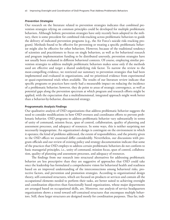#### *Prevention Strategies*

Our research on the literature related to prevention strategies indicates that combined prevention strategies relying on common principles could be developed for multiple problematic behaviors. Although holistic prevention strategies have only recently been adopted in the military, there is some precedent for combined risk-tracking across problematic behaviors to guide the delivery of indicated prevention programs (e.g., the Air Force's suicide risk–tracking program). Methods found to be effective for preventing or treating a specific problematic behavior might also be effective for other behaviors. However, because of the traditional tendency of scientists and practitioners to focus on single behaviors, as well as for behavioral research and program implementation funding to be distributed unevenly, prevention strategies have not usually been evaluated in different behavioral contexts. Of course, employing similar prevention strategies to address multiple problematic behaviors makes sense only if the methods used are effective and target a shared underlying risk factor. To narrow the review to the most-compelling evidence, we restricted our summary to prevention strategies that had been implemented and evaluated in organizations, and we prioritized evidence from experimental or quasi-experimental trials when available. The results of our literature review indicate that specific programs or practices have rarely had a measurable impact on reducing the incidence of a problematic behavior; however, they do point to areas of strategic convergence, as well as potential gaps along the prevention spectrum at which program and research efforts might be applied, with the expectation that a multidimensional, integrated approach might work better than a behavior-by-behavior, disconnected strategy.

#### **Programmatic Analysis Findings**

Our qualitative analysis of OSD organizations that address problematic behavior suggests the need to consider modifications in how OSD oversees and coordinates efforts to prevent problematic behavior. OSD programs to address problematic behavior vary substantially in terms of unity of command, mission focus, span of control, collaboration, quality of planning and assessment processes, and adequacy of resources. In some ways, this is neither surprising nor necessarily inappropriate. An organization's design is contingent on the environment in which it operates; the kind of problems addressed, the extent of responsibilities, and the priority given to the OSD offices we examined differ considerably. Nevertheless, our discussions with program officials and our review of existing policy and strategy documentation indicate that some of the practices that OSD employs to address certain problematic behaviors do not conform to basic managerial principles, i.e., unity of command, mission focus, span of control, collaboration, quality of planning and assessment processes, and adequacy of resources.

The findings from our research into structural alternatives for addressing problematic behavior are less prescriptive than they are suggestive of approaches that OSD could take once the leadership has formulated a comprehensive vision for behavioral health and readiness based on an improved understanding of the interconnections among behavioral risks, protective factors, and prevention and promotion strategies. According to organizational design theory, self-contained structures, which are focused on products or services and contain all the occupational elements needed to perform their tasks, are better suited to achieving oversight and coordination objectives than functionally based organizations, whose major departments are arranged based on occupational skills, are. Moreover, our analysis of service headquarters organizations shows a trend toward self-contained structures that encompass multiple behaviors. Still, these larger structures are designed mostly for coordination purposes. Thus far, indi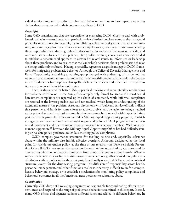vidual service programs to address problematic behavior continue to have separate reporting chains that are connected to their counterpart offices in OSD.

#### *Oversight*

Some OSD organizations that are responsible for overseeing DoD's efforts to deal with problematic behavior—sexual assault, in particular—have institutionalized many of the managerial principles noted above, for example, by establishing a clear authority structure, a focused mission, and a strategic plan that ensures accountability. However, other organizations—including those responsible for addressing unlawful discrimination and sexual harassment, suicide, and substance abuse—lack adequate policies, plans, information systems, and resources needed to establish a departmental approach to certain behavioral issues, to inform senior leadership about these problems, and to ensure that the leadership's decisions about problematic behavior are being uniformly enforced. Hazing, especially, represents a significant gap in DoD's framework for mitigating problematic behavior. Although the Office of Diversity Management and Equal Opportunity is chairing a working group charged with addressing this issue and has recently issued a memorandum that more clearly defines this problematic behavior, the department still does not have a policy that spells out how the services and other defense organizations are to reduce the incidence of hazing.

There is also a need for better OSD-supervised tracking and accountability mechanisms for problematic behavior. In the Army, for example, only formal (written and sworn) sexual harassment complaints are reported up the chain of command, while informal complaints are resolved at the lowest possible level and not tracked, which hampers understanding of the extent and nature of the problem. Also, our discussions with OSD and service officials indicate that personnel and funds for some efforts to address problematic behavior are being stretched to the point that mandated tasks cannot be done or cannot be done well within specified time periods. This is particularly the case in OSD's Military Equal Opportunity program, in which a single person has had nominal oversight responsibility for all DoD programs that address sexual harassment and discrimination issues among military service members. Without a permanent support staff, however, the Military Equal Opportunity Office has had difficulty issuing up-to-date policy guidance, much less ensuring policy compliance.

OSD's complex governance structures for tackling suicide and, especially, substance abuse within the military also inhibit effective oversight. Although designated as the focal point for suicide prevention policy, at the time of our research, the Defense Suicide Prevention Office (DSPO) was under the operational control of one organization, was resourced by another organization, and received guidance from three different governing boards. Whereas suicide prevention at least has a central programmatic authority, albeit a weak one, the arena of substance-abuse policy is, for the most part, functionally organized; it has no self-contained structure, except for the drug-testing program. This diffusion of responsibility across health, personnel management, and other functions makes it inherently difficult to craft a comprehensive behavioral strategy or to establish a mechanism for monitoring policy compliance and behavioral outcomes in all the functional areas pertinent to substance abuse.

#### *Coordination*

Currently, OSD does not have a single organization responsible for coordinating efforts to prevent, treat, and respond to the range of problematic behaviors examined in this report. Instead, many OSD offices and agencies address different functions related to different behaviors. In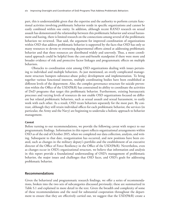part, this is understandable given that the expertise and the authority to perform certain functional activities involving problematic behavior reside in specific organizations and cannot be easily combined within one entity. In addition, although recent RAND research on sexual assault has demonstrated the relationship between this problematic behavior and sexual harassment and hazing, there is limited research on the connections among several of the problematic behaviors we reviewed. That said, the argument for improved coordination of organizations within OSD that address problematic behavior is supported by the facts that OSD has only so many resources to devote to overseeing departmental efforts aimed at addressing problematic behavior and that these resources are distributed widely and unevenly. Thus, a more coordinated approach could be helpful from the cost-and-benefit standpoint if there were more and broader evidence of risk and protective factor linkages and programmatic effects on multiple behaviors.

Obstacles to coordination exist among OSD organizations dealing with issues pertaining to individual and multiple behaviors. As just mentioned, an overly complicated management structure hampers substance-abuse policy development and implementation. To bring together various functional interests, multiple coordinating bodies have been established at different levels of the department. Also, the complex governance structure for suicide prevention within the Office of the USD(P&R) has constrained its ability to coordinate the activities of DoD programs that target this problematic behavior. Furthermore, existing bureaucratic processes and varying levels of resources do not enable OSD organizations focused on different but related problematic behaviors, such as sexual assault and sexual harassment, to easily work with each other. As a result, OSD treats behaviors separately for the most part. By contrast, although they still retain individual offices for each problematic behavior, the services (in particular, the Army and the Navy) are beginning to undertake a holistic approach to behavior management.

#### **Caveat**

Before turning to our recommendations, we provide the following caveat with respect to our programmatic findings. Information in this report reflects organizational arrangements within OSD as of the end of October 2015, when we completed our data collection, analysis, and writing. Subsequent to that date, reorganization has occurred, and new positions have been created, such as changes in the military deputy's portfolio and the establishment of an executive director of the Office of Force Resiliency in the Office of the USD(P&R). Nevertheless, even as changes occur in OSD's organizational structure, we believe that information and analysis in this report provide a foundational understanding of OSD's management of problematic behavior, the major issues and challenges that OSD faces, and OSD's goals for addressing problematic behavior.

#### **Recommendations**

Given the behavioral and programmatic research findings, we offer a series of recommendations, broken into the two sets of subcategories discussed previously; these are summarized in Table S.1 and explained in more detail in the text. Given the breadth and complexity of some of these recommendations and the need for substantial cooperation throughout the department to ensure that they are effectively carried out, we suggest that the USD(P&R) create a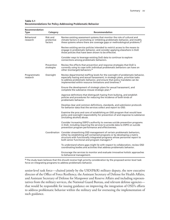**Table S.1 Recommendations for Policy Addressing Problematic Behavior**

| Recommendation<br><b>Type</b> | Category                          | Recommendation                                                                                                                                                                                                                                                                                                    |
|-------------------------------|-----------------------------------|-------------------------------------------------------------------------------------------------------------------------------------------------------------------------------------------------------------------------------------------------------------------------------------------------------------------|
| Behavioral<br>research        | Risk and<br>protective<br>factors | Review existing assessment systems that monitor the role of cultural and<br>climate factors in promoting or inhibiting problematic behavior, and modify<br>these systems where there are coverage gaps or methodological problems. <sup>a</sup>                                                                   |
|                               |                                   | Review existing service policies intended to restrict access to the means to<br>engage in problematic behavior, and consider applying elsewhere in DoD<br>those policies that have been shown to be effective.                                                                                                    |
|                               |                                   | Consider ways to leverage existing DoD data to continue to explore<br>connections among problematic behaviors.                                                                                                                                                                                                    |
|                               | Prevention<br>strategies          | Review the effects that prevention and response strategies that DoD is<br>currently using to cope with individual problematic behaviors can have on<br>other (nontarget) behaviors. <sup>a</sup>                                                                                                                  |
| Programmatic<br>research      | Oversight                         | Review departmental staffing levels for the oversight of problematic behavior,<br>especially hazing and sexual harassment; in strategic plans, prioritize tasks<br>to address problematic behavior, and ensure that policy mandates can be<br>implemented within resource limitations and timelines. <sup>a</sup> |
|                               |                                   | Ensure the development of strategic plans for sexual harassment, and<br>complete the substance-misuse strategic plan. <sup>a</sup>                                                                                                                                                                                |
|                               |                                   | Approve definitions that distinguish hazing from bullying, and establish<br>policies and procedures for reducing the incidence of both kinds of<br>problematic behavior.                                                                                                                                          |
|                               |                                   | Develop clear and common definitions, standards, and submission protocols<br>for behavior data that the services collect and report to OSD.                                                                                                                                                                       |
|                               |                                   | Examine the pros and cons of establishing an OSD program that would have<br>policy and oversight responsibility for prevention of and response to substance<br>(including alcohol) abuse.                                                                                                                         |
|                               |                                   | Consider increasing DSPO's authority to oversee suicide prevention programs<br>in DoD, including requiring the services to provide data to DSPO on suicide<br>prevention program performance and effectiveness.                                                                                                   |
|                               |                                   | Coordination Consider streamlining OSD management of certain problematic behaviors,<br>either by establishing self-contained programs or by developing a matrix<br>structure with functionally integrated programs whose personnel report to<br>both senior functional and program managers. <sup>a</sup>         |
|                               |                                   | To understand where gaps might lie with respect to collaboration, review OSD<br>coordinating bodies and activities that address problematic behavior.                                                                                                                                                             |
|                               |                                   | Encourage the services to monitor and evaluate innovative holistic approaches<br>to behavioral management.                                                                                                                                                                                                        |

a The study team believes that this should receive high-priority consideration by the proposed senior-level task force on integrating programs to address problematic behavior.

senior-level task force—chaired jointly by the USD(P&R) military deputy, the new executive director of the Office of Force Resiliency, the Assistant Secretary of Defense for Health Affairs, and Assistant Secretary of Defense for Manpower and Reserve Affairs and including representatives from the military services, the National Guard Bureau, and relevant defense agencies that would be responsible for issuing guidance on improving the integration of OSD's efforts to address problematic behavior within the military and for overseeing the implementation of such guidance.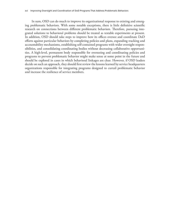In sum, OSD can do much to improve its organizational response to existing and emerging problematic behaviors. With some notable exceptions, there is little definitive scientific research on connections between different problematic behaviors. Therefore, pursuing integrated solutions to behavioral problems should be treated as testable experiments at present. In addition, OSD should take steps to improve how its offices oversee and coordinate DoD efforts against particular behaviors by completing policies and plans, expanding tracking and accountability mechanisms, establishing self-contained programs with wider oversight responsibilities, and consolidating coordinating bodies without decreasing collaborative opportunities. A high-level, permanent body responsible for overseeing and coordinating policies and programs to prevent problematic behavior might make sense at some point in the future and should be explored in cases in which behavioral linkages are clear. However, if OSD leaders decide on such an approach, they should first review the lessons learned by service headquarters organizations responsible for integrating programs designed to curtail problematic behavior and increase the resilience of service members.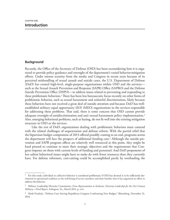## **Background**

Recently, the Office of the Secretary of Defense (OSD) has been reconsidering how it is organized to provide policy guidance and oversight of the department's varied behavior-mitigation efforts. Under intense scrutiny from the media and Congress in recent years because of its perceived mishandling of sexual assault and suicide cases, the U.S. Department of Defense (DoD) has created high-level, single-purpose organizations within OSD and the services such as the Sexual Assault Prevention and Response (SAPR) Office (SAPRO) and the Defense Suicide Prevention Office (DSPO)—to address issues related to preventing and responding to these problematic behaviors.<sup>1</sup> There has been less bureaucratic focus recently on other forms of problematic behavior, such as sexual harassment and unlawful discrimination, likely because these behaviors have not received a great deal of outside attention and because DoD has wellestablished military equal opportunity (EO) (MEO) organizations in the services responsible for addressing these problems. That said, there is some concern that OSD cannot provide adequate oversight of antidiscrimination and anti–sexual harassment policy implementation.2 Also, emerging behavioral problems, such as hazing, do not fit well into the existing mitigation structure in OSD or the services.

Like the rest of DoD, organizations dealing with problematic behaviors must contend with the related challenges of sequestration and defense reform. With the partial relief that the bipartisan budget compromise of 2013 offered possibly coming to an end, programs across the department will face the prospect of additional funding cuts.3 Although the suicide prevention and SAPR program offices are relatively well resourced at this point, they might be hard pressed to continue to meet their strategic objectives and the requirements that Congress imposes on them with current levels of funding and personnel. And DoD proponents of less salient behavioral issues might have to make do with fewer resources than they currently have. For defense reformers, cost-cutting could be accomplished partly by overhauling the

<sup>&</sup>lt;sup>1</sup> For this study, individual or collective behavior is considered problematic if OSD has deemed it to be sufficiently detrimental to operational readiness or the well-being of service members and their families that it has organized an effort to address the behavior.

<sup>2</sup> Military Leadership Diversity Commission, *From Representation to Inclusion: Diversity Leadership for the 21st-Century Military—Final Report*, Arlington, Va., March 2011, p. xvii.

<sup>&</sup>lt;sup>3</sup> Heidi Przybyla, "Defense Cuts Stirring Republican Congress Confronting New Budget," Bloomberg, November 21, 2014.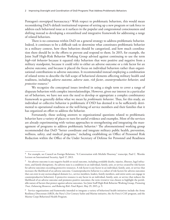Pentagon's stovepiped bureaucracy.<sup>4</sup> With respect to problematic behaviors, this would mean reconsidering DoD's default institutional response of setting up a new program or task force to address each behavioral issue as it surfaces in the popular and congressional consciousness and shifting instead to developing a streamlined and integrative framework for addressing a range of related behaviors.

There is no consensus within DoD on a general strategy to address problematic behavior. Indeed, it continues to be a difficult task to determine what constitutes problematic behavior in a military context, how these behaviors should be categorized, and how much coordination there should be in the efforts to prevent and respond to them. In 2015, for example, the Joint Staff High-Risk Behavior Working Group advised against continuing to use the term *high-risk behavior* because it equated risky behaviors that were positive and negative from a military standpoint, because it could refer to either an adverse outcome or a risk factor for an adverse outcome, and because it placed the focus on individual behaviors rather than organizational contributions to adverse outcomes. It recommended instead employing a combination of related terms to describe the full scope of behavioral elements affecting military health and readiness, including *adverse outcome*, *adverse state*, *risk factor*, *counterproductive behavior*, and *protective resource*. 5

We recognize the conceptual issues involved in using a single term to cover a range of disparate behaviors with complex interrelationships. However, given our interest in a particular set of behaviors, we have not seen the need to develop or appropriate a complex combinatory framework to generally define what we mean by *problematic behavior*. Thus, for this study, an individual or collective behavior is problematic if OSD has deemed it to be sufficiently detrimental to operational readiness or the well-being of service members and their families that it has organized an effort to address the behavior.

Fortunately, those seeking answers to organizational questions related to problematic behavior have a variety of places to turn for useful evidence and examples. Most of the services are already experimenting with various approaches to strengthening and integrating the management of programs to address problematic behavior.<sup>6</sup> The aforementioned working group recommended that DoD "better coordinate and integrate military public health, prevention, wellness, safety, and medical programs," including establishing an Office of Personnel Risk Reduction within the Office of the Under Secretary of Defense for Personnel and Readiness

<sup>4</sup> For example, see Council on Foreign Relations, "A Conversation with Michèle Flournoy," transcript, Paul C. Warnke Lecture on International Security, April 17, 2013.

<sup>5</sup> An adverse outcome is any negative health or social outcome, including avoidable deaths, injuries, illnesses, legal infractions, and family disruptions. An adverse state is a condition in an individual, family, unit, or service created by risk factors for adverse outcomes exceeding protective resources. A risk factor is any factor in an individual, family, unit, or service that increases the likelihood of an adverse outcome. Counterproductive behavior is a subset of risk factors for adverse outcomes that can exist in any socioecological domain (i.e., service members, leaders, family members, and entire units can engage in counterproductive behaviors). A protective resource is any factor in an individual, family, unit, or service that reduces the likelihood of an adverse outcome and promotes positive outcomes; the term *resource* was chosen to highlight the perishable nature of factors that protect against adverse outcomes. See Joint Staff High-Risk Behavior Working Group, *Promoting Trust, Enhancing Resources, and Reducing Risk: Final Report*, May 29, 2015, p. 9.

 $^6$  Service organizations and frameworks intended to integrate a variety of behavioral health initiatives include the Army Resiliency Directorate (ARD), the Navy's 21st Century Sailor and Marine initiative, the Air Force's CAF program, and the Marine Corps Behavioral Health Program.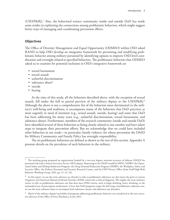(USD[P&R]).7 Also, the behavioral science community inside and outside DoD has made some strides in explaining the connections among problematic behaviors, which might suggest better ways of managing and coordinating prevention efforts.

## **Objectives**

The Office of Diversity Management and Equal Opportunity (ODMEO) within OSD asked RAND to help OSD develop an integrative framework for preventing and modifying problematic behavior among military personnel by identifying options to improve OSD-level coordination and oversight related to specified behaviors. The problematic behaviors that ODMEO asked us to examine for potential inclusion in OSD's integrative framework are

- sexual harassment
- sexual assault
- unlawful discrimination
- substance abuse<sup>8</sup>
- suicide
- hazing.

At the time of this study, all the behaviors described above, with the exception of sexual assault, fell under the full or partial purview of the military deputy to the USD(P&R).9 Although the above is not a comprehensive list of the behaviors most detrimental to the military's well-being and readiness, it encompasses many of the behaviors that DoD perceives as most urgently in need of attention (e.g., sexual assault, suicide, hazing) and some that DoD has been addressing for many years (e.g., unlawful discrimination, sexual harassment, and substance abuse). Furthermore, members of the research community (inside and outside DoD) have identified several of these behaviors as being closely related to one another and have taken steps to integrate their prevention efforts. But we acknowledge that we could have included other behaviors in our study—in particular, family violence, for whose prevention the DASD for Military Community and Family Policy has oversight responsibility.

The six problematic behaviors are defined as shown in the rest of this section. Appendix A presents details on the prevalence of such behaviors in the military.

<sup>7</sup> The working group proposed an organization headed by a two-star deputy assistant secretary of defense (DASD) for personnel risk with a Senior Executive Service (SES) deputy. Reporting to the DASD would be DSPO, SAPRO, the Operational Safety and Mishap Reduction Program, the Drug Demand Reduction Program (DDRP), the Workplace Safety and Security Office, the Defense Personnel and Security Research Center, and the OSD Privacy Office (Joint Staff High-Risk Behavior Working Group, 2015, pp. 12–13, 24).

<sup>8</sup> In this report, we use the term *substance-use disorder* to refer to problematic substance use that meets the prior or current *Diagnostic and Statistical Manual of Mental Disorders* (DSM) criteria for a clinical diagnosis. We employ the term *substance misuse* to refer to problematic substance use that does meet DSM criteria, such as binge drinking, heavy drinking, or the nonmedical use of prescription medications. Given that DoD programs target the full range of problematic substance use, we use the term *substance abuse* to encompass both substance misuse and substance-use disorders.

<sup>&</sup>lt;sup>9</sup> Much of the military deputy's portfolio of programs addressing problematic behavior was transferred to the new executive director of the Office of Force Resiliency in late 2015.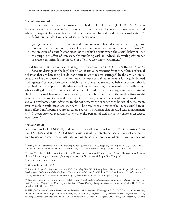## **Sexual Harassment**

The legal definition of sexual harassment, codified in DoD Directive (DoDD) 1350.2, specifies that sexual harassment is "a form of sex discrimination that involves unwelcome sexual advances, requests for sexual favors, and other verbal or physical conduct of a sexual nature."10 This definition includes two types of sexual harassment:

- *quid pro quo*, which is "threats to make employment-related decisions (e.g., hiring, promotion, termination) on the basis of target compliance with requests for sexual favors<sup>"11</sup>
- the creation of a *hostile work environment*, which occurs when the sexual behavior "has the purpose or effect of unreasonably interfering with an individual's work performance or creates an intimidating, hostile, or offensive working environment."12

This definition is similar to the civilian legal definition codified in 29 C.F.R. § 1604.11,  $\boldsymbol{q}$  (a)(3).

Scholars distinguish the legal definition of sexual harassment from other forms of sexual behavior that are harassing but do not occur in work-related settings.<sup>13</sup> In the civilian literature, there has also been a distinction drawn between sexual harassment as it is legally defined and *psychological sexual harassment*, which is any "unwanted sex-related behavior at work that is appraised by the recipient as offensive, exceeding her resources, or threatening her well-being," whether illegal or not.<sup>14</sup> That is, a single sexist joke told in a work setting is unlikely to rise to the level of sexual harassment as it is legally defined, but someone in the work setting might nonetheless perceive it as sexual harassment. Conversely, another person who is exposed to pervasive, unwelcome sexual advances might not perceive the experience to be sexual harassment, even though it could meet legal standards. The prevalence estimates of military sexual harassment offered in Appendix A are based on a survey instrument that assessed sexual harassment *as it is legally defined*, regardless of whether the person labeled his or her experiences *sexual harassment*. 15

#### **Sexual Assault**

According to DoDD 6495.01, and consistently with Uniform Code of Military Justice Articles 120, 125, and 80,16 DoD defines sexual assault as intentional sexual contact characterized by use of force, threats, intimidation, or abuse of authority or when the victim does not

<sup>10</sup> USD(P&R), *Department of Defense Military Equal Opportunity (MEO) Program*, Washington, D.C., DoDD 1350.2, August 18, 1995, certified current as of November 21, 2003, incorporating change 2 June 8, 2015, ¶ E2.1.15.

<sup>11</sup> Anne M. O'Leary-Kelly, Lynn Bowes-Sperry, Collette Arens Bates, and Emily R. Lean, "Sexual Harassment at Work: A Decade (Plus) of Progress," *Journal of Management*, Vol. 35, No. 3, June 2009, pp. 503–536, p. 504.

<sup>12</sup> DoDD 1350.2, ¶ E2.1.15.3.

<sup>13</sup> O'Leary-Kelly et al., 2009.

<sup>&</sup>lt;sup>14</sup> Louise F. Fitzgerald, Suzanne Swan, and Vicki J. Magley, "But Was It Really Sexual Harassment? Legal, Behavioral, and Psychological Definitions of the Workplace Victimization of Women," in William T. O'Donohue, ed., *Sexual Harassment: Theory, Research, and Treatment*, Needham Heights, Mass.: Allyn and Bacon, 1997, pp. 5–28, p 15.

<sup>15</sup> National Defense Research Institute (NDRI), *Sexual Assault and Sexual Harassment in the U.S. Military: Top-Line Estimates for Active-Duty Service Members from the 2014 RAND Military Workplace Study*, Santa Monica, Calif.: RAND Corporation, RR-870-OSD, 2014.

<sup>16</sup> USD(P&R), *Sexual Assault Prevention and Response (SAPR) Program*, Washington, D.C., DoDD 6495.01, January 23, 2012a, incorporating change 2 effective January 30, 2015; DoD, *Uniform Code of Military Justice: Congressional Code of Military Criminal Law Applicable to All Military Members Worldwide*, Washington, D.C., 2000, Subchapter X, Punitive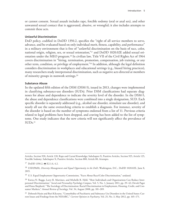or cannot consent. Sexual assault includes rape, forcible sodomy (oral or anal sex), and other unwanted sexual contact that is aggravated, abusive, or wrongful; it also includes attempts to commit these acts.

## **Unlawful Discrimination**

DoD policy, codified in DoDD 1350.2, specifies the "right of all service members to serve, advance, and be evaluated based on only individual merit, fitness, capability, and performance" in a military environment that is free of "unlawful discrimination on the basis of race, color, national origin, religion, sex, or sexual orientation,"17 and DoDD 1020.02E added sexual orientation under the MEO program.18 In civilian law, Title VII of the Civil Rights Act of 1964 covers discrimination in "hiring, termination, promotion, compensation, job training, or any other term, condition, or privilege of employment."19 In addition, although the legal definition considers discrimination in workplaces and educational settings (e.g., biased hiring practices), many researchers study interpersonal discrimination, such as negative acts directed at members of minority groups in nonwork settings.20

## **Substance Abuse**

In the updated fifth edition of the DSM (DSM-5), issued in 2013, changes were implemented in classifying substance-use disorders (SUDs). Prior DSM classifications had separate diagnoses for abuse and dependence to indicate the severity level of the disorder. In the DSM-5, the abuse and dependence classifications were combined into a single designation, SUD. Each specific disorder is separately addressed (e.g., alcohol use disorder, stimulant use disorder), and nearly all use the same overarching criteria to establish a diagnosis. For instance, severity of the disorder is based on the number of symptoms endorsed from a list of 11. Previous criteria related to legal problems have been dropped, and craving has been added to the list of symptoms. One study indicates that the new criteria will not significantly affect the prevalence of  $\text{SUBs.}^{21}$ 

Articles, Section 920, Article 120, Rape and Carnal Knowledge; Subchapter X, Punitive Articles, Section 925, Article 125, Forcible Sodomy; Subchapter X, Punitive Articles, Section 880, Article 80, Attempts.

<sup>17</sup> DoDD 1350.2, **[f** E2.1.6, 4.2.]

<sup>18</sup> USD(P&R), *Diversity Management and Equal Opportunity in the DoD*, Washington, D.C., DoDD 1020.02E, June 8, 2015.

<sup>&</sup>lt;sup>19</sup> U.S. Equal Employment Opportunity Commission, "Facts About Race/Color Discrimination," undated.

<sup>&</sup>lt;sup>20</sup> Enrica N. Ruggs, Larry R. Martinez, and Michelle R. Hebl, "How Individuals and Organizations Can Reduce Interpersonal Discrimination," *Social and Personality Psychology Compass*, Vol. 5, No. 1, January 2011, pp. 29–42; Devah Pager and Hana Shepherd, "The Sociology of Discrimination: Racial Discrimination in Employment, Housing, Credit, and Consumer Markets," *Annual Review of Sociology*, Vol. 34, August 2008, pp. 181–209.

<sup>21</sup> Deborah Hasin and Bari Kilcoyne, "Comorbidity of Psychiatric and Substance Use Disorders in the United States: Current Issues and Findings from the NESARC," *Current Opinion in Psychiatry*, Vol. 25, No. 3, May 2012, pp. 165–171.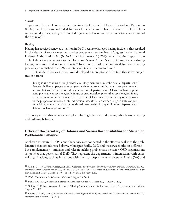6 Improving Oversight and Coordination of DoD Programs That Address Problematic Behaviors

## **Suicide**

To promote the use of consistent terminology, the Centers for Disease Control and Prevention (CDC) put forth standardized definitions for suicide and related behaviors.22 CDC defines suicide as "death caused by self-directed injurious behavior with any intent to die as a result of the behavior."23

## **Hazing**

Hazing has received renewed attention in DoD because of alleged hazing incidents that resulted in the deaths of service members and subsequent attention from Congress in the National Defense Authorization Act (NDAA) for Fiscal Year (FY) 2013, which requires reports from each of the service secretaries to the House and Senate Armed Services Committees outlining hazing prevention and response efforts.<sup>24</sup> In response, DoD revisited its definition of hazing previously established in a 1997 Secretary of Defense memorandum.25

In its updated policy memo, DoD developed a more precise definition that is less subjective in nature:

Hazing is any conduct through which a military member or members, or a Department of Defense civilian employee or employees, without a proper military or other governmental purpose but with a nexus to military service or Department of Defense civilian employment, physically or psychologically injure or create a risk of physical or psychological injury to one or more military members, Department of Defense civilians, or any other persons for the purpose of: initiation into, admission into, affiliation with, change in status or position within, or as a condition for continued membership in any military or Department of Defense civilian organization.26

The policy memo also includes examples of hazing behaviors and distinguishes between hazing and bullying behavior.

## **Office of the Secretary of Defense and Service Responsibilities for Managing Problematic Behavior**

As shown in Figure 1.1, OSD and the services are connected in the effort to deal with the problematic behaviors addressed above. More specifically, OSD and the services take on different but complementary—missions and roles in tackling problematic behavior. OSD organizations set policies that govern all of DoD. They represent the department in interactions with external organizations, such as in liaisons with the U.S. Department of Veterans Affairs (VA) and

<sup>22</sup> Alex E. Crosby, LaVonne Ortega, and Cindi Melanson, *Self-Directed Violence Surveillance: Uniform Definitions and Recommended Data Elements*, version 1.0, Atlanta, Ga.: Centers for Disease Control and Prevention, National Center for Injury Prevention and Control, Division of Violence Prevention, February 2011.

<sup>23</sup> CDC, "Definitions: Self-Directed Violence," August 28, 2015.

<sup>24</sup> Public Law 112-239, National Defense Authorization Act for Fiscal Year 2013, January 2, 2013.

<sup>25</sup> William A. Cohen, Secretary of Defense, "Hazing," memorandum, Washington, D.C.: U.S. Department of Defense, August 28, 1997.

<sup>&</sup>lt;sup>26</sup> Robert O. Work, Deputy Secretary of Defense, "Hazing and Bullying Prevention and Response in the Armed Forces," memorandum, December 23, 2015.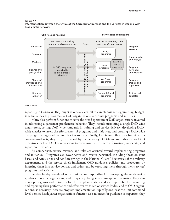#### **Figure 1.1 Interconnection Between the Office of the Secretary of Defense and the Services in Dealing with Problematic Behavior**



reporting to Congress. They might also have a central role in planning, programming, budgeting, and allocating resources to DoD organizations to execute programs and activities.

Many also perform functions to serve the broad spectrum of DoD organizations involved in addressing a particular problematic behavior. They include sustaining a single DoD-wide data system, setting DoD-wide standards in training and service delivery, developing DoDwide metrics to assess the effectiveness of programs and initiatives, and creating a DoD-wide campaign message and communication strategy. Finally, OSD-level offices can function as a convener—that is, they can, as directed by the Secretary of Defense and other senior DoD executives, call on DoD organizations to come together to share information, cooperate, and report on their work.

By comparison, service missions and roles are oriented toward implementing programs and initiatives. (Programs can cover active and reserve personnel, including those on joint bases, and Army units and Air Force wings in the National Guard.) Secretaries of the military departments and the service chiefs implement OSD guidance, policies, and procedures by inserting them into service policies and orders and by executing them through their services' programs and activities.

Service headquarter-level organizations are responsible for developing the service-wide guidance, policies, regulations, and, frequently, budgets and manpower estimates. They also develop programs and initiatives for their implementation and are responsible for measuring and reporting their performance and effectiveness to senior service leaders and to OSD organizations, as necessary. Because program implementation typically occurs at the unit command level, service headquarter organizations function as a resource for guidance or expertise; they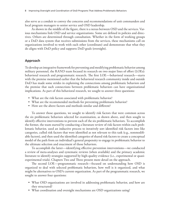also serve as a conduit to convey the concerns and recommendations of unit commanders and local program managers to senior service and OSD leadership.

As shown in the middle of the figure, there is a nexus between OSD and the services. Various mechanisms link OSD and service organizations. Some are defined in policies and directives. Others are determined through consultation. Whether in the form of working groups or a DoD data system that receives submissions from the services, these mechanisms call on organizations involved to work with each other (coordinate) and demonstrate that what they do aligns with DoD policy and supports DoD goals (oversight).

## **Approach**

To develop an integrative framework for preventing and modifying problematic behavior among military personnel, the RAND team focused its research on two major lines of effort (LOEs): behavioral research and programmatic research. The first LOE—behavioral research—starts with the premise mentioned earlier that the behavioral research community inside and outside DoD has made some strides in explaining the connections among problematic behaviors and the premise that such connections between problematic behaviors can have organizational implications. As part of this behavioral research, we sought to answer three questions:

- What are the risk factors associated with problematic behavior?
- What are the recommended methods for preventing problematic behavior?
- How are the above factors and methods similar and different?

To answer those questions, we sought to identify risk factors that were common across the six problematic behaviors selected for examination, as shown above, and then sought to identify effective interventions to prevent each of the six problematic behaviors. To accomplish the former, the team started by conducting a literature review of risk factors within each problematic behavior, used an inductive process to iteratively sort identified risk factors into like categories, culled risk factors that were identified as not relevant to this task (e.g., nonmodifiable factors), and then used the identified categories of shared risk factors to create a conceptual model of the path from an individual's general propensity to engage in problematic behavior to the ultimate selection and enactment of those behaviors.

To accomplish the latter—identifying effective prevention interventions—we conducted a review of meta-analyses and systematic reviews (when available) and the primary academic literature to identify strategies supported by high-quality evidence (i.e., experimental or quasiexperimental trials). Chapters Two and Three present more detail on the approach.

The second LOE—programmatic research—focused on understanding how OSD is organized to deal with selected problematic behaviors, how well is it organized, and what might be alternatives to OSD's current organization. As part of the programmatic research, we sought to answer four questions:

- What OSD organizations are involved in addressing problematic behavior, and how are they structured?
- What coordination and oversight mechanisms are OSD organizations using?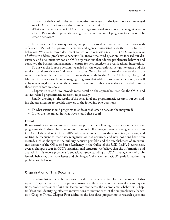- In terms of their conformity with recognized managerial principles, how well managed are OSD organizations to address problematic behavior?
- What alternatives exist to OSD's current organizational structures that suggest ways in which OSD might improve its oversight and coordination of programs to address problematic behavior?

To answer the first two questions, we primarily used semistructured discussions with officials in OSD offices, programs, centers, and agencies associated with the six problematic behaviors. We also reviewed document sources of information related to OSD's management of efforts to address problematic behavior. To answer the third question, we focused our discussions and document reviews on OSD organizations that address problematic behavior and consulted the business management literature for best practices in organizational integration.

To answer the fourth question, we relied on the organizational design literature and the services for alternatives to OSD-level structures. We collected information on service structures through semistructured discussions with officials in the Army, Air Force, Navy, and Marine Corps responsible for managing programs that address problematic behavior, as well as by reviewing documents on these programs that were publicly available or provided to us by those with whom we spoke.

Chapters Four and Five provide more detail on the approaches used for the OSD- and service-related programmatic research, respectively.

Finally, drawing on the results of the behavioral and programmatic research, our concluding chapter attempts to provide answers to the following two questions:

- To what extent should programs to address problematic behavior be integrated?
- If they are integrated, in what ways should that occur?

#### **Caveat**

Before turning to our recommendations, we provide the following caveat with respect to our programmatic findings. Information in this report reflects organizational arrangements within OSD as of the end of October 2015, when we completed our data collection, analysis, and writing. Subsequent to that date, reorganization has occurred, and new positions have been created, such as changes in the military deputy's portfolio and the establishment of an executive director of the Office of Force Resiliency in the Office of the USD(P&R). Nevertheless, even as changes occur in OSD's organizational structure, we believe that the information and analysis in this report provide a foundational understanding of OSD's management of problematic behavior, the major issues and challenges OSD faces, and OSD's goals for addressing problematic behavior.

## **Organization of This Document**

The preceding list of research questions provides the basic structure for the remainder of this report. Chapters Two and Three provide answers to the initial three behavioral research questions, broken across identifying risk factors common across the six problematic behaviors (Chapter Two) and identifying effective interventions to prevent each of the six problematic behaviors (Chapter Three). Chapter Four addresses the first three programmatic research questions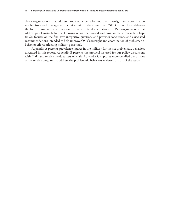about organizations that address problematic behavior and their oversight and coordination mechanisms and management practices within the context of OSD. Chapter Five addresses the fourth programmatic question on the structural alternatives to OSD organizations that address problematic behavior. Drawing on our behavioral and programmatic research, Chapter Six focuses on the final two integrative questions and provides conclusions and associated recommendations intended to help improve OSD's oversight and coordination of problematicbehavior efforts affecting military personnel.

Appendix A presents prevalence figures in the military for the six problematic behaviors discussed in this report. Appendix B presents the protocol we used for our policy discussions with OSD and service headquarters officials. Appendix C captures more-detailed discussions of the service programs to address the problematic behaviors reviewed as part of the study.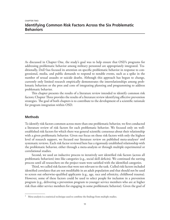As discussed in Chapter One, the study's goal was to help ensure that OSD's programs for addressing problematic behavior among military personnel are appropriately integrated. Traditionally, DoD has focused its attention on specific problematic behavior in response to congressional, media, and public demands to respond to notable events, such as a spike in the number of sexual assaults or suicide deaths. Although this approach has begun to change, currently only limited research empirically demonstrates the interrelationships among problematic behaviors or the pros and cons of integrating planning and programming to address problematic behavior.

This chapter presents the results of a literature review intended to identify common risk factors; Chapter Three provides the results of a literature review identifying effective prevention strategies. The goal of both chapters is to contribute to the development of a scientific rationale for program integration within OSD.

## **Methods**

To identify risk factors common across more than one problematic behavior, we first conducted a literature review of risk factors for each problematic behavior. We focused only on wellestablished risk factors for which there was general scientific consensus about their relationship with a given problematic behavior. Given our focus on those risk factors with only the highest level of research support, we focused our literature review on published meta-analyses<sup>1</sup> and systematic reviews. Each risk factor reviewed here has a rigorously established relationship with the problematic behavior, either through a meta-analysis or through multiple experimental or correlational studies.

Second, we used an inductive process to iteratively sort identified risk factors (across all problematic behaviors) into like categories (e.g., social skill deficits). We continued the sorting process until all researchers on the project team were satisfied with the identified categories.

Third, we culled risk factors that were not relevant to the task. Culled risk factors included identified correlates that are not modifiable in an adult population and that should not be used to screen out otherwise-qualified applicants (e.g., age, race and ethnicity, childhood trauma). However, some of these factors could be used to select people for inclusion in a prevention program (e.g., delivering a prevention program to younger service members who are at higher risk than older service members for engaging in some problematic behavior). Given the goal of

<sup>&</sup>lt;sup>1</sup> Meta-analysis is a statistical technique used to combine the findings from multiple studies.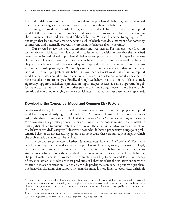identifying risk factors common across more than one problematic behavior, we also removed any risk-factor category that was not present across more than one behavior.

Finally, we used the identified categories of shared risk factors to create a conceptual model of the path from an individual's general propensity to engage in problematic behavior to the ultimate selection and enactment of these behaviors. We use this model to highlight different stages that lead to problematic behavior, each of which provides a moment of opportunity to intervene and potentially prevent the problematic behavior from emerging.<sup>2</sup>

Our selected review method has strengths and weaknesses. For this task, our focus on well-established risk factors provides certainty to leaders and decisionmakers that the identified correlates are indeed related to problematic behavior and potentially fruitful targets for prevention efforts. However, those risk factors not included in the current review—either because they have not been studied or because adequate empirical evidence has not yet accumulated are not necessarily poor targets. We simply cannot be certain, at the current date, of their relationship with multiple problematic behaviors. Another potential weakness of our conceptual model is that it does not allow for interaction effects across risk factors, especially ones that we have excluded from our analysis. Finally, although we believe that a summary of those shared, rigorously supported risk factors provides an important perspective, it is also important for policymakers to maintain visibility on other perspectives, including theoretical models of problematic behaviors and emerging evidence of risk factors that has not yet been widely replicated.

#### **Developing the Conceptual Model and Common Risk Factors**

As discussed above, the final step in the literature review process was developing a conceptual model as a way of identifying shared risk factors. As shown in Figure 2.1, the model describes risk in the three primary stages. The first stage assesses *the individual's propensity to engage in these behaviors*. For genetic, personality, or environmental reasons, some individuals might be entirely disinclined to pursue problematic behavior. These individuals drop into the "problematic behavior avoided" category." However, those who do have a propensity to engage in problematic behavior do not necessarily go on to do so because there are subsequent steps at which the problematic behavior can be avoided.

The second stage assesses whether *the problematic behavior is disinhibited*. For many people who might be inclined to engage in problematic behavior, social, occupational, legal, or personal constraints can prevent them from pursuing these behaviors. When these constraints successfully prevent the individual from engaging in the otherwise-preferred behavior, the problematic behavior is avoided. For example, according to Ajzen and Fishbein's theory of reasoned action, attitudes are most predictive of behaviors when the situation supports the attitude–behavior connection.3 When an attitude predisposes someone to perform a problematic behavior, situations that support the behavior make it more likely to occur (i.e., disinhibit

<sup>&</sup>lt;sup>2</sup> A conceptual model is used to illustrate an idea about how events might occur. Unlike a mathematical or statistical model, the precise numerical relationships and complex interactions between model elements are not usually specified. However, conceptual models can be and often are used to inform future statistical models that specify and test a more complete set of relationships.

<sup>3</sup> Icek Ajzen and Martin Fishbein, "Attitude–Behavior Relations: A Theoretical Analysis and Review of Empirical Research," *Psychological Bulletin*, Vol. 84, No. 5, September 1977, pp. 888–918.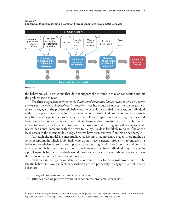

#### **Figure 2.1 Conceptual Model Describing a Common Process Leading to Problematic Behavior**

**RAND** *RR1352-2.1*

the behavior), while situations that do not support the attitude–behavior connection inhibit the problematic behavior.

The third stage assesses whether *the disinhibited individual has the means to act on his or her preferences to engage in the problematic behavior*. If the individual lacks access to the means necessary to engage in the problematic behavior, the behavior is avoided. However, an individual with the propensity to engage in the behavior, who is disinhibited, and who has the means is very likely to engage in the problematic behavior. For example, someone with gender or racial biases cannot act on these biases to commit employment discrimination until he or she has the means to do so (i.e., a leadership role with the power to make hiring and other employmentrelated decisions). Someone with the desire to die by suicide is less likely to do so if he or she lacks access to the means to do so (e.g., firearms have been removed from his or her home).<sup>4</sup>

Although the model is conceptualized as having three necessary stages, there might be some exceptions in which individuals who do not have a general propensity to engage in a behavior nonetheless do so. For example, in a group setting in which social norms and pressure to engage in a behavior are very strong, an otherwise-disinclined individual might engage in a problematic behavior. Individuals would, however, still need access to the means to perform the behavior before the behavior could occur.

As shown in the figure, we identified seven shared risk factors across two or more problematic behaviors. Two risk factors described a general propensity to engage in a problematic behavior:

- history of engaging in the problematic behavior
- attitudes that are positive toward or sanction the problematic behavior.

<sup>4</sup> Rajeev Ramchand, Joie Acosta, Rachel M. Burns, Lisa H. Jaycox, and Christopher G. Pernin, *The War Within: Preventing Suicide in the U.S. Military*, Santa Monica, Calif.: RAND Corporation, MG-953-OSD, 2011.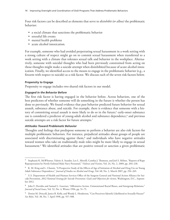Four risk factors can be described as elements that serve to *disinhibit (or allow)* the problematic behavior:

- a social climate that sanctions the problematic behavior
- stressful life events
- mental health problems
- acute alcohol intoxication.

For example, someone who had avoided perpetrating sexual harassment in a work setting with a strong culture of respect might go on to commit sexual harassment when transferred to a work setting with a climate that tolerates sexual talk and behavior in the workplace. Alternatively, someone with suicidal thoughts who had been previously constrained from acting on those thoughts might make a suicide attempt when disinhibited because of acute alcohol intoxication. Finally, we identified access to the means to engage in the problematic behavior (e.g., a firearm with respect to suicide) as a risk factor. We discuss each of the seven risk factors below.

## **Propensity to Engage**

Propensity to engage includes two shared risk factors in our model.

## *Engaged in the Behavior Before*

The first risk factor is having engaged in the behavior before. Across behaviors, one of the best predictors of whether someone will do something in the future is whether the person has done so previously. We found evidence that past behavior predicted future behavior for sexual assault, substance abuse, and suicide. For example, there is evidence that someone with a history of committing sexual assault is more likely to do so in the future;<sup>5</sup> early-onset substance use is considered a predictor of young-adult alcohol and substance dependence,<sup>6</sup> and previous suicide attempts are a risk factor for future attempts.<sup>7</sup>

## *Attitudes Toward Problematic Behavior*

Thoughts and feelings that predispose someone to perform a behavior are also risk factors for multiple problematic behaviors. For instance, prejudicial attitudes about groups of people are associated with discriminating against them, $\delta$  and individuals who have negative attitudes toward women who take on traditionally male roles might be more likely to engage in sexual harassment.<sup>9</sup> We identified attitudes that are positive toward or sanction a given problematic

<sup>5</sup> Stephanie K. McWhorter, Valerie A. Stander, Lex L. Merrill, Cynthia J. Thomsen, and Joel S. Milner, "Reports of Rape Reperpetration by Newly Enlisted Male Navy Personnel," *Violence and Victims*, Vol. 24, No. 2, 2009, pp. 204–218.

 $6$  K. M. King and L. Chassin, "A Prospective Study of the Effects of Age of Initiation of Alcohol and Drug Use on Young Adult Substance Dependence," *Journal of Studies on Alcohol and Drugs*, Vol. 68, No. 2, March 2007, pp. 256–265.

 $7$  U.S. Department of Health and Human Services Office of the Surgeon General and National Action Alliance for Suicide Prevention, *2012 National Strategy for Suicide Prevention: Goals and Objectives for Action*, Washington, D.C., September 2012.

<sup>8</sup> John F. Dovidio and Samuel L. Gaertner, "Affirmative Action, Unintentional Racial Biases, and Intergroup Relations," *Journal of Social Issues*, Vol. 52, No. 4, Winter 1996, pp. 51–75.

<sup>9</sup> Denise M. Driscoll, Janice R. Kelly, and Wendy L. Henderson, "Can Perceivers Identify Likelihood to Sexually Harass?" *Sex Roles*, Vol. 38, No. 7, April 1998, pp. 557–588.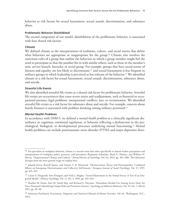behavior as risk factors for sexual harassment, sexual assault, discrimination, and substance abuse.

## **Problematic Behavior Disinhibited**

The second component of our model, disinhibition of the problematic behavior, is associated with four shared risk factors.

## *Climate*

We defined climate as the interpretations of traditions, culture, and social norms that define what behaviors are appropriate or inappropriate for the group.<sup>10</sup> Climate also involves the unwritten rules of a group that outline the behaviors in which a group member might feel the need to participate so that the member fits in with similar others, such as those in the member's unit, service branch, barracks, or social group. For example, groups that have social norms of fairness and equality are less likely to discriminate,<sup>11</sup> and sexual harassment is less frequent in military groups in which leadership is perceived as less tolerant of the behavior.12 We identified climate as a risk factor for sexual harassment, sexual assault, discrimination, substance abuse, and suicide.

## *Stressful Life Events*

We also identified stressful life events as a shared risk factor for problematic behavior. Stressful life events are occurrences that cause severe strain and readjustment, such as financial or occupational pressure, legal problems, interpersonal conflicts, loss, or victimization. We identified stressful life events as a risk factor for substance abuse and suicide. For example, concern about family finances is associated with problem drinking among military personnel.<sup>13</sup>

#### *Mental Health Problems*

In accordance with DSM-5, we defined a *mental health problem* as a clinically significant disturbance in cognition, emotional regulation, or behavior reflecting a dysfunction in the psychological, biological, or developmental processes underlying mental functioning.14 Mental health problems can include posttraumatic stress disorder (PTSD) and major depressive disor-

<sup>10</sup> For specialists in workplace behavior, *climate* is a narrow term that refers specifically to shared worker perceptions and interpretations of workplace policy, practices, and procedures (Benjamin Schneider, Mark G. Ehrhart, and William H. Macey, "Organizational Climate and Culture," *Annual Review of Psychology*, Vol. 64, 2013, pp. 361–388). This definition diverges from the more general usage we employ here.

<sup>&</sup>lt;sup>11</sup> Jolanda Jetten, Russell Spears, and Antony S. R. Manstead, "Distinctiveness Threat and Prototypicality: Combined Effects on Intergroup Discrimination and Collective Self-Esteem," *European Journal of Social Psychology*, Vol. 27, 1997, pp. 635–657.

<sup>&</sup>lt;sup>12</sup> Louise F. Fitzgerald, Fritz Drasgow, and Vicki J. Magley, "Sexual Harassment in the Armed Forces: A Test of an Integrated Model," *Military Psychology*, Vol. 11, No. 3, 1999, pp. 329–343.

<sup>&</sup>lt;sup>13</sup> Heather M. Foran, Amy M. Smith Slep, and Richard E. Heyman, "Hazardous Alcohol Use Among Active Duty Air Force Personnel: Identifying Unique Risk and Promotive Factors," *Psychology of Addictive Behaviors*, Vol. 25, No. 1, March 2011, pp. 28–40.

<sup>14</sup> American Psychiatric Association, *Diagnostic and Statistical Manual of Mental Disorders*, 5th ed., Washington, D.C., 2013.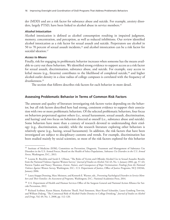der (MDD) and are a risk factor for substance abuse and suicide. For example, anxiety disorders, largely PTSD, have been linked to alcohol abuse in service members.15

### *Alcohol Intoxication*

Alcohol intoxication is defined as alcohol consumption resulting in impaired judgment, memory, concentration, and perception, as well as reduced inhibitions. Our review identified alcohol intoxication as a risk factor for sexual assault and suicide. Perpetrators use alcohol in 50 to 70 percent of sexual assault incidents,16 and alcohol intoxication can be a risk factor for suicidal ideation.<sup>17</sup>

## *Access to Means*

Finally, risk for engaging in problematic behavior increases when someone has the means available to carry out these behaviors. We identified strong evidence to support access as a risk factor for sexual assault, discrimination, substance abuse, and suicide. For example, easy access to lethal means (e.g., firearms) contributes to the likelihood of completed suicide,<sup>18</sup> and higher alcohol-outlet density in a close radius of college campuses is correlated with the frequency of drunkenness.19

The section that follows describes risk factors for each behavior in more detail.

## **Assessing Problematic Behavior in Terms of Common Risk Factors**

The amount and quality of literature investigating risk factors varies depending on the behavior, but all risk factors described here had strong, consistent evidence to support their association with two or more problematic behaviors. Of the selected problematic behaviors, four focus on behaviors perpetrated against others (i.e., sexual harassment, sexual assault, discrimination, and hazing) and two focus on behaviors directed at oneself (i.e., substance abuse and suicide). Some behaviors have more than a century of research devoted to understanding their etiology (e.g., discrimination, suicide), while the research literature exploring other behaviors is relatively sparse (e.g., hazing, sexual harassment). In addition, the risk factors that have been investigated are subject to disciplinary customs and trends. For example, discrimination has been studied mainly by social scientists, so most of the risk factors explored for this behavior

<sup>&</sup>lt;sup>15</sup> Institute of Medicine (IOM), Committee on Prevention, Diagnosis, Treatment and Management of Substance Use Disorders in the U.S. Armed Forces, Board on the Health of Select Populations, *Substance Use Disorders in the U.S. Armed Forces*, Washington, D.C., 2013.

<sup>16</sup> Leanne R. Brecklin and Sarah E. Ullman, "The Roles of Victim and Offender Alcohol Use in Sexual Assaults: Results from the National Violence Against Women Survey," *Journal of Studies on Alcohol*, Vol. 63, No. 1, January 2002, pp. 57–63; Patricia Tjaden and Nancy Thoennes, *Extent, Nature, and Consequences of Rape Victimization: Findings from the National Violence Against Women Survey*, Washington, D.C.: U.S. Department of Justice, Office of Justice Programs, NCJ 210346, January 2006.

<sup>17</sup> Laura Aiuppa Denning, Marc Meisnere, and Kenneth E. Warner, eds., *Preventing Psychological Disorders in Service Members and Their Families: An Assessment of Programs*, Washington, D.C.: National Academies Press, 2014.

<sup>&</sup>lt;sup>18</sup> U.S. Department of Health and Human Services Office of the Surgeon General and National Action Alliance for Suicide Prevention, 2012.

<sup>&</sup>lt;sup>19</sup> Richard Scribner, Karen Mason, Katherine Theall, Neal Simonsen, Shari Kessel Schneider, Laura Gomberg Towvim, and William DeJong, "The Contextual Role of Alcohol Outlet Density in College Drinking," *Journal of Studies on Alcohol and Drugs*, Vol. 69, No. 1, 2008, pp. 112–120.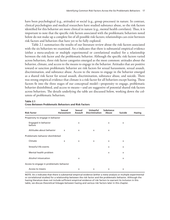have been psychological (e.g., attitudes) or social (e.g., group processes) in nature. In contrast, clinical psychologists and medical researchers have studied substance abuse, so the risk factors identified for this behavior are more clinical in nature (e.g., mental health correlates). Thus, it is important to note that the specific risk factors associated with the problematic behaviors noted below do not make up a complete list of all possible risk factors; relationships can exist between risk factors and behaviors that have yet to be fully explored.

Table 2.1 summarizes the results of our literature review about the risk factors associated with the six behaviors we examined. An *x* indicates that there is substantial empirical evidence (either a meta-analysis or multiple experimental or correlational studies) for a relationship between the risk factor and the problematic behavior. Although the specific risk factors varied across behaviors, three risk factor categories emerged as the most common: attitudes about the behavior, climate, and access to the means to engage in the behavior. Attitudes that are positive toward or sanction problematic behavior are risk factors for sexual harassment, sexual assault, discrimination, and substance abuse. Access to the means to engage in the behavior emerged as a shared risk factor for sexual assault, discrimination, substance abuse, and suicide. There was strong empirical evidence that climate is a risk factor for all behaviors except hazing. These factors fit into the three stages of our conceptual model—propensity to engage, problematic behavior disinhibited, and access to means—and are suggestive of potential shared risk factors across behaviors. The details underlying the table are discussed below, working down the columns of problematic behaviors.

#### **Table 2.1**

| <b>Risk Factor</b>                       | Sexual<br><b>Harassment</b> | Sexual<br><b>Assault</b> | <b>Unlawful</b><br><b>Discrimination</b> | <b>Substance</b><br>Abuse | Suicide                   | <b>Hazing</b> |
|------------------------------------------|-----------------------------|--------------------------|------------------------------------------|---------------------------|---------------------------|---------------|
| Propensity to engage in behavior         |                             |                          |                                          |                           |                           |               |
| Engaged in behavior<br>before            |                             | $\mathsf{x}$             |                                          | $\mathsf{x}$              | $\boldsymbol{\mathsf{x}}$ |               |
| Attitudes about behavior                 | $\mathsf{x}$                | $\mathsf{x}$             | $\mathsf{x}$                             | X                         |                           |               |
| Problematic behavior disinhibited        |                             |                          |                                          |                           |                           |               |
| Climate                                  | X                           | $\mathsf{x}$             | $\boldsymbol{\mathsf{x}}$                | $\mathsf{x}$              | $\boldsymbol{\mathsf{x}}$ |               |
| Stressful life events                    |                             |                          |                                          | X                         | $\boldsymbol{\mathsf{x}}$ |               |
| Mental health problem                    |                             |                          |                                          | X                         | $\boldsymbol{\mathsf{x}}$ |               |
| Alcohol intoxication                     |                             | $\mathsf{x}$             |                                          |                           | $\boldsymbol{\mathsf{x}}$ |               |
| Access to engage in problematic behavior |                             |                          |                                          |                           |                           |               |
| Access to means                          |                             | X                        | X                                        | x                         | x                         |               |

#### **Cross Between Problematic Behaviors and Risk Factors**

NOTE: An *x* indicates that there is substantial empirical evidence (either a meta-analysis or multiple experimental or correlational studies) for a relationship between the risk factor and the problematic behavior. Although the hazing literature does not include sufficient empirical evidence of risk factors to warrant its inclusion in this table, we discuss theoretical linkages between hazing and various risk factors later in this chapter.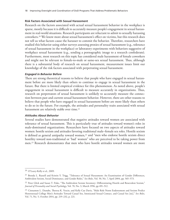#### **Risk Factors Associated with Sexual Harassment**

Research on the factors associated with actual sexual harassment behavior in the workplace is sparse, mostly because it is difficult to accurately measure people's engagement in sexual harassment in real-world situations. Research participants are reluctant to admit to sexually harassing coworkers.20 We know more about sexual harassment's effect on victims, but this research does not tell us what factors cause the harasser to commit the behavior. Therefore, researchers have studied this behavior using either surveys assessing proxies of sexual harassment (e.g., tolerance of sexual harassment in the workplace) or laboratory experiments with behaviors suggestive of workplace sexual harassment (e.g., sending a pornographic image to a research confederate). Furthermore, most research on this topic has considered male harassment of female coworkers and might not be relevant to female-to-male or same-sex sexual harassment. Thus, although there is a substantial body of research on sexual harassment, measurement issues limit our knowledge of the risk factors associated with perpetrating sexual harassment.

#### *Engaged in Behavior Before*

There are strong theoretical reasons to believe that people who have engaged in sexual harassment before are more likely than others to continue to engage in sexual harassment in the future. But there is limited empirical evidence for this phenomenon. As noted above, people's engagement in sexual harassment is difficult to measure accurately in organizations. Thus, research on perpetrators of sexual harassment is unlikely to accurately measure the connection between past and current sexual harassment behavior. However, there are other reasons to believe that people who have engaged in sexual harassment before are more likely than others to do so in the future. For example, the attitudes and personality traits associated with sexual harassment are relatively stable over time.<sup>21</sup>

#### *Attitudes About Behavior*

Several studies have demonstrated that negative attitudes toward women are associated with tolerance of sexual harassment. This is particularly true of attitudes toward women's roles in male-dominated organizations. Researchers have focused on two aspects of attitudes toward women: hostile sexism and attitudes favoring traditional male–female sex roles. Hostile sexism is defined as general antipathy toward women, $22$  and "men who endorse hostile sexism direct hostility toward non-traditional or 'bad' women" who are perceived to be taking power from men.23 Research demonstrates that men who have hostile attitudes toward women are more

<sup>20</sup> O'Leary-Kelly et al., 2009.

<sup>21</sup> Brenda L. Russell and Kristin Y. Trigg, "Tolerance of Sexual Harassment: An Examination of Gender Differences, Ambivalent Sexism, Social Dominance, and Gender Roles," *Sex Roles*, Vol. 50, No. 7, April 2004, pp. 565–573.

<sup>&</sup>lt;sup>22</sup> Peter Glick and Susan T. Fiske, "The Ambivalent Sexism Inventory: Differentiating Hostile and Benevolent Sexism," *Journal of Personality and Social Psychology*, Vol. 70, No. 3, March 1996, pp 491–512.

<sup>23</sup> Cinnamon L. Danube, Theresa K. Vescio, and Kelly Cue Davis, "Male Role Norm Endorsement and Sexism Predict Heterosexual College Men's Attitudes Toward Casual Sex, Intoxicated Sexual Contact, and Casual Sex [sic]," *Sex Roles*, Vol. 71, No. 5, October 2014, pp. 219–232, p. 221.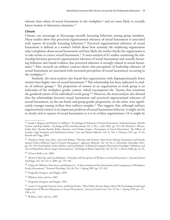tolerant than others of sexual harassment in the workplace<sup>24</sup> and are more likely to sexually harass women in laboratory situations.25

#### *Climate*

Climate can encourage or discourage sexually harassing behaviors among group members. Many studies show that perceived organizational tolerance of sexual harassment is associated with reports of sexually harassing behaviors.<sup>26</sup> Perceived organizational tolerance of sexual harassment is defined as a worker's beliefs about how seriously the employing organization takes complaints about sexual harassment and how likely the worker thinks the organization is to take action to correct sexual harassment.<sup>27</sup> A meta-analysis of 41 studies examining the relationship between perceived organizational tolerance of sexual harassment and sexually harassing behaviors also found evidence that perceived tolerance is strongly related to sexual harassment.28 Also, research on military contexts shows that perceptions of leadership tolerance of sexual harassment are associated with increased perceptions of sexual harassment occurring in the workplace.29

Similarly, the meta-analysis also found that organizations with disproportionately fewer women have higher rates of sexual harassment.<sup>30</sup> This relationship has been replicated in studies of military groups.31 The proportion of women in an organization or work group is an indication of the workplace gender context, which encompasses the "factors that constitute the gendered nature of the individual's work group."32 However, the meta-analysis also showed that the relationships between sexual harassment and perceived organizational tolerance of sexual harassment, on the one hand, and group gender proportions, on the other, were significantly stronger among civilian than military samples.<sup>33</sup> This suggests that, although military organizational context is an important predictor of sexual harassment behavior, it might not be as closely tied to reports of sexual harassment as it is in civilian organizations. Or it might be

 $^{24}$  Joseph J. Begany and Michael A. Milburn, "Psychological Predictors of Sexual Harassment: Authoritarianism, Hostile Sexism, and Rape Myths," *Psychology of Men and Masculinity*, Vol. 3, No. 2, July 2002, pp. 119–126; Richard L. Wiener, Linda Hurt, Brenda Russell, Kelley Mannen, and Charles Gasper, "Perceptions of Sexual Harassment: The Effects of Gender, Legal Standard, and Ambivalent Sexism," *Law and Human Behavior*, Vol. 21, No. 1, February 1997, pp. 71–93; Russell and Trigg, 2004.

<sup>&</sup>lt;sup>25</sup> Charlotte Diehl, Jonas Rees, and Gerd Bohner, "Flirting with Disaster: Short-Term Mating Orientation and Hostile Sexism Predict Different Types of Sexual Harassment," *Aggressive Behavior*, Vol. 38, No. 6, November–December 2012, pp. 521–531; Frank Siebler, Saskia Sabelus, and Gerd Bohner, "A Refined Computer Harassment Paradigm: Validation, and Test of Hypotheses About Target Characteristics," *Psychology of Women Quarterly*, Vol. 32, No. 1, March 2008, pp. 22–35.

<sup>26</sup> O'Leary-Kelly et al., 2009.

<sup>27</sup> Marita P. McCabe and Lisa Hardman, "Attitudes and Perceptions of Workers to Sexual Harassment," *Journal of Social Psychology*, Vol. 145, No. 6, 2005, pp. 719–740.

<sup>&</sup>lt;sup>28</sup> Chelsea R. Willness, Piers Steel, and Kibeom Lee, "A Meta-Analysis of the Antecedents and Consequences of Workplace Sexual Harassment," *Personnel Psychology*, Vol. 60, No. 1, Spring 2007, pp. 127–162.

<sup>29</sup> Fitzgerald, Drasgow, and Magley, 1999.

<sup>30</sup> Willness, Steel, and Lee, 2007.

<sup>&</sup>lt;sup>31</sup> Fitzgerald, Drasgow, and Magley, 1999.

<sup>&</sup>lt;sup>32</sup> Louise F. Fitzgerald, Suzanne Swan, and Karla Fischer, "Why Didn't She Just Report Him? The Psychological and Legal Implications of Women's Responses to Sexual Harassment," *Journal of Social Issues*, Vol. 51, No. 1, Spring 1995, pp. 117– 138, p. 62.

<sup>33</sup> Willness, Steel, and Lee, 2007.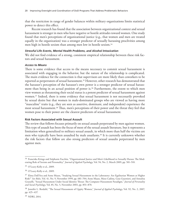that the restriction in range of gender balances within military organizations limits statistical power to detect this effect.

Recent research has found that the association between organizational context and sexual harassment is stronger in men who have negative or hostile attitudes toward women. One study found that men's perceptions of organizational justice (e.g., that women and men are treated equally in the organization) was a stronger predictor of sexually harassing proclivities among men high in hostile sexism than among men low in hostile sexism.34

## *Stressful Life Events, Mental Health Problems, and Alcohol Intoxication*

We did not find evidence of a strong, consistent empirical relationship between these risk factors and sexual harassment.

#### *Access to Means*

There is some evidence that access to the means necessary to commit sexual harassment is associated with engaging in the behavior, but the nature of the relationship is complicated. The main evidence for the connection is that supervisors are more likely than coworkers to be reported as perpetrators of sexual harassment.<sup>35</sup> However, other research has demonstrated that the harasser's perception of the harasser's own power is a stronger predictor of sexual harassment than being in an actual position of power is.36 Furthermore, the extent to which men view women as threatening their social status is a potent predictor of sexual harassment against women.37 Indeed, there is some evidence that sexual harassment is not necessarily provoked by sexual desire but that women in male-dominated groups who are viewed as having more "masculine" traits (e.g., they are seen as assertive, dominant, and independent) experience the most sexual harassment.38 Thus, men's perceptions of their power and the threat they feel that women pose to their power are the clearest predictors of sexual harassment.

### **Risk Factors Associated with Sexual Assault**

The review that follows focuses primarily on sexual assault perpetrated by men against women. This type of assault has been the focus of most of the sexual assault literature, but it represents a limitation when generalized to military sexual assault, in which more than half the victims are men who typically have been assaulted by male assailants.39 It is currently unknown whether the risk factors that follow are also strong predictors of sexual assaults perpetrated by men against men.

<sup>&</sup>lt;sup>34</sup> Franciska Krings and Stéphanie Facchin, "Organizational Justice and Men's Likelihood to Sexually Harass: The Moderating Role of Sexism and Personality," *Journal of Applied Psychology*, Vol. 94, No. 2, March 2009, pp. 501–510.

<sup>35</sup> O'Leary-Kelly et al., 2009.

<sup>36</sup> O'Leary-Kelly et al., 2009.

<sup>37</sup> Elena Dall'Ara and Anne Maass, "Studying Sexual Harassment in the Laboratory: Are Egalitarian Women at Higher Risk?" *Sex Roles*, Vol. 41, No. 9, November 1999, pp. 681–704; Anne Maass, Mara Cadinu, Gaia Guarnieri, and Annalisa Grasselli, "Sexual Harassment Under Social Identity Threat: The Computer Harassment Paradigm," *Journal of Personality and Social Psychology*, Vol. 85, No. 5, November 2003, pp. 853–870.

<sup>38</sup> Jennifer L. Berdahl, "The Sexual Harassment of Uppity Women," *Journal of Applied Psychology*, Vol. 92, No. 2, 2007, pp. 425–437.

<sup>39</sup> NDRI, 2014.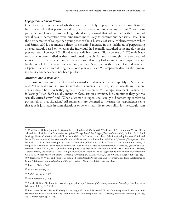## *Engaged in Behavior Before*

One of the best predictors of whether someone is likely to perpetrate a sexual assault in the future is whether that person has already sexually assaulted someone in the past.<sup>40</sup> For example, a methodologically rigorous longitudinal study showed that college men with histories of sexual assault perpetration were nine times more likely to commit another sexual assault in the next semester of college than young men without histories of sexual violence were.<sup>41</sup> White and Smith, 2004, documents a three- to elevenfold increase in the likelihood of perpetrating a sexual assault based on whether the individual had sexually assaulted someone during the previous year of college.42 Similar data are available from a military cohort of 2,925 male Navy recruits who were studied as they transitioned from civilian status through the second year of service.<sup>43</sup> Thirteen percent of recruits self-reported that they had attempted or completed a rape by the end of the first year of service, and, of these Navy men with history of sexual violence, 71 percent reperpetrated during the second year of service.<sup>44</sup> Comparable data for the remaining service branches have not been published.

## *Attitudes About Behavior*

The most common measure of attitudes toward sexual violence is the Rape Myth Acceptance scale.45 This scale, and its variants, includes statements that justify sexual assault, and respondents indicate how much they agree with each statement.<sup>46</sup> Example statements include the following: "Men don't usually intend to force sex on a woman, but sometimes they get too sexually carried away" and "When a woman is raped, she usually did something careless to put herself in that situation." All statements are designed to measure the respondent's sense that rape is justifiable in some situations or beliefs that shift responsibility for the assault from

<sup>&</sup>lt;sup>40</sup> Christine A. Gidycz, Jennifer B. Warkentin, and Lindsay M. Orchowski, "Predictors of Perpetration of Verbal, Physical, and Sexual Violence: A Prospective Analysis of College Men," *Psychology of Men and Masculinity*, Vol. 8, No. 2, April 2007, pp. 79–94; Catherine Loh and Christine A. Gidycz, "A Prospective Analysis of the Relationship Between Childhood Sexual Victimization and Perpetration of Dating Violence and Sexual Assault in Adulthood," *Journal of Interpersonal Violence*, Vol. 21, No. 6, June 2006, pp. 732–749; Catherine Loh, Christine A. Gidycz, Tracy R. Lobo, and Rohini Luthra, "A Prospective Analysis of Sexual Assault Perpetration: Risk Factors Related to Perpetrator Characteristics," *Journal of Interpersonal Violence*, Vol. 20, No. 10, October 2005, pp. 1325–1348; Neil M. Malamuth, Daniel Linz, Christopher L. Heavey, Gordon Barnes, and Michele Acker, "Using the Confluence Model of Sexual Aggression to Predict Men's Conflict with Women: A 10-Year Follow-Up Study," *Journal of Personality and Social Psychology*, Vol. 69, No. 2, August 1995, pp. 353– 369; Jacquelyn W. White and Paige Hall Smith, "Sexual Assault Perpetration and Reperpetration: From Adolescence to Young Adulthood," *Criminal Justice and Behavior*, Vol. 31, No. 2, April 2004, pp. 182–202.

<sup>41</sup> Loh and Gidycz, 2006.

<sup>42</sup> White and Smith, 2004.

<sup>43</sup> McWhorter et al., 2009.

<sup>44</sup> McWhorter et al., 2009.

<sup>45</sup> Martha R. Burt, "Cultural Myths and Supports for Rape," *Journal of Personality and Social Psychology*, Vol. 38, No. 2, February 1980, pp. 217–230.

<sup>46</sup> Burt, 1980; Diana L. Payne, Kimberly A. Lonsway, and Louise F. Fitzgerald, "Rape Myth Acceptance: Exploration of Its Structure and Its Measurement Using the Illinois Rape Myth Acceptance Scale," *Journal of Research in Personality*, Vol. 33, No. 1, March 1999, pp. 27–68.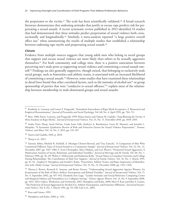the perpetrator to the victim.<sup>47</sup> The scale has been scientifically validated.<sup>48</sup> A broad research literature demonstrates that endorsing attitudes that justify or excuse rape predicts risk for perpetrating a sexual assault. A recent systematic review published in 2013 identified 24 studies that had demonstrated that these attitudes predict perpetration of sexual violence both crosssectionally and longitudinally.<sup>49</sup> Similarly, a meta-analysis reported "a large positive overall effect size" when summarizing the results of multiple studies that established a relationship between endorsing rape myths and perpetrating sexual assault.<sup>50</sup>

## *Climate*

Evidence from multiple sources suggests that young adult men who belong to social groups that support and excuse sexual violence are more likely than others to be sexually aggressive themselves.51 For both community and college men, there is a positive association between perceiving one's male peers as supporting sexual violence and committing a sexual assault oneself.<sup>52</sup> Findings are also generally supportive, though mixed, that belonging to exclusively male social groups, such as fraternities and athletic teams, is associated with an increased likelihood of committing a sexual assault.53 However, some studies that have examined these relationships in detail have found that other correlated factors, such as the intensity of alcohol use<sup>54</sup> or group sponsorship of parties that were "conducive to sexual offenses,"<sup>55</sup> explain most of the relationship between membership in male-dominated groups and sexual assaults.

<sup>47</sup> Kimberly A. Lonsway and Louise F. Fitzgerald, "Attitudinal Antecedents of Rape Myth Acceptance: A Theoretical and Empirical Reexamination," *Journal of Personality and Social Psychology*, Vol. 68, No. 4, April 1995, pp. 704–711.

<sup>48</sup> Burt, 1980; Payne, Lonsway, and Fitzgerald, 1999; Eliana Suarez and Tahany M. Gadalla, "Stop Blaming the Victim: A Meta-Analysis on Rape Myths," *Journal of Interpersonal Violence*, Vol. 25, No. 11, November 2010, pp. 2010–2035.

<sup>49</sup> Andra Teten Tharp, Sarah DeGue, Linda Anne Valle, Kathryn A. Brookmeyer, Greta M. Massetti, and Jennifer L. Matjasko, "A Systematic Qualitative Review of Risk and Protective Factors for Sexual Violence Perpetration," *Trauma, Violence, and Abuse*, Vol. 14, No. 2, 2013, pp. 133–167.

<sup>50</sup> Suarez and Gadalla, 2010, p. 2023.

<sup>51</sup> Tharp et al., 2013.

<sup>52</sup> Antonia Abbey, Michele R. Parkhill, A. Monique Clinton-Sherrod, and Tina Zawacki, "A Comparison of Men Who Committed Different Types of Sexual Assault in a Community Sample," *Journal of Interpersonal Violence*, Vol. 22, No. 12, December 2007, pp. 1567–1580; F. Scott Christopher, Mary Madura, and Lori Weaver, "Premarital Sexual Aggressors: A Multivariate Analysis of Social, Relational, and Individual Variables," *Journal of Marriage and the Family*, Vol. 60, No. 1, February 1998, pp. 56–69; Walter S. DeKeseredy and Katharine Kelly, "Sexual Abuse in Canadian University and College Dating Relationships: The Contribution of Male Peer Support," *Journal of Family Violence*, Vol. 10, No. 1, March 1995, pp. 41–53; , Stephen E. Humphrey and Arnold S. Kahn, "Fraternities, Athletic Teams, and Rape: Importance of Identification with a Risky Group," *Journal of Interpersonal Violence*, Vol. 15, No. 12, December 2000, pp. 1313–1320.

<sup>53</sup> Theresa J. Brown, Kenneth E. Sumner, and Romy Nocera, "Understanding Sexual Aggression Against Women: An Examination of the Role of Men's Athletic Participation and Related Variables," *Journal of Interpersonal Violence*, Vol. 17, No. 9, September 2002, pp. 937–952; Elizabeth Ann Gage, "Gender Attitudes and Sexual Behaviors: Comparing Center and Marginal Athletes and Nonathletes in a Collegiate Setting," *Violence Against Women*, Vol. 14, No. 9, September 2008, pp. 1014–1032; Gidycz, Warkentin, and Orchowski, 2007; Humphrey and Kahn, 2000; Mary P. Koss and John A. Gaines, "The Prediction of Sexual Aggression by Alcohol Use, Athletic Participation, and Fraternity Affiliation," *Journal of Interpersonal Violence*, Vol. 8, No. 1, March 1993, pp. 94–108; Loh et al., 2005.

<sup>54</sup> Koss and Gaines, 1993.

<sup>55</sup> Humphrey and Kahn, 2000, p. 1314.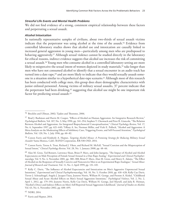#### *Stressful Life Events and Mental Health Problems*

We did not find evidence of a strong, consistent empirical relationship between these factors and perpetrating a sexual assault.

#### *Alcohol Intoxication*

In nationally representative samples of civilians, about two-thirds of sexual assault victims indicate that the perpetrator was using alcohol at the time of the assault.<sup>56</sup> Evidence from controlled laboratory studies shows that alcohol use and intoxication are causally linked to increased general aggression in young men—particularly among men who are predisposed to behaving aggressively.<sup>57</sup> Although sexual violence cannot be studied directly in the laboratory for ethical reasons, indirect evidence suggests that alcohol use increases the risk of committing a sexual assault.<sup>58</sup> Young men who consume alcohol in a controlled laboratory setting are more likely to misperceive the sexual intent of women depicted in study materials,<sup>59</sup> take longer than men who have not consumed alcohol to identify that a sexual encounter in an audio track has turned into a date rape,<sup>60</sup> and are more likely to indicate that they would sexually assault someone in a situation similar to a hypothetical date-rape scenario.<sup>61</sup> Although most of this research has been conducted with college men, this group does share demographic characteristics with junior enlisted personnel. Among victims of military sexual assaults, 37 percent indicate that the perpetrator had been drinking,<sup>62</sup> suggesting that alcohol use might be one important risk factor for predicting sexual assault.<sup>63</sup>

<sup>56</sup> Brecklin and Ullman, 2002; Tjaden and Thoennes, 2006.

<sup>57</sup> Brad J. Bushman and Harris M. Cooper, "Effects of Alcohol on Human Aggression: An Integrative Research Review," *Psychological Bulletin*, Vol. 107, No. 3, May 1990, pp. 341–354; Stephen T. Chermack and Peter R. Giancola, "The Relation Between Alcohol and Aggression: An Integrated Biopsychosocial Conceptualization," *Clinical Psychology Review*, Vol. 17, No. 6, September 1997, pp. 621–649; Tiffany A. Ito, Norman Miller, and Vicki E. Pollock, "Alcohol and Aggression: A Meta-Analysis on the Moderating Effects of Inhibitory Cues, Triggering Events, and Self-Focused Attention," *Psychological Bulletin*, Vol. 120, No. 1, July 1996, pp. 60–82.

<sup>58</sup> Coreen Farris and Kimberly A. Hepner, *Targeting Alcohol Misuse: A Promising Strategy for Reducing Military Sexual Assaults?* Santa Monica, Calif.: RAND Corporation, RR-538-OSD, 2014.

<sup>59</sup> Coreen Farris, Teresa A. Treat, Richard J. Viken, and Richard M. McFall, "Sexual Coercion and the Misperception of Sexual Intent," *Clinical Psychology Review*, Vol. 28, No. 1, January 2008, pp. 48–66.

<sup>60</sup> Alan M. Gross, Ted Bennett, Lawrence Sloan, Brian P. Marx, and John Juergens, "The Impact of Alcohol and Alcohol Expectancies on Male Perception of Female Sexual Arousal in a Date Rape Analog," *Experimental and Clinical Psychopharmacology*, Vol. 9, No. 4, November 2001, pp. 380–388; Brian P. Marx, Alan M. Gross, and Henry E. Adams, "The Effect of Alcohol on the Responses of Sexually Coercive and Noncoercive Men to an Experimental Rape Analogue," *Sexual Abuse: Journal of Research and Treatment*, Vol. 11, No. 2, April 1999, pp. 131–145.

<sup>61</sup> Kelly C. Davis, "The Influence of Alcohol Expectancies and Intoxication on Men's Aggressive Unprotected Sexual Intentions," *Experimental and Clinical Psychopharmacology*, Vol. 18, No. 5, October 2010, pp. 418–428; Kelly Cue Davis, Trevor J. Schraufnagel, Angela J. Jacques-Tiura, Jeanette Norris, William H. George, and Preston A. Kiekel, "Childhood Sexual Abuse and Acute Alcohol Effects on Men's Sexual Aggression Intentions," *Psychological Violence*, Vol. 2, No. 2, April 1, 2012, pp. 179–193; Jeanette Norris, Kelly Cue Davis, William H. George, Joel Martell, and Julia R. Heiman, "Alcohol's Direct and Indirect Effects on Men's Self-Reported Sexual Aggression Likelihood," *Journal of Studies on Alcohol*, Vol. 63, No. 6, November 2002, pp. 688–695.

<sup>62</sup> NDRI, 2014.

<sup>63</sup> Farris and Hepner, 2014.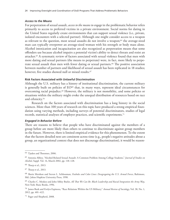#### *Access to the Means*

For perpetration of sexual assault, *access to the means to engage* in the problematic behavior refers primarily to access to preferred victims in a private environment. Social norms for dating in the United States regularly create environments that can support sexual violence (i.e., private, isolated encounters with a selected partner). Although one might consider access to a weapon as relevant to the question, most sexual assaults do not involve a weapon;<sup>64</sup> the average-sized man can typically overpower an average-sized woman with his strength or body mass alone. Alcohol intoxication and incapacitation are also recognized as perpetration means that some offenders use because alcohol impairs a potential victim's ability to detect threats and resist an attacker.65 A systematic review of factors associated with sexual violence found that men with more dating and sexual partners (the means to perpetrate) were, in fact, more likely to perpetrate sexual assault than men with fewer dating or sexual partners.<sup>66</sup> The positive association between number of partners and likelihood of sexual assault has been replicated in 18 studies; however, five studies showed null or mixed results.<sup>67</sup>

#### **Risk Factors Associated with Unlawful Discrimination**

Although the U.S. military has a history of institutional discrimination, the current military is generally built on policies of  $EO^{68}$  that, in many ways, represent ideal circumstances for overcoming racial prejudice.<sup>69</sup> However, the military is not monolithic, and some policies or situations within the military might evoke the unequal distribution of resources based on race and ethnicity.70

Research on the factors associated with discrimination has a long history in the social sciences. More than 100 years of research on this topic have produced a strong empirical foundation using varying methods, including surveys of potential discriminators, studies of legal records, statistical analyses of employer practices, and scientific experiments.71

#### *Engaged in Behavior Before*

There are reasons to believe that people who have discriminated against the members of a group before are more likely than others to continue to discriminate against group members in the future. However, there is limited empirical evidence for this phenomenon. To the extent that the factors detailed next are consistent across time (e.g., people's negative attitudes about a group, an organizational context that does not discourage discrimination), it would be reason-

<sup>64</sup> Tjaden and Thoennes, 2006.

<sup>65</sup> Antonia Abbey, "Alcohol-Related Sexual Assault: A Common Problem Among College Students," *Journal of Studies on Alcohol*, Suppl. Vol. 14, March 2002, pp. 118–128.

<sup>66</sup> Tharp et al., 2013.

<sup>67</sup> Tharp et al., 2013.

<sup>68</sup> Sherie Mershon and Steven L. Schlossman, *Foxholes and Color Lines: Desegregating the U.S. Armed Forces*, Baltimore, Md.: Johns Hopkins University Press, 1998.

<sup>69</sup> Charles C. Moskos and John Sibley Butler, *All That We Can Be: Black Leadership and Racial Integration the Army Way*, New York: Basic Books, 1996.

<sup>70</sup> James Burk and Evelyn Espinoza, "Race Relations Within the US Military," *Annual Review of Sociology*, Vol. 38, No. 1, 2012, pp. 401–422.

<sup>71</sup> Pager and Shepherd, 2008.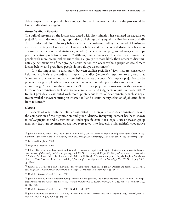able to expect that people who have engaged in discriminatory practices in the past would be likely to discriminate again.

#### *Attitudes About Behavior*

The bulk of research on the factors associated with discrimination has centered on negative or prejudicial attitudes toward a group. Indeed, all things being equal, the link between prejudicial attitudes and discriminatory behavior is such a consistent finding that prejudicial attitudes are often the target of research.72 However, scholars make a theoretical distinction between discriminatory behavior and attitudes (prejudice), beliefs (stereotypes), and ideologies that support the status quo between groups.<sup>73</sup> Although numerous research studies have shown that people with more-prejudicial attitudes about a group are more likely than others to discriminate against members of that group, discrimination can occur without prejudice (see climate factors below), and prejudiced people do not always discriminate.<sup>74</sup>

It is also important to distinguish between explicit prejudice (views that are consciously held and explicitly expressed) and implicit prejudice (automatic responses to a group that "commonly function without a person's full awareness or control").75 Implicit prejudice can be present among people who endorse egalitarian views but who justify discrimination on other grounds (e.g., "they don't share our values").76 Explicit prejudice is associated with more-overt forms of discrimination, such as negative comments<sup>77</sup> and judgments of guilt in mock trials.<sup>78</sup> Implicit prejudice is associated with more-spontaneous forms of discrimination, such as negative nonverbal behaviors during an interaction<sup>79</sup> and discriminatory selection of job candidates from résumés.<sup>80</sup>

#### *Climate*

The aspects of organizational climate associated with prejudice and discrimination include the composition of the organization and group identity. Intergroup contact has been shown to *reduce* prejudice and discrimination under specific conditions: equal status between group members (e.g., group members are not segregated into leadership hierarchies), cooperative

<sup>72</sup> John F. Dovidio, Peter Glick, and Laurie Rudman, eds., *On the Nature of Prejudice: Fifty Years After Allport*, Wiley-Blackwell, June 2005; Gordon W. Allport, *The Nature of Prejudice*, Cambridge, Mass.: Addison-Wesley Publishing, 1954.

<sup>73</sup> Pager and Shepherd, 2008.

<sup>74</sup> Pager and Shepherd, 2008.

<sup>75</sup> John F. Dovidio, Kerry Kawakami, and Samuel L. Gaertner, "Implicit and Explicit Prejudice and Interracial Interaction," *Journal of Personality and Social Psychology*, Vol. 82, No. 1, January 2002, pp. 62–68, p. 62; Anthony G. Greenwald, T. Andrew Poehlman, Eric Luis Uhlmann, and Mahzarin R. Banaji, "Understanding and Using the Implicit Association Test: III. Meta-Analysis of Predictive Validity," *Journal of Personality and Social Psychology*, Vol. 97, No. 1, July 2009, pp. 17–41.

 $^{76}$  Samuel L. Gaertner and John F. Dovidio, "The Aversive Form of Racism," in John F. Dovidio and Samuel L. Gaertner, eds., *Prejudice, Discrimination, and Racism*, San Diego, Calif.: Academic Press, 1986, pp. 61–89.

<sup>77</sup> Dovidio, Kawakami, and Gaertner, 2002.

<sup>78</sup> John F. Dovidio, Kerry Kawakami, Craig Johnson, Brenda Johnson, and Adaiah Howard, "On the Nature of Prejudice: Automatic and Controlled Processes," *Journal of Experimental Social Psychology*, Vol. 33, No. 5, September 1997, pp. 510–540.

<sup>79</sup> Dovidio, Kawakami, and Gaertner, 2002; Dovidio et al., 1997.

<sup>80</sup> John F. Dovidio and Samuel L. Gaertner, "Aversive Racism and Selection Decisions: 1989 and 1999," *Psychological Science*, Vol. 11, No. 4, July 2000, pp. 315–319.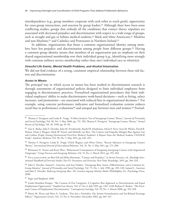interdependence (e.g., group members cooperate with each other to reach goals), opportunity for cross-group interactions, and sanction by group leaders.81 Although there have been some conflicting studies, groups that embody all the conditions that contact theory stipulates are associated with decreased prejudice and discrimination with respect to a wide range of groups, such as straight and gay or lesbian medical students,<sup>82</sup> black and white Americans,<sup>83</sup> Muslims and non-Muslims,<sup>84</sup> and Catholics and Protestants in Northern Ireland.<sup>85</sup>

In addition, organizations that foster a common organizational identity among members have less prejudice and discrimination among people from different groups.<sup>86</sup> Having a common group identity means that members of an organization put an emphasis on their shared organizational membership over their individual group (e.g., identifying more strongly with common military service membership rather than one's individual race or ethnicity).

#### *Stressful Life Events, Mental Health Problems, and Alcohol Intoxication*

We did not find evidence of a strong, consistent empirical relationship between these risk factors and discrimination.

#### *Access to Means*

The principal way in which access to means has been studied in discrimination research is through assessments of organizational policies designed to limit individual employees from engaging in discriminatory practices. Formalized organizational procedures that limit individual employees' ability to make discriminatory work-based decisions—such as hiring, salary increases, and promotions—are associated with reduced bias in organizational decisions.<sup>87</sup> For example, using concrete performance indicators and formalized evaluation systems reduces racial bias in performance evaluations<sup>88</sup> and unequal pay between men and women.<sup>89</sup> Formal-

<sup>87</sup> Pager and Shepherd, 2008.

<sup>81</sup> Thomas F. Pettigrew and Linda R. Tropp, "A Meta-Analytic Test of Intergroup Contact Theory," *Journal of Personality and Social Psychology*, Vol. 90, No. 5, May 2006, pp. 751–783; Thomas F. Pettigrew, "Intergroup Contact Theory," *Annual Review of Psychology*, Vol. 49, 1998, pp. 65–85.

<sup>82</sup> Sara E. Burke, John F. Dovidio, Julia M. Przedworski, Rachel R. Hardeman, Sylvia P. Perry, Sean M. Phelan, David B. Nelson, Diana J. Burgess, Mark W. Yeazel, and Michelle van Ryn, "Do Contact and Empathy Mitigate Bias Against Gay and Lesbian People Among Heterosexual First-Year Medical Students? A Report from the Medical Student CHANGE Study," *Academic Medicine*, Vol. 90, No. 5, May 2015, pp. 645–651.

<sup>83</sup> Thomas F. Pettigrew, Linda R. Tropp, Ulrich Wagner, and Oliver Christ, "Recent Advances in Intergroup Contact Theory," *International Journal of Intercultural Relations*, Vol. 35, No. 3, May 2011, pp. 271–280.

<sup>84</sup> Rhiannon N. Turner and Keon West, "Behavioural Consequences of Imagining Intergroup Contact with Stigmatized Outgroups," *Group Processes and Intergroup Relations*, Vol. 15, No. 2, March 2012, pp. 193–202.

<sup>85</sup> For a recent review, see Ben Fell and Miles Hewstone, "Contact and Prejudice," in Steven Vertovec, ed., *Routledge International Handbook of Diversity Studies*, Part IV: *Encounters and Diversity*, New York: Routledge, 2015, pp. 284–293.

<sup>86</sup> John F. Dovidio, Samuel L. Gaertner, and Ana Validzic, "Intergroup Bias: Status, Differentiation, and a Common In-Group Identity," *Journal of Personality and Social Psychology*, Vol. 75, No. 1, July 1998, pp. 109–120; Samuel L. Gaertner and John F. Dovidio, *Reducing Intergroup Bias: The Common Ingroup Identity Model*, Philadelphia, Pa.: Psychology Press, 2000.

<sup>88</sup> Linda Hamilton Krieger, "The Content of Our Categories: A Cognitive Bias Approach to Discrimination and Equal Employment Opportunity," *Stanford Law Review*, Vol. 47, No. 6, July 1995, pp. 1161–1248; Barbara F. Reskin, "The Proximate Causes of Employment Discrimination," *Contemporary Sociology*, Vol. 29, No. 2, March 2000, pp. 319–328.

<sup>89</sup> Marta M. Elvira and Mary E. Graham, "Not Just a Formality: Pay System Formalization and Sex-Related Earnings Effects," *Organization Science*, Vol. 13, No. 6, November–December 2002, pp. 601–617.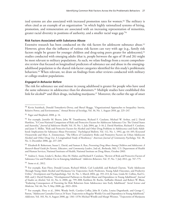ized systems are also associated with increased promotion rates for women.<sup>90</sup> The military is often cited as an example of an organization "in which highly rationalized systems of hiring, promotion, and remuneration are associated with an increasing representation of minorities, greater racial diversity in positions of authority, and a smaller racial wage gap."91

## **Risk Factors Associated with Substance Abuse**

Extensive research has been conducted on the risk factors for adolescent substance abuse.<sup>92</sup> However, given that the influence of various risk factors can vary with age (e.g., family risk factors might be greater for younger children and drug-using peers greater for adolescents),<sup>93</sup> studies conducted with emerging adults (that is, people between the ages of 18 and 26) might be most relevant to military populations. As such, we relate findings from a recent comprehensive review that focused on longitudinal predictors of substance use and abuse in the emergingadulthood population to the shared risk-factor categories identified for this study's problematic behaviors.<sup>94</sup> When relevant, we draw on findings from other reviews conducted with military or college-student populations.

## *Engaged in Behavior Before*

The risk for substance use and misuse in young adulthood is greater for people who have used the same substance in adolescence than for abstainers.<sup>95</sup> Multiple studies have established this link for alcohol<sup>96</sup> and illicit drugs, including marijuana.<sup>97</sup> Moreover, the earlier the age of onset

<sup>93</sup> Elizabeth B. Robertson, Susan L. David, and Suman A. Rao, *Preventing Drug Abuse Among Children and Adolescents: A Research-Based Guide for Parents, Educators, and Community Leaders*, 2nd ed., Bethesda, Md.: U.S. Department of Health and Human Services, National Institutes of Health, National Institute on Drug Abuse, October 2003.

<sup>94</sup> Andrea L. Stone, Linda G. Becker, Alice M. Huber, and Richard F. Catalano, "Review of Risk and Protective Factors of Substance Use and Problem Use in Emerging Adulthood," *Addictive Behaviors*, Vol. 37, No. 7, July 2012, pp. 747–775.

<sup>95</sup> Stone et al., 2012.

<sup>90</sup> Kevin Stainback, Donald Tomaskovic-Devey, and Sheryl Skaggs, "Organizational Approaches to Inequality: Inertia, Relative Power, and Environments," *Annual Review of Sociology*, Vol. 36, No. 1, August 2010, pp. 225–247.

<sup>91</sup> Pager and Shepherd, 2008, p. 14.

<sup>92</sup> For example, Jennifer M. Beyers, John W. Toumbourou, Richard F. Catalano, Michael W. Arthur, and J. David Hawkins, "A Cross-National Comparison of Risk and Protective Factors for Adolescent Substance Use: The United States and Australia," *Journal of Adolescent Health*, Vol. 35, No. 1, July 2004, pp. 3–16; J. David Hawkins, Richard F. Catalano, and Janet Y. Miller, "Risk and Protective Factors for Alcohol and Other Drug Problems in Adolescence and Early Adulthood: Implications for Substance Abuse Prevention," *Psychological Bulletin*, Vol. 112, No. 1, 1992, pp. 64–105; Krzysztof Ostaszewski and Marc A. Zimmerman, "The Effects of Cumulative Risks and Promotive Factors on Urban Adolescent Alcohol and Other Drug Use: A Longitudinal Study of Resiliency," *American Journal of Community Psychology*, Vol. 38, No. 3, December 2006, pp. 237–249.

<sup>96</sup> For example, Kate Flory, Donald Lynam, Richard Milich, Carl Leukefeld, and Richard Clayton, "Early Adolescent Through Young Adult Alcohol and Marijuana Use Trajectories: Early Predictors, Young Adult Outcomes, and Predictive Utility," *Development and Psychopathology*, Vol. 16, No. 1, March 2004, pp. 193–213; Jie Guo, Linda M. Collins, Karl G. Hill, and J. David Hawkins, "Developmental Pathways to Alcohol Abuse and Dependence in Young Adulthood," *Journal of Studies on Alcohol*, Vol. 61, No. 6, 2000, pp. 799–808; Kathleen M. Roche, Saiffudin Ahmed, and Robert W. Blum, "Enduring Consequences of Parenting for Risk Behaviors from Adolescence into Early Adulthood," *Social Science and Medicine*, Vol. 66, No. 9, May 2008, pp. 2023–2034.

<sup>97</sup> For example, Flory et al., 2004; Wendy Swift, Carolyn Coffey, John B. Carlin, Louisa Degenhardt, and George C. Patton, "Adolescent Cannabis Users at 24 Years: Trajectories to Regular Weekly Use and Dependence in Young Adulthood," *Addiction*, Vol. 103, No. 8, August 2008, pp. 1361–1370; Michael Windle and Margit Wiesner, "Trajectories of Marijuana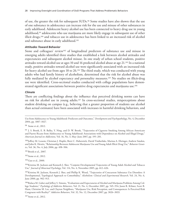of use, the greater the risk for subsequent SUDs.98 Some studies have also shown that the use of one substance in adolescence can increase risk for the use and misuse of other substances in early adulthood. Adolescent heavy alcohol use has been connected to heavy drug use in young adulthood,99 adolescents who use marijuana are more likely engage in subsequent use of other illicit drugs,<sup>100</sup> and tobacco use in adolescence has been linked to an increased risk of alcohol and substance abuse in early adulthood.101

#### *Attitudes Toward Behavior*

Stone and colleagues' review<sup>102</sup> of longitudinal predictors of substance use and misuse in emerging adults identified three studies that established a link between alcohol attitudes and expectancies and subsequent alcohol misuse. In one study of urban school students, positive attitudes toward alcohol use at ages 10 and 16 predicted alcohol abuse at age 21.103 In a national study, positive attitudes toward alcohol use were significantly associated with an increased risk for heavy alcohol use from ages 18 to 26.<sup>104</sup> The third study, which was conducted with young adults who had family history of alcoholism, determined that the risk for alcohol abuse was fully mediated by alcohol expectancy and personality measures.<sup>105</sup> No studies on illicit-drug use were identified. Cross-sectional studies conducted with college populations have demonstrated significant associations between positive drug expectancies and marijuana use.<sup>106</sup>

## *Climate*

There are conflicting findings about the influence that perceived drinking norms can have on risk for alcohol use in young adults.107 In cross-sectional studies, misperceptions about student drinking on campus (e.g., believing that a greater proportion of students use alcohol than actual estimates) have been associated with increases in harmful drinking behaviors, and

<sup>98</sup> Stone et al., 2012.

<sup>99</sup> J. S. Brook, E. B. Balka, Y. Ning, and D. W. Brook, "Trajectories of Cigarette Smoking Among African Americans and Puerto Ricans from Adolescence to Young Adulthood: Associations with Dependence on Alcohol and Illegal Drugs," *American Journal on Addictions*, Vol. 16, No. 3, May–June 2007, pp. 195–201.

100 Jeffrey M. Lessem, Christian J. Hopfer, Brett C. Haberstick, David Timberlake, Marissa A. Ehringer, Andrew Smolen, and John K. Hewitt, "Relationship Between Adolescent Marijuana Use and Young Adult Illicit Drug Use," *Behavior Genetics*, Vol. 36, No. 4, July 2006, pp. 498–506.

101Brook et al., 2007.

102Stone et al., 2012.

103Guo et al., 2000.

104Kristina M. Jackson and Kenneth J. Sher, "Conjoint Developmental Trajectories of Young Adult Alcohol and Tobacco Use," *Journal of Abnormal Psychology*, Vol. 114, No. 4, November 2005, pp. 612–626.

105Kristina M. Jackson, Kenneth J. Sher, and Phillip K. Wood, "Trajectories of Concurrent Substance Use Disorders: A Developmental, Typological Approach to Comorbidity," *Alcoholism: Clinical and Experimental Research*, Vol. 24, No. 6, June 2000, pp. 902–913.

106Raluca M. Gaher and Jeffrey S. Simons, "Evaluations and Expectancies of Alcohol and Marijuana Problems Among College Students," *Psychology of Addictive Behaviors*, Vol. 21, No. 4, December 2007, pp. 545–554; Jason R. Kilmer, Scott B. Hunt, Christine M. Lee, and Clayton Neighbors, "Marijuana Use, Risk Perception, and Consequences: Is Perceived Risk Congruent with Reality?" *Addictive Behaviors*, Vol. 32, No. 12, December 2007, pp. 3026–3033.

Use from Adolescence to Young Adulthood: Predictors and Outcomes," *Development and Psychopathology*, No. 4, December 2004, pp. 1007–1027.

<sup>107</sup>Stone et al., 2012.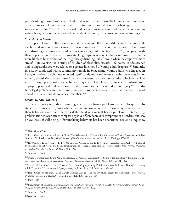peer drinking norms have been linked to alcohol use and misuse.108 However, no significant associations were found between peer drinking norms and alcohol use when age at first use was accounted for.109 Further, a national evaluation of social norms marketing interventions to reduce heavy alcohol use among college students did not yield consistent positive findings.<sup>110</sup>

## *Stressful Life Events*

The impact of stressful life events has mainly been established as a risk factor for young-adult alcohol and substance use or misuse, but not for abuse.<sup>111</sup> In a community study that examined drinking trajectories from adolescence to young adulthood (ages 16 to 25), compared with their respective "non–heavy drinking stable" groups, men were 3.7 times and women 1.8 times more likely to be members of the "high heavy drinking stable" group when they reported more stressful life events.112 In a study of children of alcoholics, stressful life events in adolescence and young adulthood were related to a greater likelihood of young-adult drug use.113 Similarly, in a study conducted with a community sample in Switzerland, young adults who engaged in heavy or problem alcohol use reported significantly more and worse stressful life events.<sup>114</sup> For military populations, factors associated with increased alcohol use or misuse include deployment to any operational theater, higher frequency of deployment, greater cumulative time deployed, perceived high work stress, and exposure to the threat of death or injury.115 In addition, legal problems and poor family support have been associated with an increased risk of opioid misuse among Army service members.116

## *Mental Health Problems*

The large majority of studies examining whether psychiatric problems predict subsequent substance use or misuse in young adults focus on internalizing and externalizing behaviors rather than behaviors that reach the clinical threshold of a mental health problem.117 Internalizing problematic behavior can encompass negative affect, depressive symptoms or disorders, anxiety, or low levels of well-being.118 Externalizing behaviors has been operationalized as delinquency,

<sup>115</sup> IOM, 2013.

<sup>117</sup> Stone et al., 2012.

<sup>118</sup> Stone et al., 2012.

<sup>108</sup>Stone et al., 2012.

<sup>&</sup>lt;sup>109</sup> Erica Weintraub Austin and Yin Ju Chen, "The Relationship of Parental Reinforcement of Media Messages to College Students' Alcohol-Related Behaviors," *Journal of Health Communication*, Vol. 8, No. 2, 2003, pp. 157–169.

<sup>110</sup>H. Wechsler, T. E. Nelson, J. E. Lee, M. Seibring, C. Lewis, and R. P. Keeling, "Perception and Reality: A National Evaluation of Social Norms Marketing Interventions to Reduce College Students' Heavy Alcohol Use," *Journal of Studies on Alcohol*, Vol. 64, No. 4, July 2003, pp. 484–494.

<sup>111</sup> Stone et al., 2012.

<sup>112</sup>Michael Windle, Eun Young Mun, and Rebecca C. Windle, "Adolescent-to–Young Adulthood Heavy Drinking Trajectories and Their Prospective Predictors," *Journal of Studies on Alcohol*, Vol. 66, No. 3, 2005, pp. 313–322.

<sup>113</sup>Andrea M. Hussong and Laurie Chassin, "Stress and Coping Among Children of Alcoholic Parents Through the Young Adult Transition," *Developmental Psychopathology*, Vol. 16, No. 4, Fall 2004, pp. 985–1006.

<sup>114</sup>Hans-Christoph Steinhausen and Christa Winkler Metzke, "The Validity of Adolescent Types of Alcohol Use," *Journal of Child Psychology and Psychiatry*, Vol. 44, No. 5, July 2003, pp. 677–686.

<sup>116</sup>Department of the Army, *Sexual Harassment/Assault Response and Prevention (SHARP) Program Implementation Guidance*, All Army Activity 007/2012, January 2012, as cited in IOM, 2013.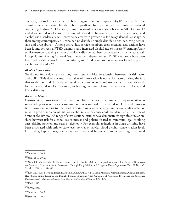deviance, antisocial or conduct problems, aggression, and hyperactivity.119 Two studies that examined whether mental health problems predicted future substance use or misuse presented conflicting findings.120 One study found no significant association between MDD at age 17 and drug and alcohol abuse in young adulthood.121 In contrast, co-occurring anxiety and alcohol use disorders at age 19 were associated with greater risk for heavy alcohol use at age 25 than among counterparts at 19 who had no disorder, a single disorder, or co-occurring depression and drug abuse.<sup>122</sup> Among active-duty service members, cross-sectional associations have been found between a PTSD diagnosis and increased alcohol use or misuse.123 Among Army service members, having a major psychiatric disorder has been associated with an increased risk for opioid use. Among National Guard members, depression and PTSD symptoms have been identified as risk factors for alcohol misuse, and PTSD symptom severity was found to predict alcohol use disorder.124

## *Alcohol Intoxication*

We did not find evidence of a strong, consistent empirical relationship between this risk factor and SUDs. This does not mean that alcohol intoxication is not a risk factor; rather, the fact that we did not find the evidence could be because longitudinal studies focused on other risk factors besides alcohol intoxication, such as age of onset of use, frequency of drinking, and heavy drinking.

#### *Access to Means*

Cross-sectional associations have been established between the number of liquor retailers in surrounding areas of college campuses and increased risk for heavy alcohol use and intoxication. However, no longitudinal studies examining whether changes in the availability of liquor retailers predict subsequent risk for alcohol misuse or abuse could be identified at the time of Stone et al.'s review.125 A range of cross-sectional studies have demonstrated significant relationships between risk for alcohol use or misuse and policies related to minimum legal drinking ages, driving policies, and sales of alcohol.126 For example, reductions in binge drinking have been associated with stricter state-level policies on lawful blood alcohol concentration levels for driving, happy hours, open containers, beer sold in pitchers, and advertising in national

<sup>119</sup> Stone et al., 2012.

<sup>120</sup>Stone et al., 2012.

<sup>121</sup>Naomi R. Marmorstein, William G. Iacono, and Stephen M. Malone, "Longitudinal Associations Between Depression and Substance Dependence from Adolescence Through Early Adulthood," *Drug and Alcohol Dependence*, Vol. 107, No. 2–3, March 1, 2010, pp. 154–160.

<sup>122</sup>Ron Vida, E. B. Brownlie, Joseph H. Beitchman, Edward M. Adlaf, Leslie Atkinson, Michael Escobar, Carla J. Johnson, Hedy Jiang, Emiko Koyama, and Danielle Bender, "Emerging Adult Outcomes of Adolescent Psychiatric and Substance Use Disorders," *Addictive Behaviors*, Vol. 34, No. 10, October 2009, pp. 800–805.

<sup>123</sup>IOM, 2013.

<sup>124</sup>IOM, 2013.

<sup>125</sup>Stone et al., 2012.

<sup>126</sup>Stone et al., 2012.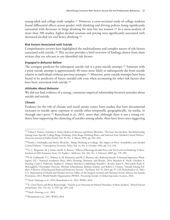young-adult and college study samples.127 However, a cross-sectional study of college students found differential effects across gender, with drinking and driving policies being significantly associated with decreases in binge drinking for men but not women.<sup>128</sup> In a meta-analysis of more than 100 studies, higher alcohol taxation and pricing were significantly associated with decreased alcohol use and heavy drinking.129

## **Risk Factors Associated with Suicide**

Comprehensive reviews have highlighted the multitudinous and complex nature of risk factors associated with suicide.<sup>130</sup> This section provides a brief overview of findings drawn from these reviews that are relevant to our identified risk factors.

## *Engaged in Behavior Before*

The strongest predictor for subsequent suicide risk is a prior suicide attempt.131 Someone with a prior suicide attempt is approximately 40 times more likely to subsequently die from suicide relative to individuals without previous attempts.132 Moreover, prior suicide attempts have been found to be predictive of future suicidal risk even when accounting for other risk factors that have been associated with suicide.<sup>133</sup>

## *Attitudes About Behavior*

We did not find evidence of a strong, consistent empirical relationship between attitudes about suicide and suicide*.*

## *Climate*

Evidence for the role of climate and social norms comes from studies that have documented increases in suicide upon exposure to suicide either temporally, geographically, via media, or through one's peers.134 Ramchand et al., 2011, notes that, although there is not a strong evidence base supporting the clustering of suicides among adults, there have been cases suggesting

131Nock, Deming, et al., 2013; Ramchand et al., 2011; WHO, 2014.

<sup>127</sup> Toben F. Nelson, Timothy S. Naimi, Robert D. Brewer, and Henry Wechsler, "The State Sets the Rate: The Relationship Among State-Specific College Binge Drinking, State Binge Drinking Rates, and Selected State Alcohol Control Policies," *American Journal of Public Health*, Vol. 95, No. 3, March 2005, pp. 441–446.

<sup>128</sup>Frank J. Chaloupka and Henry Wechsler, "Binge Drinking in College: The Impact of Price, Availability, and Alcohol Control Policies," *Contemporary Economic Policy*, Vol. 14, No. 4, October 1996, pp. 112–124.

<sup>129</sup>A. C. Wagenaar, M. J. Salois, and K. A. Komro, "Effects of Beverage Alcohol Price and Tax Levels on Drinking: A Meta-Analysis of 1003 Estimates from 112 Studies," *Addiction*, Vol. 104, No. 2, February 2009, pp. 179–190.

<sup>130</sup>S. K. Goldsmith, T. C. Pellmar, A. M. Kleinman, and W. E. Bunney, eds., *Reducing Suicide: A National Imperative*, Washington, D.C.: National Academies Press, 2002; Denning, Meisnere, and Warner, 2014; Matthew K. Nock, Charlene A. Deming, Carol S. Fullerton, Stephen E. Gilman, Matthew Goldenberg, Ronald C. Kessler, James E. McCarroll, Katie A. McLaughlin, Christopher Peterson, Michael Schoenbaum, Barbara Stanley, and Robert J. Ursano, "Suicide Among Soldiers: A Review of Psychosocial Risk and Protective Factors," *Psychiatry*, Vol. 76, 2013, pp. 97–125; Ramchand et al., 2011; U.S. Department of Health and Human Services Office of the Surgeon General and National Action Alliance for Suicide Prevention, 2012; World Health Organization (WHO), *Preventing Suicide: A Global Imperative*, Geneva, 2014.

<sup>132</sup>E. Clare Harris and Brian Barraclough, "Suicide as an Outcome for Mental Disorders: A Meta-Analysis," *British Journal of Psychiatry*, Vol. 170, No. 3, 1997, pp. 205–228.

<sup>133</sup>Nock, Deming, et al., 2013.

<sup>134</sup>Ramchand et al., 2011; WHO, 2014.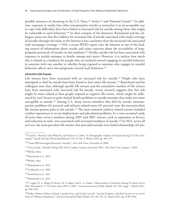possible instances of clustering in the U.S. Navy,<sup>135</sup> Army,<sup>136</sup> and National Guard.<sup>137</sup> In addition, exposure to media that either sensationalize suicide or normalize it as an acceptable way to cope with difficulties have been linked to increased risk for suicide among those who might be vulnerable to such behaviors.<sup>138</sup> In their synopsis of the literature, Ramchand and his colleagues point out that the evidence for increased risk of suicide associated with media coverage of suicides through television or the Internet is less conclusive than the increased risk associated with newspaper coverage.<sup>139</sup> Still, a recent WHO report cites the Internet as one of the leading sources of information about suicide and raises concerns about the accessibility of inappropriate portrayals of suicide via this medium.140 Finally, suicide risk has been associated with exposure to suicide attempts or deaths among one's peers. However, it is unclear how much this is related to a tendency for people who are inclined toward engaging in suicidal behaviors to associate with one another or whether being exposed to someone who engages in suicidal behaviors affects one's own propensity toward such behaviors.<sup>141</sup>

#### *Stressful Life Events*

Life stresses have been associated with an increased risk for suicide.<sup>142</sup> People who have attempted or died by suicide have been found to have more life stresses.<sup>143</sup> Ramchand and his colleagues note that, although specific life stresses and the cumulative number of life stresses have been associated with increased risk for suicide, recent research suggests that this risk might be more related to how people respond to negative life events, which might be influenced by such factors as prior mental health problems or suicide attempts that make one more susceptible to suicide.<sup>144</sup> Among U.S. Army service members who died by suicide, intimatepartner problems (41 percent) and military-related stress (41 percent) were the most-prevalent life stresses present prior to the suicide.145 The most-common military-related stresses included combat experiences in recent deployments and job-related problems. In a cross-sectional study of active-duty service members during 2005 and 2007, stresses, such as separation or divorce and reduction in rank, were associated with increased incidence of suicide.146 In 2013, across all services, the most-prevalent life stresses that preceded suicides were failed relationships (45 per-

144Ramchand et al., 2011.

<sup>&</sup>lt;sup>135</sup> Laurel L. Hourani, Giles Warrack, and Patricia A. Cohen, "A Demographic Analysis of Suicide Among U.S. Navy Personnel," *Suicide and Life-Threatening Behavior*, Vol. 29, No. 4, Winter 1999, pp. 365–375.

<sup>136&</sup>quot;Army Will Investigate Recruiters' Suicides," *New York Times*, November 8, 2008.

<sup>137</sup>Erica Goode, "Suicide's Rising Toll: After Combat, Victims of an Inner War," *New York Times*, August 1, 2009. 138WHO, 2014.

<sup>139</sup>Ramchand et al., 2011.

<sup>140</sup>WHO, 2014.

<sup>141</sup>Ramchand et al., 2011.

<sup>142</sup>Goldsmith et al., 2002.

<sup>143</sup>Ramchand et al., 2011.

<sup>145</sup> J. Logan, N. A. Skopp, D. Karch, M. A. Reger, and G. A. Gahm, "Characteristics of Suicides Among US Army Active Duty Personnel in 17 US States from 2005 to 2007," *American Journal of Public Health*, Vol. 102, Supp. 1, March 2012, pp. S40–S44.

<sup>146</sup>Jeffrey Hyman, Robert Ireland, Lucinda Frost, and Linda Cottrell, "Suicide Incidence and Risk Factors in an Active Duty US Military Population," *American Journal of Public Health*, Vol. 102, No. S1, March 2012, pp. S138–S146.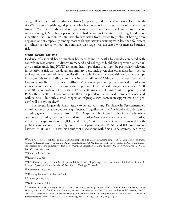cent), followed by administrative legal issues (30 percent) and financial and workplace difficulties (24 percent).147 Although deployment has been seen as increasing the risk of experiencing stressors,<sup>148</sup> a recent study found no significant association between deployment and risk for suicide among U.S. military personnel who had served in Operation Enduring Freedom or Operation Iraqi Freedom.149 Interestingly, separation from service (regardless of having been deployed or not), especially among those with separations occurring with less than four years of military service or without an honorable discharge, was associated with increased suicide risk.

#### *Mental Health Problems*

Evidence of a mental health problem has been found in deaths by suicide, compared with controls in case-control studies.150 Ramchand and colleagues highlight depression and anxiety disorders (including PTSD) as mental health problems that might be particularly relevant in identifying risk for suicide among military personnel, given that other disorders, such as schizophrenia or borderline personality disorder, which carry increased risk for suicide, are typically grounds for excluding enrollment into the military.151 Citing estimates reported by the Congressional Research Service, a 2014 IOM report on preventing psychological disorders in service members notes that a significant proportion of mental health diagnoses between 2000 and 2011 were made up of depression (17 percent), anxiety excluding PTSD (10 percent), and PTSD (6 percent).<sup>152</sup> Depression is one the most-prevalent mental health problems associated with suicide,<sup>153</sup> but only a small proportion of people with depression (approximately 4 percent) will die by suicide.154

The recent large-scale Army Study to Assess Risk and Resilience in Servicemembers examined the association between eight internalizing disorders (MDD, bipolar disorder, panic disorder, generalized anxiety disorder, PTSD, specific phobia, social phobia, and obsessivecompulsive disorder) and three externalizing disorders (attention-deficit/hyperactivity disorder, intermittent explosive disorder [IED], and SUDs).155 When the effects of all the mental health problems are accounted for, only preenlistment panic disorder, PTSD, and IED and postenlistment MDD and IED exhibit significant associations with first suicide attempts occurring

153 Cavanagh et al., 2003.

154Goldsmith et al., 2002.

<sup>&</sup>lt;sup>147</sup> Mark A. Reger, Derek J. Smolenski, Nancy A. Skopp, Melinda J. Metzger-Abamukang, Han K. Kang, Tim A. Bullman, Sondra Perdue, and Gregory A. Gahm, "Risk of Suicide Among US Military Service Members Following Operation Enduring Freedom or Operation Iraqi Freedom Deployment and Separation from the Military," *JAMA Psychiatry*, Vol. 72, No. 6, June 2015, pp. 561–569.

<sup>148</sup>Ramchand et al., 2011.

<sup>149</sup>Reger et al., 2015.

<sup>150</sup> J. T. Cavanagh, A. J. Carson, M. Sharpe, and S. M. Lawrie, "Psychological Autopsy Studies of Suicide: A Systematic Review," *Psychological Medicine*, Vol. 33, No. 3, April 2003, pp. 395–405.

<sup>151</sup>Ramchand et al., 2011.

<sup>&</sup>lt;sup>152</sup> Denning, Meisnere, and Warner, 2014.

<sup>155</sup>Matthew K. Nock, Murray B. Stein, Steven G. Heeringa, Robert J. Ursano, Lisa J. Colpe, Carol S. Fullerton, Irving Hwang, James A. Naifeh, Nancy A. Sampson, Michael Schoenbaum, Alan M. Zaslavsky, and Ronald C. Kessler, "Prevalence and Correlates of Suicidal Behavior Among Soldiers: Results from the Army Study to Assess Risk and Resilience in Servicemembers (Army STARRS)," *JAMA Psychiatry*, Vol. 71, No. 5, May 2014, pp. 514–522.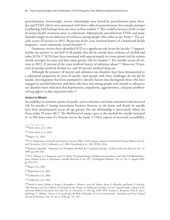postenlistment. Interestingly, inverse relationships were found for preenlistment panic disorder and PTSD, which were associated with lower odds of postenlistment first suicide attempts (conflicting with findings from previous civilian studies).156 This could be because of the receipt of mental health treatment prior to enlistment. Alternatively, preenlistment PTSD and panic disorders might be an indicator of resilience among people who enlist in the Army.<sup>157</sup> For suicides across all services in 2013, 40 percent of the cases involved history of a behavioral health diagnosis—most commonly, mood disorders.158

Numerous reviews have identified SUD as a significant risk factor for suicide.159 Approximately one-quarter to one-half of all people who die by suicide have evidence of alcohol and other SUDs.160 SUDs have been associated with approximately six times greater risk for serious suicide attempts for men and four times greater risk for women.161 For suicides across all services in 2013, 21 percent of the cases involved history of substance abuse.162 Moreover, 53 percent of suicides involved alcohol use, and 30 percent involved drug use.

Although the presence of mental and substance use disorders have been documented in a substantial proportion of cases of suicide, most people with these challenges do not die by suicide. Investigations that have attempted to identify factors that distinguish those who have engaged in suicidal behaviors and those who have not among people with mental or substance use disorders have indicated that hopelessness, impulsivity, aggressiveness, and poor problemsolving appear to play important roles.<sup>163</sup>

#### *Access to Means*

Accessibility to common means of suicide, such as firearms, has been associated with increased risk for suicide.164 Strong associations between firearms in the home and deaths by suicide have been demonstrated across all age groups, but the relationship is particularly robust for those under 25 years old.165 The likelihood of using a gun as the method for suicide increased 31 to 108 more times if a firearm was in the home.166 Other aspects of increased accessibility,

158Reger et al., 2015.

162Reger et al., 2015.

164Goldsmith et al., 2002.

165Goldsmith et al., 2002.

<sup>156</sup>Nock, Stein, et al., 2014.

<sup>157</sup>Nock, Stein, et al., 2014.

<sup>159</sup>U.S. Department of Health and Human Services Office of the Surgeon General and National Action Alliance for Suicide Prevention, 2012; Goldsmith et al., 2002; Ramchand et al., 2011; WHO, 2014.

<sup>160</sup>Barbara Schneider, "Substance Use Disorders and Risk for Completed Suicide," *Archives of Suicide Research*, Vol. 13, 2009, pp. 303–316.

<sup>&</sup>lt;sup>161</sup> B. E. Molnar, L. F. Berkman, and S. L. Buka, "Psychopathology, Childhood Sexual Abuse and Other Childhood Adversities: Relative Links to Subsequent Suicidal Behavior in the US," *Psychological Medicine*, Vol. 31, No. 6, August 2001, pp. 965–977.

<sup>163</sup>Ramchand et al., 2011.

<sup>166</sup>David A. Brent, Joshua A. Perper, Christopher J. Allman, Grace M. Moritz, Mary E. Wartella, and Janice P. Zelenak, "The Presence and Accessibility of Firearms in the Homes of Adolescent Suicides: A Case-Control Study," *Journal of the American Medical Association*, Vol. 266, No. 21, December 4, 1991, pp. 2989–2995; Annette L. Beautrais, Peter R. Joyce, and Roger T. Mulder, "Access to Firearms and the Risk of Suicide: A Case Control Study," *Australian and New Zealand Journal of Psychiatry*, Vol. 30, No. 6, 1996, pp. 741–748.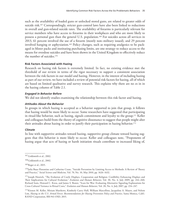such as the availability of loaded guns or unlocked stored guns, are related to greater odds of suicide risk.<sup>167</sup> Correspondingly, stricter gun-control laws have also been linked to reductions in overall and gun-related suicide rates. The availability of firearms is particularly relevant for service members who have access to firearms in their workplaces and who are more likely to possess a personal gun than the general U.S. population.168 For suicides across all services in 2013, 61 percent involved the use of a firearm (mostly non–military issued), and 29 percent involved hanging or asphyxiation.169 Policy changes, such as requiring analgesics to be packaged in blister packs and instituting purchasing limits, are one strategy to reduce access to the means for overdose suicides and have been shown in the United Kingdom to effectively reduce the number of suicides.170

## **Risk Factors Associated with Hazing**

Research on hazing risk factors is extremely limited. In fact, no existing evidence met the threshold of our review in terms of the rigor necessary to support a consistent association between the risk factors in our model and hazing. However, in the interest of including hazing as part of our review, we have included a review of potential risk factors for hazing, all of which are based on limited qualitative and survey research. This explains why there are no *x*s in in the hazing column of Table 2.1.

## *Engaged in Behavior Before*

We did not identify studies examining the relationship between this risk factor and hazing.

## *Attitudes About the Behavior*

In groups in which hazing is accepted as a behavior supported to join that group, it follows that hazing would be more likely to occur. Some researchers have suggested that participating in ritual-like behavior, such as hazing, signals commitment and loyalty to the group.171 Keller and colleagues build from the theory of cognitive dissonance to suggest that people might alter their attitudes about hazing in order to justify their participation in hazing behavior.<sup>172</sup>

#### *Climate*

In line with supportive attitudes toward hazing, supportive group climate toward hazing suggests that this behavior is more likely to occur. Keller and colleagues note, "Proponents of hazing argue that acts of hazing or harsh initiation rituals contribute to increased liking of,

<sup>167</sup>Goldsmith et al., 2002.

<sup>168</sup>Goldsmith et al., 2002.

<sup>169</sup>Reger et al., 2015.

<sup>&</sup>lt;sup>170</sup> Julia Buus Florentine and Catherine Crane, "Suicide Prevention by Limiting Access to Methods: A Review of Theory and Practice," *Social Science and Medicine*, Vol. 70, No. 10, May 2010, pp. 1626–1632.

<sup>&</sup>lt;sup>171</sup> Joseph Henrich, "The Evolution of Costly Displays, Cooperation and Religion: Credibility Enhancing Displays and Their Implications for Cultural Evolution," *Evolution and Human Behavior*, Vol. 30, No. 4, July 2009, pp. 244–260; Richard Sosis, Howard C. Kress, and James S. Boster, "Scars for War: Evaluating Alternative Signaling Explanations for Cross-Cultural Variance in Ritual Costs," *Evolution and Human Behavior*, Vol. 28, No. 4, July 2007, pp. 234–247.

<sup>&</sup>lt;sup>172</sup> Kirsten M. Keller, Miriam Matthews, Kimberly Curry Hall, William Marcellino, Jacqueline A. Mauro, and Nelson Lim, *Hazing in the U.S. Armed Forces: Recommendations for Hazing Prevention Policy and Practice*, Santa Monica, Calif.: RAND Corporation, RR-941-OSD, 2015.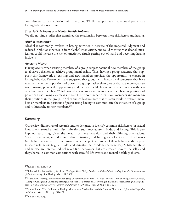commitment to, and cohesion with the group."173 This supportive climate could perpetuate hazing behavior over time.

#### *Stressful Life Events and Mental Health Problems*

We did not find studies that examined the relationship between these risk factors and hazing.

## *Alcohol Intoxication*

Alcohol is commonly involved in hazing activities.174 Because of the impaired judgment and reduced inhibitions that result from alcohol intoxication, one could theorize that alcohol intoxication could increase the risk of sanctioned rituals getting out of hand and becoming hazing incidents.

## *Access to Means*

Hazing occurs when existing members of a group subject potential new members of the group to abusive behaviors to achieve group membership. Thus, having a group structure that supports this framework of existing and new members provides the opportunity to engage in hazing behavior. Researchers have suggested that groups with hierarchical structures that have members who are in positions of power in a group, rather than groups that are more egalitarian in nature, present the opportunity and increase the likelihood of hazing to occur with new or subordinate members.175 Additionally, veteran group members or members in positions of power can use hazing as a means to assert their dominance over newer members and maintain their positions in the group.176 Keller and colleagues note that this can result in veteran members or members in positions of power using hazing to communicate the structure of a group and its hierarchy to new members.<sup>177</sup>

## **Summary**

Our review did not reveal research studies designed to identify common risk factors for sexual harassment, sexual assault, discrimination, substance abuse, suicide, and hazing. This is perhaps not surprising, given the breadth of these behaviors and their differing orientations. Sexual harassment, sexual assault, discrimination, and hazing are all externalized behaviors (i.e., behaviors that are directed toward other people), and some of these behaviors did appear to share risk factors (e.g., attitudes and climates that condone the behavior). Substance abuse and suicide are internalized behaviors (i.e., behaviors that are directed toward the self), and they shared in common associations with stressful life events and mental health problems.

<sup>173</sup>Keller et al., 2015, p. 26.

<sup>174</sup>Elizabeth J. Allan and Mary Madden, *Hazing in View: College Students at Risk—Initial Findings from the National Study of Student Hazing*, StopHazing, March 11, 2008.

<sup>175</sup> Caroline F. Keating, Jason Pomerantz, Stacy D. Pommer, Samantha J. H. Ritt, Lauren M. Miller, and Julie McCormick, "Going to College and Unpacking Hazing: A Functional Approach to Decrypting Initiation Practices Among Undergraduates," *Group Dynamics: Theory, Research, and Practice*, Vol. 9, No. 2, June 2005, pp. 104–126.

<sup>176</sup>Aldo Cimino, "The Evolution of Hazing: Motivational Mechanisms and the Abuse of Newcomers," *Journal of Cognition and Culture*, Vol. 11, 2011, pp. 241–267.

<sup>177</sup> Keller et al., 2015.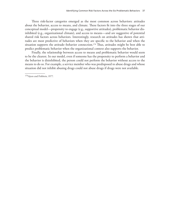Three risk-factor categories emerged as the most common across behaviors: attitudes about the behavior, access to means, and climate. These factors fit into the three stages of our conceptual model—propensity to engage (e.g., supportive attitudes), problematic behavior disinhibited (e.g., organizational climate), and access to means—and are suggestive of potential shared risk factors across behaviors. Interestingly, research on attitudes has shown that attitudes are most predictive of behaviors when they are specific to the behavior and when the situation supports the attitude–behavior connection.<sup>178</sup> Thus, attitudes might be best able to predict problematic behavior when the organizational context also supports the behavior.

Finally, the relationship between access to means and problematic behavior would seem to be the clearest. In our model, even if someone has the propensity to perform a behavior and the behavior is disinhibited, the person could not perform the behavior without access to the means to do so. For example, a service member who was predisposed to abuse drugs and whose situation did not inhibit abusing drugs could not abuse drugs if drugs were not available.

178Ajzen and Fishbein, 1977.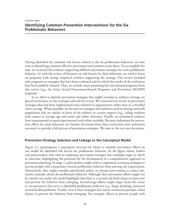# **Identifying Common Prevention Interventions for the Six Problematic Behaviors**

Having identified the common risk factors related to the six problematic behaviors, we now turn to identifying common effective prevention interventions across them. To accomplish this task, we reviewed the evidence supporting different prevention strategies for each problematic behavior. As with the review of literature on risk factors for these behaviors, we tried to focus on programs with strong, empirical evidence supporting the strategy. Our review included only programs or strategies that have been evaluated and for which the results of the evaluation have been publicly released. Thus, we exclude many promising but unevaluated programs from this review (e.g., the Army Sexual Harassment/Assault Response and Prevention [SHARP] program).

In an effort to identify prevention strategies that might translate to military settings, we placed restrictions on the strategies selected for review. We restricted our review to prevention strategies that had been implemented and evaluated in organizations rather than in controlled clinic settings. Where possible, we focused on strategies that had been used in settings and with populations that are similar to those of the military in certain respects (e.g., college students with respect to average age and racial and ethnic diversity). Finally, we prioritized evidence from experimental or quasi-experimental trials when available. Because evaluations for prevention efforts for some behaviors are limited, deviations from these restrictions were sometimes necessary to provide a full picture of prevention strategies. We note in the text any deviations.

# **Prevention-Strategy Selection and Linkage to the Conceptual Model**

Figure 3.1 superimposes a conceptual structure by which to consider prevention efforts on our model for identified risk factors for problematic behavior. As the figure shows, leaders and policymakers who wish to implement prevention strategies have multiple stages at which to intervene, highlighting the potential for the development of a comprehensive approach to prevention planning. In stage 1, policymakers might wish to implement screening strategies to prevent people with a propensity toward problematic behavior from entering the organization. Alternatively, they might consider educational, policy, or climate interventions to reduce permissive attitudes about the problematic behavior. Although these prevention efforts might not be entirely successful, the model highlights that there is a second and third chance to intervene and prevent the behavior from emerging. Second-stage efforts might target those life events or circumstances that serve to disinhibit problematic behavior (e.g., binge drinking, untreated mental health problems). Finally, even if these strategies fail, means restriction provides a final chance to prevent the behavior from emerging. For example, efforts to prevent people with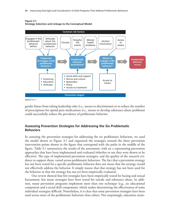

#### **Figure 3.1 Strategy Selection and Linkage to the Conceptual Model**

**RAND** *RR1352-3.1*

gender biases from taking leadership roles (i.e., means to discriminate) or to reduce the number of prescriptions for opioid pain medications (i.e., means to develop substance-abuse problems) could successfully reduce the prevalence of problematic behavior.

# **Assessing Prevention Strategies for Addressing the Six Problematic Behaviors**

In assessing the prevention strategies for addressing the six problematic behaviors, we used the model shown in Figure 3.1 and organized the strategies around the three prevention intervention points shown in the figure that correspond with the paths in the middle of the figure. Table 3.1 summarizes the results of the assessment, with an *x* representing prevention approaches that have been implemented and evaluated (whether or not they were shown to be effective). The type of implemented prevention strategies, and the quality of the research evidence to support them, varied across problematic behaviors. The fact that a prevention strategy has not been tested for a specific problematic behavior does not mean that the strategy would not effectively address the behavior. It simply means that that strategy has not been used for the behavior or that the strategy has not yet been empirically evaluated.

Our review showed that few strategies have been empirically tested for hazing and sexual harassment, but many strategies have been tested for suicide and substance abuse. In addition, many prevention programs implement more than one technique (e.g., an educational component and a social-skill component), which makes determining the effectiveness of some individual strategies difficult. Nonetheless, it is clear that some prevention strategies have been used across more of the problematic behaviors than others. Not surprisingly, education strate-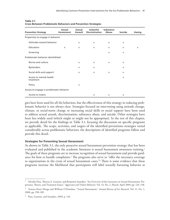| <b>Prevention Strategy</b>               | Sexual<br><b>Harassment</b> | Sexual<br><b>Assault</b> | Unlawful<br><b>Discrimination</b> | <b>Substance</b><br>Abuse | Suicide                   | <b>Hazing</b> |
|------------------------------------------|-----------------------------|--------------------------|-----------------------------------|---------------------------|---------------------------|---------------|
| Propensity to engage in behavior         |                             |                          |                                   |                           |                           |               |
| Attitudes toward behavior                |                             | X                        | $\mathsf{x}$                      | X                         | $\mathsf{x}$              |               |
| Education                                | $\mathsf{x}$                | $\mathsf{x}$             | $\mathsf{x}$                      | $\mathsf{x}$              | $\mathsf{x}$              | $\mathsf{x}$  |
| Screening                                |                             |                          |                                   | X                         | $\mathsf{x}$              |               |
| Problematic behavior disinhibited        |                             |                          |                                   |                           |                           |               |
| Norms and culture                        |                             | X                        | $\mathsf{x}$                      | $\mathsf{x}$              | $\mathsf{x}$              |               |
| <b>Bystanders</b>                        |                             | X                        | $\mathsf{x}$                      |                           | X                         |               |
| Social skills and support                |                             | X                        | $\mathsf{x}$                      | X                         | $\boldsymbol{\mathsf{x}}$ |               |
| Access to mental health<br>treatment     |                             |                          |                                   |                           | $\mathsf{x}$              |               |
| Policy                                   |                             | X                        |                                   |                           |                           |               |
| Access to engage in problematic behavior |                             |                          |                                   |                           |                           |               |
| Access to means                          |                             |                          | X                                 | X                         | X                         |               |

#### **Table 3.1 Cross Between Problematic Behaviors and Prevention Strategies**

gies have been used for all the behaviors, but the effectiveness of this strategy in reducing problematic behavior is not always clear. Strategies focused on intervening using attitude change, climate, or social-norm change or increasing social skills or social support have been used to address sexual assault, discrimination, substance abuse, and suicide. Other strategies have been less widely used (which might or might not be appropriate). In the rest of this chapter, we provide detail for the findings in Table 3.1, focusing the discussion on specific programs as applicable. The scope, activities, and targets of the identified preventions strategies varied considerably across problematic behaviors; the descriptions of identified programs follow and provide this detail.

#### **Strategies for Preventing Sexual Harassment**

As shown in Table 3.1, the only proactive sexual harassment prevention strategy that has been evaluated and published in the academic literature is sexual harassment awareness training.<sup>1</sup> The goals of these programs are to increase recognition of sexual harassment and provide guidance for how to handle complaints.<sup>2</sup> The programs also serve to "offer the necessary coverage to organizations in the event of sexual harassment cases."3 There is some evidence that these programs increase the likelihood that participants will label sexually harassing behavior as

 $1$  Afroditi Pina, Theresa A. Gannon, and Benjamin Saunders, "An Overview of the Literature on Sexual Harassment: Perpetrator, Theory, and Treatment Issues," *Aggression and Violent Behavior*, Vol. 14, No. 2, March–April 2009, pp. 126–138.

<sup>2</sup> Tamara Penix Sbraga and William O'Donohue, "Sexual Harassment," *Annual Review of Sex Research*, Vol. 11, No. 1, 2000, pp. 258–285.

<sup>3</sup> Pina, Gannon, and Saunders, 2009, p. 134.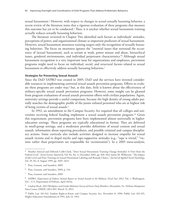sexual harassment.<sup>4</sup> However, with respect to changes in actual sexually harassing behavior, a recent review of the literature notes that a rigorous evaluation of these programs that measure this outcome has yet to be conducted.<sup>5</sup> Thus, it is unclear whether sexual harassment training actually reduces sexually harassing behaviors.

The literature reviewed in Chapter Two identified such factors as individuals' attitudes, perceptions of power, and organizational climate as important predictors of sexual harassment. However, sexual harassment awareness training targets only the recognition of sexually harassing behaviors. The focus on awareness ignores the "essential issues that surround the occurrence of [sexual harassment], such as sexism at work, power misuse and abuse, hierarchical issues, gendered environments, and individual perpetrator characteristics."6 Although sexual harassment recognition is a very important issue for organizations and employees, prevention programs might need to focus on individual, social, and structural factors related to sexual harassment to effectively address sexually harassing behaviors.<sup>7</sup>

#### **Strategies for Preventing Sexual Assault**

Since the DoD SAPRO was created in 2005, DoD and the services have invested considerable resources in implementing universal sexual assault prevention programs. Efforts to evaluate these programs are under way,<sup>8</sup> but, at this date, little is known about the effectiveness of military-specific sexual assault prevention programs. However, some insight can be gleaned from program evaluations of sexual assault prevention efforts with civilian populations. Again, university settings provide a useful comparison, because the high density of young adults partially matches the demographic profile of the junior enlisted personnel who are at highest risk of being victims of sexual assault.9

In 1992, an amendment to the Campus Security Act required that all colleges and universities receiving federal funding implement a sexual assault prevention program.10 Given this requirement, prevention programs have been implemented almost universally in highereducation settings. These programs are typically educational in format. They are delivered in small-group settings, and a moderator provides definitions of sexual consent and sexual assault, information about reporting procedures, and possible criminal and campus disciplinary actions. Some curricula also include activities designed to increase empathy for sexual assault victims and to dispel myths and rape-supportive attitudes (e.g., "rape is trivial," "victims rather than perpetrators are responsible for victimization"). In a 2005 meta-analysis,

<sup>&</sup>lt;sup>4</sup> Heather Antecol and Deborah Cobb-Clark, "Does Sexual Harassment Training Change Attitudes? A View from the Federal Level," *Social Science Quarterly*, Vol. 84, No. 4, December 2003, pp. 826–842; James M. Wilkerson, "The Impact of Job Level and Prior Training on Sexual Harassment Labeling and Remedy Choice," *Journal of Applied Social Psychology*, Vol. 29, No. 8, August 1999, pp. 1605–1623.

<sup>5</sup> Pina, Gannon, and Saunders, 2009.

<sup>6</sup> Pina, Gannon, and Saunders, 2009, p. 134.

<sup>7</sup> Pina, Gannon, and Saunders, 2009.

<sup>8</sup> SAPRO, *Department of Defense Annual Report on Sexual Assault in the Military: Fiscal Year 2012*, Vol. 1, Washington, D.C.: U.S. Department of Defense, April 2013a.

<sup>9</sup> Lindsay Rock, *2012 Workplace and Gender Relations Survey of Active Duty Members*, Alexandria, Va.: Defense Manpower Data Center, DMDC-2013-007, March 15, 2013.

<sup>&</sup>lt;sup>10</sup> Public Law 101-542, Student Right-to-Know and Campus Security Act, November 8, 1990; Public Law 102-325, Higher Education Amendments of 1992, July 23, 1992.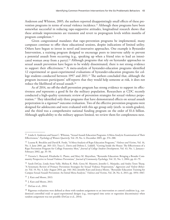Anderson and Whiston, 2005, the authors reported disappointingly small effects of these prevention programs in terms of sexual violence incidence.11 Although these programs have been somewhat successful in reducing rape-supportive attitudes, longitudinal research shows that these attitude improvements are transient and revert to preprogram levels within months of program completion.12

Given congressional mandates that rape-prevention programs be implemented, many campuses continue to offer these educational sessions, despite indications of limited utility. Others have begun to invest in novel and innovative approaches. One example is Bystander Intervention, a training program designed to encourage peers to intervene safely to prevent a potential assault from occurring (e.g., speaking up when a friend tries to lead an intoxicated woman away from a party).<sup>13</sup> Although programs that rely on bystander approaches to sexual assault prevention have begun to be widely disseminated, there is not strong evidence to support their effectiveness.14 A meta-analysis of bystander-education programs identified 12 experimental or quasi-experimental evaluations of bystander-education programs for college students conducted between 1997 and 2011.15 The authors concluded that, although the program increases participants' self-reports that they would help someone at risk, it does not reduce the likelihood of sexual assault.16

As of 2014, no off-the-shelf prevention program has strong evidence to support its effectiveness *and* represents a good fit for the military population. Researchers at CDC recently conducted a high-quality systematic review of prevention strategies for sexual violence perpetration.<sup>17</sup> They identified only three programs that have demonstrated effects on sexual assault perpetration in a rigorous<sup>18</sup> outcome evaluation. Two of the effective prevention programs were designed for adolescents and were evaluated with this age group only (sixth- to ninth-graders), and the third was a comprehensive national funding program on the order of \$1.6 billion. Although applicability to the military appears limited, we review them for completeness next.

<sup>11</sup> Linda A. Anderson and Susan C. Whiston, "Sexual Assault Education Programs: A Meta-Analytic Examination of Their Effectiveness," *Psychology of Women Quarterly*, Vol. 29, No. 4, December 2005, pp. 374–388.

<sup>12</sup> Leanne R. Brecklin and David R. Forde, "A Meta-Analysis of Rape Education Programs," *Violence and Victims*, Vol. 16, No. 3, June 2001, pp. 303–321; Tracy L. Davis and Debora L. Liddell, "Getting Inside the House: The Effectiveness of a Rape Prevention Program for College Fraternity Men," *Journal of College Student Development*, Vol. 43, No. 1, January– February 2002, pp. 35–50.

<sup>13</sup> Victoria L. Banyard, Elizabethe G. Plante, and Mary M. Moynihan, "Bystander Education: Bringing a Broader Community Perspective to Sexual Violence Prevention," *Journal of Community Psychology*, Vol. 32, No. 1, 2004, pp. 61–79.

<sup>14</sup> Sarah DeGue, Linda Anne Valle, Melissa K. Holt, Greta M. Massetti, Jennifer L. Matjasko, and Andra Teten Tharp, "A Systematic Review of Primary Prevention Strategies for Sexual Violence Perpetration," *Aggression and Violent Behavior*, Vol. 19, No. 4, July–August 2014, pp. 346–362; Jennifer Katz and Jessica Moore, "Bystander Education Training for Campus Sexual Assault Prevention: An Initial Meta-Analysis," *Violence and Victims*, Vol. 28, No. 6, 2013, pp. 1054–1067.

<sup>15</sup> J. Katz and Moore, 2013.

<sup>16</sup> J. Katz and Moore, 2013.

<sup>17</sup> DeGue et al., 2014.

<sup>&</sup>lt;sup>18</sup> Rigorous evaluations were defined as those with random assignment to an intervention or control condition (e.g., randomized controlled trial) or quasi-experimental designs (e.g., interrupted time series or regression discontinuity) when random assignment was not possible (DeGue et al., 2014).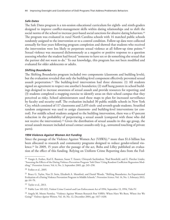#### *Safe Dates*

The Safe Dates program is a ten-session educational curriculum for eighth- and ninth-graders designed to improve conflict-management skills within dating relationships and to shift the social norms of the school to increase peer-based social sanctions for abusive dating behaviors.<sup>19</sup> The program was evaluated in rural North Carolina schools with 14 matched public schools randomly assigned to the intervention or to a control condition. Follow-up data were collected annually for four years following program completion and showed that students who received the intervention were less likely to perpetrate sexual violence at all follow-up time points.20 Sexual violence was measured dichotomously as a negative or positive response to a question assessing whether the student had forced "someone to have sex or do something else sexual that the partner did not want to do." To our knowledge, this program has not been modified and evaluated for older adolescents or adults.

#### *Shifting Boundaries*

The Shifting Boundaries program included two components (classroom and building levels), but the evaluation revealed that only the building-level component effectively prevented sexual assault perpetration.<sup>21</sup> The building-level intervention had three elements: (1) All students signed an agreement to respect one another's boundaries; (2) staff hung posters in school buildings designed to increase awareness of sexual assault and provide resources for reporting; and (3) students completed a mapping exercise to identify areas on their school campus that they perceived as risky. School administrators used these maps to plan for increased surveillance by faculty and security staff. The evaluation included 30 public middle schools in New York City, which consisted of 117 classrooms and 2,655 sixth- and seventh-grade students. Stratified random assignment was used to assign classroom- and building-level interventions (or control). For middle school students assigned to the building intervention, there was a 47-percent reduction in the probability of perpetrating a sexual assault (compared with those who did not receive the intervention).<sup>22</sup> Given the distribution of sexual assaults in this age group, the sexual assault measure included sexual contact assaults only (e.g., unwanted touching of private parts).

## *1994 Violence Against Women Act Funding*

Since the passage of the Violence Against Women Act (VAWA),23 more than \$1.6 billion has been allocated to research and community programs designed to reduce gender-related violence.<sup>24</sup> In 2009, 15 years after the passage of the act, Boba and Lilley published an evaluation of the effect of this funding. Relying on Uniform Crime Reporting data from the Fed-

<sup>&</sup>lt;sup>19</sup> Vangie A. Foshee, Karl E. Bauman, Susan T. Ennett, Chirayath Suchindran, Thad Benefield, and G. Fletcher Linder, "Assessing the Effects of the Dating Violence Prevention Program 'Safe Dates' Using Random Coefficient Regression Modeling," *Prevention Science*, Vol. 6, No. 3, September 2005, pp. 245–258.

<sup>20</sup> Foshee et al., 2005.

<sup>&</sup>lt;sup>21</sup> Bruce G. Taylor, Nan D. Stein, Elizabeth A. Mumford, and Daniel Woods, "Shifting Boundaries: An Experimental Evaluation of a Dating Violence Prevention Program in Middle Schools," *Prevention Science*, Vol. 14, No. 1, February 2013, pp. 64–76.

<sup>22</sup> Taylor et al., 2013.

<sup>23</sup> Public Law 103-322, Violent Crime Control and Law Enforcement Act of 1994, September 13, 1994, Title IV.

<sup>&</sup>lt;sup>24</sup> Angela M. Moore Parmley, "Violence Against Women Research Post VAWA: Where Have We Been, Where Are We Going?" *Violence Against Women*, Vol. 10, No. 12, December 2004, pp. 1417–1430.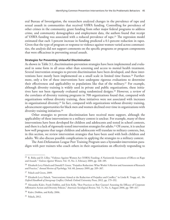eral Bureau of Investigation, the researchers analyzed changes in the prevalence of rape and sexual assault in communities that received VAWA funding. Controlling for prevalence of other crimes in the community, grant funding from other major federal programs to address crime, and community demographics and employment data, the authors found that receipt of VAWA funding was associated with a reduced prevalence of rape.25 The regression model estimated that each 1-percent increase in funding predicted a 0.1-percent reduction in rapes. Given that the type of program or response to violence against women varied across communities, the analysis did not support comments on the specific programs or program components that were efficacious in preventing sexual assault.

#### **Strategies for Preventing Unlawful Discrimination**

As shown in Table 3.1, discrimination-prevention strategies have been implemented and evaluated in some form in all areas other than screening and access to mental health treatment. Several intervention strategies to prevent discrimination have been developed, and these interventions have mostly been implemented on a small scale in limited time frames.<sup>26</sup> Furthermore, only a few of these interventions have undergone rigorous evaluations to determine their effectiveness and applicability to populations like that of the military.27 For example, although diversity training is widely used in private and public organizations, these initiatives have not been rigorously evaluated using randomized designs.28 However, a review of the correlates of diversity training programs in 708 organizations found that, compared with organizations without diversity training, these initiatives were not associated with increases in organizational diversity.29 In fact, compared with organizations without diversity training, advancement opportunities for black men and women declined over time in organizations with diversity training initiatives.<sup>30</sup>

Other strategies to prevent discrimination have received more support, although the applicability of these interventions to a military context is unclear. For example, many of these interventions have been developed for children and adolescents and tested in school contexts, and there is a lack of rigorously tested intervention strategies for adults.<sup>31</sup> Of course, it is unclear how well programs that target children and adolescents will translate to military contexts, but, in this section, we review intervention strategies that have been used with both children and adults. We also discuss possible complications in applying the strategies to a military context.

The Anti-Defamation League Peer Training Program uses a bystander-intervention paradigm with peer trainers who coach others in their organizations on effectively responding to

<sup>&</sup>lt;sup>25</sup> R. Boba and D. Lilley, "Violence Against Women Act (VAWA) Funding: A Nationwide Assessment of Effects on Rape and Assault," *Violence Against Women*, Vol. 15, No. 2, February 2009, pp. 168–185.

<sup>&</sup>lt;sup>26</sup> Elizabeth Levy Paluck and Donald P. Green, "Prejudice Reduction: What Works? A Review and Assessment of Research and Practice," *Annual Review of Psychology*, Vol. 60, January 2009, pp. 339–367.

<sup>27</sup> Paluck and Green, 2009.

<sup>28</sup> Elizabeth Levy Paluck, "Interventions Aimed at the Reduction of Prejudice and Conflict," in Linda R. Tropp, ed., *The Oxford Handbook of Intergroup Conflict*, Oxford: Oxford University Press, 2012, pp. 179–192.

<sup>&</sup>lt;sup>29</sup> Alexandra Kalev, Frank Dobbin, and Erin Kelly, "Best Practices or Best Guesses? Assessing the Efficacy of Corporate Affirmative Action and Diversity Policies," *American Sociological Review*, Vol. 71, No. 4, August 2006, pp. 589–617.

<sup>30</sup> Kalev, Dobbin, and Kelly, 2006.

<sup>31</sup> Paluck, 2012.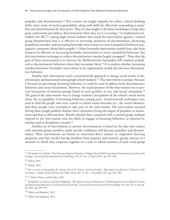prejudice and discrimination.<sup>32</sup> Peer trainers are taught empathy for others, critical thinking skills, and a sense of social responsibility, along with skills for effectively responding to prejudice and discrimination by their peers. They are also taught to facilitate workshops to help their peers understand and address discrimination when they see it occurring.33 A randomized controlled trial (RCT) among high school students that tested the intervention against a control group demonstrated that it is effective at increasing awareness of discrimination, decreasing prejudicial attitudes, and increasing bystander intervention to correct prejudicial behavior (e.g., negative comments about black people).<sup>34</sup> Other bystander-intervention models have also been found to be effective in increasing bystander intervention to correct prejudicial behaviors, but this intervention technique to reduce discrimination remains largely untapped.35 Note that the goal of these interventions is to increase the likelihood that bystanders will confront prejudicial or discriminatory behaviors when they encounter them.36 It is unclear whether increasing antidiscrimination bystander intervention in an organization would also decrease discriminatory behavior.

Another new intervention used a social-network approach to change social norms of discrimination and harassment among high school students.37 This intervention is unique: Because it focused on preventing harassing behaviors, it could be used to address both discriminatory behaviors and sexual harassment. However, the stated purpose of the intervention was to prevent harassment of minority groups based on such qualities as race and sexual orientation.<sup>38</sup> The goal of the intervention was to change students' perceptions of the school's social norms about the acceptability of harassing behaviors among peers. Social-network techniques were used to find the people who were central to school social networks (i.e., the social referents), and those people were recruited to take part in the intervention. The intervention entailed having these people publicly disclose their experiences being the targets of prejudice or harassment and how it affected them. Results showed that, compared with a control group, students exposed to the intervention were less likely to engage in harassing behaviors, as reported by teachers and in disciplinary records.39

Another set of interventions to prevent discrimination is based on the idea that contact with minority-group members under specific conditions will decrease prejudice and discrimination. These interventions are known as structured direct contact or cooperative learning programs, and they involve having members from majority and minority groups interact in a situation in which they cooperate together on a task, in which members of each social group

<sup>&</sup>lt;sup>32</sup> Elizabeth Levy Paluck, "Peer Pressure Against Prejudice: A High School Field Experiment Examining Social Network Change," *Journal of Experimental Social Psychology*, Vol. 47, No. 2, March 2011, pp. 350–358.

<sup>33</sup> Paluck, 2011.

<sup>34</sup> Paluck, 2011.

<sup>35</sup> For a review, see Jacqueline K. Nelson, Kevin M. Dunn, and Yin Paradies, "Bystander Anti-Racism: A Review of the Literature," *Analyses of Social Issues and Public Policy*, Vol. 11, No. 1, December 2011, pp. 263–284.

<sup>36</sup> J. Nelson, Dunn, and Paradies, 2011.

<sup>37</sup> Elizabeth Levy Paluck and Hana Shepherd, "The Salience of Social Referents: A Field Experiment on Collective Norms and Harassment Behavior in a School Social Network," *Journal of Personality and Social Psychology*, Vol. 103, No. 6, December 2012, pp. 899–915.

<sup>38</sup> Paluck and Shepherd, 2012.

<sup>39</sup> Paluck and Shepherd, 2012.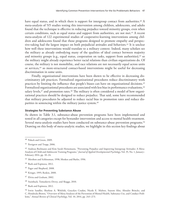have equal status, and in which there is support for intergroup contact from authorities.<sup>40</sup> A meta-analysis of 515 studies testing this intervention among children, adolescents, and adults found that the technique is effective in reducing prejudice toward minority groups, even when certain conditions, such as equal status and support from authorities, are not met.<sup>41</sup> A recent meta-analysis of 122 experimental studies of cooperative-learning interventions among children and adolescents found that those programs designed to promote empathy and perspective-taking had the largest impact on both prejudicial attitudes and behaviors.<sup>42</sup> It is unclear how well these interventions would translate to a military context. Indeed, many scholars see the military as already embodying many of the qualities of ideal contact between majority and minority groups (e.g., equal status, cooperation on tasks, support from authorities),  $43$  so the military might already experience better racial relations than civilian organizations do. Of course, the military is not monolithic, and race relations are not necessarily equal across units or services,<sup>44</sup> so more-structured contact-based interventions might be useful for decreasing discrimination in some units.

Finally, organizational interventions have been shown to be effective in decreasing discriminatory job practices. Formalized organizational procedures reduce discriminatory work practices by limiting the influence that people's biases can have on organizational decisions.45 Formalized organizational procedures are associated with less bias in performance evaluations, 46 salary levels, $47$  and promotion rates. $48$  The military is often considered a model of how organizational practices should be designed to reduce prejudice. That said, some have recommended that military procedures be adjusted to reduce racial bias in promotion rates and reduce disparities in sentencing within the military justice system.<sup>49</sup>

## **Strategies for Preventing Substance Abuse**

As shown in Table 3.1, substance-abuse prevention programs have been implemented and tested in all categories except for bystander intervention and access to mental health treatment. Several meta-analysis studies have been conducted on substance-abuse prevention programs.<sup>50</sup> Drawing on this body of meta-analytic studies, we highlight in this section key findings about

- <sup>45</sup> Pager and Shepherd, 2008.
- <sup>46</sup> Krieger, 1995; Reskin, 2000.
- <sup>47</sup> Elvira and Graham, 2002.
- <sup>48</sup> Stainback, Tomaskovic-Devey, and Skaggs, 2010.
- <sup>49</sup> Burk and Espinoza, 2012.

<sup>50</sup> Irwin Sandler, Sharlene A. Wolchik, Gracelyn Cruden, Nicole E. Mahrer, Soyeon Ahn, Ahnalee Brincks, and C. Hendricks Brown, "Overview of Meta-Analyses of the Prevention of Mental Health, Substance Use, and Conduct Problems," *Annual Review of Clinical Psychology*, Vol. 10, 2014, pp. 243–273.

<sup>40</sup> Paluck and Green, 2009.

<sup>41</sup> Pettigrew and Tropp, 2006.

<sup>42</sup> Andreas Beelmann and Kim Sarah Heinemann, "Preventing Prejudice and Improving Intergroup Attitudes: A Meta-Analysis of Child and Adolescent Training Programs," *Journal of Applied Developmental Psychology*, Vol. 35, No. 1, January– February 2014, pp. 10–24.

<sup>43</sup> Mershon and Schlossman, 1998; Moskos and Butler, 1996.

<sup>44</sup> Burk and Espinoza, 2012.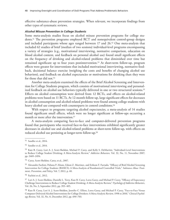effective substance-abuse prevention strategies. When relevant, we incorporate findings from other types of systematic reviews.

#### *Alcohol Misuse Prevention in College Students*

Some meta-analysis studies focus on alcohol misuse prevention programs for college students.51 The prevention programs employed RCT and nonequivalent control-group designs and included participants whose ages ranged between 17 and 26.52 One meta-analysis that included 62 studies of brief (median of two sessions) individual-level programs encompassing a variety of strategies (e.g., motivational interviewing, normative comparison, education on blood alcohol content, and feedback on personal alcohol use) found small significant effects on the frequency of drinking and alcohol-related problems that diminished over time but remained significant up to four years postintervention.53 At short-term follow-up, program effects were greater for interventions that included motivational interviewing, normative feedback, decisional balance exercise (weighing the costs and benefits of changing alcohol use behaviors), and feedback on alcohol expectancies or motivations for drinking than they were for those that did not.<sup>54</sup>

Another meta-analysis examined the effects of the Brief Alcohol Screening and Intervention for College Students program, which consists of motivational interviewing and personalized feedback on alcohol use behaviors typically delivered in one or two structured sessions.<sup>55</sup> Effects on alcohol consumption were derived from 12 RCTs, and effects on alcohol-related problems were based on 11 RCTs. At 12-month follow-up, large significant effects for decreases in alcohol consumption and alcohol-related problems were found among college students with heavy alcohol use compared with counterparts in control conditions.<sup>56</sup>

With respect to programs targeting alcohol expectancies, a meta-analysis of 14 studies found significant small effects, which were no longer significant at follow-ups occurring a month or more after the intervention.<sup>57</sup>

A meta-analysis comparing face-to-face and computer-delivered prevention programs found that participants who received face-to-face interventions exhibited significantly greater decreases in alcohol use and alcohol-related problems at short-term follow-up, with effects on reduced alcohol use persisting at longer-term follow-up.58

<sup>51</sup> Sandler et al., 2014.

<sup>52</sup> Sandler et al., 2014.

<sup>53</sup> Kate B. Carey, Lori A. J. Scott-Sheldon, Michael P. Carey, and Kelly S. DeMartini, "Individual-Level Interventions to Reduce College Student Drinking: A Meta-Analytic Review," *Addictive Behaviors*, Vol. 32, No. 11, November 2007, pp. 2469–2494.

<sup>54</sup> Carey, Scott-Sheldon, Carey, et al., 2007.

<sup>55</sup> Alexandre Fachini, Poliana P. Aliane, Edson Z. Martinez, and Erikson F. Furtado, "Efficacy of Brief Alcohol Screening Intervention for College Students (BASICS): A Meta-Analysis of Randomized Controlled Trials," *Substance Abuse Treatment, Prevention, and Policy*, Vol. 7, 2012, p. 40.

<sup>56</sup> Fachini et al., 2012.

<sup>57</sup> Lori A. J. Scott-Sheldon, Danielle L. Terry, Kate B. Carey, Lorra Garey, and Michael P. Carey, "Efficacy of Expectancy Challenge Interventions to Reduce College Student Drinking: A Meta-Analytic Review," *Psychology of Addictive Behaviors*, Vol. 26, No. 3, September 2012, pp. 393–405.

<sup>58</sup> Kate B. Carey, Lori A. J. Scott-Sheldon, Jennifer C. Elliott, Lorra Garey, and Michael P. Carey, "Face-to-Face Versus Computer-Delivered Alcohol Interventions for College Drinkers: A Meta-Analytic Review, 1998 to 2010," *Clinical Psychology Review*, Vol. 32, No. 8, December 2012, pp. 690–703.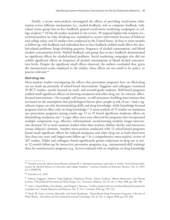Finally, a recent meta-analysis investigated the effects of providing social-norm information across different mechanisms (i.e., mailed feedback, web or computer feedback, individual versus group face-to-face feedback, general social-norm marketing campaigns) to college students.59 Of the 66 studies included in the review, 39 targeted higher-risk students (i.e., screened positive on risky drinking test, mandated to receive intervention because of behavior and college rules), and 52 studies were conducted in the United States. At four or more months at follow-up, web feedback and individual face-to-face feedback yielded small effects for alcohol-related problems, binge-drinking quantity, frequency of alcohol consumption, and blood alcohol concentration levels. Mailed feedback and group face-to-face feedback demonstrated no significant effects for alcohol-related problems. Social marketing campaigns also did not exhibit significant effects on frequency of alcohol consumption or blood alcohol concentration levels. Despite the significant small effects observed, the authors concluded that, given the measurement scales employed in the studies, these effects are too small to be policy- or practice-relevant.<sup>60</sup>

#### *Illicit-Drug Use*

Meta-analysis studies investigating the effects that prevention programs have on illicit-drug use are made up primarily of school-based interventions. Faggiano and colleagues examined 29 RCT studies, mostly focused on sixth- and seventh-grade students. Skill-based programs yielded small significant effects on lowering marijuana and other drug use. In contrast, affectfocused interventions—for example, self-esteem– or self-awareness–building interventions that are based on the assumption that psychological factors place people at risk of use—had a significant impact on only decisionmaking skills and drug knowledge, while knowledge-focused programs had an effect only on drug knowledge.61 A meta-analysis of 15 studies on marijuana use–prevention programs among youths age 12 to 19 found significant moderate effects on diminishing marijuana use.62 Larger effect sizes were observed for programs that incorporated multiple components (e.g., affective, informational, social-learning models), longer intervention duration (15 or more sessions), leaders other than teachers, fidelity checks, and interactive (versus didactic) elements. Another meta-analysis conducted with 12 school-based programs found small significant effects for reduced marijuana and other drug use at both short-term (less than one year) and longer-term follow-up.63 In a comprehensive meta-analytic review of 207 studies, Tobler and colleagues found significantly greater reductions in drug use at oneto 12-month follow-up for interactive prevention programs (e.g., interpersonal-skill training) than for noninteractive programs (e.g., lecture-oriented with an emphasis on drug knowledge

<sup>59</sup> David R. Foxcroft, Maria Teresa Moreira, Nerissa M. L. Almeida Santimano, and Lesley A. Smith, "Social Norms Information for Alcohol Misuse in University and College Students," *Cochrane Database of Systematic Reviews*, Vol. 12, 2015, Art. CD006748.

<sup>60</sup> Foxcroft et al., 2015.

<sup>61</sup> Fabrizio Faggiano, Federica Vigna-Taglianti, Elisabetta Versino, Alessio Zambon, Alberto Borraccino, and Patrizia Lemma, "School-Based Prevention for Illicit Drugs' Use," *Preventive Medicine*, Vol. 46, No. 5, May 2008, pp. 385–396.

<sup>62</sup> Amy J. Porath-Waller, Erin Beasley, and Douglas J. Beirness, "A Meta-Analytic Review of School-Based Prevention for Cannabis Use," *Health Education and Behavior*, Vol. 37, No. 5, October 2010, pp. 709–723.

<sup>63</sup> David W. Soole, Lorraine Mazerolle, and Sacha Rombouts, "School-Based Drug Prevention Programs: A Review of What Works," *Australian and New Zealand Journal of Criminology*, Vol. 41, No. 2, August 2008, pp. 259–286.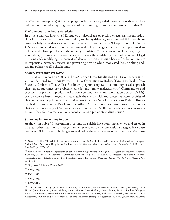or affective development).64 Finally, programs led by peers yielded greater effects than teacherled programs on reducing drug use, according to findings from two meta-analysis studies.<sup>65</sup>

#### *Environmental and Means Restriction*

In a meta-analysis involving 112 studies of alcohol tax or pricing effects, significant reductions in alcohol sales, alcohol consumption, and heavy drinking were observed.<sup>66</sup> Although not based entirely on evidence drawn from meta-analytic studies, an IOM report on SUDs in the U.S. armed forces identified four environmental policy strategies that could be applied to alcohol use and related problems in the military population.<sup>67</sup> The strategies include targeting the affordability through pricing and taxation, limiting the availability (e.g., enforcement of legal drinking age), modifying the context of alcohol use (e.g., training bar staff or liquor retailers in responsible beverage service), and preventing driving while intoxicated (e.g., drinking-anddriving policies, traffic checkpoints).<sup>68</sup>

#### *Military Prevention Programs*

The IOM 2013 report on SUDs in the U.S. armed forces highlighted a multicomponent intervention delivered to the Air Force. The New Orientation to Reduce Threats to Health from Secretive Problems That Affect Readiness program employs a community-based approach that targets substance-use problems, suicide, and family maltreatment.69 Commanders and providers, in partnership with the Air Force community action information boards (CAIBs), select evidence-based programs that match the specific risk and protective factor profiles of their respective populations. The IOM report identifies New Orientation to Reduce Threats to Health from Secretive Problems That Affect Readiness as a promising program and notes that an RCT involving 24 Air Force bases with more than 50,000 active-duty service members found effects for lowered levels of alcohol abuse and prescription drug abuse.70

#### **Strategies for Preventing Suicide**

As shown in Table 3.1, prevention programs for suicide have been implemented and tested in all areas other than policy changes. Some reviews of suicide prevention strategies have been conducted.71 Numerous challenges to evaluating the effectiveness of suicide prevention pro-

<sup>64</sup> Nancy S. Tobler, Michael R. Roona, Peter Ochshorn, Diana G. Marshall, Andrei V. Streke, and Kimberly M. Stackpole, "School-Based Adolescent Drug Prevention Programs: 1998 Meta-Analysis," *Journal of Primary Prevention*, Vol. 20, No. 4, June 2000, pp. 275–336.

<sup>65</sup> Pim Cuijpers, "Effective Ingredients of School-Based Drug Prevention Programs: A Systematic Review," *Addictive Behaviors*, Vol. 27, No. 6, November–December 2002, pp. 1009–1023; Denise C. Gottfredson and David B. Wilson, "Characteristics of Effective School-Based Substance Abuse Prevention," *Prevention Science*, Vol. 4, No. 1, March 2003, pp. 27–38.

<sup>66</sup> Wagenaar, Salois, and Kimro, 2009.

<sup>67</sup> IOM, 2013.

<sup>68</sup> IOM, 2013.

<sup>69</sup> IOM, 2013.

<sup>70</sup> IOM, 2013.

<sup>71</sup> Goldsmith et al., 2002; J. John Mann, Alan Apter, Jose Bertolote, Annette Beautrais, Dianne Currier, Ann Haas, Ulrich Hegerl, Jouko Lonnqvist, Kevin Malone, Andrej Marusic, Lars Mehlum, George Patton, Michael Phillips, Wolfgang Rutz, Zoltan Rihmer, Armin Schmidtke, David Shaffer, Morton Silverman, Yoshitomo Takahashi, Airi Varnik, Danuta Wasserman, Paul Yip, and Herbert Hendin, "Suicide Prevention Strategies: A Systematic Review," *Journal of the American*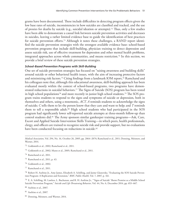grams have been documented. These include difficulties in detecting program effects given the low base rates of suicide, inconsistencies in how suicides are classified and tracked, and the use of proxies for deaths by suicide (e.g., suicidal ideation or attempts).72 Thus, only a few studies have been able to demonstrate a causal link between suicide prevention activities and decreases in suicides, leaving a rather limited evidence base to guide the identification of best practices for suicide prevention efforts.73 Although it notes these challenges, a RAND report identified the suicide prevention strategies with the strongest available evidence base: school-based prevention programs that include skill-building, physician training to detect depression and assess suicide risk, use of effective treatment for depression and other mental health problems, integrated approaches across whole communities, and means restriction.74 In this section, we provide a brief review of these suicide prevention strategies.

## *School-Based Prevention Programs with Skill-Building*

One set of suicide prevention strategies has focused on "raising awareness and building skills" around suicide or other behavioral health issues, with the aim of increasing protective factors and minimizing risk factors.<sup>75</sup> Citing findings from a landmark IOM report,<sup>76</sup> Ramchand and his colleagues note that, although this educational awareness, skill-building approach has been evaluated mostly within the context of school-based programs, two programs have demonstrated reductions in suicidal behaviors.<sup>77</sup> The Signs of Suicide (SOS) program has been tested in high school populations<sup>78</sup> and more recently in junior high school students.<sup>79</sup> The SOS program trains students to respond to the signs and symptoms of suicide or depression, both in themselves and others, using a mnemonic, *ACT*. *A* reminds students to acknowledge the signs of suicide; *C* tells them to let the person know that they care and want to help; and *T* reminds them to tell a responsible adult.<sup>80</sup> High school students who had participated in the SOS program had significantly lower self-reported suicide attempts at three-month follow-up than control students did.81 The Army sponsors similar gatekeeper training programs—Ask, Care, Escort and Applied Suicide Intervention Skills Training—in which peers, health professionals, clergy, and officers are trained to recognize suicide risk and provide support, but no evaluations have been conducted focusing on reductions in suicide.<sup>82</sup>

- <sup>72</sup> Goldsmith et al., 2002; Ramchand et al., 2011.
- <sup>73</sup> Goldsmith et al., 2002; Mann et al., 2005; Ramchand et al., 2011.
- <sup>74</sup> Ramchand et al., 2011.
- <sup>75</sup> Ramchand et al., 2011, p. 43.
- <sup>76</sup> Goldsmith et al., 2002.
- <sup>77</sup> Ramchand et al., 2011.

<sup>80</sup> Aseltine et al., 2007.

*Medical Association*, Vol. 294, No. 16, October 26, 2005, pp. 2064–2074; Ramchand et al., 2011; Denning, Meisnere, and Warner, 2014.

<sup>78</sup> Robert H. Aseltine Jr., Amy James, Elizabeth A. Schilling, and Jaime Glanovsky, "Evaluating the SOS Suicide Prevention Program: A Replication and Extension," *BMC Public Health*, Vol. 7, 2007, p. 161.

<sup>79</sup> E. A. Schilling, M. Lawless, L. Buchanan, and R. H. Aseltine Jr., "'Signs of Suicide' Shows Promise as a Middle School Suicide Prevention Program," *Suicide and Life-Threatening Behavior*, Vol. 44, No. 6, December 2014, pp. 653–667.

<sup>81</sup> Aseltine et al., 2007.

<sup>82</sup> Denning, Meisnere, and Warner, 2014.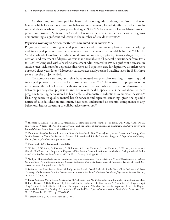Another program developed for first- and second-grade students, the Good Behavior Game, which focuses on classroom behavior management, found significant reductions in suicidal ideation when this group reached ages 19 to 21.<sup>83</sup> In a review of school-based suicide prevention program, SOS and the Good Behavior Game were identified as the only programs demonstrating a significant reduction in the number of suicide attempts.<sup>84</sup>

#### *Physician Training to Screen for Depression and Assess Suicide Risk*

Programs aimed at training general practitioners and primary-care physicians on identifying and treating depression have been associated with decreases in suicidal behaviors.<sup>85</sup> On the Swedish island of Gotland, an educational program on the symptoms, etiology, diagnosis, prevention, and treatment of depression was made available to all general practitioners from 1983 to 1984.86 Compared with a baseline assessment administered in 1982, significant decreases in suicide rates, sick leave for depressive disorders, and inpatient care for depressive disorders were observed three years later.87 Moreover, suicide rates nearly reached baseline levels in 1988, three years after the project ended.

Collaborative care programs that have focused on physician training in assessing and treating depression have also yielded positive outcomes.<sup>88</sup> Collaborative care programs often incorporate the role of a care facilitator or care manager who assists in coordinating care between primary-care physicians and behavioral health specialists. One collaborative care program targeting depression has been able to demonstrate reductions in suicidal ideation.89 Ensuring access to quality mental health services and repeated screening, given the episodic nature of suicidal ideation and intent, have been underscored as essential components to any behavioral health screening or collaborative care effort.<sup>90</sup>

<sup>87</sup> Wolfgang Rutz, *Evaluation of an Educational Program on Depressive Disorders Given to General Practitioners on Gotland: Short and Long-Term Effects*, Linköping, Sweden: Linköping University, Department of Psychiatry, Faculty of Health Sciences, University Hospital, thesis, 1992.

<sup>88</sup> Janine Archer, Peter Bower, Simon Gilbody, Karina Lovell, David Richards, Linda Gask, Chris Dickens, and Peter Coventry, "Collaborative Care for Depression and Anxiety Problems," *Cochrane Database of Systematic Reviews*, No. 10, 2012, Art. CD006525.

<sup>83</sup> Sheppard G. Kellam, Amelia C. L. Mackenzie, C. Hendricks Brown, Jeanne M. Poduska, Wei Wang, Hanno Petras, and Holly C. Wilcox, "The Good Behavior Game and the Future of Prevention and Treatment," *Addiction Science and Clinical Practice*, Vol. 6, No. 1, July 2011, pp. 73–84.

<sup>84</sup> Cara Katz, Shay-Lee Bolton, Laurence Y. Katz, Corinne Isaak, Toni Tilston-Jones, Jitender Sareen, and Swampy Cree Suicide Prevention Team, "A Systematic Review of School-Based Suicide Prevention Programs," *Depression and Anxiety*, Vol. 30, No. 10, October 2013, pp. 1030–1045.

<sup>85</sup> Mann et al., 2005; Ramchand et al., 2011.

<sup>86</sup> W. Rutz, J. Wålinder, G. Eberhard, G. Holmberg, A.-L. von Knorring, L. von Knorring, B. Wistedt, and A. Åberg-Wistedt, "An Educational Program on Depressive Disorders for General Practitioners on Gotland: Background and Evaluation," *Acta Psychiatrica Scandinavica*, Vol. 79, No. 1, January 1989, pp. 19–26.

<sup>89</sup> Jürgen Unützer, Wayne Katon, Christopher M. Callahan, John W. Williams Jr., Enid Hunkeler, Linda Harpole, Marc Hoffing, Richard D. Della Penna, Polly Hitchcock Noël, Elizabeth H. B. Lin, Patricia A. Areán, Mark T. Hegel, Lingqi Tang, Thomas R. Belin, Sabine Oishi, and Christopher Langston, "Collaborative Care Management of Late-Life Depression in the Primary Care Setting: A Randomized Controlled Trial," *Journal of the American Medical Association*, Vol. 288, No. 22, December 11, 2002, pp. 2836–2845.

<sup>90</sup> Goldsmith et al., 2002; Ramchand et al., 2011.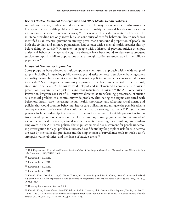#### *Use of Effective Treatment for Depression and Other Mental Health Problems*

As indicated earlier, studies have documented that the majority of suicide deaths involve a history of mental health problems. Thus, access to quality behavioral health care is seen as an important suicide prevention strategy.<sup>91</sup> In a review of suicide prevention efforts in the military, providing not only access but also continuity of care for behavioral health needs was identified as an essential prevention strategy given that a substantial proportion of people, in both the civilian and military populations, had contact with a mental health provider shortly before dying by suicide.<sup>92</sup> Moreover, for people with a history of previous suicide attempts, dialectical behavior therapy and cognitive therapy have been found to decrease subsequent suicide attempts in civilian populations only, although studies are under way in the military population.93

## *Integrated Community Approaches*

Some programs have adopted a multicomponent community approach with a wide range of targets, including influencing public knowledge and attitudes toward suicide, enhancing access to quality mental health services, and implementing policies to restrict access to lethal means to suicide.<sup>94</sup> Such integrated community approaches have been implemented at the national, state, and tribal levels.<sup>95</sup> The Air Force developed and implemented a comprehensive suicide prevention program, which yielded significant reductions in suicide.<sup>96</sup> The Air Force Suicide Prevention Program consists of 11 initiatives directed at transforming perceptions of suicide as a medical problem to a community-wide problem, eliminating the stigma associated with behavioral health care, increasing mental health knowledge, and affecting social norms and policies that would promote behavioral health care utilization and mitigate the possible adverse consequences on one's career that could be incurred by seeking treatment.<sup>97</sup> Program components include leadership involvement in the entire spectrum of suicide prevention initiatives; suicide prevention education in all formal military training; guidelines for commanders' use of mental health services; annual suicide prevention training for all military and civilian employees in the Air Force; policies that stipulate suicidal risk assessment for people undergoing investigation for legal problems; increased confidentiality for people at risk for suicide who are seen by mental health providers; and the employment of surveillance tools to track a unit's strengths, vulnerabilities, and incidence of suicide events.<sup>98</sup>

<sup>91</sup> U.S. Department of Health and Human Services Office of the Surgeon General and National Action Alliance for Suicide Prevention, 2012; WHO, 2014.

<sup>92</sup> Ramchand et al., 2011.

<sup>93</sup> Ramchand et al., 2011.

<sup>94</sup> Ramchand et al., 2011.

<sup>95</sup> Ramchand et al., 2011.

<sup>&</sup>lt;sup>96</sup> Kerry L. Knox, David A. Litts, G. Wayne Talcott, Jill Catalano Feig, and Eric D. Caine, "Risk of Suicide and Related Adverse Outcomes After Exposure to a Suicide Prevention Programme in the US Air Force: Cohort Study," *BMJ*, Vol. 327, 2003, p. 1376.

<sup>&</sup>lt;sup>97</sup> Denning, Meisnere, and Warner, 2014.

<sup>98</sup> Kerry L. Knox, Steven Pflanz, Gerald W. Talcott, Rick L. Campise, Jill E. Lavigne, Alina Bajorska, Xin Tu, and Eric D. Caine, "The US Air Force Suicide Prevention Program: Implications for Public Health Policy," *American Journal of Public Health*, Vol. 100, No. 12, December 2010, pp. 2457–2463.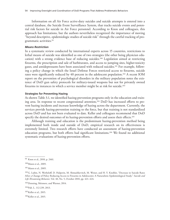Information on all Air Force active-duty suicides and suicide attempts is entered into a central database, the Suicide Event Surveillance System, that tracks suicide events and potential risk factors for suicide in Air Force personnel. According to Knox and colleagues, this approach has limitations, but the authors nevertheless recognized the importance of moving "beyond descriptive, epidemiologic studies of suicide risk" through the careful tracking of programmatic activities.99

#### *Means Restriction*

In a systematic review conducted by international experts across 15 countries, restrictions to lethal means of suicide was identified as one of two strategies (the other being physician education) with a strong evidence base of reducing suicides.100 Legislation aimed at restricting firearms, the prescription and sale of barbiturates, and access to jumping sites, higher-toxicity gases, and antidepressants have been associated with reduced suicides.101 For example, following a policy change in which the Israel Defense Forces restricted access to firearms, suicide rates were significantly reduced by 40 percent in the adolescent population.<sup>102</sup> A recent IOM report on the prevention of psychological disorders in the military population notes the existence of DoD gun safety protocols for military-issued weapons but not for privately owned firearms in instances in which a service member might be at risk for suicide.103

#### **Strategies for Preventing Hazing**

As shown Table 3.1, we identified hazing-prevention programs only in the education and training area. In response to recent congressional attention,<sup>104</sup> DoD has increased efforts to prevent hazing incidents and increase knowledge of hazing across the department. Currently, the services provide hazing-prevention training to the force, but that training is not standardized across DoD and has not been evaluated to date. Keller and colleagues recommend that DoD specify the desired outcomes of its hazing-prevention efforts and assess their effects.<sup>105</sup>

Although training and education is the predominant hazing-prevention method being implemented both inside and outside of DoD, empirical research on its effectiveness is extremely limited. Two research efforts have conducted an assessment of hazing-prevention education programs, but both efforts had significant limitations.106 We found no additional systematic evaluations of hazing-prevention efforts.

<sup>99</sup> Knox et al., 2010, p. 2461.

<sup>100</sup>Mann et al., 2005.

<sup>&</sup>lt;sup>101</sup> Mann et al., 2005.

<sup>102</sup>G. Lubin, N. Werbeloff, D. Halperin, M. Shmushkevitch, M. Weiser, and H. Y. Knobler, "Decrease in Suicide Rates After a Change of Policy Reducing Access to Firearms in Adolescents: A Naturalistic Epidemiological Study," *Suicide and Life-Threatening Behavior*, Vol. 40, No. 5, October 2010, pp. 421–424.

<sup>103</sup>Denning, Meisnere, and Warner, 2014.

<sup>104</sup>Pub. L. 112-239, 2013.

<sup>105</sup> Keller et al., 2015.

<sup>106</sup>Keller et al., 2015.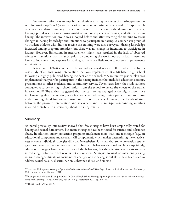One research effort was an unpublished thesis evaluating the effects of a hazing-prevention training workshop.107 A 1.5-hour educational session on hazing was delivered to 19 sports club officers at a midsize university. The session included instruction on the definition of hazing, hazing's prevalence, reasons hazing might occur, consequences of hazing, and alternatives to hazing. The intervention group was surveyed before and after receiving the training to assess changes in hazing knowledge and intentions to participate in hazing. A comparison group of 44 student athletes who did not receive the training were also surveyed. Hazing knowledge increased among program attendees, but there was no change in intentions to participate in hazing. However, limitations in measurement might have resulted in the lack of observed effects on intentions. For instance, prior to completing the workshop, participants were not likely to indicate strong support for hazing, so there was little room to observe improvements in intentions.

DeWitt and DeWitt conducted the second identified research effort, which involved a case study of an antihazing intervention that was implemented at a Michigan high school following a highly publicized hazing incident at the school.108 A restorative justice plan was implemented that year for participants in the hazing incident that included education sessions, presentations to other students, and community service. Seven years later, the study authors conducted a survey of high school juniors from the school to assess the effects of the earlier intervention.109 The authors suggested that the culture has changed at the high school since implementing this intervention, with few students indicating hazing participation and most understanding the definition of hazing and its consequences. However, the length of time between the program intervention and assessment and the multiple confounding variables involved contribute to uncertainty about the study results.

#### **Summary**

As noted previously, our review showed that few strategies have been empirically tested for hazing and sexual harassment, but many strategies have been tested for suicide and substance abuse. In addition, many prevention programs implement more than one technique (e.g., an educational component and a social-skill component), which makes determining the effectiveness of some individual strategies difficult. Nonetheless, it is clear that some prevention strategies have been used across more of the problematic behaviors than others. Not surprisingly, education strategies have been used for all the behaviors, but the effectiveness of this strategy in reducing problematic behavior is not always clear. Strategies focused on intervening using attitude change, climate or social-norm change, or increasing social skills have been used to address sexual assault, discrimination, substance abuse, and suicide.

<sup>107</sup>Anthony D. Capretto, *Hazing in Sport: Evaluation of an Educational Workshop*, Chico, Calif.: California State University, Chico, master's thesis, Summer 2011.

<sup>108</sup>Douglas M. DeWitt and Lori J. DeWitt, "A Case of High School Hazing: Applying Restorative Justice to Promote Organizational Learning," *NASSP Bulletin*, Vol. 96, No. 3, September 2012, pp. 228–242.

<sup>109</sup>DeWitt and DeWitt, 2012.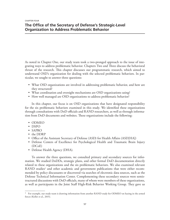# **The Office of the Secretary of Defense's Strategic-Level Organization to Address Problematic Behavior**

As noted in Chapter One, our study team took a two-pronged approach to the issue of integrating ways to address problematic behavior. Chapters Two and Three discuss the behavioral thrust of the research. This chapter discusses our programmatic research, which aimed to understand OSD's organization for dealing with the selected problematic behaviors. In particular, we sought to answer three questions:

- What OSD organizations are involved in addressing problematic behavior, and how are they structured?
- What coordination and oversight mechanisms are OSD organizations using?
- How well managed are OSD organizations to address problematic behavior?

In this chapter, our focus is on OSD organizations that have designated responsibility for the six problematic behaviors examined in this study. We identified these organizations through consultations with DoD officials and RAND researchers, as well as through information from DoD documents and websites. These organizations include the following:

- ODMEO
- DSPO
- SAPRO
- the DDRP
- Office of the Assistant Secretary of Defense (ASD) for Health Affairs (ASD[HA])
- Defense Centers of Excellence for Psychological Health and Traumatic Brain Injury (DCoE)
- Defense Health Agency (DHA).

To answer the three questions, we consulted primary and secondary sources for information. We studied DoDDs, strategic plans, and other formal DoD documentation directly related to these organizations and the six problematic behaviors. We also examined relevant RAND studies<sup>1</sup> and other academic and government publications that were either recommended by policy discussants or discovered via searches of electronic data sources, such as the Defense Technical Information Center. Complementing these secondary sources were semistructured discussions with DoD officials, many of whom were members of these organizations, as well as participants in the Joint Staff High-Risk Behavior Working Group. They gave us

<sup>&</sup>lt;sup>1</sup> For example, our study team is drawing information from another RAND study for ODMEO on hazing in the armed forces (Keller et al., 2015).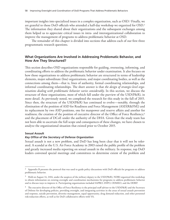important insights into specialized issues in a complex organization, such as OSD.2 Finally, we are grateful to those DoD officials who attended a half-day workshop we organized for OSD.3 The information they shared about their organizations and the subsequent exchanges among them helped us to appreciate critical issues in intra- and interorganizational collaboration to improve the management of programs to address problematic behavior at OSD.

The remainder of this chapter is divided into sections that address each of our first three programmatic research questions.

## **What Organizations Are Involved in Addressing Problematic Behavior, and How Are They Structured?**

This section describes OSD organizations responsible for guiding, overseeing, informing, and coordinating efforts to address the problematic behavior under examination. It also focuses on how those organizations to address problematic behavior are structured in terms of leadership elements, major subordinate (line) organizations, and major coordinating bodies, as well as the connections among them—that is, lines of authority, formal coordinating relationships, and informal coordinating relationships. The short answer is that *the design of strategic-level organizations dealing with problematic behavior varies considerably*. In this section, we discuss the structure of these organizations, most of which fall under the purview of the USD(P&R), in more detail. As previously noted, we completed the research for this study in the fall of 2015. Since then, the structure of the USD(P&R) has continued to evolve—notably, through the elimination of the position of ASD for Readiness and Force Management (ASD[R&FM]) and its replacement by two ASD positions, one for manpower and reserve affairs and another for readiness; the creation of the position of executive director of the Office of Force Resiliency;<sup>4</sup> and the placement of DCoE under the authority of the DHA. Given that the study team has not been able to ascertain the full scope and consequences of these changes, we have chosen to analyze the organizational situation that existed prior to October 2015.

### **Sexual Assault**

### *Key Office of the Secretary of Defense Organization*

Sexual assault is not a new problem, and DoD has long been clear that it will not be tolerated. A scandal at the U.S. Air Force Academy in 2003 raised the public profile of the problem and greatly increased media reporting on sexual assault in the military. In response, top DoD leaders convened special meetings and committees to determine extent of the problem and

 $^2$  Appendix B presents the protocol that was used to guide policy discussions with DoD officials for programs to address problematic behavior.

 $3$  Held on August 14, 2104, under the auspices of the military deputy to the USD(P&R), NDRI organized this workshop to obtain information on existing oversight and coordination mechanisms for programs to address problematic behavior and to discuss ways to improve it. Participating organizations included SAPRO, DSPO, ODMEO, and the DDRP.

 $4$  The executive director of the Office of Force Resiliency is the principal staff adviser to the USD(P&R) and the Secretary of Defense for developing policies, providing oversight, and integrating activities in the areas of sexual assault prevention and response, suicide prevention, diversity management, equal opportunity, drug demand reduction, and other personnel risk-reduction efforts, as well as for DoD collaborative efforts with VA.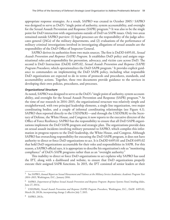appropriate response strategies. As a result, SAPRO was created in October 2005.5 SAPRO was designed to serve as DoD's "single point of authority, system accountability, and oversight for the Sexual Assault Prevention and Response (SAPR) program."6 It was also to be the single point for DoD interaction with organizations outside of DoD on SAPR issues. Only two areas remained outside SAPRO purview: (1) legal processes are the responsibility of the judge advocates general (JAGs) of the military departments, and (2) evaluations of the performance of military criminal investigations involved in investigating allegations of sexual assaults are the responsibility of the DoD Office of Inspector General.

SAPRO derives its authorities from two main sources. The first is DoDD 6495.01, *Sexual Assault Prevention and Response (SAPR) Program*. It establishes DoD policy and assigns organizational roles and responsibility for prevention, advocacy, and victim care across DoD. The second is DoD Instruction (DoDI) 6495.02, *Sexual Assault Prevention and Response (SAPR) Program Procedures*, which operationalizes the DoD SAPR program.7 It provides explicit guidance to commanders on implementing the DoD SAPR policy, including what responsible DoD organizations are expected to do in terms of protocols and procedures, standards, and accountability actions. Together, these two documents provide guidance to the services in developing their own policies, procedures, and processes.

#### *Organizational Structure*

As noted, SAPRO was designed to serve as the DoD's "single point of authority, system accountability, and oversight for the Sexual Assault Prevention and Response (SAPR) program."8 At the time of our research in 2014–2015, the organizational structure was relatively simple and straightforward, with two principal leadership elements, a single line organization, two major coordinating bodies, and a couple of informal coordinating relationships (see Figure 4.1). SAPRO then reported directly to the USD(P&R)—and through the USD(P&R) to the Secretary of Defense, the White House, and Congress; it now reports to the executive director of the Office of Force Resiliency. SAPRO has the responsibility to ensure that all DoD SAPR organizations implement the DoD SAPR program and strategic plan. The organizations provide data on sexual assault incidents involving military personnel to SAPRO, which compiles this information in progress reports to the DoD leadership, the White House, and Congress. Although SAPRO has overarching responsibility for executing the DoD SAPR program, it does not have authority to direct or force DoD organizations to act. It is DoDD 6495.01 and DoDI 6495.02 that hold DoD organizations accountable for their roles and responsibilities in SAPR. For this reason, a SAPRO official says, it is appropriate to describe his organization's role as "monitoring compliance" of DoD's SAPR programs rather than as an "oversight authority."

This inability to direct or force DoD organizations to act explains why SAPRO has used the IPT, along with a dashboard and website, to ensure that DoD organizations properly execute their assigned SAPR functions. In 2015, the IPT consisted of senior leaders or their

<sup>5</sup> See SAPRO, *Annual Report on Sexual Harassment and Violence at the Military Service Academies: Academic Program Year 2014–2015*, Washington, D.C., January 2016.

<sup>6</sup> SAPRO, *Department of Defense Sexual Assault Prevention and Response Program: Response Systems Panel*, briefing slides, June 27, 2013c.

<sup>7</sup> USD(P&R), *Sexual Assault Prevention and Response (SAPR) Program Procedures*, Washington, D.C., DoDI 6495.02, March 28, 2013b, incorporating change 2 effective July 7, 2015.

<sup>8</sup> SAPRO, 2013c.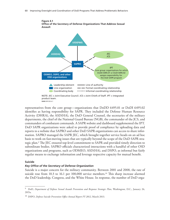

representatives from the core group—organizations that DoDD 6495.01 or DoDI 6495.02 identifies as having responsibility for SAPR. They included the Defense Human Resource Activity (DHRA), the ASD(HA), the DoD General Counsel, the secretaries of the military departments, the chief of the National Guard Bureau (NGB), the commander of the JCS, and commanders of combatant commands. A SAPR website and dashboard supplemented the IPT. DoD SAPR organizations were asked to provide proof of compliance by uploading data and reports to a website that SAPRO and other DoD SAPR organizations can access to share information. SAPRO managed the SAPR JEC, which brought together service heads on an ad hoc basis to work on fast-moving issues that are typically beyond the scope of the DoD SAPR strategic plan.9 The JEC ensured top-level commitment to SAPR and provided timely direction to subordinate bodies. SAPRO officials characterized interactions with a handful of other OSD organizations and programs, such as ODMEO, ASD(HA), and DSPO, as informal but fairly regular means to exchange information and leverage respective capacity for mutual benefit.

#### **Suicide**

### *Key Office of the Secretary of Defense Organization*

Suicide is a major concern for the military community. Between 2001 and 2008, the rate of suicide rose from 10.3 to 16.1 per 100,000 service members.<sup>10</sup> This sharp increase alarmed the DoD leadership, Congress, and the White House. In response, the number of DoD orga-

<sup>9</sup> DoD, *Department of Defense Sexual Assault Prevention and Response Strategic Plan*, Washington, D.C., January 26, 2015a.

<sup>10</sup> DSPO, *Defense Suicide Prevention Office Annual Report FY 2012*, March 2013.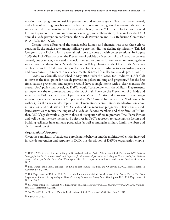nizations and programs for suicide prevention and response grew. New ones were created, and a host of existing ones became involved with one another, given that research shows that suicide is tied to an assortment of risk and resiliency factors.<sup>11</sup> Further, DoD created several forums to promote learning, information exchange, and collaboration; these include the DoD annual suicide prevention conference, the Suicide Prevention and Risk Reduction Committee (SPARRC), and DCoE.12

Despite these efforts (and the considerable human and financial resources these efforts consumed), the suicide rate among military personnel did not decline significantly. This led Congress to ask DoD to form a special task force to come up with better solutions. In August 2009, the DoD Task Force on the Prevention of Suicide by Members of the Armed Forces was created; one year later, it released its conclusions and recommendations for action. Among them was a recommendation for a "Suicide Prevention Policy Division at the Office of the Secretary of Defense within Under Secretary of Defense for Personal Readiness to standardize policies and procedures with respect to resiliency, mental fitness, life skills, and suicide prevention."13

DSPO was formally established in May 2012 under the DASD for Readiness (DASD[R]) to serve as the focal point for suicide prevention policy, training and programs.14 For the first time, suicide prevention and response would have a single home with a clear mandate for overall DoD policy and oversight. DSPO would "collaborate with the Military Departments to implement the recommendations of the DoD Task Force on the Prevention of Suicide and serve as the DoD lead with the Department of Veterans Affairs and non-governmental organizations on suicide prevention."15 Specifically, DSPO would function as the "DoD oversight authority for the strategic development, implementation, centralization, standardization, communication, and evaluation of DoD suicide and risk reduction programs, policies, and surveillance activities to reduce the impact of suicide on Service members and their families."16 Further, DSPO's goals would align with those of its superior offices to promote Total Force Fitness and well-being, the core themes and objectives in DoD's approach to reducing risk factors and building resiliency in its military population (as well as among its military family members and civilian workforce).

#### *Organizational Structure*

Given the complexity of suicide as a problematic behavior and the multitude of entities involved in suicide prevention and response in DoD, this description of DSPO's organization empha-

<sup>11</sup> DSPO, 2013. See also Office of the Surgeon General and National Action Alliance for Suicide Prevention, *2012 National Strategy for Suicide Prevention: Goals and Objectives for Action—A Report of the U.S. Surgeon General and of the National Action Alliance for Suicide Prevention*, Washington, D.C.: U.S. Department of Health and Human Services, September 2012.

<sup>12</sup> DoD launched this annual conference in 2002, and it became a joint DoD and VA activity in 2009. See more details in Ramchand et al., 2011.

<sup>13</sup> U.S. Department of Defense Task Force on the Prevention of Suicide by Members of the Armed Forces, *The Challenge and the Promise: Strengthening the Force, Preventing Suicide and Saving Lives*, Washington, D.C.: U.S. Department of Defense, 2010.

<sup>14</sup> See Office of Inspector General, U.S. Department of Defense, *Assessment of DoD Suicide Prevention Processes*, Washington, D.C., September 30, 2015.

<sup>15</sup> See Cheryl Pellerin, "Panetta Calls for Leadership on Suicide Prevention," *DoD News*, June 8, 2012.

<sup>16</sup> DSPO, 2013, p. 2.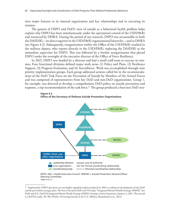sizes major features in its internal organization and key relationships tied to executing its mission.

The genesis of DSPO and DoD's view of suicide as a behavioral health problem helps explain why DSPO has been simultaneously under the operational control of the USD(P&R) and resourced by DHRA. During the period of our research, DSPO was accountable to both the DASD(R)—its direct superior in the USD(P&R) organizational hierarchy—and to DHRA (see Figure 4.2). Subsequently, reorganization within the Office of the USD(P&R) resulted in the military deputy, who reports directly to the USD(P&R), replacing the DASD(R) as the immediate supervisor for DSPO. This was followed by a further reorganization that placed DSPO under the oversight of the executive director of the Office of Force Resiliency.

In 2015, DSPO was headed by a director and had a small staff team to execute its mission. Four functional divisions defined major work areas: (1) Policy and Plans, (2) Resilience Support, (3) Program Evaluation, and (4) Surveillance. Work was accomplished through nine priority implementation groups. Each group addressed actions called for in the recommendations of the DoD Task Force on the Prevention of Suicide by Members of the Armed Forces and was composed of representatives from key DoD and non-DoD organizations. Group 1, for example, was directed to develop a comprehensive DoD policy on suicide prevention and response, a top recommendation of the task force.17 The group produced a four-year DoD stra-



**Figure 4.2 Office of the Secretary of Defense Suicide Prevention Organizations**

NOTE: HEC = Health Executive Council. SPGOSC = Suicide Prevention General Officer Steering Committee.  **RAND** *RR1352-4.2*

<sup>&</sup>lt;sup>17</sup> Importantly, DSPO also drew on two highly regarded studies produced in 2001 to inform its development of the DoD suicide prevention strategic plan. The first is the joint DoD and VA study, "Integrated Mental Health Strategy (IMHS)" (see DoD and VA, *DoD/VA Integrated Mental Health Strategy (IMHS): Strategic Action Summaries*, January 3, 2011. The second is a RAND study, *The War Within: Preventing Suicide in the U.S. Military* (Ramchand et al., 2011).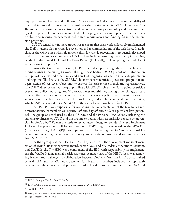tegic plan for suicide prevention.18 Group 2 was tasked to find ways to increase the fidelity of data and improve data processes. The result was the creation of a joint VA/DoD Suicide Data Repository to inform their respective suicide surveillance analysis for policy and program strategy development. Group 3 was tasked to develop a program-evaluation process. The result was an electronic resource management tool to track requirements and funding for suicide prevention programs.

DSPO's central role in these groups was to ensure that their work collectively implemented the DoD strategic plan for suicide prevention and recommendations of the task force. In addition, as the OSD office with sole responsibility for suicide prevention, it frequently developed and maintained tools that serve all of DoD. These included running the Military Crisis Line, producing the annual DoD Suicide Event Report (DoDSER), and compiling quarterly DoD military suicide reports.<sup>19</sup>

During the time of our research, DSPO received support and guidance from three governing boards in executing its work. Through these bodies, DSPO pushed new information to top DoD leaders and other DoD and non-DoD organizations active in suicide prevention and response. The first was the SPARRC. Its members were suicide prevention program managers (action officer–level subject-matter experts) for each service branch and representatives. The DSPO director chaired the group in line with DSPO's role as the "focal point for suicide prevention policy and programs."20 SPARRC met monthly to, among other things, discuss how to effectively develop and coordinate suicide prevention policies and activities across the services, exchange best practices and lessons learned, and reach recommendations for action, which DSPO conveyed to the SPGOSC—the second governing board for DSPO.

The SPGOSC was responsible for overseeing the implementation of the task force's recommendations. Its members were general officers, flag officers, SES, or equivalent-level personnel. The group was cochaired by the DASD(R) and the Principal DASD(HA), reflecting the supervisory lineage of DSPO and the two major bodies with responsibility for suicide prevention in DoD. SPGOSC met quarterly to review, assess, integrate, standardize, and implement DoD suicide prevention policies and programs. DSPO regularly reported to the SPGOSC (directly or through DASD[R]) overall progress in implementing the DoD strategy for suicide prevention, including the work of the priority implementation groups and recommendations from SPARRC.<sup>21</sup>

The third group was the HEC and JEC. The JEC oversaw the development and implementation of IMHS. Its members were mainly senior DoD and VA leaders at the under, assistant, and DASD levels. The HEC was a component of the JEC, with responsibility for implementing the VA/DoD joint mental health strategies. A major part of the HEC's work was removing barriers and challenges to collaboration between DoD and VA. The HEC was cochaired by ASD(HA) and the VA Under Secretary for Health. Its members included the top health officers from the services and deputy assistant–level health program managers from DoD and

<sup>18</sup> DSPO, *Strategic Plan 2012–2016*, 2015a.

<sup>19</sup> RAND/OSD workshop on problematic behavior in August 2014; DSPO, 2013.

<sup>20</sup> See DSPO, 2013, p. 10.

<sup>21</sup> USD(P&R), *Defense Suicide Prevention Program*, Washington, D.C., DoDD 6490.14, June 18, 2013c, incorporating change 1 effective April 1, 2016.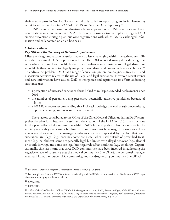their counterparts in VA. DSPO was periodically called to report progress in implementing activities related to the joint VA/DoD IMHS and Suicide Data Repository.<sup>22</sup>

DSPO also had informal coordinating relationships with other OSD organizations. These organizations were not members of SPARRC or other forums active in implementing the DoD suicide prevention strategic plan but were organizations with which DSPO exchanged information and collaborated on an ad hoc basis.23

### **Substance Abuse**

### *Key Office of the Secretary of Defense Organizations*

Misuse of drugs and alcohol is unfortunately no less challenging within the active-duty military than within the U.S. population at large. The IOM reported survey data showing that active-duty personnel are less likely than their civilian counterparts to use illegal drugs but more likely than civilians to illegally use prescription drugs and engage in heavy alcohol use.<sup>24</sup> To address this problem, DoD has a range of education, prevention, diagnosis, treatment, and disposition activities related to the use of illegal and legal substances. However, recent events and new information have caused DoD to reorganize and reprioritize its efforts addressing substance use:

- a perception of increased substance abuse linked to multiple, extended deployments since 2001
- the number of personnel being prescribed potentially addictive painkillers because of injuries
- a 2012 IOM report recommending that DoD acknowledge the level of substance misuse, improve screening, and increase access to care.<sup>25</sup>

These factors contributed to the Office of the Chief Medical Officer updating DoD's comprehensive plan for substance misuse26 and the creation of the DHA in 2013. The 21 actions in the plan reflected the recognition within DoD's leadership that substance misuse in the military is a reality that cannot be eliminated and thus must be managed continuously. They also revealed awareness that managing substance use is complicated by the fact that some substances are illegal (e.g., cocaine), some are illegal when used outside of prescribed treatment (e.g., painkillers), some are generally legal but linked with illegal behavior (e.g., alcohol or drunk driving), and some are legal but negatively affect readiness (e.g., smoking). Organizationally, this has meant that three DoD communities have been involved in addressing the negative effects of substance use: the medical community (the DHA), the personnel management and human resource (HR) community, and the drug-testing community (the DDRP).

<sup>22</sup> See DHA, "DoD/VA Program Coordination Office (DVPCO)," undated.

<sup>&</sup>lt;sup>23</sup> For example, see details of DSPO's informal relationship with SAPRO in the next section on effectiveness of OSD organizations in managing problematic behavior.

<sup>24</sup> IOM, 2013.

<sup>25</sup> IOM, 2013.

<sup>26</sup> Office of the Chief Medical Officer, TRICARE Management Activity, DoD, *Section 596(b)(8) of the FY 2010 National Defense Authorization Act (NDAA): Update to the Comprehensive Plan on Prevention, Diagnosis, and Treatment of Substance Use Disorders (SUDs) and Disposition of Substance Use Offenders in the Armed Forces*, July 2013.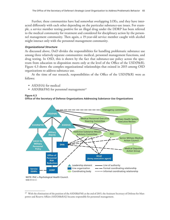Further, these communities have had somewhat overlapping LOEs, and they have interacted differently with each other depending on the particular substance-use issues. For example, a service member testing positive for an illegal drug under the DDRP has been referred to the medical community for treatment and considered for disciplinary action by the personnel management community. Then again, a 19-year-old service member caught with alcohol might interact only with the personnel management community.

#### *Organizational Structure*

As discussed above, DoD divides the responsibilities for handling problematic substance use among three relatively separate communities: medical, personnel management functions, and drug testing. In OSD, this is shown by the fact that substance-use policy across the spectrum from education to disposition meets only at the level of the Office of the USD(P&R). Figure 4.3 shows the complex organizational relationships that existed in 2015 among OSD organizations to address substance use.

At the time of our research, responsibilities of the Office of the USD(P&R) were as follows:

- ASD(HA) for medical
- ASD( $R\&FM$ ) for personnel management<sup>27</sup>





#### NOTE: PHC = Psychological Health Council. **RAND** *RR1352-4.3*

<sup>&</sup>lt;sup>27</sup> With the elimination of the position of the ASD(R&FM) at the end of 2015, the Assistant Secretary of Defense for Manpower and Reserve Affairs (ASD[M&RA]) became responsible for personnel management.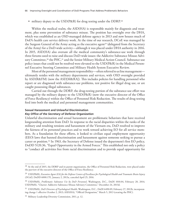• military deputy to the USD(P&R) for drug testing under the DDRP.<sup>28</sup>

Within the medical realm, the ASD(HA) is responsible mainly for diagnosis and treatment, plus some prevention of substance misuse. The position has oversight over the DHA, which was established as an OSD-managed defense agency in 2013 and now houses much of DoD's health care service delivery work. At the time of our research, DCoE was managed by the Surgeon General of the Army acting as the executive agent<sup>29</sup> (delegated from the Secretary of the Army) for a DoD-wide activity—although it was placed under DHA authority in 2016. In 2015, ASD(HA) also oversaw all the medical community's substance-use work through three forums used to raise and discuss DoD-wide issues: the Addictive Substance Misuse Advisory Committee,<sup>30</sup> the PHC,<sup>31</sup> and the Senior Military Medical Action Council. Substance-use policy issues that could not be resolved were elevated to the USD(P&R) in the Medical Personnel Executive Steering Committee and Military Health System Executive Review.

Most of the personnel management responsibility—often referred to as line management ultimately resides with the military departments and services, with OSD oversight provided by ASD(R&FM) (now the ASD[M&RA]). This includes policies for handling personnel who report or are diagnosed with substance-use problems, test positive for illegal drug use, or are caught possessing illegal substances.

Carried out through the DDRP, the drug-testing portion of the substance-use effort was managed by the military deputy to the USD(P&R) (now the executive director of the Office of Force Resiliency) within the Office of Personnel Risk Reduction. The results of drug testing feed into both the medical and personnel management communities.

### **Sexual Harassment and Unlawful Discrimination** *Key Office of the Secretary of Defense Organization*

Unlawful discrimination and sexual harassment are problematic behaviors that have received longstanding attention from DoD. In response to the racial disparities within the ranks of the military and resulting tensions and harassment of the Vietnam era, DoD resolved to improve the fairness of its personnel practices and to work toward achieving EO for all service members. As a foundation for these efforts, it looked to civilian equal employment opportunity (EEO) laws that banned discrimination and harassment against someone seeking to pursue a career or position.32 In 1963, the Secretary of Defense issued the department's first EO policy, DoDD 5120.36, "Equal Opportunity in the Armed Forces." This established not only a policy to "conduct all activities free from racial discrimination and to provide equal opportunity for

<sup>&</sup>lt;sup>28</sup> At the end of 2015, the DDRP and its parent organization, the Office of Personnel Risk Reduction, were placed under the purview of the executive director of the Office of Force Resiliency.

<sup>29</sup> USD(P&R), *Executive Agent (EA) for the Defense Centers of Excellence for Psychological Health and Traumatic Brain Injury (DCoE)*, DoDD 6000.17E, January 2, 2013a, canceled April 25, 2016.

<sup>30</sup> USD(P&R), *Problematic Substance Use by DoD Personnel*, Washington, D.C., DoDI 1010.04, February 20, 2014; USD(P&R), "Charter: Addictive Substance Misuse Advisory Committee," December 24, 2013d.

<sup>31</sup> USD(P&R), *DoD Directors of Psychological Health*, Washington, D.C., DoDI 6490.09, February 27, 2012b, incorporating change 1 effective October 2, 2013; ASD(HA), "Official Designation," March 5, 2013 (creating the PHC).

<sup>32</sup> Military Leadership Diversity Commission, 2011, p. 12.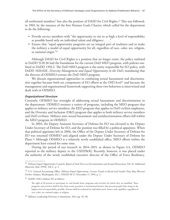all uniformed members" but also the position of DASD for Civil Rights.33 This was followed, in 1969, by the issuance of the first Human Goals Charter, which called for the department to do the following:

- Provide service members with "the opportunity to rise to as high a level of responsibility as possible based only on individual talent and diligence . . . ."
- Ensure that "equal opportunity programs are an integral part of readiness and to make the military a model of equal opportunity for all, regardless of race, color, sex, religion, or national origin."34

Although DASD for Civil Rights is a position that no longer exists, the policy outlined in DoDD 5120.36 laid the foundation for the current DoD MEO program, with policies outlined in DoDD 1350.2. The DoD MEO program is the entity responsible for EO policy, with DoDD 1020.02E, *Diversity Management and Equal Opportunity in the DoD*, mandating that the director of ODMEO oversee the DoD MEO program.

We discuss organizational approaches to combating sexual harassment and discrimination together because both are components of EO efforts at the OSD level<sup>35</sup> and because the management and organizational framework supporting these two behaviors is intertwined and dealt with in ODMEO.

#### *Organizational Structure*

Currently, ODMEO has oversight of addressing sexual harassment and discrimination in the department. ODMEO oversees a variety of programs, including the MEO program that applies to military service members, the EEO program that applies to DoD civilian employees, and the Diversity and Inclusion (D&I) program that applies to both military service members and DoD civilians. Military anti–sexual harassment and antidiscrimination efforts fall within the MEO program in ODMEO.

In 2003, the Deputy Assistant Secretary of Defense for EO was elevated to the Deputy Under Secretary of Defense for EO, and the position was filled by a political appointee. When that political appointee left in 2006, the Office of the Deputy Under Secretary of Defense for EO was renamed ODMEO and aligned under the Deputy Under Secretary of Defense for Plans.36 Although ODMEO is a relatively newly established office, MEO efforts within the department have existed for some time.

During the period of our research in 2014–2015, as shown in Figure 4.4, ODMEO reported to the military deputy to the USD(P&R). Recently, however, it was placed under the authority of the newly established executive director of the Office of Force Resiliency.

<sup>33</sup> Defense Equal Opportunity Council, *Report of Task Force on Discrimination and Sexual Harassment*, Vol. II: *Additional Materials*, May 1995b, Tab C, p. 5.

<sup>34</sup> U.S. General Accounting Office, *Military Equal Opportunity: Certain Trends in Racial and Gender Data May Warrant Further Analysis*, Washington, D.C., NSIAD-96-17, November 17, 1995, p. 2.

<sup>35</sup> DoDD 1350.2 defines EO as follows:

The right of all persons to participate in, and benefit from, programs and activities for which they are qualified. These programs and activities shall be free from social, personal, or institutional barriers that prevent people from rising to the highest level of responsibility possible. Persons shall be evaluated on individual merit, fitness, and capability, regardless of race, color, sex, national origin, or religion.

<sup>36</sup> Military Leadership Diversity Commission, 2011, pp. 95–96.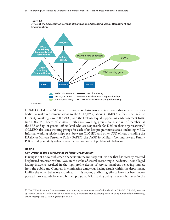

**RAND** *RR1352-4.4*

ODMEO is led by an SES-level director, who chairs two working groups that serve as advisory bodies to make recommendations to the USD(P&R) about ODMEO's efforts: the Defense Diversity Working Group (DDWG) and the Defense Equal Opportunity Management Institute (DEOMI) board of advisers. Both these working groups are made up of members at the SES or flag- or general-officer level who are responsible for D&I in their organizations.<sup>37</sup> ODMEO also leads working groups for each of its key programmatic areas, including MEO. Informal working relationships exist between ODMEO and other OSD offices, including the DASD for Military Personnel Policy, SAPRO, the DASD for Military Community and Family Policy, and potentially other offices focused on areas of problematic behavior.

#### **Hazing**

#### *Key Office of the Secretary of Defense Organization*

Hazing is not a new problematic behavior in the military, but it is one that has recently received heightened attention within DoD in the wake of several recent tragic incidents. These alleged hazing incidents resulted in the high-profile deaths of service members, renewing interest from the public and Congress in eliminating dangerous hazing rituals within the department. Unlike the other behaviors examined in this report, antihazing efforts have not been incorporated into a stand-alone, established program. With hazing being a current hot issue in the

<sup>&</sup>lt;sup>37</sup> The DEOMI board of advisers serves in an advisory role on issues specifically related to DEOMI. DEOMI, overseen by ODMEO and located on Patrick Air Force Base, is responsible for developing and delivering human relations training, which encompasses all training related to MEO.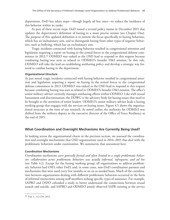department, DoD has taken steps—though largely ad hoc ones—to reduce the incidence of this behavior within its ranks.

As part of these recent steps, DoD issued a revised policy memo in December 2015 that updates the department's definition of hazing to a more precise version (see Chapter One). The purpose of this updated definition is to narrow the focus specifically to hazing behaviors, which has an inclusionary aim, and to distinguish hazing from other types of negative behaviors, such as bullying, which has an exclusionary aim.

Tragic incidents connected with hazing behavior resulted in congressional attention and legislation requiring a report on hazing in the armed forces to the congressional defense committees in 2013.38 ODMEO was tasked as the OSD lead to respond to this request because combating hazing was seen as related to ODMEO's broader D&I mission. In this role, ODMEO will take the lead on establishing antihazing policy and develop a strategic way forward to combat hazing in the department.

## *Organizational Structure*

As just noted, tragic incidents connected with hazing behavior resulted in congressional attention and legislation requiring a report on hazing in the armed forces to the congressional defense committees in 2013. ODMEO was tasked as the OSD lead to respond to this request because combating hazing was seen as related to ODMEO's broader D&I mission. The office's senior military adviser currently manages antihazing efforts within ODMEO. Like with sexual harassment and discrimination, the DDWG is the advisory body for hazing issues that need to be brought to the attention of senior leaders. ODMEO's senior military adviser leads a hazing working group that engages with the services on hazing issues. Figure 4.5 shows the organizational structure at the time of our research. As noted earlier, the authority for ODMEO was shifted from the military deputy to the executive director of the Office of Force Resiliency at the end of 2015.

## **What Coordination and Oversight Mechanisms Are Currently Being Used?**

In looking across the organizational charts in the previous section, we assessed the coordination and oversight mechanisms that OSD organizations used in 2014–2015 that deal with the problematic behaviors under examination. We summarize that assessment here.

## **Coordination Mechanisms**

*Coordination mechanisms were generally formal and often limited to a single problematic behavior; collaboration across problematic behaviors was usually informal, infrequent, and ad hoc* (see Table 4.1). Except for the hazing working group, all organizations to address problematic behavior had OSD, other DoD, and, in some cases, non-DoD coordination partners and mechanisms that were used every few months or on an as-needed basis. Much of the coordination between organizations dealing with different problematic behaviors occurred in the form of informal interactions among staff members seeking specific types of assistance. For example, SAPRO and DSPO cofunded a study to better understand the connections between sexual assault and suicide, and SAPRO and ODMEO jointly observed SAPR training at the service

<sup>38</sup> Pub. L. 112-239, 2013.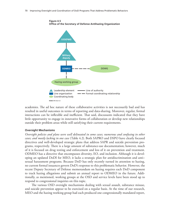

**Figure 4.5 Office of the Secretary of Defense Antihazing Organization**

academies. The ad hoc nature of these collaborative activities is not necessarily bad and has resulted in useful outcomes in terms of reporting and data-sharing. Moreover, regular, formal interactions can be inflexible and inefficient. That said, discussants indicated that they have little opportunity to engage in innovative forms of collaboration or develop new relationships outside their problem areas while still satisfying their current requirements.

#### **Oversight Mechanisms**

*Oversight policies and plans were well delineated in some cases; numerous and confusing in other cases; and mostly lacking in one case* (Table 4.2). Both SAPRO and DSPO have clearly focused directives and well-developed strategic plans that address SAPR and suicide prevention programs, respectively. There is a large amount of substance-use documentation; however, much of it is focused on drug testing and enforcement and less of it on prevention and treatment. ODMEO has a directive that encompasses diversity, EO, and inclusion. Although it is developing an updated DoDI for MEO, it lacks a strategic plan for antidiscrimination and anti– sexual harassment programs. Because DoD has only recently turned its attention to hazing, no current formal issuances govern DoD's response to this problematic behavior. However, the recent Deputy Secretary of Defense memorandum on hazing requires each DoD component to track hazing allegations and submit an annual report to ODMEO in the future. Additionally, as mentioned, working groups at the OSD and service levels have been stood up to respond to congressional inquiries on this topic.

The various OSD oversight mechanisms dealing with sexual assault, substance misuse, and suicide prevention appear to be exercised on a regular basis. At the time of our research, MEO and the hazing working group had each produced one congressionally mandated report,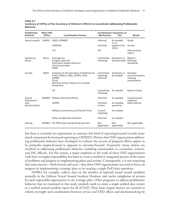| Problematic<br><b>Behavior</b>                | <b>Main OSD</b><br>Office | <b>Coordination Partner</b>                                                                                                                                        | <b>Mechanism</b>                  | <b>Coordination Frequency of</b><br>Use | Result                                                  |  |
|-----------------------------------------------|---------------------------|--------------------------------------------------------------------------------------------------------------------------------------------------------------------|-----------------------------------|-----------------------------------------|---------------------------------------------------------|--|
| Sexual assault                                | SAPRO                     | DSPO, ODMEO                                                                                                                                                        | Informal                          | As needed                               | Study                                                   |  |
|                                               |                           | ASD(HA)                                                                                                                                                            | Informal                          | or as<br>opportunity<br>arises          | Survey                                                  |  |
|                                               |                           | JCS                                                                                                                                                                | JEC                               |                                         | Data-sharing<br>report                                  |  |
| Substance<br>abuse                            | None                      | Interagency<br>Surgeon general<br>Psychiatric health directors<br>Service providers<br><b>DSPO</b>                                                                 | Committee<br>meetings             | Quarterly or<br>semiannually            | Reports<br><b>Briefings</b><br>Standards                |  |
| Suicide                                       | <b>DSPO</b>               | Assistant to the Secretary of Defense for<br>Public Affairs, ASDs, DASDs, DHA<br><b>SAPRO</b><br><b>DCoE</b><br>National Action Alliance for Suicide<br>Prevention | Committee<br>meetings<br>Informal | Quarterly or<br>as needed               | Strategic<br>communications<br>Training<br>coordination |  |
|                                               |                           | <b>VA</b>                                                                                                                                                          | Committee<br>meetings             | As needed                               | Reserve study                                           |  |
| Sexual<br>harassment<br>and<br>discrimination | <b>ODMEO</b>              | <b>Military Personnel Policy</b>                                                                                                                                   | Informal                          | As needed                               | Congressional                                           |  |
|                                               |                           | <b>SAPRO</b>                                                                                                                                                       | Informal,<br>victims              | As needed,<br>quarterly                 | response<br>Data-sharing                                |  |
|                                               |                           | Military Community and Family Policy                                                                                                                               | Council<br>meetings               | As needed                               |                                                         |  |
|                                               |                           | Other problematic behavior                                                                                                                                         | Informal                          | As needed                               |                                                         |  |
| Hazing                                        |                           | ODMEO No OSD-level coordinating partners                                                                                                                           | <b>Not</b><br>applicable          | <b>Not</b><br>applicable                | Not applicable                                          |  |

#### **Table 4.1 Summary of Office of the Secretary of Defense's Efforts to Coordinate Addressing Problematic Behavior**

but there is currently no requirement to continue this kind of reporting beyond recently mandated component-level annual reporting to ODMEO. Metrics that OSD organizations addressing problematic behavior have developed to evaluate the success of program efforts appear to be primarily output-focused as opposed to outcome-focused. Frequently, many entities are involved in addressing problematic behavior, including commanders to counselors, trainers, and JAG officials. For this reason, a major emphasis in the work of these OSD organizations with their oversight responsibility has been to create a unified or integrated picture of the status of problems and progress in implementing plans and actions. Consequently, it is not surprising that most metrics—both formal and tacit—that these OSD organizations use tend to focus on progress in implementing a strategic plan or in creating a single DoD data repository.

SAPRO, for example, collects data on the number of reported sexual assault incidents annually in the Defense Sexual Assault Incident Database and tracks completion of actions by each responsible organization in the strategic plan. Other programs to address problematic behavior that we examined in this study similarly work to create a single unified data system or a unified annual incident report for all of DoD. These basic output metrics are essential to inform oversight and coordination between service and OSD offices and decisionmaking by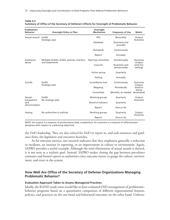| Problematic<br><b>Behavior</b>                | <b>Oversight Policy or Plan</b>                              | Oversight<br><b>Mechanism</b> | <b>Frequency of Use</b>       | <b>Metric</b>                              |  |
|-----------------------------------------------|--------------------------------------------------------------|-------------------------------|-------------------------------|--------------------------------------------|--|
| Sexual assault DoDD                           |                                                              | <b>IPTs</b>                   | Bimonthly                     | Output                                     |  |
|                                               | Strategic plan                                               | Database                      | Quarterly and<br>annually     | Outcome                                    |  |
|                                               |                                                              | Standards                     | Continuously                  |                                            |  |
|                                               |                                                              | Report                        | Annually                      |                                            |  |
| Substance<br>abuse                            | Multiple DoDDs, DoDIs, policies, charters,<br>and statements | Steering committee            | Semiannually                  | Outcome<br>Output<br>(only for<br>testing) |  |
|                                               |                                                              | Councils                      | Quarterly and<br>semiannually |                                            |  |
|                                               |                                                              | Action group                  | Quarterly                     |                                            |  |
|                                               |                                                              | Testing                       | Annually                      |                                            |  |
| Suicide                                       | DoDD<br>Strategic plan                                       | Surveillance tool             | Continuously                  | Outcome<br>Output<br>(metrics              |  |
|                                               |                                                              | Mapping                       | Periodically                  |                                            |  |
|                                               |                                                              | Committee                     | Monthly, as needed            | being<br>developed)                        |  |
| Sexual<br>harassment<br>and<br>discrimination | DoDD<br>No strategic plan                                    | Working groups                | Quarterly                     | Output<br>Outcome                          |  |
|                                               |                                                              | <b>Board of advisers</b>      | Quarterly                     |                                            |  |
|                                               |                                                              | Report                        | One so far                    |                                            |  |
| Hazing                                        | No authorities or policies                                   | Working groups                | Quarterly                     | Output<br>Outcome                          |  |
|                                               |                                                              | Report                        | One so far                    |                                            |  |

| Table 4.2                                                                                     |  |
|-----------------------------------------------------------------------------------------------|--|
| Summary of Office of the Secretary of Defense's Efforts for Oversight of Problematic Behavior |  |

NOTE: An output is a measure of performance (task completion). An outcome is a measure of effectiveness (progress with respect to a planning objective).

the DoD leadership. They are also critical for DoD to report to, and seek resources and guidance from, the legislative and executive branches.

As for outcome metrics, our research indicates that they emphasize generally a reduction in incidents, an increase in reporting, or an improvement in culture or environment. Again, SAPRO provides a useful example. Although the total elimination of sexual assault is desired, it is not seen as a realistic goal. Instead, SAPRO makes closing the gap between prevalence estimates and formal reports to authorities a key outcome metric to gauge the culture, environment, and trust in the system.

## **How Well Are Office of the Secretary of Defense Organizations Managing Problematic Behavior?**

#### **Evaluation Approach Taken to Assess Managerial Practices**

Ideally, the RAND study team would like to have evaluated OSD management of problematicbehavior programs based on a quantitative comparison of different organizational features, policies, and practices on the one hand and behavioral outcomes on the other hand. Unfortu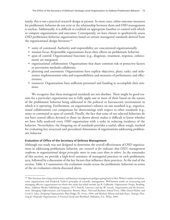nately, this is not a practical research design at present. In most cases, either outcome measures for problematic behavior do not exist or the relationship between them and OSD management is unclear. Additionally, it is difficult to establish an appropriate baseline or control with which to compare organizations and outcomes. Consequently, we have chosen to qualitatively assess OSD problematic-behavior organizations based on certain managerial standards derived from the organizational design literature:39

- unity of command: Authority and responsibility are concentrated organizationally.
- mission focus: Responsible organizations focus their efforts on problematic behavior.
- span of control: Organizational functions (e.g., diagnosis, treatment, response, enforcement) are integrated.
- organizational collaboration: Organizations that share common risk or protective factors or prevention methods collaborate.
- planning and assessment: Organizations have explicit objectives, plans, tasks, and milestones; implementation roles and responsibilities; and measures of performance and effectiveness.
- resources: Organizations have sufficient personnel and funding to accomplish their missions.

We recognize that these managerial standards are not absolute. There might be good reasons for a particular organization not to fully apply one or more of them based on the nature of the problematic behavior being addressed or the political or bureaucratic environment in which it is operating. Furthermore, an organization's reliance on one standard (e.g., organizational collaboration) can compensate for shortcomings with respect to other standards (e.g., unity or command or span of control). Finally, the fact that some of our selected behaviors do not have central offices devoted to them (as shown above) makes it difficult to know whether we have fully analyzed every OSD organization with a stake in reducing incidence of the behavior. Nevertheless, the foregoing set of standards provides a useful, albeit rough, method for evaluating key structural and procedural dimensions of organizations addressing problematic behavior.

## **Evaluation of Office of the Secretary of Defense Management**

Although our study was not designed to determine the overall effectiveness of OSD organizations in addressing problematic behavior, *our research so far indicates that OSD's management*  conforms to organizational design principles more in some cases than in others. In the remainder of this section, we provide a high-level summary of managerial practices in each problematic area, followed by a discussion of the key factors that influence these practices. At the end of the section, Table 4.3 summarizes the evaluation results across the problematic behaviors in terms of the six evaluation criteria discussed above.

<sup>&</sup>lt;sup>39</sup> This literature has a long social science and business management pedigree going back to Max Weber's studies on bureaucratic organizations and Frederick Taylor's principles of scientific management. Well-known works on structuring and managing effective organizations on which this study has relied include Jay R. Galbraith, *Organization Design*, Reading, Mass.: Addison Wesley Publishing Company, 1977; Paul R. Lawrence and Jay W. Lorsch, *Organization and the Environment: Managing Differentiation and Integration*, Boston, Mass.: Harvard Business School Press, 1986; Daniel Robey and Carol A. Sales, *Designing Organizations*, Burr Ridge, Ill.: Irwin, 1994; and Michael Allison and Jude Kaye, *Strategic Planning for Nonprofit Organizations: A Practical Guide and Workbook*, Hoboken, N.J.: Wiley, 2005.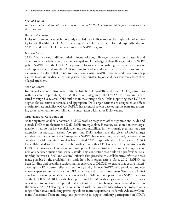### *Sexual Assault*

*In the area of sexual assault, the key organization is SAPRO, which overall performs quite well on these measures.*

### Unity of Command

Unity of command is most importantly enabled by SAPRO's role as the single point of authority for SAPR within DoD. Departmental guidance clearly defines roles and responsibilities for SAPRO and other DoD organizations in the SAPR program.

## Mission Focus

SAPRO has a clear, undiluted mission focus. Although linkages between sexual assault and other problematic behaviors are acknowledged and knowledge of these linkages informs SAPR policy, SAPRO and the DoD SAPR program focus solely on enabling the capacity to prevent and respond to sexual assault. SAPR training for leaders and service members aims to produce a climate and culture that do not tolerate sexual assault. SAPR personnel and procedures help victims to obtain medical attention, justice, and transfers to jobs and locations away from their alleged attackers.

## Span of Control

In terms of span of control, organizational functions for SAPRO and other DoD organizations with roles and responsibility for SAPR are well integrated. The DoD SAPR program is executed through five related LOEs outlined in the strategic plan. Tasks supporting each LOE are aligned for collective coherence, and appropriate DoD organizations are designated as offices of primary responsibility (OPRs). SAPRO has a central role in developing the plan and assigning tasks, roles, and responsibilities in consultation with senior DoD leaders.

## Organizational Collaboration

As for organizational collaboration, SAPRO works closely with other organizations inside and outside DoD to implement the DoD SAPR strategic plan. However, collaboration with organizations that do not have explicit roles and responsibilities in the strategic plan has not been extensive, for practical reasons. Congress and DoD leaders have also given SAPRO a large number of tasks to complete. Consequently, SAPRO has scarce time, personnel, or resources to collaborate with organizations that have limited SAPR responsibilities. Nonetheless, SAPRO has collaborated to the extent possible with several other OSD offices. The joint study with DSPO is an instance of collaboration made possible by a mutual interest in exploring the connections between suicide and sexual assault. This connection was built on a professional relationship between DSPO and SAPRO officials that preceded this collaborative effort and was made possible by the availability of funds from both organizations. Since 2012, SAPRO has been funding and providing subject-matter expertise to DEOMI to ensure that course materials taught in EO courses reflect current policy and guidance. SAPRO also provides a subjectmatter expert to instruct at each of DEOMI's Leadership Team Awareness Seminars. SAPRO also has an ongoing collaborative effort with DEOMI to develop and track SAPR questions on the DEOCS. SAPRO has also been providing DEOMI with subject-matter expertise for its Assessment to Solutions web portal that assists units with resolving climate issues identified in the survey. SAPRO also regularly collaborates with the DoD Family Advocacy Program on a range of initiatives, including providing subject-matter expertise to its Family Advocacy Command Assistance Team trainings and partnering to support military participation in CDC's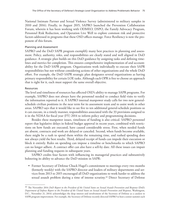National Intimate Partner and Sexual Violence Survey (administered to military samples in 2010 and 2016). Finally, in August 2015, SAPRO launched the Prevention Collaboration Forum, wherein it has been working with ODMEO, DSPO, the Family Advocacy Program, Personnel Risk Reduction, and Operation Live Well to explore common risk and protective factors addressed in programs that these OSD offices manage. Force Resiliency is now the proponent of this forum.

### Planning and Assessment

SAPRO and the DoD SAPR program exemplify many best practices in planning and assessment. Policy, authority, roles, and responsibilities are clearly stated and well aligned in DoD guidance. A strategic plan builds on this DoD guidance by assigning tasks and defining timelines and metrics for completion. This ensures comprehensive implementation of and accountability for the DoD SAPR program. Organizations work individually to execute their SAPR responsibilities but not without considering actions of other organizations and the whole DoD effort. For example, the DoD SAPR strategic plan designates several organizations as having primary responsibility for certain LOE tasks. Although each OPR is free to choose an approach that is right for it, each must support the same overall objective.

#### Resources

The level and timeliness of resources has affected OSD's ability to manage SAPR programs. For example, SAPRO does not always have the personnel needed to conduct field visits to verify the information reported to it. A SAPRO internal manpower study calls for two new generalschedule civilian positions in the near term for its assessment team and to assist work in other areas. SAPRO says that it would like to see five to ten additional general-schedule positions so it can execute, in a timely manner, responsibilities associated with the 33 provisions assigned to it in the NDAA for fiscal year (FY) 2014 to inform policy and programming decisions.

Besides these manpower issues, timeliness of funding is also critical. SAPRO personnel report that legislative delays in federal budget approval in recent years, combined with restrictions on how funds are executed, have caused considerable stress. First, when needed funds are absent, contracts and work are delayed or canceled. Second, when funds become available, there might be a rush to spend them within the remaining time, and rushed spending does not always yield the best results. Third, delayed receipt of funds can impede their execution or block it entirely. Rules on spending can impose a timeline or benchmarks to which SAPRO can no longer adhere. A contract offer can also have a sell-by date. All these issues can impair planning and funding requests in subsequent years.

SAPRO credits four factors with influencing its managerial practices and substantively bolstering its ability to advance the DoD mission in SAPR:

• Former Secretary of Defense Chuck Hagel's commitment to meetings every two months (formerly weekly) with the SAPRO director and leaders of military departments and services from 2013 to 2015 encouraged all DoD organizations to work harder to address the sexual assault problem during a time of intense scrutiny.<sup>40</sup> Direct Secretary of Defense

<sup>40</sup> The November 2014 *DoD Report to the President of the United States on Sexual Assault Prevention and Response* (DoD, *Department of Defense Report to the President of the United States on Sexual Assault Prevention and Response*, Washington, D.C., November 21, 2014) acknowledges the deep interest and involvement of the Secretary of Defense as a catalyst to SAPR program improvement. For example, the Secretary of Defense recently directed SAPRO to host a senior summit each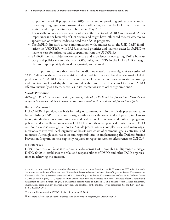support of the SAPR program after 2015 has focused on providing guidance on complex issues requiring significant cross-service coordination, such as the DoD Retaliation Prevention and Response Strategy published in May 2016.

- The installation of a two-star general officer as the director of SAPRO underscored SAPR's importance in the hierarchy of DoD issues and might have influenced the services, too, to appoint senior military leaders to head their SAPR programs.
- The SAPRO director's direct communication with, and access to, the USD(P&R) familiarizes the USD(P&R) with SAPR issues and priorities and makes it easier for SAPRO to make its case for assistance and cooperation from the USD(P&R).
- SAPRO's internal subject-matter expertise and experience in navigating DoD's bureaucracy and politics ensured that the LOEs, tasks, and OPRs in the DoD SAPR strategic plan were appropriately defined, designated, and aligned.

It is important to note that these factors did not materialize overnight. A succession of SAPRO directors shared the same vision and worked in concert to build on the work of their predecessors. A SAPRO official with whom we spoke also credited success in staff recruiting and retention for knowledgeable, committed, stable, and trusted personnel to make SAPRO effective internally as a team, as well as in its interactions with other organizations.<sup>41</sup>

## *Suicide Prevention*

*Although DSPO shares some of the qualities of SAPRO, OSD's suicide prevention efforts do not conform to managerial best practices to the same extent as its sexual assault prevention efforts.*

## Unity of Command

DoDD 6490.14 provided the basis for unity of command within the suicide prevention realm by establishing DSPO as a major oversight authority for the strategic development, implementation, standardization, communication, and evaluation of prevention and resilience programs, policies, and surveillance areas across DoD. However, there are practical limits to what DSPO can do to exercise oversight authority. Suicide prevention is a complex issue, and many organizations are involved. Each organization has its own chain of command, goals, activities, and resources. Although each has roles and responsibilities in implementing the Defense Suicide Prevention Program, none is explicitly required to report its work or effectiveness to DSPO.<sup>42</sup>

### Mission Focus

DSPO's sole mission focus is to reduce suicides across DoD through a multipronged strategy. DoDD 6490.14 establishes the roles and responsibilities of DSPO and other DOD organizations in achieving this mission.

academic program year for service academy leaders and to incorporate them into the SAPR executive IPT to facilitate collaboration and exchange of best practices. This order followed release of the latest *Annual Report on Sexual Harassment and Violence at the Military Service Academies* (SAPRO, *Annual Report on Sexual Harassment and Violence at the Military Service Academies*, Washington, D.C., February 2015), which shows that the estimated number of instances of sexual assault and harassment at these institutions greatly outnumber reports made to authorities. This annual report assesses prevention, investigation, accountability, and victim advocacy and assistance at the military service academies. See the 2014–2015 edition at SAPRO, 2016.

<sup>&</sup>lt;sup>41</sup> Author discussion with SAPRO officials, September 17, 2014.

 $42$  For more information about the Defense Suicide Prevention Program, see DoDD 6490.14.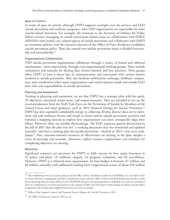## Span of Control

In terms of span of control, although DSPO supports oversight over the services and DoD suicide prevention and resiliency programs, other OSD organizations are responsible for other suicide-related functions. For example, the Assistant to the Secretary of Defense for Public Affairs oversees messaging on suicide prevention–related issues in collaboration with DSPO; ASD(HA) owns health care–related aspects of suicide prevention and collaborates with DSPO on treatment policies; and the executive director of the Office of Force Resiliency establishes suicide prevention policy. Thus, the control over suicide prevention issues is divided functionally and hierarchically.43

## Organizational Collaboration

OSD suicide prevention organizations collaborate through a variety of formal and informal mechanisms—most importantly, through cross-organizational working groups. These include committees and summits for sharing data, lessons learned, and best practices. These groups allow DSPO to have a direct line of communication and interaction with various entities involved in suicide prevention. They also facilitate information exchange, feedback, cooperation, and coordination when many organizations and varied expertise inside and outside DoD have roles and responsibilities in suicide prevention.

## Planning and Assessment

Turning to planning and assessment, we see that DSPO has a strategic plan with five goals, 35 objectives, associated action items, and output measures. They are intended to act on the recommendations from the DoD Task Force on the Prevention of Suicide by Members of the Armed Forces and other guidance, such as 2012 National Strategy for Suicide Prevention.<sup>44</sup> DSPO has also expended considerable energy in collecting 20-plus distinct data sets to determine risk and resiliency factors and trends to better inform suicide prevention activities and initiated a mapping exercise to explore how organizations can more strategically align their efforts. However, there are notable shortcomings. The DoD inspector general determined in the fall of 2015 that the plan was not "a working document that was monitored and updated annually" and that a training plan for suicide prevention—drafted in 2013—was never published.45 Also, outcome-oriented measures of effectiveness are lacking in the plan, despite a series of meetings and summits. Moreover, explicit resource requirements and timelines for completing objectives are missing.

### Resources

Significant resources are necessary for DSPO to fully execute its four major functions in (1) policy and plans, (2) resilience support, (3) program evaluation, and (4) surveillance. However, DSPO is a relatively lean organization. Its base budget is between \$7 million and \$8 million annually, with additional funding from congressional action of about \$20 million

<sup>&</sup>lt;sup>43</sup> The establishment of an executive director of the Office of Force Resiliency under the USD(P&R) since the fall of 2015 to oversee diversity management and EEO, suicide prevention, and the Office of Personnel Risk Reduction provides a more direct reporting chain for these offices to the USD(P&R). Because the reporting chain is still fairly new and was introduced after we completed our research and analysis in the summer of 2015, the full impact of this change on defense suicide policy integration and strategic plan implementation has yet to be examined.

<sup>&</sup>lt;sup>44</sup> Office of the Surgeon General and National Action Alliance for Suicide Prevention, 2012.

<sup>45</sup> See Office of Inspector General, 2015, p. 16.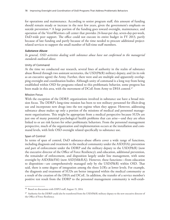for operations and maintenance. According to senior program staff, this amount of funding should remain steady or increase in the next few years, given the government's emphasis on suicide prevention.<sup>46</sup> A large portion of the funding goes toward oversight, maintenance, and operation of the Vets4Warriors call center that provides 24-hour-per day, seven-day-per-week, DoD-wide peer support. The office could not execute its entire budget in FY 2013, partly because of late funding and partly because of the time needed to procure additional projectrelated services to support the small number of full-time staff members.

### *Substance Abuse*

*In general, OSD activities dealing with substance abuse have not conformed to the managerial standards outlined above.*

## Unity of Command

At the time we conducted our research, several lines of authority in the realm of substance abuse flowed through two assistant secretaries, the USD(P&R) military deputy, and (in its role as an executive agent) the Army. Further, there were and are multiple and apparently overlapping oversight and coordination bodies. Although unity of command is a long way from being established within OSD for programs related to this problematic behavior, some progress has been made in this area, with the movement of DCoE from Army to DHA control.<sup>47</sup>

## Mission Focus

With the exception of the DDRP, organizations involved in substance use have a broad mission focus. The DDRP's long-time mission has been to test military personnel for illicit-drug use and incorporate new drugs into the test regime when they appear. However, addressing substance abuse makes up only a portion of the missions of medical and personnel management organizations. This might be appropriate from a medical perspective because SUDs are just one of many potential psychological health problems that can arise—and they are often linked to or are risk factors for other problematic behaviors. From the personnel management perspective, much of the organization and implementation occurs at the installation and command levels, with little OSD oversight related specifically to substance use.

## Span of Control

In terms of span of control, DoD substance-abuse efforts cover a wide range of functions, including diagnosis and treatment in the medical community under the ASD(HA); prevention and part of enforcement under the DDRP and the military deputy to the USD(P&R) (now the executive director of the Office of Force Resiliency); and education, additional prevention, the remainder of enforcement, and disposition largely under line management, with some oversight by ASD(R&FM) (now ASD[M&RA]). However, these functions—from education to disposition—are comprehensively managed only by the USD(P&R) within OSD. That said, there is some degree of integration among the three LOEs at lower levels. For example, the diagnosis and treatment of SUDs are better integrated within the medical community as a result of the creation of the DHA and DCoE. In addition, the transfer of a service member's positive test result from the DDRP to the personnel management community is well-estab-

<sup>46</sup> Based on discussions with DSPO staff, August 15, 2014.

<sup>47</sup> Authority for the DDRP could also be transferred from the USD(P&R) military deputy to the new executive director of the Office of Force Resiliency.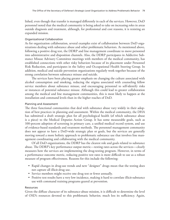lished, even though that transfer is managed differently in each of the services. However, DoD personnel noted that the medical community is being asked to take on increasing roles in areas outside diagnosis and treatment, although, for professional and cost reasons, it is resisting an expanded mission.

### Organizational Collaboration

As for organization collaboration, several examples exist of collaboration between DoD organizations dealing with substance abuse and other problematic behaviors. As mentioned above, following a positive drug test, the DDRP and line management coordinate to move personnel into administrative and disposition channels. Also, the DDRP participates in Addictive Substance Misuse Advisory Committee meetings with members of the medical community, has established connections with other risky behaviors because of its placement under Personnel Risk Reduction, and participates in the Safety and Occupational Health Steering Group. In addition, medical and suicide prevention organizations regularly work together because of the strong correlation between substance misuse and suicide.

The services have been placing greater emphasis on changing the culture associated with alcohol consumption and smoking, reducing the stigma associated with counseling fellow service members about substance misuse, and encouraging personnel to self-identify risks or instances of potential substance misuse. Although this could lead to greater collaboration among the medical and line management communities, this is most likely to happen at the installation and command levels than in the higher reaches of DoD.

## Planning and Assessment

The three functional communities that deal with substance abuse vary widely in their adoption of best practices in planning and assessment. Within the medical community, the DHA has submitted a draft strategic plan for all psychological health (of which substance abuse is a piece) to the Medical Deputies Action Group. It has some measurable goals, such as 100-percent adoption of screening in primary care, a unified medical record system, and use of evidence-based standards and treatment methods. The personnel management community does not appear to have a DoD-wide strategic plan or goals, but the services are generally moving toward a more holistic approach to problematic substance use that involves line management coordinating and collaborating with the medical community.

Of all DoD organizations, the DDRP has the clearest role and goals related to substance abuse. The DDRP's key performance output metric—testing rates across the services—clearly measures how the services are implementing the drug-testing program. However, in terms of a performance outcome metric, reducing positive test rates is more difficult to use as a robust measure of program effectiveness. Reasons for this include the following:

- Rapid changes in drug-use trends and new "designer" drugs mean that the testing does not capture all illicit-drug use.
- Service members might receive one drug test or fewer annually.
- Positive test results have a very low incidence, making it hard to correlate illicit-substance use with command training programs geared at prevention.

### Resources

Given the diffuse character of its substance-abuse mission, it is difficult to determine the level of OSD's resources devoted to this problematic behavior, much less its sufficiency. Again,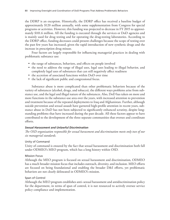the DDRP is an exception. Historically, the DDRP office has received a baseline budget of approximately \$120 million annually, with some supplementation from Congress for special programs or activities. However, this funding was projected to decrease in FY 2015 to approximately \$101.6 million. All the funding is executed through the services or DoD agencies and is mainly used for drug testing and for operating the drug-testing laboratories. According to the DDRP office, funding decreases could present challenges because the scope of testing over the past few years has increased, given the rapid introduction of new synthetic drugs and the increase in prescription drug misuse.

Four factors are largely responsible for influencing managerial practices in dealing with problematic substance use:

- the range of substances, behaviors, and effects on people involved
- the need to address the range of illegal uses, legal uses leading to illegal behavior, and completely legal uses of substances that can still negatively affect readiness
- the accretion of associated functions within DoD over time
- the lack of significant public and congressional focus.

Substance abuse is more complicated than other problematic behaviors because of the variety of substances (alcohol, drugs, and tobacco), the different ways problems arise from substance use, and the legal and illegal nature of the substances. Also, DoD has taken on more and more functions in the substance-use area over the years, with increased attention to prevention and treatment because of the repeated deployments to Iraq and Afghanistan. Further, although suicide prevention and sexual assault have garnered high-profile attention in recent years, substance abuse in DoD has not been subjected to significantly enhanced scrutiny, despite longstanding problems that have increased during the past decade. All these factors appear to have contributed to the development of the three separate communities that oversee and coordinate efforts.

### *Sexual Harassment and Unlawful Discrimination*

*The OSD organization responsible for sexual harassment and discrimination meets only two of our six managerial standards.*

#### Unity of Command

Unity of command is ensured by the fact that sexual harassment and discrimination both fall under ODMEO's MEO program, which has a long history within OSD.

### Mission Focus

Although the MEO program is focused on sexual harassment and discrimination, ODMEO has a much broader mission focus that includes outreach, diversity, and inclusion. MEO efforts are focused on being foundational and enabling the broader D&I efforts, yet problematic behaviors are not clearly delineated in ODMEO's mission.

### Span of Control

Although the MEO program establishes anti–sexual harassment and antidiscrimination policy for the department, in terms of span of control, it is not resourced to actively oversee service policy compliance and implementation.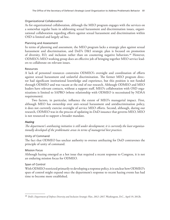## Organizational Collaboration

As for organizational collaboration, although the MEO program engages with the services on a somewhat regular basis in addressing sexual harassment and discrimination issues, organizational collaboration regarding efforts against sexual harassment and discrimination within OSD is limited and largely ad hoc.

## Planning and Assessment

In terms of planning and assessment, the MEO program lacks a strategic plan against sexual harassment and discrimination, and DoD's D&I strategic plan is focused on promotion of diversity, EO, and inclusion rather than on countering negative behaviors.<sup>48</sup> However, ODMEO's MEO working group does an effective job of bringing together MEO service leaders to collaborate on relevant issues.

## Resources

A lack of personnel resources constrains ODMEO's oversight and coordination of efforts against sexual harassment and unlawful discrimination. The former MEO program director had significant institutional knowledge and experience, but this position is not funded through ODMEO and was vacant at the end of our research. Although ODMEO and MEO leaders have relevant contacts, without a support staff, MEO's collaboration with OSD organizations is limited to SAPRO (whose relationship with ODMEO is necessitated by NDAA requirements).

Two factors, in particular, influence the extent of MEO's managerial impact. First, although MEO has ownership over anti–sexual harassment and antidiscrimination policy, it does not currently exercise oversight of service MEO efforts. Second, although, during our research, ODMEO was in the process of updating its DoD issuance that governs MEO, MEO is not resourced to support a broader mandate.

## *Hazing*

*The department's antihazing initiative is still under development; it is currently the least organizationally developed of the problematic areas in terms of managerial best practices.*

## Unity of Command

The fact that ODMEO has unclear authority to oversee antihazing for DoD contravenes the principle of unity of command.

## Mission Focus

Although hazing emerged as a hot issue that required a recent response to Congress, it is not an enduring mission focus for ODMEO.

## Span of Control

With ODMEO restricted primarily to developing a response policy, it is unclear how ODMEO's span of control might expand once the department's response to recent hazing events has had time to become more established.

<sup>48</sup> DoD, *Department of Defense Diversity and Inclusion Strategic Plan, 2012–2017*, Washington, D.C., April 19, 2012b.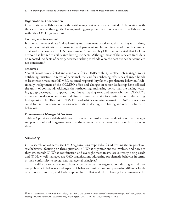## Organizational Collaboration

Organizational collaboration for the antihazing effort is extremely limited. Collaboration with the services occurs through the hazing working group, but there is no evidence of collaboration with other OSD organizations.

## Planning and Assessment

It is premature to evaluate OSD planning and assessment practices against hazing at this time, given the recent attention on hazing in the department and limited time to address these issues. That said, a February 2016 U.S. Government Accountability Office report stated that DoD as a whole has limited visibility into hazing incidents. Although most of the services track data on reported incidents of hazing, because tracking methods vary, the data are neither complete nor consistent.49

## Resources

Several factors have affected and could yet affect ODMEO's ability to effectively manage DoD's antihazing initiative. In terms of personnel, the lead for antihazing efforts has changed hands at least three times since ODMEO assumed responsibility for this problematic behavior. Additionally, realignment of the ODMEO office and changes in senior leadership have affected the unity of command. Although the forthcoming antihazing policy that the hazing working group developed is supposed to outline antihazing roles and responsibilities, ODMEO's expansive portfolio of missions and limited resources make its continuation as the hazing lead questionable. That said, ODMEO leadership's extensive network of DoD connections could facilitate collaboration among organizations dealing with hazing and other problematic behaviors.

## *Comparison of Managerial Practices*

Table 4.3 provides a side-by-side comparison of the results of our evaluation of the managerial practices of OSD organizations to address problematic behavior, based on the discussion above.

## **Summary**

Our research looked across the OSD organizations responsible for addressing the six problematic behaviors, focusing on three questions: (1) What organizations are involved, and how are they structured? (2) What coordination and oversight mechanisms are currently being used? and (3) How well managed are OSD organizations addressing problematic behavior in terms of their conformity to recognized managerial principles?

It is difficult to make comparisons across a spectrum of organizations dealing with different problematic behaviors and aspects of behavioral mitigation and possessing different levels of authority, resources, and leadership emphasis. That said, the following list summarizes the

<sup>49</sup> U.S. Government Accountability Office, *DoD and Coast Guard: Actions Needed to Increase Oversight and Management on Hazing Incidents Involving Servicemembers*, Washington, D.C., GAO-16-226, February 9, 2016.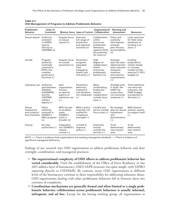| Problematic<br><b>Behavior</b>                         | Unity of<br>Command                                                                                       |                                                                                        | Mission Focus Span of Control Collaboration                                                   | Organizational                                                                                                           | <b>Planning and</b><br><b>Assessment</b>                                                                                           | <b>Resources</b>                                                                                             |
|--------------------------------------------------------|-----------------------------------------------------------------------------------------------------------|----------------------------------------------------------------------------------------|-----------------------------------------------------------------------------------------------|--------------------------------------------------------------------------------------------------------------------------|------------------------------------------------------------------------------------------------------------------------------------|--------------------------------------------------------------------------------------------------------------|
| Sexual assault Authority                               | centered<br>in SAPRO;<br>reports<br>directly to<br>$USD(P&R)$ $(+)$                                       | Singular focus<br>on sexual<br>assault $(+)$                                           | Oversees<br>full range of<br>prevention<br>and response<br>$activities (+)$                   | Collaboration<br>within<br>and across<br>problematic<br>behaviors:<br>capacity limits<br>the potential<br>for more $(+)$ | Policy and<br>authority<br>well aligned;<br>strategic<br>plan ensures<br>accountability<br>$(+)$                                   | Lacks resources<br>for field visits;<br>timeliness of<br>funding is an<br>issue $(-)$                        |
| Suicide                                                | Program<br>authority<br>nominally<br>centered in<br>DSPO, but<br>complex<br>governance<br>structure $(-)$ | Singular focus<br>on suicide<br>prevention (+)                                         | Prevention<br>programs<br>separated<br>from<br>messaging,<br>health care,<br>and policy $(-)$ | High<br>degree of<br>collaboration<br>within<br>and across<br>problematic<br>behavior $(+)$                              | Strategic<br>plan has clear<br>objectives but<br>lacks outcome<br>measures,<br>timelines,<br>and resource<br>requirements<br>$(-)$ | Funding<br>projected to<br>remain steady<br>or increase;<br>unable to fully<br>execute FY 2013<br>budget (+) |
| Substance use                                          | Authority<br>split between<br>ASD(HA),<br>ASD(R&FM),<br>and the<br>USD(P&R)<br>military<br>deputy $(-)$   | Each<br>organization<br>focuses<br>on specific<br>aspects of<br>substance use<br>$(-)$ | Prevention,<br>detection,<br>treatment,<br>and discipline<br>not integrated<br>$(-)$          | Many<br>coordinating<br>bodies but<br>limited<br>collaboration<br>outside focus<br>area $(-)$                            | Strategic plan<br>in draft; the<br>DDRP has<br>output (but<br>not outcome)<br>measures $(-)$                                       | Total substance-<br>use resources<br>unknown; the<br>DDRP budget<br>is projected to<br>$decrease (-)$        |
| Sexual<br>harassment<br>and unlawful<br>discrimination | Policy<br>authority<br>centered in<br>ODMEO's<br>MEO program<br>$(+)$                                     | <b>MEO</b> focuses<br>on problem<br>areas;<br>ODMEO's<br>remit is<br>$broader (+)$     | MEO is policy-<br>oriented; not<br>staffed for<br>compliance<br>oversight (-)                 | Limited and<br>ad hoc outside<br>focus areas $(-)$                                                                       | No strategic<br>plan for sexual<br>harassment<br>and<br>discrimination<br>$(-)$                                                    | MEO director<br>position vacant;<br>no support staff<br>$(-)$                                                |
| Hazing                                                 | No clear<br>authorities $(-)$                                                                             | Integration<br>into ODMEO's<br>mission<br>unclear $(-)$                                | Limited to<br>response<br>policy $(-)$                                                        | Extremely<br>limited<br>outside the<br>services $(-)$                                                                    | To be<br>determined;<br>new mission<br>area                                                                                        | To be<br>determined;<br>new mission<br>area                                                                  |

### **Table 4.3 OSD Management of Programs to Address Problematic Behavior**

NOTE: + = There is evidence that organizations are meeting managerial standards. - = There is evidence of significant managerial deficiency.

findings of our research into OSD organizations to address problematic behavior and their oversight, coordination, and managerial practices:

- **The organizational complexity of OSD efforts to address problematic behavior has varied considerably.** Until the establishment of the Office of Force Resiliency in late 2015 added a layer of bureaucracy, OSD's SAPR structure was quite simple, with SAPRO reporting directly to USD(P&R). By contrast, many OSD organizations at different levels of the bureaucracy continue to share responsibility for addressing substance abuse. OSD organizations dealing with other problematic behaviors fall in between these two extremes of complexity.
- **Coordination mechanisms are generally formal and often limited to a single problematic behavior; collaboration across problematic behaviors is usually informal, infrequent, and ad hoc.** Except for the hazing working group, all organizations to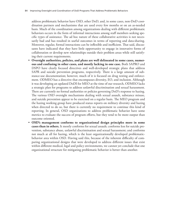address problematic behavior have OSD, other DoD, and, in some cases, non-DoD coordination partners and mechanisms that are used every few months or on an as-needed basis. Much of the coordination among organizations dealing with different problematic behaviors occurs in the form of informal interactions among staff members seeking specific types of assistance. The ad hoc nature of these collaborative activities is not necessarily bad and has resulted in useful outcomes in terms of reporting and data-sharing. Moreover, regular, formal interactions can be inflexible and inefficient. That said, discussants have indicated that they have little opportunity to engage in innovative forms of collaboration or develop new relationships outside their problem areas while still satisfying their current requirements.

- **Oversight authorities, policies, and plans are well delineated in some cases, numerous and confusing in other cases, and mostly lacking in one case.** Both SAPRO and DSPO have clearly focused directives and well-developed strategic plans that address SAPR and suicide prevention programs, respectively. There is a large amount of substance-use documentation; however, much of it is focused on drug testing and enforcement. ODMEO has a directive that encompasses diversity, EO, and inclusion. Although it was developing an updated DoDI for MEO at the time of our research, ODMEO lacks a strategic plan for programs to address unlawful discrimination and sexual harassment. There are currently no formal authorities or policies governing DoD's response to hazing. The various OSD oversight mechanisms dealing with sexual assault, substance misuse, and suicide prevention appear to be exercised on a regular basis. The MEO program and the hazing working group have produced status reports on military diversity and hazing when directed to do so, but there is currently no requirement to continue this kind of reporting. In general, OSD organizations to address problematic behavior have some metrics to evaluate the success of program efforts, but they tend to be more output than outcome oriented.
- **OSD's management conforms to organizational design principles more in some cases than in others.** It mostly conforms for sexual assault; conforms less for suicide prevention, substance abuse, unlawful discrimination and sexual harassment; and conforms not much at all for hazing, which is the least organizationally developed problematicbehavior area within OSD. Having said this, because of the inherent difficulty of comparing organizational designs that were developed to address different issues that exist within different medical, legal and policy environments, we cannot yet conclude that one organizational structure for mitigating problematic behavior is better than another.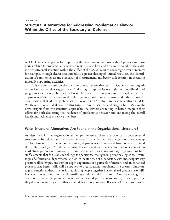CHAPTER FIVE

# **Structural Alternatives for Addressing Problematic Behavior Within the Office of the Secretary of Defense**

As OSD considers options for improving the coordination and oversight of policies and programs related to problematic behavior, a major issue is how and how much to adjust the existing departmental structure within the Office of the USD(P&R) to encourage better outcomes: for example, through clearer accountability, a greater sharing of limited resources, the identification of common goals and standards of measurement, and better collaboration in executing mutually supporting activities.

This chapter focuses on the question of what alternatives exist to OSD's current organizational structures that suggest ways OSD might improve its oversight and coordination of programs to address problematic behavior. To answer this question, we first explore the basic departmental alternatives outlined in the organizational design literature and indicate how the organizations that address problematic behavior in OSD conform to these generalized models. We then review actual alternative structures within the services and suggest how OSD might draw insights from the structural approaches the services are taking to better integrate their efforts for both decreasing the incidence of problematic behavior and enhancing the overall health and resilience of service members.

### **What Structural Alternatives Are Found in the Organizational Literature?**

As described in the organizational design literature, there are two basic departmental structures—functional and self-contained—each of which has advantages and disadvantages.1 In a functionally oriented organization, departments are arranged based on occupational skills. Thus, as Figure 5.1 shows, a business can have departments composed of specialists in marketing, production, finance, HR, and so on, whereas many military organizations have staff elements that focus on such things as operations, intelligence, personnel, logistics. Advantages of a functional departmental structure include ease of supervision, with most supervisory positions filled by persons with in-depth experience in a particular function, and an enhanced prospect that better skills will be applied to organizational problems. The greatest disadvantage of functional departments is that placing people together in specialized groups creates differences among groups even while instilling solidarity within a group. Consequently, greater attention is needed to promote integration between departments to ensure, for example, that they do not pursue objectives that are at odds with one another. Because all functions must be

<sup>&</sup>lt;sup>1</sup> For an analysis of the effects of various types of departmental structures, see Robey and Sales, 1994.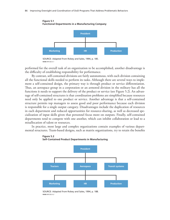

SOURCE: Adapted from Robey and Sales, 1994, p. 185. **RAND** *RR1352-5.1*

**Figure 5.1**

performed for the overall task of an organization to be accomplished, another disadvantage is the difficulty of establishing responsibility for performance.

By contrast, self-contained divisions are fairly autonomous, with each division containing all the functional skills needed to perform its tasks. Although there are several ways to implement a self-contained design, the primary way is through product or service differentiation. Thus, an aerospace group in a corporation or an armored division in the military has all the functions it needs to support the delivery of the product or service (see Figure 5.2). An advantage of self-contained structures is that coordination problems are simplified because resources need only be applied to one product or service. Another advantage is that a self-contained structure permits top managers to assess good and poor performance because each division is responsible for a single output category. Disadvantages include the duplication of resources in each department and reduced opportunities for resource-sharing, as well as decreased specialization of input skills given that personnel focus more on outputs. Finally, self-contained departments tend to compete with one another, which can inhibit collaboration or lead to a misallocation of talent or resources.

In practice, most large and complex organizations contain examples of various departmental structures. Team-based designs, such as matrix organizations, try to retain the benefits



**Figure 5.2 Self-Contained Product Departments in Manufacturing**

SOURCE: Adapted from Robey and Sales, 1994, p. 188. **RAND** *RR1352-5.2*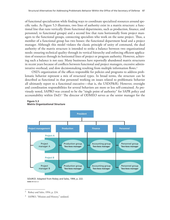of functional specialization while finding ways to coordinate specialized resources around specific tasks. As Figure 5.3 illustrates, two lines of authority exist in a matrix structure: a functional line that runs vertically (from functional departments, such as production, finance, and personnel, to functional groups) and a second line that runs horizontally from project managers to the functional groups, connecting specialists who work on the same project. Thus, a member of a functional group has two bosses: the functional department head and a project manager. Although this model violates the classic principle of unity of command, the dual authority of the matrix structure is intended to strike a balance between two organizational needs: ensuring technical quality through its vertical hierarchy and enforcing efficient application of resources through its horizontal lines of project or program authority. However, achieving such a balance is not easy. Many businesses have reportedly abandoned matrix structures in recent years because of conflicts between functional and project managers, excessive administrative overhead, and slow decisionmaking resulting from multiple information flows.<sup>2</sup>

OSD's organization of the offices responsible for policies and programs to address problematic behavior represent a mix of structural types. In broad terms, the structure can be described as functional in that personnel working on issues related to problematic behavior all ultimately report to a functional executive—that is, the USD(P&R). However, oversight and coordination responsibilities for several behaviors are more or less self-contained. As previously noted, SAPRO was created to be the "single point of authority" for SAPR policy and accountability within DoD.3 The director of ODMEO serves as the senior manager for the

#### **Figure 5.3**



#### **Matrix Organizational Structure**

SOURCE: Adapted from Robey and Sales, 1994, p. 222. **RAND** *RR1352-5.3*

<sup>2</sup> Robey and Sales, 1994, p. 224.

<sup>&</sup>lt;sup>3</sup> SAPRO, "Mission and History," undated.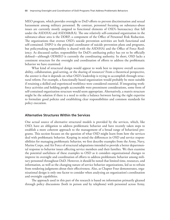MEO program, which provides oversight to DoD efforts to prevent discrimination and sexual harassment among military personnel. By contrast, personnel focusing on substance-abuse issues are currently mostly assigned to functional elements of OSD's bureaucracy that fall under the ASD(HA) and ASD(M&RA). The one relatively self-contained organization in the substance-abuse area is the DDRP, a component of the Office of Personnel Risk Reduction. The organizations that oversee OSD's suicide prevention activities are both functional and self-contained. DSPO is the principal coordinator of suicide prevention plans and programs, but policymaking responsibility is shared with the ASD(HA) and the Office of Force Resiliency. As discussed earlier, responsibility for DoD's antihazing policy has yet to be officially defined—although ODMEO is currently the coordinating authority. In short, OSD lacks a consistent structure for the oversight and coordination of efforts to address the problematic behavior we have examined.

What kind of structural design would appear to work best to improve overall accountability, collaboration, goal-setting, or the sharing of resources? From a theoretical perspective, the answer is that it depends on what OSD's leadership is trying to accomplish through structural reform. For example, a functionally based organization would probably be most suitable if retaining a skilled and experienced workforce were considered essential. If integrating workforce activities and holding people accountable were preeminent considerations, some form of self-contained organization structure would seem appropriate. Alternatively, a matrix structure might be the solution if there is a need to strike a balance between having the right expertise to formulate good policies and establishing clear responsibilities and common standards for policy execution.

#### **Alternative Structures Within the Services**

One actual source of alternative structural models is provided by the services, which, like OSD, have an obligation to address problematic behavior and have recently taken steps to establish a more coherent approach to the management of a broad range of behavioral programs. This section focuses on the question of what OSD might learn from how the services deal with problematic behavior. Keeping in mind the differences in OSD and service responsibilities for managing problematic behavior, we first describe examples from the Army, Navy, Marine Corps, and Air Force of structural adaptations intended to provide a better departmental response to behavior issues affecting service members and their families. We then examine the potential usefulness of these examples to OSD as it considers organizational changes to improve its oversight and coordination of efforts to address problematic behavior among military personnel throughout DoD. However, it should be noted that limited time, resources, and information, as well as the changing nature of service behavior organizations, led us to refrain from rendering judgments about their effectiveness. Also, as Chapter Four demonstrates, organizational design is only one factor to consider when analyzing an organization's coordination and oversight capabilities.

The approach used in this part of the research is based on information primarily gleaned through policy discussions (both in person and by telephone) with personnel across Army,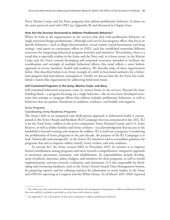Navy, Marine Corps, and Air Force programs that address problematic behavior.<sup>4</sup> It draws on the same protocol used with OSD (see Appendix B) and discussed in Chapter Four.

#### **How Are the Services Structured to Address Problematic Behavior?**

When we look at the organizations in the services that deal with problematic behavior, no single structural design predominates. Although each service has program offices that focus on specific behaviors—such as illegal discrimination, sexual assault, sexual harassment, and drug testing—and report to counterpart offices in OSD,<sup>5</sup> each has established somewhat different structures for integrating behavioral program activities and initiatives. Nevertheless, there is a trend that is especially evident in the Army and the Navy and, to a lesser extent, in the Marine Corps and Air Force, toward developing self-contained structures intended to facilitate the coordination and oversight of multiple behavioral efforts; this trend reflects a more holistic approach to service members' health and readiness. We describe some of these organizations below. Also described below is an Army example of a shift in functional authority for a behavioral program that had adverse consequences. Finally, we discuss how the Air Force has established a matrix-like organization for addressing behavioral issues.

### *Self-Contained Programs in the Army, Marine Corps, and Navy*

Self-contained behavioral structures come in various forms in the services. Beyond the basic building block—a program focusing on a single behavior—the services have developed structures that attempt to integrate efforts that address multiple problematic behaviors, as well as behaviors that are positive (beneficial to readiness, resilience, and health) and negative.

#### Army Programs

### *Coordinating Army Readiness Programs*

The Army's shift to an integrated and whole-person approach to behavioral health is encompassed in the Army's Ready and Resilient (R2) Campaign that was announced in late 2012. R2 is for the Total Army: soldiers in the active component, Army National Guard, and U.S. Army Reserve, as well as soldier families and Army civilians—an acknowledgment that success in the battlefield is beyond training and weapons for soldiers. R2 is itself not a program. Considering the proliferation of Army programs in the past decade, the purpose of the R2 Campaign is to look "holistically and strategically" at the Army's R2 initiatives and to consolidate guidance for programs that aim to improve soldier, family, Army civilian, and unit readiness.

To execute R2, the Army created ARD in November 2013. Its mission is to improve formal coordination among programs and move toward a comprehensive, integrative approach in awareness, prevention, treatment, and rehabilitation. Its responsibilities include development of policies, doctrines, plans, budgets, and initiatives for these programs, as well as overall implementation, relevant research, evaluation, and assessment. It is also responsible for developing and overseeing databases, such as the Army's Sexual Assault Data Management System; for preparing reports; and for collating statistics for submission to senior leaders in the Army and OSD for reporting to Congress and the White House. As of March 2015, ARD reported

<sup>&</sup>lt;sup>4</sup> The study team also reviewed service documents related to the management of programs to address problematic behavior that were publicly available or provided to us by those with whom we spoke.

<sup>&</sup>lt;sup>5</sup> See Appendix C for a description of the service programs to address problematic behavior.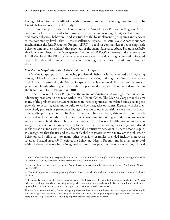having initiated formal coordination with numerous programs, including those for the problematic behavior covered in this study.6

In direct support of the R2 Campaign is the Army Health Promotion Program*.* At the community level, it is a leadership program that works to encourage lifestyles that "improve and protect physical, behavioral, and spiritual health" by implementing programs and services at the community level—that is, the installation, regional, or state level.7 Another support mechanism is the Risk Reduction Program (RRP)*—*a tool for commanders to reduce high-risk behavior among their soldiers<sup>8</sup> that grew out of the Army Substance Abuse Program (ASAP) that U.S. Army Installation Management Command (IMCOM) oversees and executes at an installation level. The RRP does not create new services. Instead, it brings a prevention-focused approach to deal with problematic behavior, including suicide, sexual assault, and substance abuse.

### The Marine Corps' Integrated Behavioral Health Program

The Marine Corps approach to reducing problematic behavior is characterized by integrating efforts, with a focus on unit-based approaches and creating training that aims to be effective and efficient. In particular, the Marine Corps deliberately combined efforts focused on suicide prevention, family advocacy, substance abuse, operational stress control, and sexual assault into the Behavioral Health Program in 2010.

The Behavioral Health Program is the main coordination and oversight mechanism for addressing problematic behavior within the Marine Corps. The Marine Corps model views many of the problematic behaviors included in these programs as interrelated and as having the potential to occur together and to build toward very negative outcomes. Especially in the presence of triggers, such as permanent change of station or other transitions,<sup>9</sup> relationship breakdowns, disciplinary actions, job-related stress, or substance abuse, this model recommends increased vigilance and the use of protection factors found in training and education to prevent suicide attempts (and other problematic behaviors). The Behavioral Health Program model also recognizes a series of demographic risk factors—in particular, young males of junior enlisted ranks are at risk for a wide variety of potentially destructive behaviors. Also, the model explicitly recognizes that the use and misuse of alcohol are associated with many other problematic behaviors and spill over into many other behaviors; examples provided include motorcycle safety and sexual assault.<sup>10</sup> Therefore, the Behavioral Health Program model attempts to deal with all these behaviors in an integrated fashion. Best practices include embedding clinical

<sup>6</sup> ARD officials with whom we spoke do not rule out the possibility of the Army's SHARP program coming under ARD in the future; for now, it remains under a separate chain of command under the G-1.

 $^7$  Author phone conversations with senior Army officials involved in the R2 Campaign, October 9, 2014, and November 13, 2014.

<sup>8</sup> The RRP originated as a reengineering effort at Fort Campbell, Kentucky, in 1994 to address a series of high-risk incidents.

<sup>9</sup> In particular, transitions have been noted as being a "high-risk area" that is linked to suicides. In the Marine Corps, behavioral health personnel are currently planning to begin working more closely with the Personal and Professional Development Program, which is one of many DoD programs that offer transition assistance.

<sup>&</sup>lt;sup>10</sup> According to our interviews, those working on problematic behavior within the Marine Corps report that OSD's highly stovepiped approach to alcohol- versus drug-related issues means that having an integrated approach at the service level is more difficult; in particular, OSD's funding requirements are thought to be restrictive.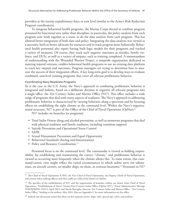providers at the marine expeditionary force or unit level (similar to the Army's Risk Reduction Program coordinators).

To integrate behavioral health programs, the Marine Corps elected to combine program personnel by functional area rather than discipline; in particular, the policy analysts from each program now work together as a team, as do the data analysts from each program. This has allowed better integration of both data and policy. Integrating the data analysts was viewed as a necessity, both to better advocate for resources and to track progress more holistically. Behavioral health personnel also report having built logic models for their programs and tracked a variety of measures. Of course, they track such negative outcomes as suicides, family violence, and DUIs, as well as a variety of outputs, such as training completed. A memorandum of understanding with the Wounded Warrior Project, a nonprofit organization dedicated to assisting injured veterans, enables behavioral health programs to use an existing data platform to track key outputs and outcomes. Program managers are trying to determine how to measure the success of their integration efforts. A key long-term goal is to develop ways to evaluate combined, unit-level training programs that cover all relevant problematic behavior.

#### Coordinating Navy Readiness Programs

As is the case in the U.S. Army, the Navy's approach to combating problematic behavior is integrated and holistic, based on a deliberate decision to organize all relevant programs into a single office, the 21st Century Sailor and Marine Office (N17). This office includes a wide range of programs that deal with many aspects of readiness. The Navy's approach to addressing problematic behavior is characterized by viewing behaviors along a spectrum and by focusing efforts on establishing the right climate at the command level. Within the Navy's organizational structure, N17 is part of the Office of the Chief of Naval Operations (OpNav).11

N17 includes six branches (or programs):

- Total Sailor Fitness (drug and alcohol prevention, as well as numerous programs that deal with physical readiness and family readiness, including transition support)
- Suicide Prevention and Operational Stress Control
- SAPR
- Sexual Harassment Prevention and Equal Opportunity
- Behavioral Standards (hazing and fraternization)
- Policy and Resource Coordination.<sup>12</sup>

Personnel focus is on the command level. The commander is viewed as holding responsibility for establishing and maintaining the correct "climate," and problematic behavior is viewed as occurring most frequently when the climate allows this. To some extent, this command-centric view might reflect the varied circumstances in which sailors serve (on submarines, on aircraft carriers, on smaller ships, on shore, in overseas locations).13 Personnel in N17

<sup>&</sup>lt;sup>11</sup> The Chief of Naval Operations (CNO), the Vice Chief of Naval Operations, the Deputy Chiefs of Naval Operations, and certain other ranking officers and their staffs are collectively known as OpNav.

<sup>&</sup>lt;sup>12</sup> The specifics of the establishment of N17, and the organization of branches within, are drawn from Chief of Naval Operations, "Establishment of Navy's Twenty-First Century Sailor Office (OpNav N17)," Naval Administrative Message (NAVADMIN) 153/13, April 2013, and Nicole Battaglia, director, 21st Century Sailor and Marine Office, "21st Century Sailor Office," briefing to the authors, May 2014. Also see Appendix C for more information on this office.

<sup>&</sup>lt;sup>13</sup> Indeed, one discussant stated that there are five separate navies: ships, subs, special ops, cyber, and onshore.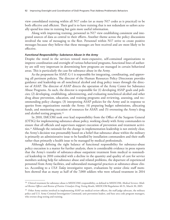view consolidated training within all N17 codes (or as many N17 codes as is practical) to be both effective and efficient. Their goal is to have training that is not redundant so sailors actually spend less time in training but gain more useful information.

Along with improving training, personnel in N17 view establishing consistent and integrated sources of data as central to their efforts. Another theme across the policy discussions involved the tone of messaging to the fleet. Personnel within N17 strive to create positive messages because they believe that these messages are best received and are most likely to be effective.

#### *Functional Responsibility: Substance Abuse in the Army*

Despite the trend in the services toward more-expansive, self-contained organizations to improve coordination and oversight of various behavioral programs, functional lines of authority are still very important in determining how programs are managed in certain behavioral areas. This is particularly the case for substance abuse in the Army.

As the proponent for ASAP, G-1 is responsible for integrating, coordinating, and approving all pertinent policies. The director of the Human Resources Policy Directorate provides guidance and leadership on all nonclinical alcohol and drug policy issues through the director of ASAP. The director of ASAP directs the operation of the Army Center for Substance Abuse Programs. As such, the director is responsible for (1) developing ASAP goals and policies; (2) developing, establishing, administering, and evaluating nonclinical alcohol and other drug abuse prevention, education, and training programs and reviewing, assessing, and recommending policy changes; (3) interpreting ASAP policies for the Army and in response to queries from organizations outside the Army; (4) preparing budget submissions, allocating funds, and monitoring execution of resources for ASAP; and (5) overseeing the Army's drug and alcohol testing program.14

In 2010, IMCOM took over lead responsibility from the Office of the Surgeon General (OTSG) for implementing substance-abuse policy, working closely with Army commanders to ensure that all officials and supervisors support execution of prevention and treatment activities.15 Although the rationale for the change in implementation leadership is not entirely clear, the Army's decision was presumably based on a belief that substance abuse within the military is primarily an administrative issue to be handled by installation commanders and their staffs rather than primarily a health issue to be managed by medical professionals.

Although defining the right balance of functional responsibility for substance-abuse policy execution is a matter for further analysis, there is considerable evidence in press reports that the Army's transfer of substance-abuse outpatient treatment from medical to nonmedical leadership in 2010 coincided with a decline in the quantity and quality of care for service members seeking help for substance abuse and related problems, the departure of experienced personnel from Army facilities, and substandard managerial practices at substance-abuse clinics. According to a *USA Today* investigative report, evaluations by senior clinic staff members showed that as many as half of the 7,000 soldiers who were refused treatment in 2014

<sup>14</sup> Clinical treatment for substance abuse is MEDCOM's responsibility, as defined in MEDCOM, *Medical Services: Medical Review Officers and Review of Positive Urinalysis Drug Testing Results*, MEDCOM Regulation 40-51, March 30, 2005.

<sup>&</sup>lt;sup>15</sup> Other Army entities involved in implementing ASAP are medical review officers, the staff judge advocate, the military police and U.S. Army Criminal Investigation Command, unit prevention leaders, and base area code program managers, who oversee drug testing and training.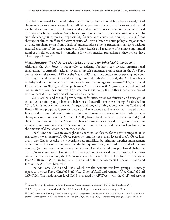after being screened for potential drug or alcohol problems should have been treated; 27 of the Army's 54 substance-abuse clinics fall below professional standards for treating drug and alcohol abuse; and many psychologists and social workers who served as counselors or clinical directors at a broad swath of Army bases have resigned, retired, or transferred to other jobs since the change in command responsibility for substance abuse, contributing to a significant shortage of clinical staff. In the view of critics of Army substance-abuse policy, a major source of these problems stems from a lack of understanding among functional managers without medical training of the consequences to Army health and readiness of leaving a substantial number of soldiers untreated—something for which medical professionals, they believe, have a keen appreciation.<sup>16</sup>

#### *Matrix Structure: The Air Force's Matrix-Like Structure for Behavioral Organizations*

Although the Air Force is reportedly considering further steps toward organizational integration,<sup>17</sup> it currently lacks an overarching self-contained organization in the Air Force comparable to the Army's ARD or the Navy's N17 that is responsible for overseeing and coordinating a broad range of behavioral programs and activities. Instead, the Air Force has a multilayered set of intra-agency oversight and coordination organizations—CAIBs, Integrated Delivery Systems (IDSs), and Comprehensive Airman Fitness (CAF)—and a central point of contact in Air Force headquarters. This organization is matrix-like in that it contains a mix of interconnected functional and self-contained elements.

CAF, CAIBs, and the IDS provide venues for intraservice coordination and oversight of initiatives pertaining to problematic behavior and overall airman well-being. Established in 2011, CAF is modeled on the Army's larger and longer-running Comprehensive Soldier and Family Fitness program. Currently made up of one airman and one civilian located in Air Force headquarters and two full-time training staff members stationed off-site, CAF manages the agenda and actions of the Air Force CAIB (chaired by the assistant vice chief of staff) and the training program for the Master Resilience Trainers, who provide wing-level services to airmen for improved resilience.18 Because of their small number, CAF personnel are limited in the amount of direct coordination they can do.

The CAIBs and IDSs are oversight and coordination forums for the entire range of issues related to the well-being of Air Force personnel, and they exist at all levels of the Air Force hierarchy. The CAIBs exercise their oversight responsibilities by bringing together management leads from such areas as manpower (at the headquarter level) and unit or installation commanders (at lower levels) who oversee the delivery of services to address problematic behavior. The IDSs are composed of functional leads from the service-provider organizations. For example, at the installation level, the IDS members would include the EO lead for the installation. Each CAIB and IDS reports formally (though not as line management) to the next CAIB and IDS up the Air Force hierarchy.

The Air Force CAIBs and IDSs, which are the headquarters-level groups, ultimately report to the Air Force Chief of Staff, Vice Chief of Staff, and Assistant Vice Chief of Staff (AF/CVA). The headquarters-level CAIB is chaired by AF/CVA—with the CAF lead serving

<sup>16</sup> Gregg Zoroya, "Investigation: Army Substance-Abuse Program in Disarray," *USA Today*, March 12, 2015.

<sup>&</sup>lt;sup>17</sup> RAND phone interviews with Air Force SAPR and suicide prevention office officials, August 2016.

<sup>18</sup> Chief, Airman and Family Care Division, *Special Management: Community Action Information Board (CAIB) and Integrated Delivery System (IDS)*, Air Force Instruction 90-501, October 15, 2013, incorporating change 1 August 14, 2014.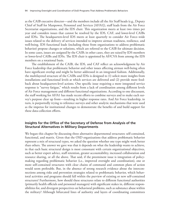as the CAIB executive director—and the members include all the Air Staff heads (e.g., Deputy Chief of Staff for Manpower, Personnel and Services [AF/A1]), staff leads from the Air Force Secretariat organizations, and the IDS chair. This organization meets at least two times per year and considers issues that cannot be resolved by the IDS, CAF, and lower-level CAIBs and IDSs. The headquarters-level IDS meets at least quarterly to consider Air Force–wide issues related to the delivery of services intended to improve airman readiness, resilience, and well-being. IDS functional leads (including those from organizations to address problematic behavior) propose changes or solutions, which are referred to the CAIB for ultimate decision. In some cases, issues are assigned by the CAIB; in other cases, they are raised by IDS members or lower-level CAIBs and IDSs. The IDS chair is appointed by AF/CVA from among the IDS members on a rotational basis.

The establishment of the CAIB, the IDS, and CAF reflect an acknowledgment by Air Force leadership that problematic behavior and other issues affecting airman well-being often have significant overlap and might be better addressed in an integrated fashion. Additionally, the multilayered structure of the CAIBs and IDSs is designed to (1) solicit more insights from installations and functional levels at which services are delivered and (2) provide more feedback about headquarters-level actions. One specific issue requiring a more integrated service response is "survey fatigue," which results from a lack of coordination among different levels of Air Force management and different functional organizations. According to one discussant, the staff working for AF/A1 has made recent efforts to combine surveys and to make each survey's purpose clear up front—resulting in higher response rates. And Air Force leadership, in turn, is purportedly trying to reference surveys and other analytic mechanisms that were used as the impetus for institutional changes to demonstrate the benefits of and build support for these data-collection efforts.

# **Insights for the Office of the Secretary of Defense from Analysis of the Structural Alternatives in Military Departments**

We began this chapter by discussing three alternative departmental structures: self-contained, functional, and matrix. Given that the OSD organizations that address problematic behavior represent a mix of structural types, we asked the question whether one type might work better than others. The answer we gave was that it depends on what the leadership wants to achieve, in that each basic structural design is most consonant with certain organizational objectives, such as better expert advice, staff retention, greater accountability, increased collaboration and resource sharing, or all the above. That said, if the preeminent issue is integration of policymaking regarding problematic behavior (i.e., improved oversight and coordination), one or more self-contained structures with clear chains of command and common plans of action would seem preferable. But, in the absence of strong research evidence about the interconnections among risks and prevention strategies related to problematic behavior, which behavioral activities and programs should fall within the purview of existing or new self-contained structures? Furthermore, how should these structures relate to different functional authorities (primarily health officials and personnel managers) with significant stakes in, different responsibilities for, and divergent perspectives on behavioral problems, such as substance abuse within the military? Although bifurcated lines of authority and layers of coordinating committees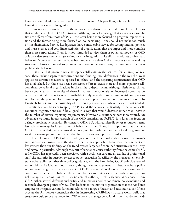have been the default remedies in such cases, as shown in Chapter Four, it is not clear that they have aided the cause of integration.

Our research team turned to the services for real-world structural examples and lessons that might be applied to OSD's situation. Although we acknowledge that service responsibilities are different from those of OSD—the latter being more focused on program implementation and the former being more focused on policymaking—one should not make too much of this distinction. Service headquarters have considerable leeway for setting internal policies and must oversee and coordinate activities of organizations that are larger and more complex than most corporations. Thus, it is not misguided to view them as potential models for OSD as it considers structural changes to improve the integration of its efforts to address problematic behavior. Moreover, the services have been more active than OSD in recent years in making structural changes designed to promote collaboration across a range of programs to address problematic behavior.

It is true that programmatic stovepipes still exist in the services for a variety of reasons; these include separate authorizations and funding lines, differences in the way the law is applied to certain behaviors as opposed to others, and the reporting requirements that OSD has established. But there has been a concerted effort to create more and more-expansive selfcontained behavioral organizations in the military departments. Although little research has been conducted on the results of these initiatives, the rationale for increased coordination across behavioral categories seems justifiable if only to understand common risk and prevention factors, the potential for common approaches to prevention and training to address problematic behavior, and the possibility of distributing resources to where they are most needed. This rationale would seem to apply to OSD and the services, particularly if the various selfcontained organizations could be aligned in a way that would decrease rather than increase the number of service reporting requirements. However, a cautionary note is warranted. An advantage we found in our research of one OSD organization, SAPRO, is its laser-like focus on a single problematic behavior. By contrast, ODMEO, with admittedly fewer resources, seems less able to manage its larger basket of behavioral issues. Thus, it is important that any new OSD structures designed to consolidate policymaking authority over behavioral programs not weaken existing program initiatives that have demonstrated positive results.

The relevance to OSD of our findings about the functional authority over the Army's substance-abuse program and the Air Force's matrix approach to behavioral management are less evident than our findings on the trend toward larger self-contained structures in the Army and Navy, in particular. Although the shift of substance-abuse authority from the Army OTSG to IMCOM has reportedly been associated with a decline in care and an exodus of professional staff, the authority in question relates to policy execution (specifically, the management of substance-abuse clinics) rather than policy guidance, with the latter being OSD's principal area of responsibility. As Chapter Four showed, though, the management of substance-abuse policy is more confusing than any other aspect of OSD's behavioral portfolio, and one reason for the confusion is the need to balance the responsibilities and interests of the medical and personnel management communities. Thus, no central authority deals with substance abuse within OSD; rather, several different authorities and numerous bodies coordinate policymaking and reconcile divergent points of view. This leads us to the matrix organization that the Air Force employs to integrate various functions related to a range of health and readiness issues. If one accepts the Air Force's contention that its intersecting CAIB/IDS structure works well, that structure could serve as a model for OSD of how to manage behavioral issues that do not read-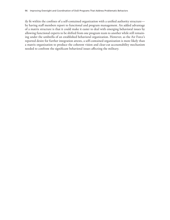ily fit within the confines of a self-contained organization with a unified authority structure by having staff members report to functional and program management. An added advantage of a matrix structure is that it could make it easier to deal with emerging behavioral issues by allowing functional experts to be shifted from one program team to another while still remaining under the umbrella of an established behavioral organization. However, as the Air Force's reported desire for further integration attests, a self-contained organization is more likely than a matrix organization to produce the coherent vision and clear-cut accountability mechanism needed to confront the significant behavioral issues affecting the military.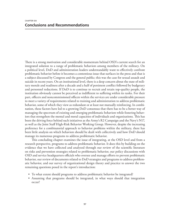There is a strong motivation and considerable momentum behind OSD's current search for an integrated solution to a range of problematic behaviors among members of the military. On a political level, DoD and administration leaders understandably want to effectively confront problematic behavior before it becomes a contentious issue that surfaces in the press and that is a subject discussed by Congress and the general public; this was the case for sexual assault and suicide in recent years. On an institutional level, there is a deep concern about the state of military morale and readiness after a decade and a half of persistent conflict followed by budgetary and personnel reductions. If DoD is to continue to recruit and retain top-quality people, the institution obviously cannot be perceived as indifferent to suffering within its ranks. For their part, officers and noncommissioned officers within the services are under considerable pressure to meet a variety of requirements related to training and administration to address problematic behavior, some of which they view as redundant or at least not mutually reinforcing. In combination, these factors have led to a growing DoD consensus that there has to be a better way of managing the spectrum of existing and emerging problematic behaviors while fostering behaviors that strengthen the mental and moral capacities of individuals and organizations. This has been the driving force behind such initiatives as the Army's R2 Campaign and the Navy's N17, as well as the Joint Staff High-Risk Behavior Working Group. However, despite the increasing preference for a combinatorial approach to behavior problems within the military, there has been little analysis on which behaviors should be dealt with collectively and how DoD should manage its numerous programs to address problematic behavior.

This concluding chapter examines the issue of integrating, at the OSD level and from a research perspective, programs to address problematic behavior. It does this by building on the evidence that we have collected and analyzed through our review of the scientific literature on risks and prevention strategies related to problematic behavior, our policy discussions with OSD and service headquarters officials who oversee and manage efforts to prevent problematic behavior, our review of documents related to DoD strategies and programs to address problematic behavior, and our survey of organizational design theory and practice to answer the two remaining questions posed in the report's introduction:

- To what extent should programs to address problematic behavior be integrated?
- Assuming that programs should be integrated, in what ways should that integration occur?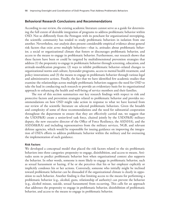### **Behavioral Research Conclusions and Recommendations**

According to our review, the existing academic literature cannot serve as a guide for determining the full extent of desirable integration of programs to address problematic behavior within OSD. Not so differently from the Pentagon with its penchant for organizational stovepiping, the scientific community has tended to study problematic behaviors in isolation from one another. Nevertheless, our analysis does present considerable empirical evidence about general risk factors that exist *across* multiple behaviors—that is, attitudes about problematic behavior, a social or organizational climate that fosters or discourages problematic behavior, and access to the means to engage in problematic behavior. Furthermore, our research shows that these factors have been or could be targeted by multidimensional prevention strategies that address (1) the propensity to engage in problematic behavior through screening, education, and attitude-modification programs; (2) ways to inhibit problematic behavior–related changes to organizational norms and culture, bystander programs, access to mental health treatment, and policy innovations; and (3) the means to engage in problematic behavior through various legal and administrative actions. Finally, the fact that we have identified few academic studies that examine the relationships across multiple problematic behaviors suggests the need for OSD to take the lead in conducting such research to provide an evidentiary basis for its organizational approach to enhancing the health and well-being of service members and their families.

The rest of this section summarizes our key research findings with respect to risk and protective factors and prevention strategies related to problematic behavior and provides recommendations on how OSD might take action in response to what we have learned from our review of the scientific literature on selected problematic behaviors. Given the breadth and complexity of some of these recommendations and the need for substantial cooperation throughout the department to ensure that they are effectively carried out, we suggest that the USD(P&R) create a senior-level task force, chaired jointly by the USD(P&R) military deputy, the new executive director of the Office of Force Resiliency, the ASD(HA), and the ASD(M&RA) and including representatives from the military services, NGB, and relevant defense agencies, which would be responsible for issuing guidance on improving the integration of OSD's efforts to address problematic behavior within the military and for overseeing the implementation of such guidance.

#### **Risk Factors**

We developed a conceptual model that placed the risk factors related to the six problematic behaviors into three categories: propensity to engage, disinhibition, and access to means. Attitudes seem to predict problematic behavior best when organizational context also supports the behavior. In other words, someone is more likely to engage in problematic behavior, such as sexual harassment or hazing, if he or she perceives that his or her employer explicitly or implicitly condones his or her actions. Conversely, someone who initially might be inclined toward problematic behavior can be dissuaded if the organizational climate is clearly in opposition to such behavior. Another finding is that limiting access to the means for performing a problematic behavior (e.g., alcohol, guns, relationship of authority) can prevent the behavior (e.g., alcohol misuse, suicide, sexual harassment) from occurring. This calls for an approach that addresses the propensity to engage in problematic behavior, disinhibition of problematic behavior, and access to the means to engage in problematic behavior.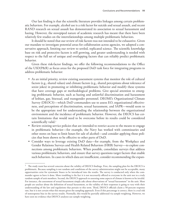Our last finding is that the scientific literature provides linkages among certain problematic behaviors. For example, alcohol use is a risk factor for suicide and sexual assault, and recent RAND research on sexual assault has demonstrated its association to sexual harassment and hazing. However, the stovepiped nature of academic research has meant that there have been relatively few studies on the interrelationships among multiple problematic behaviors.

It should be noted that our review of risk factors was not intended to be exhaustive. Given our mandate to investigate potential areas for collaboration across agencies, we adopted a conservative approach, limiting our review to settled, replicated science. The scientific knowledge base on risk and protective factors is still growing, and greater understanding is needed with respect to the full set of unique and overlapping factors that can reliably predict problematic behavior.

Given these risk-factor findings, we offer the following recommendations to the Office of the USD(P&R) as focus areas for the proposed DoD task force for integrating programs to address problematic behavior:

- As an initial priority, review existing assessment systems that monitor the role of cultural factors (e.g., shared values) and climate factors (e.g., shared perceptions about tolerance of sexist jokes) in promoting or inhibiting problematic behavior and modify these systems that have coverage gaps or methodological problems. Give special attention to emerging problematic behavior, such as hazing and unlawful discrimination and harassment of lesbian, gay, bisexual, and transgender personnel. DEOMI's Organizational Climate Survey (DEOCS)—which DoD commanders use to assess EO, organizational effectiveness, and perceptions of discrimination, sexual harassment, and SAPR—would seem to be the appropriate tool for understanding the relationship between the organizational environment and the incidence of problematic behavior. However, the DEOCS has certain limitations that would need to be overcome before its results could be considered scientifically valid.<sup>1</sup>
- Review existing service policies that are intended to restrict access to the means to engage in problematic behavior—for example, the Navy has worked with commissaries and other stores on base to limit hours for sale of alcohol—and consider applying those policies that been shown to be effective to other parts of DoD.
- Consider ways to leverage existing DoD data—for example, from the Workplace and Gender Relations Surveys and Health Related Behaviors (HRB) Survey—to explore connections among problematic behaviors. When possible, consolidate surveys that address various problematic behaviors, and ensure that survey questions target factors that enable such behaviors. In cases in which data are insufficient, consider recommending the expan-

 $1$  The study team has several concerns about the validity of DEOCS findings. First, the sampling plan for the DEOCS is problematic. Because sampling is not random and conditions of the survey administration might not be acceptable, many opportunities exist for systematic biases to be introduced into the results. The survey is conducted only when the commander agrees to have it done. More troubling is the fact it is not necessarily offered to everyone in the unit nor to a truly random sample of unit members. Second, the DEOCS approach to assessing some aspects of climate is known to be invalid. For instance, the assessment of sexual harassment simply asks about observations of "sexual harassment" in the unit. Most people are unclear about the definition of sexual harassment, so the validity of their responses is going to vary with their understanding of the law and regulations that pertain to this term. Third, DEOCS officials claim a 50-percent response rate, but it is not certain what this means given the sampling approach. Even if this percentage is correct, there is a real risk of nonresponse bias in the survey results. Normally, this would be partially addressed via sample weighting. However, we have seen no evidence that DEOCS analyses use sample weighting.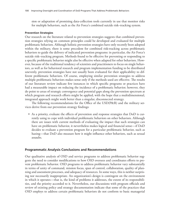sion or adaptation of promising data-collection tools currently in use that monitor risks for multiple behaviors, such as the Air Force's combined suicide risk–tracking system.

#### **Prevention Strategies**

Our research on the literature related to prevention strategies suggests that combined prevention strategies relying on common principles could be developed and evaluated for multiple problematic behaviors. Although holistic prevention strategies have only recently been adopted within the military, there is some precedent for combined risk-tracking across problematic behaviors to guide the delivery of indicated prevention programs: in particular, the Air Force's suicide risk–tracking program. Methods found to be effective for preventing or responding to a specific problematic behavior might also be effective when adapted for other behaviors. However, because of the traditional tendency of scientists and practitioners to focus on single behaviors, as well as for behavioral research and program implementation funding to be distributed unevenly, prevention strategies have not usually been evaluated for their applicability to different problematic behaviors. Of course, employing similar prevention strategies to address multiple problematic behaviors makes sense only if the methods used are effective. The results of our literature review indicate few instances in which specific programs or practices have had a measurable impact on reducing the incidence of a problematic behavior; however, they do point to areas of strategic convergence and potential gaps along the prevention spectrum at which program and research efforts might be applied, with the hope that a multidimensional, integrated approach might work better than a singular, disconnected strategy.

The following recommendations for the Office of the USD(P&R) and the military services derive from our prevention strategy findings:

• As a priority, evaluate the effects of prevention and response strategies that DoD is currently using to cope with individual problematic behaviors on other behaviors. Although there are issues with current methods of evaluating the impact that such strategies can have on problematic behavior, it nevertheless makes logical and financial sense—if DoD decides to evaluate a prevention program for a particular problematic behavior, such as hazing—that DoD also measure how it might influence other behaviors, such as sexual assaults.

# **Programmatic Analysis Conclusions and Recommendations**

Our qualitative analysis of OSD and service programs to address problematic behavior suggests the need to consider modifications to how OSD oversees and coordinates efforts to prevent problematic behavior. OSD programs to address problematic behavior vary substantially in terms of unity of command, mission focus, span of control, collaboration, quality of planning and assessment processes, and adequacy of resources. In some ways, this is neither surprising nor necessarily inappropriate. An organization's design is contingent on the environment in which it operates—that is, the kind of problems it addresses, the extent of its responsibilities, and the priority accorded to it. Nevertheless, our discussions with program officials and review of existing policy and strategy documentation indicate that some of the practices that OSD employs to address certain problematic behaviors do not conform to basic managerial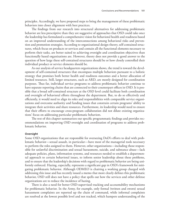principles. Accordingly, we have proposed steps to bring the management of these problematic behaviors into closer alignment with best practices.

The findings from our research into structural alternatives for addressing problematic behavior are less prescriptive than they are suggestive of approaches that OSD could take once the leadership has formulated a comprehensive vision for behavioral health and readiness based on an improved understanding of the interconnections among behavioral risks and prevention and promotion strategies. According to organizational design theory, self-contained structures, which focus on products or services and contain all the functional elements necessary to perform their tasks, are better suited to achieving oversight and coordination objectives than functionally based organizations are. However, theory does not provide a good answer to the question of how large these self-contained structures should be or how closely controlled their individual product or service elements should be.

As our analysis of service headquarters organizations shows, the trend is toward the development of self-contained structures that encompass multiple behaviors pursuant to a holistic strategy that promises both better health and readiness outcomes and a better allocation of limited resources. Still, larger structures, such as ARD, are mostly designed for coordination purposes. Thus far, individual service programs to address problematic behavior continue to have separate reporting chains that are connected to their counterpart offices in OSD. It is possible that a broad self-contained structure at the OSD level could facilitate both coordination and oversight of behavioral efforts throughout the department. But, to do so effectively and efficiently, it would need to align its roles and responsibilities with comparable service organizations and overcome authority and funding issues that constrain certain programs' ability to integrate their activities and share resources. Furthermore, its leadership would need to ensure that their efforts to encourage cross-program collaboration did not dilute existing organizations' focus on addressing particular problematic behaviors.

The rest of this chapter summarizes our specific programmatic findings and provides recommendations on improving OSD oversight and coordination of programs to address problematic behavior.

#### **Oversight**

Some OSD organizations that are responsible for overseeing DoD's efforts to deal with problematic behavior—sexual assault, in particular—have most of the managerial tools necessary to perform the roles assigned to them. However, other organizations—including those responsible for unlawful discrimination and sexual harassment, suicide, and substance abuse—lack adequate policies, plans, information systems, and resources needed to establish a departmental approach to certain behavioral issues, to inform senior leadership about these problems, and to ensure that the leadership's decisions with regard to problematic behavior are being uniformly enforced. Hazing, especially, represents a significant gap in OSD's framework for mitigating problematic behavior. Although ODMEO is chairing a working group charged with addressing this issue and has recently issued a memo that more clearly defines this problematic behavior, OSD still does not have a policy that spells out how the services and other defense organizations are to reduce the incidence of hazing.

There is also a need for better OSD-supervised tracking and accountability mechanisms for problematic behavior. In the Army, for example, only formal (written and sworn) sexual harassment complaints are reported up the chain of command, while informal complaints are resolved at the lowest possible level and not tracked, which hampers understanding of the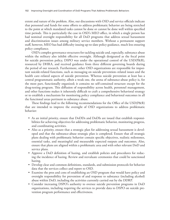extent and nature of the problem. Also, our discussions with OSD and service officials indicate that personnel and funds for some efforts to address problematic behavior are being stretched to the point at which mandated tasks cannot be done or cannot be done well within specified time periods. This is particularly the case in OSD's MEO office, in which a single person has had nominal oversight responsibility for all DoD programs that address sexual harassment and discrimination issues among military service members. Without a permanent support staff, however, MEO has had difficulty issuing up-to-date policy guidance, much less ensuring policy compliance.

OSD's complex governance structures for tackling suicide and, especially, substance abuse within the military also inhibit effective oversight. Although designated as the focal point for suicide prevention policy, DSPO was under the operational control of the USD(P&R), resourced by DHRA, and received guidance from three different governing boards during the period of our research. Furthermore, other OSD organizations are responsible for important suicide-related functions, such as messaging on suicide prevention–related issues and the health care–related aspects of suicide prevention. Whereas suicide prevention at least has a central programmatic authority, albeit a weak one, the arena of substance-abuse policy is, for the most part, functionally organized; it contains no self-contained structure except for the drug-testing program. This diffusion of responsibility across health, personnel management, and other functions makes it inherently difficult to craft a comprehensive behavioral strategy or to establish a mechanism for monitoring policy compliance and behavioral outcomes in all the functional areas pertinent to substance abuse.

These findings lead to the following recommendations for the Office of the USD(P&R) that are intended to improve the oversight of OSD organizations to address problematic behavior:

- As an initial priority, ensure that DoDDs and DoDIs are issued that establish responsibilities for achieving objectives for addressing problematic behavior, monitoring progress, and coordinating activities.
- Also as a priority, ensure that a strategic plan for addressing sexual harassment is developed and that the substance-abuse strategic plan is completed. Ensure that all strategic plans dealing with problematic behavior contain specific objectives, realistic milestones, essential tasks, and meaningful and measurable expected outputs and outcomes. Also, ensure that plans are aligned within a problematic area and with other relevant DoD and service plans.
- Approve a DoD definition of hazing, and establish policies and procedures for reducing the incidence of hazing. Review and reevaluate ceremonies that could be sanctioned hazing.
- Develop clear and common definitions, standards, and submission protocols for behavior data that the services collect and report to OSD.
- Examine the pros and cons of establishing an OSD program that would have policy and oversight responsibility for prevention of and response to substance (including alcohol) abuse within DoD, including the activities currently carried out by the DDRP.
- Consider increasing DSPO's authority to oversee suicide prevention programs in DoD organizations, including requiring the services to provide data to DSPO on suicide prevention program performance and effectiveness.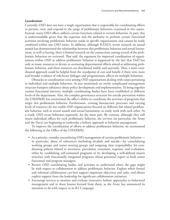#### **Coordination**

Currently, OSD does not have a single organization that is responsible for coordinating efforts to prevent, treat, and respond to the range of problematic behaviors examined in this report. Instead, many OSD offices address certain functions related to certain behaviors. In part, this is understandable given that the expertise and the authority to perform certain functional activities involving problematic behavior reside in specific organizations and cannot be easily combined within one OSD entity. In addition, although RAND's recent research on sexual assault has demonstrated the relationship between this problematic behavior and sexual harassment, as well as hazing, there is limited research on the connections among several of the problematic behaviors we reviewed. That said, the argument for improved coordination of organizations within OSD to address problematic behavior is supported by the fact that DoD has only so many resources to devote to overseeing departmental efforts aimed at addressing problematic behavior, and these resources are distributed widely and unevenly. Thus, a more coordinated approach could be helpful from the standpoint of cost and benefit if there were more and broader evidence of risk-factor linkages and programmatic effects on multiple behaviors.

Obstacles to coordination exist among OSD organizations dealing with issues pertaining to individual and multiple behaviors. As just mentioned, an overly complicated management structure hampers substance-abuse policy development and implementation. To bring together various functional interests, multiple coordinating bodies have been established at different levels of the department. Also, the complex governance structure for suicide prevention within the USD(P&R) has constrained the office's ability to coordinate the activities of programs that target this problematic behavior. Furthermore, existing bureaucratic processes and varying levels of resources do not enable OSD organizations focused on different but related problematic behavior, such as sexual assault and sexual harassment, to easily work with each other. As a result, OSD treats behaviors separately, for the most part. By contrast, although they still retain individual offices for each problematic behavior, the services (in particular, the Army and the Navy) are beginning to undertake a holistic approach to behavior management.

To improve the coordination of efforts to address problematic behavior, we recommend the following to the Office of the USD(P&R):

- As a priority, consider streamlining OSD management of certain problematic behavior in particular, abuse of substances (including alcohol) and suicide—by consolidating working groups and senior steering groups and assigning clear responsibility for coordinating policies related to awareness, prevention, treatment, response, and evaluation, either by establishing self-contained programs or by developing a well-defined matrix structure with functionally integrated programs whose personnel report to both senior functional and program managers.
- Review OSD coordinating bodies and activities to understand where the gaps might lie with respect to collaboration to address problematic behavior. Explore where formal and informal collaboration can best support important objectives and tasks, and obtain explicit support from the leadership for significant collaboration initiatives.
- Encourage services to monitor and evaluate innovative holistic approaches to behavioral management and to share lessons learned from them, as the Army has announced its intention to do with respect to its R2 Campaign.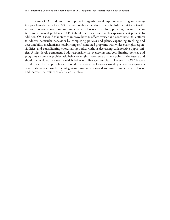In sum, OSD can do much to improve its organizational response to existing and emerging problematic behaviors. With some notable exceptions, there is little definitive scientific research on connections among problematic behaviors. Therefore, pursuing integrated solutions to behavioral problems in OSD should be treated as testable experiments at present. In addition, OSD should take steps to improve how its offices oversee and coordinate DoD efforts to address particular behaviors by completing policies and plans, expanding tracking and accountability mechanisms, establishing self-contained programs with wider oversight responsibilities, and consolidating coordinating bodies without decreasing collaborative opportunities. A high-level, permanent body responsible for overseeing and coordinating policies and programs to prevent problematic behavior might make sense at some point in the future and should be explored in cases in which behavioral linkages are clear. However, if OSD leaders decide on such an approach, they should first review the lessons learned by service headquarters organizations responsible for integrating programs designed to curtail problematic behavior and increase the resilience of service members.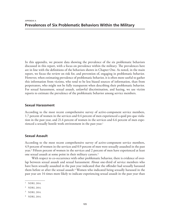In this appendix, we present data showing the prevalence of the six problematic behaviors discussed in this report, with a focus on prevalence within the military. The prevalences here are in line with the definitions of the behaviors shown in Chapter One. As noted, in the main report, we focus the review on risk for, and prevention of, engaging in problematic behavior. However, when estimating prevalence of problematic behavior, it is often more useful to gather this information from victims, who tend to be less biased sources of information, than from perpetrators, who might not be fully transparent when describing their problematic behavior. For sexual harassment, sexual assault, unlawful discrimination, and hazing, we use victim reports to estimate the prevalence of the problematic behavior among service members.

# **Sexual Harassment**

According to the most recent comprehensive survey of active-component service members, 1.7 percent of women in the services and 0.4 percent of men experienced a quid pro quo violation in the past year, and 21.4 percent of women in the services and 6.6 percent of men experienced a sexually hostile work environment in the past year.<sup>1</sup>

# **Sexual Assault**

According to the most recent comprehensive survey of active-component service members, 4.9 percent of women in the services and 0.9 percent of men were sexually assaulted in the past year.2 Fifteen percent of women in the services and 2 percent of men have experienced at least one sexual assault at some point in their military careers.3

With respect to co-occurrence with other problematic behavior, there is evidence of overlap between sexual assault and sexual harassment: About one-third of service members who have been sexually assaulted in the past year indicated that the offender had sexually harassed them before or after the sexual assault.4 Women who indicated being sexually harassed in the past year are 14 times more likely to indicate experiencing sexual assault in the past year than

<sup>1</sup> NDRI, 2014.

<sup>2</sup> NDRI, 2014.

<sup>3</sup> NDRI, 2014.

<sup>4</sup> NDRI, 2014.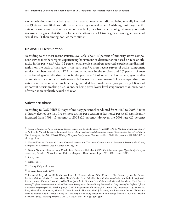women who indicated not being sexually harassed; men who indicated being sexually harassed are 49 times more likely to indicate experiencing a sexual assault.<sup>5</sup> Although military-specific data on sexual assault and suicide are not available, data from epidemiological surveys of civilian women suggest that the risk for suicide attempts is 13 times greater among survivors of sexual assault than among non–crime victims.<sup>6</sup>

# **Unlawful Discrimination**

According to the most-recent statistics available, about 16 percent of minority active-component service members report experiencing harassment or discrimination based on race or ethnicity in the past year.7 Also, 12 percent of all service members reported experiencing discrimination on the basis of their age in the past year.8 A more recent survey of active-component service members found that 12.4 percent of women in the services and 1.7 percent of men experienced gender discrimination in the past year.9 Unlike sexual harassment, gender discrimination does not necessarily involve behaviors of a sexual nature.10 For example, discrimination against women can include being excluded from male social groups, being left out of important decisionmaking discussions, or being given lower-level assignments than men, none of which is an explicitly sexual behavior.11

## **Substance Abuse**

According to DoD HRB Surveys of military personnel conducted from 1980 to 2008,<sup>12</sup> rates of heavy alcohol use (i.e., five or more drinks per occasion at least once per week) significantly increased from 1998 (15 percent) to 2008 (20 percent). However, the 2008 rate (20 percent)

<sup>5</sup> Andrew R. Morral, Kayla Williams, Coreen Farris, and Kristie L. Gore, "The 2014 RAND Military Workplace Study," in Andrew R. Morral, Kristie L. Gore, and Terry L. Schell, eds., *Sexual Assault and Sexual Harassment in the U.S. Military*, Vol. 1: *Design of the 2014 RAND Military Workplace Study*, Santa Monica, Calif.: RAND Corporation, RR-870/1-OSD, 2014, pp. 1–6.

<sup>6</sup> National Victim Center and Crime Victims Research and Treatment Center, *Rape in America: A Report to the Nation*, Arlington, Va.: National Victim Center, April 23, 1992.

<sup>7</sup> Natalie Namrow, Elizabeth Van Winkle, Lisa Davis, and Phil Masui, *2013 Workplace and Equal Opportunity Survey of Active Duty Members*, Alexandria, Va.: Defense Manpower Data Center, Report 2014-040, October 2014.

<sup>8</sup> Rock, 2013.

<sup>9</sup> NDRI, 2014.

<sup>10</sup> O'Leary-Kelly et al., 2009.

<sup>11</sup> O'Leary-Kelly et al., 2009.

<sup>12</sup> Robert M. Bray, Michael R. Pemberton, Laurel L. Hourani, Michael Witt, Kristine L. Rae Olmsted, Janice M. Brown, BeLinda Weimer, Marian E. Lane, Mary Ellen Marsden, Scott Scheffler, Russ Vandermaas-Peeler, Kimberly R. Aspinwall, Erin Anderson, Kathryn Spagnola, Kelly Close, Jennifer L. Gratton, Sara Calvin, and Michael Bradshaw, *2008 Department of Defense Survey of Health Related Behaviors Among Active Duty Military Personnel: A Component of the Defense Lifestyle Assessment Program (DLAP)*, Washington, D.C.: U.S. Department of Defense, RTI/10940-FR, September 2009; Robert M. Bray, Michael R. Pemberton, Marian E. Lane, Laurel L. Hourani, Mark J. Mattiko, and Lorraine A. Babeu, "Substance Use and Mental Health Trends Among U.S. Military Active Duty Personnel: Key Findings from the 2008 DoD Health Behavior Survey," *Military Medicine*, Vol. 175, No. 6, June 2010, pp. 390–399.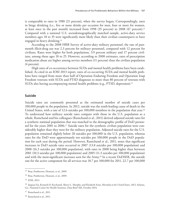is comparable to rates in 1980 (21 percent), when the survey began. Correspondingly, rates in binge drinking (i.e., five or more drinks per occasion for men, four or more for women, at least once in the past month) increased from 1998 (35 percent) to 2008 (47 percent).13 Compared with a national U.S. sociodemographically matched sample, active-duty service members ages 18 to 35 were significantly more likely than their civilian counterparts to have engaged in heavy drinking.14

According to the 2008 HRB Survey of active-duty military personnel, the rate of pastmonth illicit-drug use was 2.3 percent for military personnel, compared with 12 percent for civilians. Rates were higher for both populations, 3.9 percent military and 17 percent civilians, among those ages 18 to 25. However, according to 2008 estimates, rates of prescription medication abuse are higher among service members (11 percent) than the civilian population (4 percent).

High rates of co-occurrence between SUDs and mental health problems have been established. As cited in an IOM 2013 report, rates of co-occurring SUDs and mental health problems have ranged from more than half of Operation Enduring Freedom and Operation Iraqi Freedom veterans with SUDs and PTSD diagnoses to more than 80 percent of veterans with SUDs also having accompanying mental health problems (e.g., PTSD, depression).15

#### **Suicide**

Suicide rates are commonly presented as the estimated number of suicide cases per 100,000 people in the population. In 2012, suicide was the tenth-leading cause of death in the United States, with a rate of 12.6 suicides per 100,000 members in the population that year.<sup>16</sup> To understand how military suicide rates compare with those in the U.S. population as a whole, Ramchand and his colleagues (Ramchand et al., 2011) derived adjusted suicide rates for a synthetic national population that was matched to the demographic profile of DoD personnel for the years 2001 to 2006.17 Suicide rates for the synthetic civilian population were considerably higher than they were for the military population. Adjusted suicide rates for the U.S. population remained slightly below 20 suicides per 100,000 in the U.S. population, whereas rates for the DoD were approximately ten suicides per 100,000 people in the DoD population for each year during the period. However, Ramchand et al., 2011, notes that significant increases in DoD suicide rates occurred in 2007 (13.8 suicides per 100,000 population) and 2008 (16.3 suicides per 100,000 population), with rates in 2008 being higher than between 2001 (10.3 suicides per 100,000 population) and 2005 (11.3 suicides per 100,000 population) and with the most-significant increases seen for the Army.18 In a recent DoDSER, the suicide rate for the active component for all services was 18.7 per 100,000 for 2011, 22.7 per 100,000

<sup>13</sup> Bray, Pemberton, Hourani, et al., 2009.

<sup>14</sup> Bray, Pemberton, Hourani, et al., 2009.

<sup>15</sup> IOM, 2013.

<sup>16</sup> Jiaquan Xu, Kenneth D. Kochanek, Sherry L. Murphy, and Elizabeth Arias, *Mortality in the United States, 2012*, Atlanta, Ga.: National Center for Health Statistics, Data Brief 168, October 2014.

<sup>17</sup> Ramchand et al., 2011.

<sup>18</sup> Ramchand et al., 2011.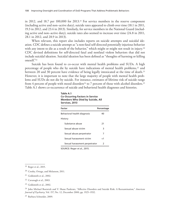in 2012, and 18.7 per 100,000 for 2013.19 For service members in the reserve component (including active and non–active duty), suicide rates appeared to climb over time (18.1 in 2011, 19.3 in 2012, and 23.4 in 2013). Similarly, for service members in the National Guard (including active and non–active duty), suicide rates also seemed to increase over time (24.8 in 2011, 28.1 in 2012, and 28.9 in 2013).

When relevant, this report also includes reports on suicide attempts and suicidal ideation. CDC defines a suicide attempt as "a non-fatal self-directed potentially injurious behavior with any intent to die as a result of the behavior," which might or might not result in injury.<sup>20</sup> CDC devised definitions for self-directed fatal and nonfatal violent behaviors that did not include suicidal ideation. Suicidal ideation has been defined as "thoughts of harming or killing oneself."21

Suicide has been found to co-occur with mental health problems and SUDs. A high percentage of people who die by suicide have indications of mental health problems,<sup>22</sup> and between 20 and 30 percent have evidence of being legally intoxicated at the time of death.<sup>23</sup> However, it is important to note that the large majority of people with mental health problems and SUDs do not die by suicide. For instance, estimates of lifetime risk of suicide range from 4 percent of people with mood disorders<sup>24</sup> to 7 percent of those with alcohol disorders.<sup>25</sup> Table A.1 shows co-occurrence of suicide and behavioral health diagnoses and histories.

| Table A.1                               |
|-----------------------------------------|
| <b>Co-Occurring Factors in Service</b>  |
| <b>Members Who Died by Suicide, All</b> |
| Services, 2013                          |

| <b>Factor</b>                 | Percentage |
|-------------------------------|------------|
| Behavioral health diagnosis   | 40         |
| History                       |            |
| Substance abuse               | 21         |
| Sexual abuse victim           | 3          |
| Sexual abuse perpetrator      | 7          |
| Sexual harassment victim      | ا>         |
| Sexual harassment perpetrator | 2          |

SOURCE: Reger et al., 2015.

<sup>24</sup> John Michael Bostwick and V. Shane Pankratz, "Affective Disorders and Suicide Risk: A Reexamination," *American Journal of Psychiatry*, Vol. 157, No. 12, December 2000, pp. 1925–1932.

<sup>25</sup> Barbara Schneider, 2009.

<sup>19</sup> Reger et al., 2015.

<sup>20</sup> Crosby, Ortega, and Melanson, 2011.

<sup>21</sup> Goldsmith et al., 2002.

<sup>22</sup> Cavanagh et al., 2003.

<sup>23</sup> Goldsmith et al., 2002.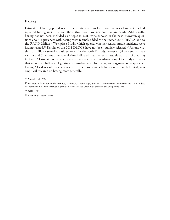# **Hazing**

Estimates of hazing prevalence in the military are unclear. Some services have not tracked reported hazing incidents, and those that have have not done so uniformly. Additionally, hazing has not been included as a topic in DoD-wide surveys in the past. However, questions about experiences with hazing were recently added to the revised 2014 DEOCS and to the RAND Military Workplace Study, which queries whether sexual assault incidents were hazing-related.<sup>26</sup> Results of the 2014 DEOCS have not been publicly released.<sup>27</sup> Among victims of military sexual assault surveyed in the RAND study, however, 34 percent of male victims and 7 percent of female victims indicated that the sexual assault was part of a hazing incident.28 Estimates of hazing prevalence in the civilian population vary. One study estimates that more than half of college students involved in clubs, teams, and organizations experience hazing.<sup>29</sup> Evidence of co-occurrence with other problematic behavior is extremely limited, as is empirical research on hazing more generally.

<sup>26</sup> Morral et al., 2014.

<sup>&</sup>lt;sup>27</sup> For more information on the DEOCS, see DEOCS, home page, undated. It is important to note that the DEOCS does not sample in a manner that would provide a representative DoD-wide estimate of hazing prevalence.

<sup>28</sup> NDRI, 2014.

<sup>29</sup> Allan and Madden, 2008.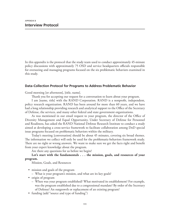In this appendix is the protocol that the study team used to conduct approximately 45-minute policy discussions with approximately 75 OSD and service headquarters officials responsible for overseeing and managing programs focused on the six problematic behaviors examined in this study.

## **Data-Collection Protocol for Programs to Address Problematic Behavior**

Good morning [or afternoon], [title, name].

Thank you for accepting our request for a conversation to learn about your program.

I am [name, title] with the RAND Corporation. RAND is a nonprofit, independent, policy research organization. RAND has been around for more than 60 years, and we have had a long relationship providing research and analytical support to the Office of the Secretary of Defense, the services, and many other federal and state government organizations.

As was mentioned in our email request to your program, the director of the Office of Diversity Management and Equal Opportunity, Under Secretary of Defense for Personnel and Readiness, has asked the RAND National Defense Research Institute to conduct a study aimed at developing a cross-service framework to facilitate collaboration among DoD special issue programs focused on problematic behaviors within the military.

Today's meeting [conversation] should be about 45 minutes, covering six broad themes. The information we collect will only be used for the problematic-behaviors framework study. There are no right or wrong answers. We want to make sure we get the facts right and benefit from your expert knowledge about the program.

Are there any questions for us before we begin?

# **Let's start with the fundamentals . . . the mission, goals, and resources of your program.**

Mission, Goals, and Resources

- mission and goals of the program
	- What is your program's mission, and what are its key goals?
- origin of program
	- When was your program established? What motivated its establishment? For example, was the program established due to a congressional mandate? By order of the Secretary of Defense? An outgrowth or replacement of an existing program?
- funding (add "source and type of funding")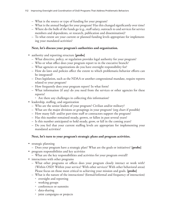- What is the source or type of funding for your program?
- What is the annual budget for your program? Has this changed significantly over time?
- Where do the bulk of the funds go (e.g., staff salary, outreach to and services for service members and dependents, or research, publication and dissemination)?
- To what extent are your current or planned funding levels appropriate for implementing your mandated activities?

# **Next, let's discuss your program's authorities and organization.**

- authority and reporting structure **[probe]**
	- What directive, policy, or regulation provides legal authority for your program?
	- Who or what office does your program report to in the executive branch?
	- What agencies or organizations do you have oversight responsibility for?
	- How do laws and policies affect the extent to which problematic-behavior efforts can be integrated?
	- Does legislation, such as the NDAA or another congressional mandate, require reports related to your program?
	- How frequently does your program report? In what form?
	- What information (if any) do you need from the services or other agencies for these reports?
		- Are there any challenges in collecting this information?
- leadership, staffing, and organization
	- Who are the senior leaders of your program? Civilian and/or military?
	- What are the major divisions or groupings in your program? (org chart if possible)
	- How many full- and/or part-time staff or contractors support the program?
	- Has this number remained steady, grown, or fallen in past several years?
	- Is this number anticipated to hold steady, grow, or fall in the coming years?
	- Do you feel that your current staffing levels are appropriate for implementing your mandated activities?

# **Next, let's turn to your program's strategic plans and program activities.**

- strategic planning
	- Does your program have a strategic plan? What are the goals or initiatives? **[probe]**
- program responsibilities and key activities
	- What are the key responsibilities and activities for your program overall?
- interactions with other programs
	- What other programs or offices does your program closely interact or work with? (Within OSD? Within your service? With other services? With other behavioral areas) Please focus on those most critical to achieving your mission and goals. **[probe]**
	- What is the nature of the interactions? (formal/informal and frequency of interaction)
		- oversight and reporting
		- working groups
		- conferences or summits
		- data-sharing
		- joint campaigns or projects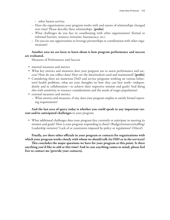- other liaison activity.
- Have the organizations your program works with and nature of relationships changed over time? Please describe these relationships. **[probe]**
- What challenges do you face in coordinating with other organizations? (formal or informal barriers, resource restraints, bureaucracy, etc.)
- Do you see any opportunities to leverage partnerships or coordination with other organizations?

# **Another area we are keen to learn about is how program performance and success are evaluated.**

Measures of Performance and Success

- internal measures and metrics
- What key metrics and measures does your program use to assess performance and success? How do you collect data? How are the data/analysis used and maintained? **[probe]**
- Considering there are numerous DoD and service programs working on various behavioral health problems, what are your thoughts on how they can best work—independently and in collaboration—to achieve their respective mission and goals? And doing this with sensitivity to resource considerations and the needs of target populations?
- external measures and metrics
	- What metrics and measures, if any, does your program employ to satisfy formal reporting requirements?

**And the last area of query today is whether you could speak to any important current and/or anticipated challenges** to your program.

• What additional challenges does your program face currently or anticipate in meeting its mission and goals? How is your program responding to them? (Budget/resources/staffing? Leadership turnover? Lack of or constraints imposed by policy or regulations? Others?)

**Finally, are there other officials in your program or contacts for organizations with which your program works closely with whom we should talk (in OSD or in the services)?**

**This concludes the major questions we have for your program at this point. Is there anything you'd like to add at this time? And in case anything comes to mind, please feel free to contact me [provide your contacts].**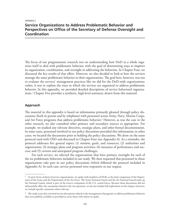# **Service Organizations to Address Problematic Behavior and Perspectives on Office of the Secretary of Defense Oversight and Coordination**

The focus of our programmatic research was on understanding how DoD as a whole organizes itself to deal with problematic behavior, with the goal of determining ways to improve its organization, coordination, and oversight in addressing the behaviors. In Chapter Four, we discussed the key results of that effort. However, we also decided to look at how the services manage the same problematic behavior in their organizations. The goal here, however, was not to evaluate the services' management practices like we did for the DoD-wide organizations; rather, it was to explain the ways in which the services are organized to address problematic behavior. In this appendix, we provided detailed descriptions of service behavioral organizations.1 Chapter Five provides a synthetic, high-level summary drawn from this material.

### **Approach**

The material in this appendix is based on information primarily gleaned through policy discussions (both in person and by telephone) with personnel across Army, Navy, Marine Corps, and Air Force programs that address problematic behavior.2 However, as was the case in the other research, we also consulted other primary and secondary sources as appropriate. For example, we studied any relevant directives, strategic plans, and other formal documentation. In some cases, personnel involved in our policy discussions provided this information; in other cases, we located the documents prior to holding the policy discussions. We draw on the same protocol used with OSD and discussed in Chapter Four (see Appendix A). As a reminder, the protocol addresses five general topics: (1) mission, goals, and resources; (2) authorities and organization; (3) strategic plans and program activities; (4) measures of performance and success; and (5) current and anticipated program challenges.

For each service, we selected the organizations that have primary oversight for each of the six problematic behaviors included in our study. We then requested that personnel in those organizations take part in our policy discussions (which followed the protocol included in Appendix A). In each case, service personnel were responsive to our request.

 $1$  As part of our analysis of service organizations, we spoke with members of NGB, as the joint component of the Department of the Army and the Department of the Air Force. The Army National Guard and the Air National Guard make up the National Guard, which is part of the reserve component of the U.S. armed forces. Because those discussions did not substantially affect the assessment related to the two questions, we do not include full explications in this chapter; however, we include specific comments where relevant.

 $2$  The study team also reviewed service documents related to the management of programs to address problematic behavior that were publicly available or provided to us by those with whom we spoke.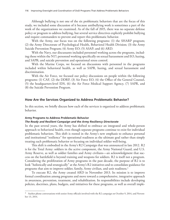Although bullying is not one of the six problematic behaviors that are the focus of this study, we included some discussion of it because antibullying work is sometimes a part of the work of the organizations we examined. As of the fall of 2015, there was no separate defense policy or program to address bullying, but several service directives explicitly prohibit bullying and require commanders to prevent and report this problematic behavior.

With the Army, our focus was on the following programs: (1) the SHARP program; (2) the Army Directorate of Psychological Health, Behavioral Health Division; (3) the Army Suicide Prevention Program; (4) Army EO; (5) ASAP; and (6) ARD.

With the Navy, our discussants included personnel working across the programs, including those within the N17; personnel working specifically on sexual harassment and EO, hazing, and SAPR; and suicide prevention and operational stress control.

With the Marine Corps, we focused on discussions with personnel in the programs included within behavioral health, as well as SAPR, hazing, and sexual harassment and discrimination.

With the Air Force, we focused our policy discussions on people within the following programs: (1) CAF, (2) the DDRP, (3) Air Force EO, (4) the Office of the General Counsel, (5) the headquarters-level IDS, (6) the Air Force Medical Support Agency, (7) SAPR, and (8) the Suicide Prevention Program.

#### **How Are the Services Organized to Address Problematic Behavior?**

In this section, we briefly discuss how each of the services is organized to address problematic behavior.

#### **Army Programs to Address Problematic Behavior**

#### *The Ready and Resilient Campaign and the Army Resiliency Directorate*

In the past several years, the Army has shifted to embrace an integrated and whole-person approach to behavioral health, even though separate programs continue to exist for individual problematic behaviors. This shift is rooted in the Army's new emphasis to enhance personal and institutional "resilience" for operational readiness as the ultimate goal rather than simply treating each problematic behavior or focusing on individual soldier well-being.

This shift is embodied in the Army's R2 Campaign that was announced in late 2012. R2 is for the Total Army: soldiers in the active component, the Army National Guard, and U.S. Army Reserve, as well as soldier families and Army civilians—an acknowledgment that success on the battlefield is beyond training and weapons for soldiers. R2 is itself not a program. Considering the proliferation of Army programs in the past decade, the purpose of R2 is to look "holistically and strategically" at the Army's R2 initiatives and to consolidate guidance for programs that aim to improve soldier, family, Army civilian, and unit readiness.3

To execute R2, the Army created ARD in November 2013. Its mission is to improve formal coordination among programs and move toward a comprehensive, integrative approach in awareness, prevention, treatment, and rehabilitation. Its responsibilities include developing policies, doctrines, plans, budgets, and initiatives for these programs, as well as overall imple-

<sup>&</sup>lt;sup>3</sup> Author phone conversations with senior Army officials involved with the R2 campaign on October 9, 2014, and November 13, 2014.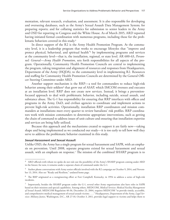mentation, relevant research, evaluation, and assessment. It is also responsible for developing and overseeing databases, such as the Army's Sexual Assault Data Management System; for preparing reports; and for collating statistics for submission to senior leaders in the Army and OSD for reporting to Congress and the White House. As of March 2015, ARD reported having initiated formal coordination with numerous programs, including those for the problematic behaviors covered in this study.4

In direct support of the R2 is the Army Health Promotion Program*.* At the community level, it is a leadership program that works to encourage lifestyles that "improve and protect physical, behavioral, and spiritual health<sup>"5</sup> by implementing programs and services at the community level—that is, the installation, regional, or state level. AR 600-63, *Personnel: General—Army Health Promotion*, sets forth responsibilities for all aspects of the program. Operationally, Community Health Promotion Councils are central to implementing the program, taking integration and alignment of resources and responses from Headquarters, Department of the Army (HQDA), to the community level in implementing R2. Resources and staffing for Community Health Promotion Councils are determined by the General Officer Steering Committee under ARD.

Another support mechanism is the RRP*—*a tool for commanders to reduce high-risk behavior among their soldiers<sup>6</sup> that grew out of ASAP, which IMCOM oversees and executes at an installation level. RRP does not create new services. Instead, it brings a preventionfocused approach to deal with problematic behavior, including suicide, sexual assault, and substance abuse. The G-1 has responsibility for ensuring that RRP interfaces with offices and programs in the Army, DoD, and civilian agencies to coordinate and implement actions to prevent high-risk activities. Operationally, installation RRP coordinators and mission commanders at installations meet every quarter to review battalions' risk profiles. RRP coordinators work with mission commanders to determine appropriate interventions, such as getting the chain of command to address issues of unit culture and ensuring that installation expertise and services are being fully utilized.

Because this approach and the mechanisms created to support it are fairly new—taking shape and being implemented as we conducted our study—it is too early to tell how well they serve to address the problematic behavior examined in this study.

#### *Sexual Harassment and Sexual Assault*

Unlike OSD, the Army has a single program for sexual harassment and SAPR, with an emphasis on prevention. Until 2008, separate programs existed for sexual harassment and sexual assault, with an emphasis on response.7 The mission of the combined SHARP program is to

 $4$  ARD officials with whom we spoke do not rule out the possibility of the Army's SHARP program coming under ARD in the future; for now, it remains under a separate chain of command under the G-1.

<sup>5</sup> Author phone conversations with Army senior officials involved with the R2 campaign on October 9, 2014, and November 13, 2014. Also see "Ready and Resilient," undated home page.

<sup>6</sup> The RRP originated as a reengineering effort at Fort Campbell, Kentucky, in 1994 to address a series of high-risk incidents.

<sup>7</sup> Importantly, besides the SHARP program under the G-1, several other Army organizations also have roles in SAPR based on their missions and special capabilities. Among others, MEDCOM, *Medical Services: Medical Facility Management of Sexual Assault*, MEDCOM Regulation 40-36, December 23, 2004, requires MEDCOM "to provide timely, accessible, and comprehensive medical management of sexual assault victims . . . ." Headquarters, Department of the Army, *Legal Services: Military Justice*, Washington, D.C., AR 27-10, October 3, 2011, provides legal support to victims and helps them to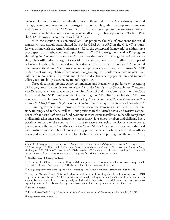"reduce with an aim toward eliminating sexual offenses within the Army through cultural change, prevention, intervention, investigation accountability, advocacy/response, assessment and training to sustain the All-Volunteer Force."8 The SHARP program maintains a database for formal complaints about sexual harassment alleged by military personnel.<sup>9</sup> Within OSD, the SHARP program coordinates with ODMEO.

With the creation of a combined SHARP program, the role of proponent for sexual harassment and assault issues shifted from ASA (M&RA) to ARD in the G-1.<sup>10</sup> This transfer was in line with the Army's adoption of R2 as the conceptual framework for addressing a broad spectrum of behavioral health problems. In FY 2012, oversight of the SHARP program shifted again. Congress directed the Army to put the program under general-officer leadership, albeit still under the aegis of the G-1. The main reason was that, unlike other types of behavioral health problems, sexual assault is always treated as a criminal offense.11 All reported cases involve the Army JAG in investigation and prosecution as appropriate. Putting SHARP under direct military chain of command, Congress argued, would make commanders bear "ultimate responsibility" for command climate and culture, safety, prevention and response efforts, accountability, assessment, and safe reporting.12

Three documents provide Army commanders and leaders with guidance on executing SAPR programs. The first is *Strategic Direction to the Joint Force on Sexual Assault Prevention and Response*, which was drawn up by the Joint Chiefs of Staff, the Commandant of the Coast Guard, and DoD SAPR professionals.13 Chapter Eight of AR 600-20 describes the SAPR program's goals and the Army's sexual assault policy. *Sexual Harassment/Assault Response and Prevention (SHARP) Program Implementation Guidance* lays out required actions and procedures.<sup>14</sup>

Funding for the SHARP program covers sexual harassment and sexual assault prevention, training, and tools, as well as 1,000 positions in the Army's active and reserve components. EO and EEO offices also fund positions at every Army installation to handle complaints of discrimination and sexual harassment, respectively, for service members and civilians. These positions are part of the command structure to ensure leadership involvement in response. Sexual Assault Response Coordinators (SARCs) and Victim Advocates also operate at the local level. SARCs serve as an installation's primary point of contact for integrating and coordinating sexual assault victim care services for eligible recipients. Reporting directly to the SARC,

<sup>8</sup> SHARP, "I. A.M. Strong," undated.

<sup>9</sup> The Army EEO Office retains responsibility for civilian reports on sexual harassment and sexual assault, except outside the continental United States, where SHARP also provides assistance to deployed civilians.

<sup>10</sup> Being a proponent carries the responsibility of reporting to the Army Vice Chief of Staff and the USD(P&R).

<sup>11</sup> Army and National Guard officials with whom we spoke explained that drug abuse by individual soldiers and DUI might be treated as "misconduct" rather than criminal offenses depending on the severity of the incident and whether it is a repeated offense. Active-duty personnel generally are dealt with in the martial courts, while non–active duty personnel depending on where the violation allegedly occurred—might be dealt with by local or state law enforcement.

<sup>12</sup> SHARP, undated.

seek justice. Headquarters, Department of the Army, *Training: Army Leader Training and Development*, Washington, D.C., AR 350-1, August 19, 2014a, and Headquarters, Department of the Army, *Personnel: General—Army Command Policy*, Washington, D.C., AR 600-20, November 6, 2014b, mandate SAPR training for all personnel and spell out command responsibilities, policy, training requirements, and programs for SAPR and other special issues.

<sup>13</sup> Joint Chiefs of Staff, *Strategic Direction to the Joint Force on Sexual Assault Prevention and Response*, May 7, 2012.

<sup>&</sup>lt;sup>14</sup> Department of the Army, 2012.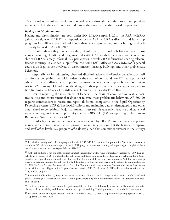a Victim Advocate guides the victim of sexual assault through the claim process and provides resources to help the victim recover and resolve the cases against the alleged perpetrator.

#### *Hazing and Discrimination*

Hazing and discrimination are both under EO. Effective April 1, 2014, the ASA (M&RA) gained oversight of EO.15 EO is responsible for the ASA (M&RA)'s diversity and leadership programs for military personnel. Although there is no separate program for hazing, hazing is explicitly banned in AR 600-20*.* 16

EO officials say they interact regularly, if informally, with other behavioral health programs, including SHARP and programs under ARD. Although EO characterizes its relationship with R2 as largely informal, EO participates in weekly R2 information-sharing teleconference meetings. It also seeks input from the Army JAG Office and ASA (M&RA)'s general counsel on legal issues involved in discrimination, hazing, bullying, and other problematic behaviors.

Responsibility for addressing observed discrimination and offensive behaviors, as well as informal complaints, lies with leaders in the chain of command. An EO manager or EO adviser at the installation level supports commanders to execute responsibilities laid out in AR 600-20.<sup>17</sup> Army EO professionals, along with their peers in other services, receive prevention training at a 12-week DEOMI course located at Patrick Air Force Base.18

Besides requiring the involvement of leaders in the chain of command to create a positive culture and environment that does not tolerate these problematic behaviors, AR 600-20 requires commanders to record and report all formal complaints in the Equal Opportunity Reporting System (EORS). The EORS collects and maintains data on demographic and other data related to complaints. Major commands must submit quarterly narrative and statistical reports on progress in equal opportunity via the EORS to HQDA for reporting to the Human Resources Directorate in the G-1.19

Results from command climate surveys executed by DEOMI are used to assess performance and effectiveness of the EO program for military personnel at the brigade, company, and staff office levels. EO program officials explained that sometimes answers in the surveys

<sup>15</sup> EO also has oversight of leadership programs for which ASA (M&RA) has formal responsibility. Also, sexual harassment was under EO before it was made a part of the SHARP program. Awareness training and responding to complaints about sexual harassment are now the responsibility of SHARP.

<sup>&</sup>lt;sup>16</sup> Although bullying is not one of the six problematic behaviors that are the focus of this study, the latest AR 600-20, published on November 14, 2014, explicitly adds bullying as prohibited conduct and provides a distinct definition for it. Commanders are required to prevent and report bullying like they are with hazing and discrimination. And, like with hazing, there is no separate program for bullying. For full definitions for bullying and hazing and guidance to commanders, see AR 600-20. Also, Assistant Secretary of the Army for Manpower and Reserve Affairs, "Inclusion of Sexual Orientation in the Military Equal Opportunity Program," Army Directive 2015-39, October 14, 2015, adds sexual orientation to the Army's MEO program.

<sup>&</sup>lt;sup>17</sup> Raymond F. Chandler III, Sergeant Major of the Army, GEN Martin E. Dempsey, U.S. Army Chief of Staff, and John M. McHugh, Secretary of the Army, "Army Equal Opportunity and Discrimination Policy," unaddressed memorandum, undated.

<sup>&</sup>lt;sup>18</sup> The first eight weeks are common to EO professionals from all services, followed by a week of mediation and alternative dispute settlement training and three weeks of service-specific training. Training also covers use of the EO data system.

<sup>&</sup>lt;sup>19</sup> For details on the EORS, see Deputy Chief of Staff of the Army, G-1, "Equal Opportunity Reporting System (EORS)," last updated October 7, 2014.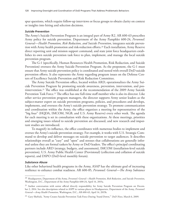spur questions, which require follow-up interviews or focus groups to obtain clarity on context or insights into hiring and selection decisions.

#### *Suicide Prevention*

The Army's Suicide Prevention Program is an integral part of Army R2. AR 600-63 prescribes Army policy for suicide prevention. Department of the Army Pamphlet 600-24, *Personnel: General—Health Promotion, Risk Reduction, and Suicide Prevention*, integrates suicide prevention with Army health promotion and risk-reduction efforts.<sup>20</sup> Each installation, Army Reserve direct reporting unit and mission support command, and state joint force headquarters establishes its own suicide prevention task force to plan, implement, and manage the local suicide prevention program.

The G-1 (specifically, Human Resources Health Promotion, Risk Reduction, and Suicide Prevention) oversees the Army Suicide Prevention Program. As the proponent, the G-1 must ensure that Army suicide prevention policy is coordinated and nested with overall DoD suicide prevention efforts. It also represents the Army regarding program issues on the Defense Centers of Excellence Suicide Prevention and Risk Reduction Committee.

The Army Suicide Prevention office, located within ARD, operationalizes the Army Suicide Prevention Program by promoting suicide awareness, prevention, intervention, and postintervention.21 The office was established at the recommendation of the 2009 Army Suicide Prevention Task Force.<sup>22</sup> The office has one full-time staff member who is also its director. Like other service prevention program managers, the director supports Army senior leaders as the subject-matter expert on suicide prevention programs, policies, and procedures and develops, implements, and oversees the Army's suicide prevention strategy. To promote communication and coordination within the Army, the office organizes a meeting for representatives of the "big four" (HQDA, IMCOM, NGB, and U.S. Army Reserve) every other week. The agenda for each meeting is set in consultation with these organizations. At these meetings, priorities and emerging issues related to suicide prevention are discussed, and new research and important studies are introduced.

To magnify its influence, the office coordinates with numerous bodies to implement and oversee the Army's suicide prevention strategy. For example, it works with U.S. Strategic Command to develop and deliver messages on suicide prevention to target audiences. It describes relationships overall as "easy" and "open" and stresses that collaborations are generally informal unless they are formal taskers by Army or DoD leaders. The office's principal coordinating partners include ARD (strategy, budgets, and assessment), IMCOM (installation-level suicide prevention), U.S. Army Public Health Center (Provisional) (collection and collation of suicide reports), and DSPO (DoD-level monthly forum).

#### *Substance Abuse*

Like other behavioral health programs in the Army, ASAP has the ultimate goal of increasing resilience to enhance combat readiness. AR 600-85, *Personnel: General—The Army Substance* 

<sup>20</sup> Headquarters, Department of the Army, *Personnel: General—Health Promotion, Risk Reduction, and Suicide Prevention*, Washington, D.C., Department of the Army Pamphlet 600-24, April 14, 2015a.

<sup>&</sup>lt;sup>21</sup> Author conversation with senior official directly responsibility for Army Suicide Prevention Program on December 2, 2014. See also descriptions related to ASPP in various places in Headquarters, Department of the Army, *Personnel: General—Army Health Promotion*, Washington, D.C., AR 600-63, April 14, 2015b.

<sup>22</sup> Gary Sheftick, "Army Creates Suicide Prevention Task Force During 'Stand Down,'" *DoD News*, March 6, 2009.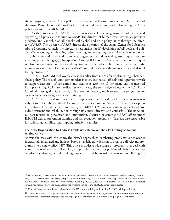*Abuse Program*, provides Army policy on alcohol and other substance abuse. Department of the Army Pamphlet 600-85 provides instructions and procedures for implementing the Army policies provided in AR 600-85.23

As the proponent for ASAP, the G-1 is responsible for integrating, coordinating, and approving all policies pertaining to ASAP. The director of human resources policy provides guidance and leadership on all nonclinical alcohol and drug policy issues through the director of ASAP. The director of ASAP directs the operation of the Army Center for Substance Abuse Programs. As such, the director is responsible for (1) developing ASAP goals and policies; (2) developing, establishing, administering, and evaluating nonclinical alcohol and other drug abuse prevention, education, and training programs and reviewing, assessing, and recommending policy changes; (3) interpreting ASAP policies for the Army and in response to queries from organizations outside the Army; (4) preparing budget submissions, allocating funds, monitoring execution of resources for ASAP; and (5) overseeing the Army's drug and alcohol testing program.24

In 2010, IMCOM took over lead responsibility from OTSG for implementing substanceabuse policy. The role of Army commanders is to ensure that all officials and supervisors work to support execution of prevention and treatment activities. Other Army entities involved in implementing ASAP are medical review officers, the staff judge advocate, the U.S. Army Criminal Investigation Command, unit prevention leaders, and base area code program managers who oversee drug testing and training.

ASAP has clinical and nonclinical components. The clinical part focuses on regular urinalyses to detect abuses. Alcohol abuse is the most common. Abuse of certain prescription medications, too, has increased in recent years. MEDCOM manages this component and provides treatment and rehabilitation through its clinical director and counselors. The nonclinical part focuses on prevention and intervention. Garrison or command ASAP offices under IMCOM deliver prevention training and risk-reduction programs.25 They are also responsible for collecting, handling, and shipping urinalysis samples.

# **The Navy Organization to Address Problematic Behavior: The 21st Century Sailor and Marine Office**

As was the case with the Army, the Navy's approach to combating problematic behavior is increasingly integrated and holistic, based on a deliberate decision to organize all relevant programs into a single office, N17. This office includes a wide range of programs that deal with many aspects of readiness. The Navy's approach to addressing problematic behavior is characterized by viewing behaviors along a spectrum and by focusing efforts on establishing the

<sup>23</sup> Headquarters, Department of the Army, *Personnel: General—Army Substance Abuse Program Civilian Services*, Washington, D.C., Department of the Army Pamphlet 600-85, October 15, 2001; Headquarters, Department of the Army, *Personnel: General—The Army Substance Abuse Program*, Washington, D.C., AR 600-85, December 28, 2012. Other important laws, instructions, policy, and guidance for the program can be found at ASAP, home page, undated.

 $^{24}$  Clinical treatment for substance abuse is MEDCOM's responsibility as defined in MEDCOM Regulation 40-51.

 $^{25}$  These ASAP offices are typically staffed with alcohol and drug control officers, prevention coordinator, installation biochemical test coordinator, employee-assistance program coordinator, and a risk-reduction program coordinator.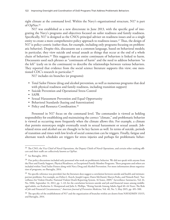right climate at the command level. Within the Navy's organizational structure, N17 is part of OpNav.26

N17 was established as a new directorate in June 2013, with the specific goal of integrating the Navy's programs and objectives focused on sailor readiness and family readiness. Specifically, N17 is designed as the CNO's principal adviser on readiness issues and as a single entity to create a more comprehensive policy approach to readiness issues.27 Thus, the design of N17 is policy-centric (rather than, for example, including only programs focusing on problematic behavior). Despite this, discussants use a common language, based on behavioral models; in particular, they view suicide and sexual assault as things that occur at the end of a whole chain of behaviors.28 This suggests that an entire continuum of behaviors is linked to harm. Discussants used such phrases as "continuum of harm" and the need to address behaviors "to the left" (early on in the continuum) to describe the relationships between various behaviors. They reported that evidence from the social science literature supports this view; one mentioned CDC's research in particular.29

N17 includes six branches (or programs):

- Total Sailor Fitness (drug and alcohol prevention, as well as numerous programs that deal with physical readiness and family readiness, including transition support)
- Suicide Prevention and Operational Stress Control
- SAPR
- Sexual Harassment Prevention and Equal Opportunity
- Behavioral Standards (hazing and fraternization)
- Policy and Resource Coordination.<sup>30</sup>

Personnel in N17 focus on the command level. The commander is viewed as holding responsibility for establishing and maintaining the correct "climate," and problematic behavior is viewed as occurring more frequently when the climate allows this. For example, a climate that permits stereotypes might eventually result in sexual harassment or sexual assault. Jobrelated stress and alcohol use are thought to be key factors as well. In terms of suicide, periods of transition and times with low levels of social connection can be triggers. Finally, fatigue and alternate watch schedules are triggers for stress injuries and perhaps for problematic behav-

<sup>&</sup>lt;sup>26</sup> The CNO, the Vice Chief of Naval Operations, the Deputy Chiefs of Naval Operations, and certain other ranking officers and their staffs are collectively known as OpNav.

<sup>27</sup> See Battaglia, 2014.

<sup>&</sup>lt;sup>28</sup> Our policy discussions included only personnel who work on problematic behavior. We did not speak with anyone from the Fleet and Family Support, Physical Readiness, or Exceptional Family Member Programs. These programs and others are included within Total Sailor Fitness along with Navy Drug and Alcohol Prevention. For more information about organization of programs, see Battaglia, 2014.

<sup>&</sup>lt;sup>29</sup> No specific reference was provided, but the literature does suggest a correlation between suicide and health and intimatepartner problems. For example, see Debra L. Karch, Joseph Logan, Dawn McDaniel, Sharyn Parks, and Nimesh Patel, "Surveillance for Violent Deaths: National Violent Death Reporting System, 16 States, 2009," *Surveillance Summaries*, Vol. 61, No. SS06, September 14, 2012, pp. 1–43; for the correlation between suicide and job and financial issues among middleaged adults, see Katherine A. Hempstead and Julie A. Phillips, "Rising Suicide Among Adults Aged 40–64 Years: The Role of Job and Financial Circumstances," *American Journal of Preventive Medicine*, Vol. 48, No. 5, May 2015, pp. 491–500.

 $30\,$  The specifics of the establishment of N17 and the organization of branches within are drawn from NAVADMIN 153/15, and Battaglia, 2014.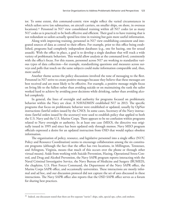ior. To some extent, this command-centric view might reflect the varied circumstances in which sailors serve (on submarines, on aircraft carriers, on smaller ships, on shore, in overseas locations).<sup>31</sup> Personnel in N17 view consolidated training within all N17 codes (or as many N17 codes as is practical) to be both effective and efficient. Their goal is to have training that is not redundant so sailors actually spend less time in training but gain more useful information.

Along with improving training, personnel in N17 view establishing consistent and integrated sources of data as central to their efforts. For example, prior to this office being established, programs had completely independent databases (e.g., one for hazing, one for sexual assault). With the office in place, a goal is to develop a single database that will track a wide variety of problematic behaviors. This would allow analysis at the command level, consistently with the office's focus. For this reason, personnel across N17 are working to standardize various types of data collection—for example, standardizing questions and measures across surveys and polls that touch on the same subjects could make information comparable and, thus, more useful.

Another theme across the policy discussions involved the tone of messaging to the fleet. Personnel in N17 strive to create positive messages because they believe that these messages are best received and are most likely to be effective. For example, a positive message might focus on living life to the fullest rather than avoiding suicide or on maintaining the rank the sailor worked hard to achieve by avoiding poor decisions while drinking, rather than avoiding alcohol completely.

In general, the lines of oversight and authority for programs focused on problematic behavior within the Navy are clear. A NAVADMIN established N17 in 2013. The specific programs that focus on problematic behavior were established or updated, usually by OpNav instructions (lawful orders issued by the CNO). In some cases, Secretary of the Navy instructions (lawful orders issued by the secretary) were used to establish policy that applied to both the U.S. Navy and the U.S. Marine Corps. There appears to be no confusion within programs related to Navy oversight or authority. In at least one case (MEO), the directive was originally issued in 1995 and since has been updated only through memos. Navy MEO program officials expressed a desire for an updated instruction from OSD that would replace obsolete information.

The organization of policy, resource, and legislative personnel into a single office (N17C Policy and Resource Coordination) seems to encourage collaboration among the six constituent programs (although the fact that the office has two locations, in Millington, Tennessee, and Arlington, Virginia, means that much of this occurs over the phone or through other virtual means). Aside from working with Suicide Prevention, Hazing, Operational Stress Control, and Drug and Alcohol Prevention, the Navy SAPR program reports interacting with the Naval Criminal Investigative Service, the Navy Bureau of Medicine and Surgery (BUMED), the chaplains, U.S. Fleet Forces Command, the Department of the Navy SAPR office, the Marine Corps SAPR office, and occasionally universities. These interactions are mostly informal and ad hoc, and our discussion protocol did not capture the set of uses discussed in these interactions. The Navy SAPR office also reports that the OSD SAPR office serves as a forum for sharing best practices.

 $31$  Indeed, one discussant stated that there are five separate "navies": ships, subs, special ops, cyber, and onshore.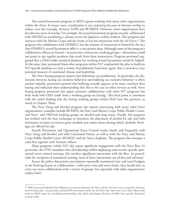The sexual harassment program in MEO reports working with many other organizations within the Navy. In many cases, coordination is not surprising because of obvious overlap in subject area (for example, between SAPR and BUMED). However, some organizations have less obvious areas of overlap. For example, the sexual harassment program recently collaborated with DEOMI on translating a climate survey for Japanese civilian workers. This program also interacts with the Marine Corps and the Army; it has less interaction with the Air Force.32 The program also collaborates with ODMEO, but the amount of interaction is limited by the fact that ODMEO's sexual harassment office is a one-person shop. Although some of the program's collaborative efforts are formal—in particular, interservice working groups—discussants could not point to any regular products that result from these interactions. Program personnel suggested that a (DoD-wide) standard database for tracking sexual harassment would be helpful. At the same time, personnel from other programs within N17 emphasized the plan to build an N17-specific database to track a variety of problematic behaviors; again, this is viewed as a key potential measure of command climate and leadership.

The Navy hazing program reports that definitions are problematic. In particular, the distinction between hazing (an inclusive behavior) and bullying (an exclusive behavior) is often unclear initially; personnel reported that bullying actually appears to be more common than hazing and indicated their understanding that this is the case in other services as well. Navy hazing program personnel also report extensive collaboration with other N17 programs but little work with OSD (aside from a working group on hazing). This final point is consistent with the earlier finding that the hazing working groups within DoD have few partners, as noted in Chapter Three.

The Navy Drug and Alcohol program also reports interacting with many other Navy organizations; examples include BUMED, the Navy and Marine Corps Public Health Center, and Navy- and OSD-led working groups on alcohol and drug issues. Finally, this program has worked with the base exchanges to minimize the placement of alcohol for sale and with minimarts on bases to remove grain alcohols and reduce hours during which alcoholic beverages are offered for sale.

Suicide Prevention and Operational Stress Control works closely and frequently with Navy Drug and Alcohol and with Command Fitness, as well as with the Navy and Marine Corps Public Health Center, BUMED, and the Navy chaplains. The program also manages a crisis line together with Veterans Affairs.

Many programs within N17 also report significant engagement with the Navy fleet. In particular, the CNO mandates that all leadership within deploying units receive specific operational stress control training; this involves significant interaction with the fleet. In general, with the exception of mandated training, most of these interactions are ad hoc and informal.

Across the policy discussions, participants repeatedly mentioned time and travel budgets as the limiting factors in collaboration—with more time and more funds, they would elect to carry out more collaboration with a variety of groups, but especially with other organizations within DoD.

 $32$  MEO personnel indicated that differences in structure between the Navy and the Air Force were a reason for the lower level of interaction—in particular, enlisted MEO personnel within the Air Force have their own career field; officers who work on MEO issues are considered personnelmen, but chiefs and deputy directors of MEO have specific functional account codes.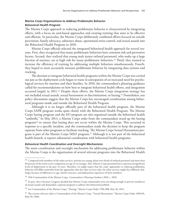# **Marine Corps Organizations to Address Problematic Behavior** *Behavioral Health Program*

The Marine Corps approach to reducing problematic behavior is characterized by integrating efforts, with a focus on unit-based approaches and creating training that aims to be effective and efficient. In particular, the Marine Corps deliberately combined efforts focused on suicide prevention, family advocacy, substance abuse, operational stress control, and sexual assault into the Behavioral Health Program in 2010.

Marine Corps officials selected the integrated behavioral health approach for several reasons. First, they recognized that many problematic behaviors have common risk and preventive factors. Second, they realized that young male junior enlisted personnel, who make up a large fraction of marines, are at high risk for many problematic behaviors.<sup>33</sup> Third, they wanted to increase the efficiency of training by addressing multiple behaviors simultaneously. Fourth, they hoped to more accurately measure problematic behavior by integrating data systems and tracking.

The decision to integrate behavioral health programs within the Marine Corps was carried out just as the deployment cycle began to wane in anticipation of an increased need for psychological services for marines and their families. In 2010, the commandant's planning guidance called for recommendations on how best to integrate behavioral health efforts, and integration occurred largely in 2011.34 Despite these efforts, the Marine Corps integration strategy has not included sexual assault, sexual harassment or discrimination, or hazing.35 Nonetheless, our policy discussions suggest that the Marine Corps has encouraged coordination among behavioral programs inside and outside the Behavioral Health Program.

Although it is no longer officially part of the behavioral health program, the Marine Corps SAPR program works quite closely with the Behavioral Health Program. The Marine Corps hazing program and the EO program are also organized outside the behavioral health "umbrella." In May 2013, a Marine Corps order from the commandant stood up the hazing program<sup>36</sup> to ensure that hazing does not occur within the Marine Corps. This occurred in response to a specific incident, and the commandant made the decision to keep the program separate from other programs to facilitate tracking. The Marine Corps Sexual Harassment program is part of the Marine Corps MEO program.<sup>37</sup> Although it is not part of the behavioral health branch, it reports substantial coordination with behavioral health programs.

#### *Behavioral Health Coordination and Oversight Mechanisms*

The main coordination and oversight mechanism for addressing problematic behavior within the Marine Corps is the organization of several relevant programs into the Behavioral Health

<sup>&</sup>lt;sup>33</sup> Compared with members of the other services, marines are young; about two-thirds of enlisted personnel and more than 60 percent of the entire active component are age 25 or younger. Also, Marine Corps personnel have experienced significant levels of deployment in the past 14 years. Therefore, we might expect that the corps' approaches to reducing problematic behavior will differ somewhat from the approaches that the other services take; the other services might face different challenges because of differences in age, family structure, and deployment experience of their members.

<sup>34</sup> 35th Commandant of the Marine Corps, *Commandant's Planning Guidance 2010*, c. 2010.

<sup>&</sup>lt;sup>35</sup> In part, this is because Congress decided that Marine Corps commanders were not doing enough to prevent incidences of sexual assault and demanded a separate program to address this behavioral problem.

<sup>36</sup> See Commandant of the Marine Corps, "Hazing," Marine Corps Order 1700.28B, May 20, 2013.

<sup>&</sup>lt;sup>37</sup> The current relevant order is Commandant of the Marine Corps, "Sexual Harassment," Marine Corps Order 1000.9A, May 30, 2006.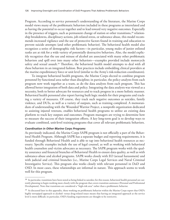Program. According to service personnel's understanding of the literature, the Marine Corps model views many of the problematic behaviors included in these programs as interrelated and as having the potential to occur together and to lead toward very negative outcomes. Especially in the presence of triggers, such as permanent change of station or other transitions,<sup>38</sup> relationship breakdowns, disciplinary actions, job-related stress, or substance abuse, this model recommends increased vigilance and the use of protective factors found in training and education to prevent suicide attempts (and other problematic behavior). The behavioral health model also recognizes a series of demographic risk factors—in particular, young males of junior enlisted ranks are at risk for a wide variety of potentially destructive behaviors. Also, the model explicitly recognizes that the use and misuse of alcohol are associated with many other problematic behaviors and spill over into many other behaviors—examples provided include motorcycle safety and sexual assault.<sup>39</sup> Therefore, the behavioral health model attempts to deal with all these behaviors in an integrated fashion. Best practices include embedding clinical providers at the marine expeditionary force or unit level (similar to the Army's risk-reduction coordinators).

To integrate behavioral health programs, the Marine Corps elected to combine program personnel by functional area rather than discipline; in particular, the policy analysts from each program now work together as a team, as do the data analysts from each program. This has allowed better integration of both data and policy. Integrating the data analysts was viewed as a necessity, both to better advocate for resources and to track progress in a more holistic manner. Behavioral health personnel also report having built logic models for their programs and tracking a variety of measures. Of course, they track such negative outcomes as suicides, family violence, and DUIs, as well as a variety of outputs, such as training completed. A memorandum of understanding with the Wounded Warrior Project, a nonprofit organization dedicated to assisting injured veterans, enables behavioral health programs to utilize an existing data platform to track key outputs and outcomes. Program managers are trying to determine how to measure the success of their integration efforts. A key long-term goal is to develop ways to evaluate combined, unit-level training programs that cover all relevant problematic behaviors.

#### *Coordination in Other Marine Corps Programs*

As previously indicated, the Marine Corps SAPR program is not officially a part of the Behavioral Health Program. Although SAPR has a separate budget and reporting requirements, it is funded through Behavioral Health and is able to tap into behavioral health resources as necessary. Specific examples include the use of legal counsel, as well as working with behavioral health counselors and victim advocates as necessary. The SAPR program works with the quality assurance and financial branches of Behavioral Health to ensure data quality, as well as with substance-abuse and alcohol programs. SAPR works closely with EO (sexual harassment) and with judicial and criminal branches (i.e., Marine Corps Legal Services and Naval Criminal Investigative Service). This program also works closely with relevant personnel in DoD and OSD. In most cases, these relationships are informal in nature. This approach seems to work well for this program.

 $38$  In particular, transitions have been noted as being linked to suicides; for this reason, behavioral health personnel are currently planning to begin working more closely with the program that covers transition assistance (Personal and Professional Development). Note that transitions are considered a "high-risk area" rather than a problematic behavior.

<sup>&</sup>lt;sup>39</sup> As discussed later in this appendix, those working on problematic behavior within the Marine Corps report that OSD's highly stovepiped approach to alcohol- versus drug-related issues means that having an integrated approach at the service level is more difficult; in particular, OSD's funding requirements are thought to be restrictive.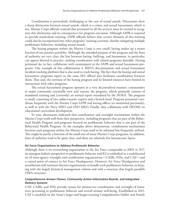Coordination is particularly challenging in the case of sexual assault. Discussants drew a sharp distinction between sexual assault, which is a crime, and sexual harassment, which is not. Marine Corps officials contend that personnel in all the services must be trained to recognize this distinction and its consequences for program execution. Although SAPR is required to provide stand-alone training, SAPR officials believe that certain elements of this training could also be incorporated into other programs' training activities, thereby mitigating multiple problematic behaviors, including sexual assault.

The hazing program within the Marine Corps is very small; hazing makes up a minor fraction of one person's portfolio. Although the intended purpose of the program and the lines of authority are very clear, the line between hazing, bullying, and harassment, in particular, can appear blurred in practice, making coordination with related programs desirable. Hazing personnel do, in fact, collaborate with counterparts in the SAPR and sexual harassment programs. One example of this collaboration is MEO's discrimination and sexual harassment incident-tracking platform that is also used to track hazing. The fact that the hazing and sexual harassment programs report to the same SES official also facilitates coordination between them. That said, the newness of the hazing program and its limited resources have limited its interactions with other programs.

The sexual harassment program operates in a very decentralized manner; commanders at major commands essentially own and execute the program, which primarily consists of mandated training and (currently) an annual report mandated by the NDAA. The program is small, consisting of two subject-matter experts and a branch head. Program personnel coordinate frequently with the Marine Corps SAPR and hazing offices (as mentioned previously), as well as with the Navy MEO and OSD MEO. Finally, they collaborate with DEOMI on educational curriculum development.

In sum, discussants indicated that coordination and oversight mechanisms within the Marine Corps work well from their perspective, including programs that are part of the Behavioral Health Program *and* programs focused on problematic behavior that is not part of the Behavioral Health Program. As the examples above demonstrate, coordination mechanisms between such programs within the Marine Corps tend to be informal but frequently utilized. This might be partly a function of the small size of many Marine Corps programs. In addition, lines of authority tend to be quite clear, and there are relatively few bureaucratic layers.

#### **Air Force Organizations to Address Problematic Behavior**

Although there is no overarching organization in the Air Force comparable to ARD or N17, its emergent holistic perspective to problematic behavior and R2 is embodied in a multilayered set of intra-agency oversight and coordination organizations—CAIBs, IDSs, and CAF—and a central point of contact in Air Force Headquarters. However, Air Force Headquarters and installations still maintain discrete organizations to handle each problematic behavior, in keeping with the largely historical management scheme and with a structure that largely parallels OSD's structure.

### *Comprehensive Airman Fitness, Community Action Information Boards, and Integrated Delivery Systems*

CAF, CAIBs, and IDSs provide venues for intraservice coordination and oversight of initiatives pertaining to problematic behavior and overall airman well-being. Established in 2011, CAF is modeled on the Army's larger and longer-running Comprehensive Soldier and Family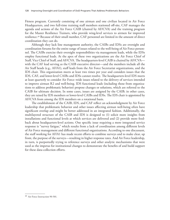Fitness program. Currently consisting of one airman and one civilian located in Air Force Headquarters, and two full-time training staff members stationed off-site, CAF manages the agenda and actions of the Air Force CAIB (chaired by AF/CVA) and the training program for the Master Resilience Trainers, who provide wing-level services to airmen for improved resilience.40 Because of their small number, CAF personnel are limited in the amount of direct coordination they can do.

Although they lack line management authority, the CAIBs and IDSs are oversight and coordination forums for the entire range of issues related to the well-being of Air Force personnel. The CAIBs exercise their oversight responsibilities via management leads, while the IDSs employ functional leads. At the apex of these two organizations are the Air Force Chief of Staff, Vice Chief of Staff, and AF/CVA. The headquarters-level CAIB is chaired by AF/CVA with the CAF lead serving as the CAIB executive director—and the members include all the Air Staff heads (e.g., AF/A1), staff leads from the Air Force Secretariat organizations, and the IDS chair. This organization meets at least two times per year and considers issues that the IDS, CAF, and lower-level CAIBs and IDSs cannot resolve. The headquarters-level IDS meets at least quarterly to consider Air Force–wide issues related to the delivery of services intended to improve airman R2 and well-being. IDS functional leads (including those from organizations to address problematic behavior) propose changes or solutions, which are referred to the CAIB for ultimate decision. In some cases, issues are assigned by the CAIB; in other cases, they are raised by IDS members or lower-level CAIBs and IDSs. The IDS chair is appointed by AF/CVA from among the IDS members on a rotational basis.

The establishment of the CAIB, IDS, and CAF reflect an acknowledgment by Air Force leadership that problematic behavior and other issues affecting airman well-being often have significant overlap and might be better addressed in an integrated fashion. Additionally, the multilayered structure of the CAIB and IDS is designed to (1) solicit more insights from installations and functional levels at which services are delivered and (2) provide more feedback about headquarters-level actions. One specific issue requiring a more integrated service response is "survey fatigue," which results from a lack of coordination among different levels of Air Force management and different functional organizations. According to one discussant, the staff working for AF/A1 has made recent efforts to combine surveys and to make clear, up front, the purpose of the surveys—resulting in higher response rates. And Air Force leadership, in turn, is purportedly trying to reference surveys and other analytic mechanisms that were used as the impetus for institutional changes to demonstrate the benefits of and build support for these data-collection efforts.

<sup>40</sup> Air Force Instruction 90-501.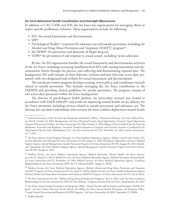## *Air Force Behavioral Health Coordination and Oversight Mechanisms*

In addition to CAF, CAIB, and IDS, the Air Force has organizations for managing efforts to reduce specific problematic behavior. These organizations include the following:

- EO<sup>41</sup> for sexual harassment and discrimination
- $\bullet$  SPP<sub>42</sub>
- Psychological Health:<sup>43</sup> treatment for substance use and suicide prevention, including the Alcohol and Drug Abuse Prevention and Treatment (ADAPT) program<sup>44</sup>
- the DDRP<sup>45</sup> for prevention and detection of illegal drug use
- SAPR<sup>46</sup> for prevention of and response to sexual assault, including victim advocates.

By law, the EO organization handles the sexual harassment and discrimination activities of the Air Force, including overseeing installation-level EO staff, moving harassment and discrimination claims through the process, and collecting and disseminating required data. The headquarters EO staff consists of three full-time civilians and four full-time active-duty personnel, with two designated lead civilians for sexual harassment and discrimination.

The suicide prevention program develops training, writes policy, and coordinates research related to suicide prevention. This includes managing the Air Force contribution to the DoDSER and providing clinical guidelines for suicide prevention. The program consists of two active-duty personnel within Air Force headquarters.

The director of psychological health position (an active-duty airman) was created in accordance with DoDI 6490.0947 and works on improving mental health service delivery for Air Force personnel, including services related to suicide prevention and substance use. The director has one direct subordinate who oversees the lower-echelon deployment mental health

<sup>41</sup> Assistant Secretary of the Air Force for Manpower and Reserve Affairs, "Personnel: Diversity," Air Force Policy Directive 36-70, October 13, 2010; Headquarters, Air Force Personnel Center, *Equal Opportunity, Personnel: Equal Opportunity Program Military and Civilian*, Air Force Instruction 36-2706, October 5, 2010; Deputy Chief of Staff of the Air Force for Manpower, Personnel and Readiness, *Personnel: Nondiscrimination in Programs and Activities Assisted or Conducted by the Department of the Air Force*, Washington, D.C., Air Force Instruction 36-2707, December 16, 2010, certify current January 7, 2015.

<sup>42</sup> Air Force Special Needs Program Manager, Air Force Medical Operations Agency, *Medical: Suicide and Violence Prevention Education and Training*, Air Force Instruction 44-154, January 3, 2003; Healthcare Operations, Air Force Medical Support Agency, *Special Management: Suicide Prevention Program*, Air Force Instruction 90-505, August 10, 2012; Healthcare Operations, Air Force Medical Support Agency, *Special Management: Suicide Prevention Program*, Air Force Instruction 90-505, October 6, 2014.

<sup>43</sup> Medical Service, Air Force Medical Operations Agency, *Medical Operations: Mental Health*, Air Force Instruction 44-172, March 14, 2011a; Medical Service, Air Force Medical Operations Agency, *Medical Operations: Mental Health*, Air Force Instruction 44-172, November 13, 2015; Medical Service, Air Force Medical Operations Agency, "Guidance Memorandum to Air Force Instruction (AFI) 44-172, Mental Health," August 5, 2014b.

<sup>44</sup> Medical Service, Air Force Medical Operations Agency, *Medical: Alcohol and Drug Abuse Prevention and Treatment (ADAPT) Program*, Air Force Instruction 44-121, April 11, 2011b; Medical Service, Air Force Medical Operations Agency, *Medical: Alcohol and Drug Abuse Prevention and Treatment (ADAPT) Program*, Air Force Instruction 44-121, July 8, 2014a.

<sup>45</sup> Air Force Instruction 44-120, "Military Drug Demand Reduction Program," June 6, 2012; and "Air Force Guidance Memorandum to Air Force Instruction (AFI) 44-120, Military," Surgeon General of the Air Force, dated January 30, 2014.

<sup>46</sup> Air Force Sexual Assault Prevention and Response Office, "Sexual Assault and Prevention and Response (SAPR) Program," Air Force Policy Directive 36-60, March 28, 2008a; Air Force Sexual Assault Prevention and Response Office, "Sexual Assault Prevention and Response (SAPR) Program," Air Force Instruction 36-6001, September 29, 2008b.

<sup>47</sup> DoDI 6490.09.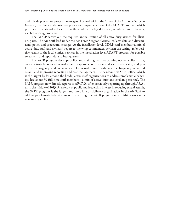and suicide prevention program managers. Located within the Office of the Air Force Surgeon General, the director also oversees policy and implementation of the ADAPT program, which provides installation-level services to those who are alleged to have, or who admit to having, alcohol or drug problems.

The DDRP carries out the required annual testing of all active-duty airmen for illicitdrug use. The Air Staff lead under the Air Force Surgeon General collects data and disseminates policy and procedural changes. At the installation level, DDRP staff members (a mix of active-duty staff and civilians) report to the wing commander, perform the testing, refer positive results to the local clinical services in the installation-level ADAPT program for possible treatment, and report data to headquarters.

The SAPR program develops policy and training, ensures training occurs, collects data, oversees installation-level sexual assault response coordinators and victim advocates, and performs intra-agency and interagency roles geared toward reducing the frequency of sexual assault and improving reporting and case management. The headquarters SAPR office, which is the largest by far among the headquarters staff organizations to address problematic behavior, has about 30 full-time staff members—a mix of active-duty and civilian personnel. The SAPR program now directly reports to AF/CVA, after previously reporting up through AF/A1 until the middle of 2013. As a result of public and leadership interest in reducing sexual assault, the SAPR program is the largest and most interdisciplinary organization in the Air Staff to address problematic behavior. As of this writing, the SAPR program was finishing work on a new strategic plan.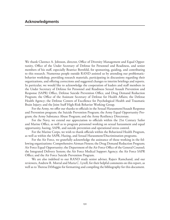We thank Clarence A. Johnson, director, Office of Diversity Management and Equal Opportunity, Office of the Under Secretary of Defense for Personnel and Readiness, and senior members of his staff, especially Beatrice Bernfeld, for sponsoring, guiding, and contributing to this research. Numerous people outside RAND assisted us by attending our problematicbehavior workshop, providing research materials, participating in discussions regarding their organizations, and offering corrections and suggested changes to interim briefings and reports. In particular, we would like to acknowledge the cooperation of leaders and staff members in the Under Secretary of Defense for Personnel and Readiness Sexual Assault Prevention and Response (SAPR) Office, Defense Suicide Prevention Office, and Drug Demand Reduction Program; the Office of the Assistant Secretary of Defense for Health Affairs; the Defense Health Agency; the Defense Centers of Excellence for Psychological Health and Traumatic Brain Injury; and the Joint Staff High-Risk Behavior Working Group.

For the Army, we offer our thanks to officials in the Sexual Harassment/Assault Response and Prevention program; the Suicide Prevention Program; the Army Equal Opportunity Program; the Army Substance Abuse Program; and the Army Resiliency Directorate.

For the Navy, we extend our appreciation to officials within the 21st Century Sailor and Marine Office, as well as to program personnel working on sexual harassment and equal opportunity, hazing, SAPR, and suicide prevention and operational stress control.

For the Marine Corps, we wish to thank officials within the Behavioral Health Program, as well as within the SAPR, Hazing, and Sexual Harassment/Discrimination programs.

For the Air Force, we gratefully acknowledge the assistance of those working in the following organizations: Comprehensive Airman Fitness; the Drug Demand Reduction Program; Air Force Equal Opportunity; the Department of the Air Force Office of the General Counsel; the Integrated Delivery System; the Air Force Medical Support Agency; the Air Force SAPR Office; and the Air Force Suicide Prevention Program.

We are also indebted to our RAND study senior adviser, Rajeev Ramchand, and our reviewers, Andrew R. Morral and Maria C. Lytell, for their helpful comments on this report, as well as to Theresa DiMaggio for formatting and compiling the bibliography for this document.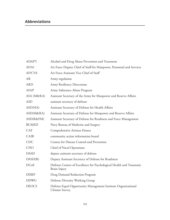## **Abbreviations**

| <b>ADAPT</b>  | Alcohol and Drug Abuse Prevention and Treatment                                      |
|---------------|--------------------------------------------------------------------------------------|
| AF/A1         | Air Force Deputy Chief of Staff for Manpower, Personnel and Services                 |
| <b>AF/CVA</b> | Air Force Assistant Vice Chief of Staff                                              |
| <b>AR</b>     | Army regulation                                                                      |
| <b>ARD</b>    | Army Resiliency Directorate                                                          |
| <b>ASAP</b>   | Army Substance Abuse Program                                                         |
| ASA (M&RA)    | Assistant Secretary of the Army for Manpower and Reserve Affairs                     |
| <b>ASD</b>    | assistant secretary of defense                                                       |
| ASD(HA)       | Assistant Secretary of Defense for Health Affairs                                    |
| ASD(M&RA)     | Assistant Secretary of Defense for Manpower and Reserve Affairs                      |
| ASD(R&FM)     | Assistant Secretary of Defense for Readiness and Force Management                    |
| <b>BUMED</b>  | Navy Bureau of Medicine and Surgery                                                  |
| <b>CAF</b>    | Comprehensive Airman Fitness                                                         |
| CAIB          | community action information board                                                   |
| <b>CDC</b>    | Centers for Disease Control and Prevention                                           |
| <b>CNO</b>    | Chief of Naval Operations                                                            |
| <b>DASD</b>   | deputy assistant secretary of defense                                                |
| DASD(R)       | Deputy Assistant Secretary of Defense for Readiness                                  |
| <b>DCoE</b>   | Defense Centers of Excellence for Psychological Health and Traumatic<br>Brain Injury |
| <b>DDRP</b>   | Drug Demand Reduction Program                                                        |
| <b>DDWG</b>   | Defense Diversity Working Group                                                      |
| <b>DEOCS</b>  | Defense Equal Opportunity Management Institute Organizational<br>Climate Survey      |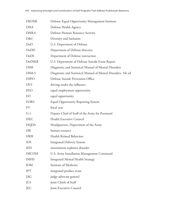| <b>DEOMI</b>  | Defense Equal Opportunity Management Institute                 |
|---------------|----------------------------------------------------------------|
| <b>DHA</b>    | Defense Health Agency                                          |
| <b>DHRA</b>   | Defense Human Resource Activity                                |
| D&I           | Diversity and Inclusion                                        |
| DoD           | U.S. Department of Defense                                     |
| DoDD          | Department of Defense directive                                |
| DoDI          | Department of Defense instruction                              |
| <b>DoDSER</b> | U.S. Department of Defense Suicide Event Report                |
| <b>DSM</b>    | Diagnostic and Statistical Manual of Mental Disorders          |
| DSM-5         | Diagnostic and Statistical Manual of Mental Disorders, 5th ed. |
| <b>DSPO</b>   | Defense Suicide Prevention Office                              |
| <b>DUI</b>    | driving under the influence                                    |
| <b>EEO</b>    | equal employment opportunity                                   |
| EO            | equal opportunity                                              |
| <b>EORS</b>   | <b>Equal Opportunity Reporting System</b>                      |
| <b>FY</b>     | fiscal year                                                    |
| $G-1$         | Deputy Chief of Staff of the Army for Personnel                |
| <b>HEC</b>    | Health Executive Council                                       |
| <b>HQDA</b>   | Headquarters, Department of the Army                           |
| <b>HR</b>     | human resource                                                 |
| <b>HRB</b>    | Health Related Behaviors                                       |
| <b>IDS</b>    | <b>Integrated Delivery System</b>                              |
| <b>IED</b>    | intermittent explosive disorder                                |
| <b>IMCOM</b>  | U.S. Army Installation Management Command                      |
| <b>IMHS</b>   | <b>Integrated Mental Health Strategy</b>                       |
| <b>IOM</b>    | Institute of Medicine                                          |
| <b>IPT</b>    | integrated product team                                        |
| JAG           | judge advocate general                                         |
| <b>JCS</b>    | Joint Chiefs of Staff                                          |
| JEC           | Joint Executive Council                                        |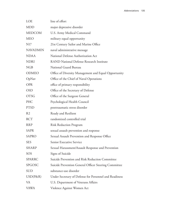| LOE             | line of effort                                         |
|-----------------|--------------------------------------------------------|
| <b>MDD</b>      | major depressive disorder                              |
| <b>MEDCOM</b>   | U.S. Army Medical Command                              |
| <b>MEO</b>      | military equal opportunity                             |
| N <sub>17</sub> | 21st Century Sailor and Marine Office                  |
| <b>NAVADMIN</b> | naval administrative message                           |
| <b>NDAA</b>     | National Defense Authorization Act                     |
| <b>NDRI</b>     | <b>RAND National Defense Research Institute</b>        |
| <b>NGB</b>      | National Guard Bureau                                  |
| <b>ODMEO</b>    | Office of Diversity Management and Equal Opportunity   |
| OpNav           | Office of the Chief of Naval Operations                |
| <b>OPR</b>      | office of primary responsibility                       |
| <b>OSD</b>      | Office of the Secretary of Defense                     |
| <b>OTSG</b>     | Office of the Surgeon General                          |
| PHC             | Psychological Health Council                           |
| <b>PTSD</b>     | posttraumatic stress disorder                          |
| R <sub>2</sub>  | Ready and Resilient                                    |
| <b>RCT</b>      | randomized controlled trial                            |
| <b>RRP</b>      | <b>Risk Reduction Program</b>                          |
| <b>SAPR</b>     | sexual assault prevention and response                 |
| <b>SAPRO</b>    | Sexual Assault Prevention and Response Office          |
| <b>SES</b>      | <b>Senior Executive Service</b>                        |
| <b>SHARP</b>    | Sexual Harassment/Assault Response and Prevention      |
| SOS             | Signs of Suicide                                       |
| <b>SPARRC</b>   | Suicide Prevention and Risk Reduction Committee        |
| SPGOSC          | Suicide Prevention General Officer Steering Committee  |
| <b>SUD</b>      | substance-use disorder                                 |
| $USD(P\&R)$     | Under Secretary of Defense for Personnel and Readiness |
| VA              | U.S. Department of Veterans Affairs                    |
| VAWA            | Violence Against Women Act                             |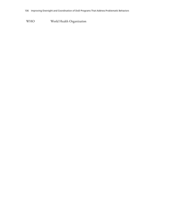WHO World Health Organization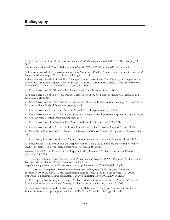## **Bibliography**

35th Commandant of the Marine Corps, *Commandant's Planning Guidance 2010*, c. 2010. As of July 13, 2016:

<http://www.marines.mil/Portals/59/Publications/35th%20CMC>'s%20Planning%20Guidance.pdf

Abbey, Antonia, "Alcohol-Related Sexual Assault: A Common Problem Among College Students," *Journal of Studies on Alcohol*, Suppl. Vol. 14, March 2002, pp. 118–128.

Abbey, Antonia, Michele R. Parkhill, A. Monique Clinton-Sherrod, and Tina Zawacki, "A Comparison of Men Who Committed Different Types of Sexual Assault in a Community Sample," *Journal of Interpersonal Violence*, Vol. 22, No. 12, December 2007, pp. 1567–1580.

Air Force Instruction 36-2706—*See* Headquarters, Air Force Personnel Center, 2010.

Air Force Instruction 36-2707—*See* Deputy Chief of Staff of the Air Force for Manpower, Personnel and Readiness, 2010 (2015).

Air Force Instruction 44-121—*See* Medical Service, Air Force Medical Operations Agency, 2011b, or Medical Service, Air Force Medical Operations Agency, 2014a.

Air Force Instruction 44-154—*See* Air Force Special Needs Program Manager, 2003.

Air Force Instruction 44-172—*See* Medical Service, Air Force Medical Operations Agency, 2011a, or Medical Service, Air Force Medical Operations Agency, 2015.

Air Force Instruction 90-501—*See* Chief, Airman and Family Care Division, 2013 (2014).

Air Force Instruction 90-505—*See* Healthcare Operations, Air Force Medical Support Agency, 2014.

Air Force Policy Directive 36-70—*See* Assistant Secretary of the Air Force for Manpower and Reserve Affairs, 2010.

Air Force Policy Directive 36-60—*See* Air Force Sexual Assault Prevention and Response Office, 2008a.

Air Force Sexual Assault Prevention and Response Office, "Sexual Assault and Prevention and Response (SAPR) Program," Air Force Policy Directive 36-60, March 28, 2008a.

———, "Sexual Assault Prevention and Response (SAPR) Program," Air Force Instruction 36-6001, September 29, 2008b.

———, "Special Management: Sexual Assault Prevention and Response (SAPR) Program," Air Force Policy Directive 90-60, October 2, 2014. As of August 15, 2016:

[http://static.e-publishing.af.mil/production/1/af\\_cv/publication/afpd90-60/afpd90-60.pdf](http://static.e-publishing.af.mil/production/1/af_cv/publication/afpd90-60/afpd90-60.pdf)

———, *Special Management: Sexual Assault Prevention and Response (SAPR) Program*, Air Force Instruction 90-6001, May 21, 2015, incorporating change 1 March 18, 2016. As of August 15, 2016: [http://static.e-publishing.af.mil/production/1/af\\_cvs/publication/afi90-6001/afi90-6001.pdf](http://static.e-publishing.af.mil/production/1/af_cvs/publication/afi90-6001/afi90-6001.pdf)

Air Force Special Needs Program Manager, Air Force Medical Operations Agency, *Medical: Suicide and Violence Prevention Education and Training*, Air Force Instruction 44-154, January 3, 2003.

Ajzen, Icek, and Martin Fishbein, "Attitude–Behavior Relations: A Theoretical Analysis and Review of Empirical Research," *Psychological Bulletin*, Vol. 84, No. 5, September 1977, pp. 888–918.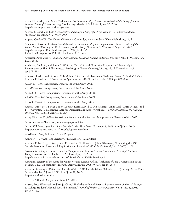Allan, Elizabeth J., and Mary Madden, *Hazing in View: College Students at Risk—Initial Findings from the National Study of Student Hazing*, StopHazing, March 11, 2008. As of June 22, 2016: <http://www.stophazing.org/hazing-view/>

Allison, Michael, and Jude Kaye, *Strategic Planning for Nonprofit Organizations: A Practical Guide and Workbook*, Hoboken, N.J.: Wiley, 2005.

Allport, Gordon W., *The Nature of Prejudice*, Cambridge, Mass.: Addison-Wesley Publishing, 1954.

Altendorf, Christine T., *Army Sexual Assault Prevention and Response Progress Report to the President of the United States*, Washington, D.C.: Secretary of the Army, November 5, 2014. As of August 21, 2016: http://www.sapr.mil/public/docs/reports/FY14\_POTUS/ [FY14\\_DoD\\_Report\\_to\\_POTUS\\_Enclosure\\_1\\_Army.pdf](http://www.sapr.mil/public/docs/reports/FY14_POTUS/FY14_DoD_Report_to_POTUS_Enclosure_1_Army.pdf)

American Psychiatric Association, *Diagnostic and Statistical Manual of Mental Disorders*, 5th ed., Washington, D.C., 2013.

Anderson, Linda A., and Susan C. Whiston, "Sexual Assault Education Programs: A Meta-Analytic Examination of Their Effectiveness," *Psychology of Women Quarterly*, Vol. 29, No. 4, December 2005, pp. 374–388.

Antecol, Heather, and Deborah Cobb‐Clark, "Does Sexual Harassment Training Change Attitudes? A View from the Federal Level," *Social Science Quarterly*, Vol. 84, No. 4, December 2003, pp. 826–842.

AR 27-10—*See* Headquarters, Department of the Army, 2011.

AR 350-1—*See* Headquarters, Department of the Army, 2014a.

AR 600-20—*See* Headquarters, Department of the Army, 2014b.

AR 600-63—*See* Headquarters, Department of the Army, 2015b.

AR 600-85—*See* Headquarters, Department of the Army, 2012.

Archer, Janine, Peter Bower, Simon Gilbody, Karina Lovell, David Richards, Linda Gask, Chris Dickens, and Peter Coventry, "Collaborative Care for Depression and Anxiety Problems," *Cochrane Database of Systematic Reviews*, No. 10, 2012, Art. CD006525.

Army Directive 2015-39—*See* Assistant Secretary of the Army for Manpower and Reserve Affairs, 2015.

Army Substance Abuse Program, home page, undated.

"Army Will Investigate Recruiters' Suicides," *New York Times*, November 8, 2008. As of July 6, 2016: <http://www.nytimes.com/2008/11/09/us/09recruiters.html>

ASAP—*See* Army Substance Abuse Program.

ASD(HA)—*See* Assistant Secretary of Defense for Health Affairs.

Aseltine, Robert H., Jr., Amy James, Elizabeth A. Schilling, and Jaime Glanovsky, "Evaluating the *SOS*  Suicide Prevention Program: A Replication and Extension," *BMC Public Health*, Vol. 7, 2007, p. 161.

Assistant Secretary of the Air Force for Manpower and Reserve Affairs, "Personnel: Diversity," Air Force Policy Directive 36-70, October 13, 2010. As of July 13, 2016: <http://www.af.mil/Portals/1/documents/diversity/afpd-36-70-diversity.pdf>

Assistant Secretary of the Army for Manpower and Reserve Affairs, "Inclusion of Sexual Orientation in the Military Equal Opportunity Program," Army Directive 2015-39, October 14, 2015.

Assistant Secretary of Defense for Health Affairs, "2011 Health Related Behavior (HRB) Survey: Active Duty Service Members," June 1, 2011. As of June 28, 2016: <http://www.health.mil/dha>

———, "Official Designation," March 5, 2013.

Austin, Erica Weintraub, and Yin Ju Chen, "The Relationship of Parental Reinforcement of Media Messages to College Students' Alcohol-Related Behaviors," *Journal of Health Communication*, Vol. 8, No. 2, 2003, pp. 157–169.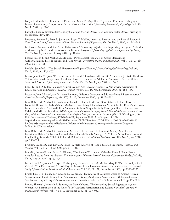Banyard, Victoria L., Elizabethe G. Plante, and Mary M. Moynihan, "Bystander Education: Bringing a Broader Community Perspective to Sexual Violence Prevention," *Journal of Community Psychology*, Vol. 32, No. 1, 2004, pp. 61–79.

Battaglia, Nicole, director, 21st Century Sailor and Marine Office, "21st Century Sailor Office," briefing to the authors, May 2014.

Beautrais, Annette L., Peter R. Joyce, and Roger T. Mulder, "Access to Firearms and the Risk of Suicide: A Case Control Study," *Australian and New Zealand Journal of Psychiatry*, Vol. 30, No. 6, 1996, pp. 741–748.

Beelmann, Andreas, and Kim Sarah Heinemann, "Preventing Prejudice and Improving Intergroup Attitudes: A Meta-Analysis of Child and Adolescent Training Programs," *Journal of Applied Developmental Psychology*, Vol. 35, No. 1, January–February 2014, pp. 10–24.

Begany, Joseph J., and Michael A. Milburn, "Psychological Predictors of Sexual Harassment: Authoritarianism, Hostile Sexism, and Rape Myths," *Psychology of Men and Masculinity*, Vol. 3, No. 2, July 2002, pp. 119–126.

Berdahl, Jennifer L., "The Sexual Harassment of Uppity Women," *Journal of Applied Psychology*, Vol. 92, No. 2, 2007, pp. 425–437.

Beyers, Jennifer M., John W. Toumbourou, Richard F. Catalano, Michael W. Arthur, and J. David Hawkins, "A Cross-National Comparison of Risk and Protective Factors for Adolescent Substance Use: The United States and Australia," *Journal of Adolescent Health*, Vol. 35, No. 1, July 2004, pp. 3–16.

Boba, R., and D. Lilley, "Violence Against Women Act (VAWA) Funding: A Nationwide Assessment of Effects on Rape and Assault," *Violence Against Women*, Vol. 15, No. 2, February 2009, pp. 168–185.

Bostwick, John Michael, and V. Shane Pankratz, "Affective Disorders and Suicide Risk: A Reexamination," *American Journal of Psychiatry*, Vol. 157, No. 12, December 2000, pp. 1925–1932.

Bray, Robert M., Michael R. Pemberton, Laurel L. Hourani, Michael Witt, Kristine L. Rae Olmsted, Janice M. Brown, BeLinda Weimer, Marian E. Lane, Mary Ellen Marsden, Scott Scheffler, Russ Vandermaas-Peeler, Kimberly R. Aspinwall, Erin Anderson, Kathryn Spagnola, Kelly Close, Jennifer L. Gratton, Sara Calvin, and Michael Bradshaw, *2008 Department of Defense Survey of Health Related Behaviors Among Active Duty Military Personnel: A Component of the Defense Lifestyle Assessment Program (DLAP)*, Washington, D.C.: U.S. Department of Defense, RTI/10940-FR, September 2009. As of August 15, 2016: [http://prhome.defense.gov/Portals/52/Documents/RFM/Readiness/DDRP/docs/2009.09%202008%20](http://prhome.defense.gov/Portals/52/Documents/RFM/Readiness/DDRP/docs/2009.09%202008%20DoD%20Survey%20of%20Health%20Related%20Behaviors%20Among%20Active%20Duty%20Military%20Personnel.pdf) DoD%20Survey%20of%20Health%20Related%20Behaviors%20Among%20Active%20Duty%20 Military%20Personnel.pdf

Bray, Robert M., Michael R. Pemberton, Marian E. Lane, Laurel L. Hourani, Mark J. Mattiko, and Lorraine A. Babeu, "Substance Use and Mental Health Trends Among U.S. Military Active Duty Personnel: Key Findings from the 2008 DoD Health Behavior Survey," *Military Medicine*, Vol. 175, No. 6, June 2010, pp. 390–399.

Brecklin, Leanne R., and David R. Forde, "A Meta-Analysis of Rape Education Programs," *Violence and Victims*, Vol. 16, No. 3, June 2001, pp. 303–321.

Brecklin, Leanne R., and Sarah E. Ullman, "The Roles of Victim and Offender Alcohol Use in Sexual Assaults: Results from the National Violence Against Women Survey," *Journal of Studies on Alcohol*, Vol. 63, No. 1, January 2002, pp. 57–63.

Brent, David A., Joshua A. Perper, Christopher J. Allman, Grace M. Moritz, Mary E. Wartella, and Janice P. Zelenak, "The Presence and Accessibility of Firearms in the Homes of Adolescent Suicides: A Case-Control Study," *Journal of the American Medical Association*, Vol. 266, No. 21, December 4, 1991, pp. 2989–2995.

Brook, J. S., E. B. Balka, Y. Ning, and D. W. Brook, "Trajectories of Cigarette Smoking Among African Americans and Puerto Ricans from Adolescence to Young Adulthood: Associations with Dependence on Alcohol and Illegal Drugs," *American Journal on Addictions*, Vol. 16, No. 3, May–June 2007, pp. 195–201.

Brown, Theresa J., Kenneth E. Sumner, and Romy Nocera, "Understanding Sexual Aggression Against Women: An Examination of the Role of Men's Athletic Participation and Related Variables," *Journal of Interpersonal Violence*, Vol. 17, No. 9, September 2002, pp. 937–952.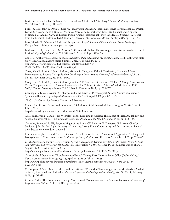Burk, James, and Evelyn Espinoza, "Race Relations Within the US Military," *Annual Review of Sociology*, Vol. 38, No. 1, 2012, pp. 401–422.

Burke, Sara E., John F. Dovidio, Julia M. Przedworski, Rachel R. Hardeman, Sylvia P. Perry, Sean M. Phelan, David B. Nelson, Diana J. Burgess, Mark W. Yeazel, and Michelle van Ryn, "Do Contact and Empathy Mitigate Bias Against Gay and Lesbian People Among Heterosexual First-Year Medical Students? A Report from the Medical Student CHANGE Study," *Academic Medicine*, Vol. 90, No. 5, May 2015, pp. 645–651.

Burt, Martha R., "Cultural Myths and Supports for Rape," *Journal of Personality and Social Psychology*, Vol. 38, No. 2, February 1980, pp. 217–230.

Bushman, Brad J., and Harris M. Cooper, "Effects of Alcohol on Human Aggression: An Integrative Research Review," *Psychological Bulletin*, Vol. 107, No. 3, May 1990, pp. 341–354.

Capretto, Anthony D., *Hazing in Sport: Evaluation of an Educational Workshop*, Chico, Calif.: California State University, Chico, master's thesis, Summer 2011. As of June 23, 2016: [http://scholarworks.calstate.edu/bitstream/handle/10211.4/355/](http://scholarworks.calstate.edu/bitstream/handle/10211.4/355/6%201%202011%20Anthony%20Capretto.pdf) 6%201%202011%20Anthony%20Capretto.pdf

Carey, Kate B., Lori A. J. Scott-Sheldon, Michael P. Carey, and Kelly S. DeMartini, "Individual-Level Interventions to Reduce College Student Drinking: A Meta-Analytic Review," *Addictive Behaviors*, Vol. 32, No. 11, November 2007, pp. 2469–2494.

Carey, Kate B., Lori A. J. Scott-Sheldon, Jennifer C. Elliott, Lorra Garey, and Michael P. Carey, "Face-to-Face Versus Computer-Delivered Alcohol Interventions for College Drinkers: A Meta-Analytic Review, 1998 to 2010," *Clinical Psychology Review*, Vol. 32, No. 8, December 2012, pp. 690–703.

Cavanagh, J. T., A. J. Carson, M. Sharpe, and S. M. Lawrie, "Psychological Autopsy Studies of Suicide: A Systematic Review," *Psychological Medicine*, Vol. 33, No. 3, April 2003, pp. 395–405.

CDC—*See* Centers for Disease Control and Prevention.

Centers for Disease Control and Prevention, "Definitions: Self-Directed Violence," August 28, 2015. As of July 9, 2016:

<http://www.cdc.gov/violenceprevention/suicide/definitions.html>

Chaloupka, Frank J., and Henry Wechsler, "Binge Drinking in College: The Impact of Price, Availability, and Alcohol Control Policies," *Contemporary Economic Policy*, Vol. 14, No. 4, October 1996, pp. 112–124.

Chandler, Raymond F., III, Sergeant Major of the Army, GEN Martin E. Dempsey, U.S. Army Chief of Staff, and John M. McHugh, Secretary of the Army, "Army Equal Opportunity and Discrimination Policy," unaddressed memorandum, undated.

Chermack, Stephen T., and Peter R. Giancola, "The Relation Between Alcohol and Aggression: An Integrated Biopsychosocial Conceptualization," *Clinical Psychology Review*, Vol. 17, No. 6, September 1997, pp. 621–649.

Chief, Airman and Family Care Division, *Special Management: Community Action Information Board (CAIB) and Integrated Delivery System (IDS)*, Air Force Instruction 90-501, October 15, 2013, incorporating change 1 August 14, 2014. As of July 12, 2016:

[http://static.e-publishing.af.mil/production/1/af\\_a1/publication/afi90-501/afi90-501.pdf](http://static.e-publishing.af.mil/production/1/af_a1/publication/afi90-501/afi90-501.pdf)

Chief of Naval Operations, "Establishment of Navy's Twenty-First Century Sailor Office (OpNav N17)," Naval Administrative Message 153/13, April 2013. As of July 12, 2016: [http://www.public.navy.mil/bupers-npc/reference/messages/Documents/NAVADMINS/NAV2013/](http://www.public.navy.mil/bupers-npc/reference/messages/Documents/NAVADMINS/NAV2013/NAV13153.txt) NAV13153.txt

Christopher, F. Scott, Mary Madura, and Lori Weaver, "Premarital Sexual Aggressors: A Multivariate Analysis of Social, Relational, and Individual Variables," *Journal of Marriage and the Family*, Vol. 60, No. 1, February 1998, pp. 56–69.

Cimino, Aldo, "The Evolution of Hazing: Motivational Mechanisms and the Abuse of Newcomers," *Journal of Cognition and Culture*, Vol. 11, 2011, pp. 241–267.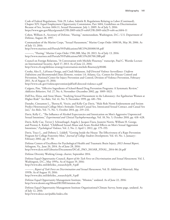Code of Federal Regulations, Title 29, Labor, Subtitle B, Regulations Relating to Labor (Continued), Chapter XIV, Equal Employment Opportunity Commission, Part 1604, Guidelines on Discrimination Because of Sex, Section 1604.11, Sexual Harassment, July 1, 2009. As of July 5, 2016: <https://www.gpo.gov/fdsys/granule/CFR-2009-title29-vol4/CFR-2009-title29-vol4-sec1604-11>

Cohen, William A., Secretary of Defense, "Hazing," memorandum, Washington, D.C.: U.S. Department of Defense, August 28, 1997.

Commandant of the Marine Corps, "Sexual Harassment," Marine Corps Order 1000.9A, May 30, 2006. As of July 13, 2016:

<http://www.marines.mil/Portals/59/Publications/MCO%201000.9A.pdf>

———, "Hazing," Marine Corps Order 1700.28B, May 20, 2013. As of July 13, 2016: <http://www.marines.mil/Portals/59/Publications/MCO%201700.28B.pdf>

Council on Foreign Relations, "A Conversation with Michèle Flournoy," transcript, Paul C. Warnke Lecture on International Security, April 17, 2013. As of June 22, 2016: <http://www.cfr.org/defense-strategy/conversation-michele-flournoy/p30486>

Crosby, Alex E., LaVonne Ortega, and Cindi Melanson, *Self-Directed Violence Surveillance: Uniform Definitions and Recommended Data Elements*, version 1.0, Atlanta, Ga.: Centers for Disease Control and Prevention, National Center for Injury Prevention and Control, Division of Violence Prevention, February 2011. As of August 15, 2016:

<http://www.cdc.gov/violenceprevention/pdf/self-directed-violence-a.pdf>

Cuijpers, Pim, "Effective Ingredients of School-Based Drug Prevention Programs: A Systematic Review," *Addictive Behaviors*, Vol. 27, No. 6, November–December 2002, pp. 1009–1023.

Dall'Ara, Elena, and Anne Maass, "Studying Sexual Harassment in the Laboratory: Are Egalitarian Women at Higher Risk?" *Sex Roles*, Vol. 41, No. 9, November 1999, pp. 681–704.

Danube, Cinnamon L., Theresa K. Vescio, and Kelly Cue Davis, "Male Role Norm Endorsement and Sexism Predict Heterosexual College Men's Attitudes Toward Casual Sex, Intoxicated Sexual Contact, and Casual Sex [sic]," *Sex Roles*, Vol. 71, No. 5, October 2014, pp. 219–232.

Davis, Kelly C., "The Influence of Alcohol Expectancies and Intoxication on Men's Aggressive Unprotected Sexual Intentions," *Experimental and Clinical Psychopharmacology*, Vol. 18, No. 5, October 2010, pp. 418–428.

Davis, Kelly Cue, Trevor J. Schraufnagel, Angela J. Jacques-Tiura, Jeanette Norris, William H. George, and Preston A. Kiekel, "Childhood Sexual Abuse and Acute Alcohol Effects on Men's Sexual Aggression Intentions," *Psychological Violence*, Vol. 2, No. 2, April 1, 2012, pp. 179–193.

Davis, Tracy L., and Debora L. Liddell, "Getting Inside the House: The Effectiveness of a Rape Prevention Program for College Fraternity Men," *Journal of College Student Development*, Vol. 43, No. 1, January– February 2002, pp. 35–50.

Defense Centers of Excellence for Psychological Health and Traumatic Brain Injury, *2013 Annual Report*, Arlington, Va., June 26, 2014. As of June 28, 2016: [http://www.dcoe.mil/Libraries/Documents/DCoE\\_PAO\\_2013AR\\_FINAL\\_2014-06-26.pdf](http://www.dcoe.mil/Libraries/Documents/DCoE_PAO_2013AR_FINAL_2014-06-26.pdf)

Defense Diversity Working Group, charter, September 2014.

Defense Equal Opportunity Council, *Report of the Task Force on Discrimination and Sexual Harassment*, Vol. I, Washington, D.C., May 1995a. As of August 19, 2016: [http://www.dtic.mil/dtfs/doc\\_research/p18\\_9.pdf](http://www.dtic.mil/dtfs/doc_research/p18_9.pdf)

———, *Report of Task Force on Discrimination and Sexual Harassment*, Vol. II: *Additional Materials*, May 1995b. As of August 19, 2016: [http://www.dtic.mil/dtfs/doc\\_research/p18\\_9.pdf](http://www.dtic.mil/dtfs/doc_research/p18_9.pdf)

Defense Equal Opportunity Management Institute, "Mission," undated. As of June 22, 2016: <http://www.deomi.org/AboutDEOMI/mission.cfm>

Defense Equal Opportunity Management Institute Organizational Climate Survey, home page, undated. As of July 12, 2016:

<http://www.deocs.net/public/index.cfm>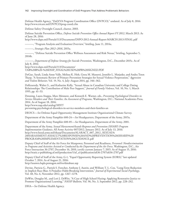Defense Health Agency, "DoD/VA Program Coordination Office (DVPCO)," undated. As of July 8, 2016: <http://www.tricare.mil/DVPCO/prog-coord.cfm>

Defense Safety Oversight Council, charter, 2003.

Defense Suicide Prevention Office, *Defense Suicide Prevention Office Annual Report FY 2012*, March 2013. As of June 28, 2016:

<http://www.dspo.mil/Portals/113/Documents/DSPO-2012-Annual-Report-MARCH-2013-FINAL.pdf>

———, "Program Analysis and Evaluation Overview," briefing, June 11, 2014a.

———, *Strategic Plan 2012–2016*, 2015a.

———, "Defense Suicide Prevention Office Wellness Assessment and Risk Nexus," briefing, September 5, 2014b.

———, *Department of Defense Strategy for Suicide Prevention*, Washington, D.C., December 2015c. As of July 8, 2016:

http://www.dspo.mil/Portals/113/Documents/

[TAB%20B%20-%20DSSP\\_FINAL%20USD%20PR%20SIGNED.PDF](http://www.dspo.mil/Portals/113/Documents/TAB%20B%20-%20DSSP_FINAL%20USD%20PR%20SIGNED.PDF)

DeGue, Sarah, Linda Anne Valle, Melissa K. Holt, Greta M. Massetti, Jennifer L. Matjasko, and Andra Teten Tharp, "A Systematic Review of Primary Prevention Strategies for Sexual Violence Perpetration," *Aggression and Violent Behavior*, Vol. 19, No. 4, July–August 2014, pp. 346–362.

DeKeseredy, Walter S., and Katharine Kelly, "Sexual Abuse in Canadian University and College Dating Relationships: The Contribution of Male Peer Support," *Journal of Family Violence*, Vol. 10, No. 1, March 1995, pp. 41–53.

Denning, Laura Aiuppa, Marc Meisnere, and Kenneth E. Warner, eds., *Preventing Psychological Disorders in Service Members and Their Families: An Assessment of Programs*, Washington, D.C.: National Academies Press, 2014. As of August 18, 2016:

http://www.nap.edu/catalog/18597/

[preventing-psychological-disorders-in-service-members-and-their-families-an](http://www.nap.edu/catalog/18597/preventing-psychological-disorders-in-service-members-and-their-families-an)

DEOCS—*See* Defense Equal Opportunity Management Institute Organizational Climate Survey.

Department of the Army Pamphlet 600-24—*See* Headquarters, Department of the Army, 2015a.

Department of the Army Pamphlet 600-85—*See* Headquarters, Department of the Army, 2001.

Department of the Army, *Sexual Harassment/Assault Response and Prevention (SHARP) Program Implementation Guidance*, All Army Activity 007/2012, January 2012. As of July 13, 2016: http://www.hood.army.mil/sharp/Documents/ALARACT\_007\_2012\_SEXUAL% [20HARASSMENT-ASSAULT%20RESPONSE%20AND%20PREVENTION%20\(SHARP\)%20](http://www.hood.army.mil/sharp/Documents/ALARACT_007_2012_SEXUAL%20HARASSMENT-ASSAULT%20RESPONSE%20AND%20PREVENTION%20(SHARP)%20PROGRAM%20IMPLEMENTATION%20GUIDANCE.pdf) PROGRAM%20IMPLEMENTATION%20GUIDANCE.pdf

Deputy Chief of Staff of the Air Force for Manpower, Personnel and Readiness, *Personnel: Nondiscrimination in Programs and Activities Assisted or Conducted by the Department of the Air Force*, Washington, D.C., Air Force Instruction 36-2707, December 16, 2010, certify current January 7, 2015. As of August 15, 2016: [http://static.e-publishing.af.mil/production/1/af\\_a1/publication/afi36-2707/afi36-2707.pdf](http://static.e-publishing.af.mil/production/1/af_a1/publication/afi36-2707/afi36-2707.pdf)

Deputy Chief of Staff of the Army, G-1, "Equal Opportunity Reporting System (EORS)," last updated October 7, 2014. As of August 21, 2016: <http://asamra.hqda.pentagon.mil/eo/database.asp>

Devine, Patricia G., Patrick S. Forscher, Anthony J. Austin, and William T. L. Cox, "Long-Term Reduction in Implicit Race Bias: A Prejudice Habit-Breaking Intervention," *Journal of Experimental Social Psychology*, Vol. 48, No. 6, November 2012, pp. 1267–1278.

DeWitt, Douglas M., and Lori J. DeWitt, "A Case of High School Hazing: Applying Restorative Justice to Promote Organizational Learning," *NASSP Bulletin*, Vol. 96, No. 3, September 2012, pp. 228–242.

DHA—*See* Defense Health Agency.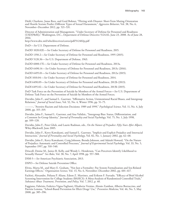Diehl, Charlotte, Jonas Rees, and Gerd Bohner, "Flirting with Disaster: Short-Term Mating Orientation and Hostile Sexism Predict Different Types of Sexual Harassment," *Aggressive Behavior*, Vol. 38, No. 6, November–December 2012, pp. 521–531.

Director of Administration and Management, "Under Secretary of Defense for Personnel and Readiness (USD[P&R])," Washington, D.C., Department of Defense Directive 5124.02, June 23, 2008. As of June 28, 2016:

<http://www.dtic.mil/whs/directives/corres/pdf/512402p.pdf>

DoD—*See* U.S. Department of Defense.

DoDD 1020.02E—*See* Under Secretary of Defense for Personnel and Readiness, 2015.

DoDD 1350.2—*See* Under Secretary of Defense for Personnel and Readiness, 1995 (2015).

DoDD 5120.36—*See* U.S. Department of Defense, 1963.

DoDD 6000.17E—*See* Under Secretary of Defense for Personnel and Readiness, 2013a.

DoDD 6490.14—*See* Under Secretary of Defense for Personnel and Readiness, 2013c (2016).

DoDD 6495.01—*See* Under Secretary of Defense for Personnel and Readiness, 2012a (2015).

DoDI 1010.04—*See* Under Secretary of Defense for Personnel and Readiness, 2014.

DoDI 6490.09—*See* Under Secretary of Defense for Personnel and Readiness, 2012b (2013).

DoDI 6495.02—*See* Under Secretary of Defense for Personnel and Readiness, 2013b (2015).

DoD Task Force on the Prevention of Suicide by Members of the Armed Forces—*See* U.S. Department of Defense Task Force on the Prevention of Suicide by Members of the Armed Forces.

Dovidio, John F., and Samuel L. Gaertner, "Affirmative Action, Unintentional Racial Biases, and Intergroup Relations," *Journal of Social Issues*, Vol. 52, No. 4, Winter 1996, pp. 51–75.

———, "Aversive Racism and Selection Decisions: 1989 and 1999," *Psychological Science*, Vol. 11, No. 4, July 2000, pp. 315–319.

Dovidio, John F., Samuel L. Gaertner, and Ana Validzic, "Intergroup Bias: Status, Differentiation, and a Common In-Group Identity," *Journal of Personality and Social Psychology*, Vol. 75, No. 1, July 1998, pp. 109–120.

Dovidio, John F., Peter Glick, and Laurie Rudman, eds., *On the Nature of Prejudice: Fifty Years After Allport*, Wiley-Blackwell, June 2005.

Dovidio, John F., Kerry Kawakami, and Samuel L. Gaertner, "Implicit and Explicit Prejudice and Interracial Interaction," *Journal of Personality and Social Psychology*, Vol. 82, No. 1, January 2002, pp. 62–68.

Dovidio, John F., Kerry Kawakami, Craig Johnson, Brenda Johnson, and Adaiah Howard, "On the Nature of Prejudice: Automatic and Controlled Processes," *Journal of Experimental Social Psychology*, Vol. 33, No. 5, September 1997, pp. 510–540.

Driscoll, Denise M., Janice R. Kelly, and Wendy L. Henderson, "Can Perceivers Identify Likelihood to Sexually Harass?" *Sex Roles*, Vol. 38, No. 7, April 1998, pp. 557–588.

DSM-5—*See* American Psychiatric Association, 2013.

DSPO—*See* Defense Suicide Prevention Office.

Elvira, Marta M., and Mary E. Graham, "Not Just a Formality: Pay System Formalization and Sex-Related Earnings Effects," *Organization Science*, Vol. 13, No. 6, November–December 2002, pp. 601–617.

Fachini, Alexandre, Poliana P. Aliane, Edson Z. Martinez, and Erikson F. Furtado, "Efficacy of Brief Alcohol Screening Intervention for College Students (BASICS): A Meta-Analysis of Randomized Controlled Trials," *Substance Abuse Treatment, Prevention, and Policy*, Vol. 7, 2012, p. 40.

Faggiano, Fabrizio, Federica Vigna-Taglianti, Elisabetta Versino, Alessio Zambon, Alberto Borraccino, and Patrizia Lemma, "School-Based Prevention for Illicit Drugs' Use," *Preventive Medicine*, Vol. 46, No. 5, May 2008, pp. 385–396.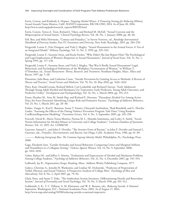Farris, Coreen, and Kimberly A. Hepner, *Targeting Alcohol Misuse: A Promising Strategy for Reducing Military Sexual Assaults?* Santa Monica, Calif.: RAND Corporation, RR-538-OSD, 2014. As of June 28, 2016: [http://www.rand.org/pubs/research\\_reports/RR538.html](http://www.rand.org/pubs/research_reports/RR538.html)

Farris, Coreen, Teresa A. Treat, Richard J. Viken, and Richard M. McFall, "Sexual Coercion and the Misperception of Sexual Intent," *Clinical Psychology Review*, Vol. 28, No. 1, January 2008, pp. 48–66.

Fell, Ben, and Miles Hewstone, "Contact and Prejudice," in Steven Vertovec, ed., *Routledge International Handbook of Diversity Studies*, Part IV: *Encounters and Diversity*, New York: Routledge, 2015, pp. 284–293.

Fitzgerald, Louise F., Fritz Drasgow, and Vicki J. Magley, "Sexual Harassment in the Armed Forces: A Test of an Integrated Model," *Military Psychology*, Vol. 11, No. 3, 1999, pp. 329–343.

Fitzgerald, Louise F., Suzanne Swan, and Karla Fischer, "Why Didn't She Just Report Him? The Psychological and Legal Implications of Women's Responses to Sexual Harassment," *Journal of Social Issues*, Vol. 51, No. 1, Spring 1995, pp. 117–138.

Fitzgerald, Louise F., Suzanne Swan, and Vicki J. Magley, "But Was It Really Sexual Harassment? Legal, Behavioral, and Psychological Definitions of the Workplace Victimization of Women," in William T. O'Donohue, ed., *Sexual Harassment: Theory, Research, and Treatment*, Needham Heights, Mass.: Allyn and Bacon, 1997, pp. 5–28.

Florentine, Julia Buus, and Catherine Crane, "Suicide Prevention by Limiting Access to Methods: A Review of Theory and Practice," *Social Science and Medicine*, Vol. 70, No. 10, May 2010, pp. 1626–1632.

Flory, Kate, Donald Lynam, Richard Milich, Carl Leukefeld, and Richard Clayton, "Early Adolescent Through Young Adult Alcohol and Marijuana Use Trajectories: Early Predictors, Young Adult Outcomes, and Predictive Utility," *Development and Psychopathology*, Vol. 16, No. 1, March 2004, pp. 193–213.

Foran, Heather M., Amy M. Smith Slep, and Richard E. Heyman, "Hazardous Alcohol Use Among Active Duty Air Force Personnel: Identifying Unique Risk and Promotive Factors," *Psychology of Addictive Behaviors*, Vol. 25, No. 1, March 2011, pp. 28–40.

Foshee, Vangie A., Karl E. Bauman, Susan T. Ennett, Chirayath Suchindran, Thad Benefield, and G. Fletcher Linder, "Assessing the Effects of the Dating Violence Prevention Program 'Safe Dates' Using Random CoefficientRegression Modeling," *Prevention Science*, Vol. 6, No. 3, September 2005, pp. 245–258.

Foxcroft, David R., Maria Teresa Moreira, Nerissa M. L. Almeida Santimano, and Lesley A. Smith, "Social Norms Information for Alcohol Misuse in University and College Students," *Cochrane Database of Systematic Reviews*, Vol. 12, 2015, Art. CD006748.

Gaertner, Samuel L., and John F. Dovidio, "The Aversive Form of Racism," in John F. Dovidio and Samuel L. Gaertner, eds., *Prejudice, Discrimination, and Racism*, San Diego, Calif.: Academic Press, 1986, pp. 61–89.

———, *Reducing Intergroup Bias: The Common Ingroup Identity Model*, Philadelphia, Pa.: Psychology Press, 2000.

Gage, Elizabeth Ann, "Gender Attitudes and Sexual Behaviors: Comparing Center and Marginal Athletes and Nonathletes in a Collegiate Setting," *Violence Against Women*, Vol. 14, No. 9, September 2008, pp. 1014–1032.

Gaher, Raluca M., and Jeffrey S. Simons, "Evaluations and Expectancies of Alcohol and Marijuana Problems Among College Students," *Psychology of Addictive Behaviors*, Vol. 21, No. 4, December 2007, pp. 545–554.

Galbraith, Jay R., *Organization Design*, Reading, Mass.: Addison Wesley Publishing Company, 1977.

Gidycz, Christine A., Jennifer B. Warkentin, and Lindsay M. Orchowski, "Predictors of Perpetration of Verbal, Physical, and Sexual Violence: A Prospective Analysis of College Men," *Psychology of Men and Masculinity*, Vol. 8, No. 2, April 2007, pp. 79–94.

Glick, Peter, and Susan T. Fiske, "The Ambivalent Sexism Inventory: Differentiating Hostile and Benevolent Sexism," *Journal of Personality and Social Psychology*, Vol. 70, No. 3, March 1996, pp. 491–512.

Goldsmith, S. K., T. C. Pellmar, A. M. Kleinman, and W. E. Bunney, eds., *Reducing Suicide: A National Imperative*, Washington, D.C.: National Academies Press, 2002. As of August 17, 2016: <http://www.nap.edu/catalog/10398/reducing-suicide-a-national-imperative>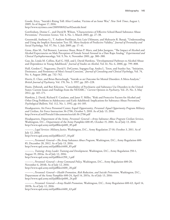Goode, Erica, "Suicide's Rising Toll: After Combat, Victims of an Inner War," *New York Times*, August 1, 2009. As of August 17, 2016:

<http://www.nytimes.com/2009/08/02/us/02suicide.html>

Gottfredson, Denise C., and David B. Wilson, "Characteristics of Effective School-Based Substance Abuse Prevention," *Prevention Science*, Vol. 4, No. 1, March 2003, pp. 27–38.

Greenwald, Anthony G., T. Andrew Poehlman, Eric Luis Uhlmann, and Mahzarin R. Banaji, "Understanding and Using the Implicit Association Test: III. Meta-Analysis of Predictive Validity," *Journal of Personality and Social Psychology*, Vol. 97, No. 1, July 2009, pp. 17–41.

Gross, Alan M., Ted Bennett, Lawrence Sloan, Brian P. Marx, and John Juergens, "The Impact of Alcohol and Alcohol Expectancies on Male Perception of Female Sexual Arousal in a Date Rape Analog," *Experimental and Clinical Psychopharmacology*, Vol. 9, No. 4, November 2001, pp. 380–388.

Guo, Jie, Linda M. Collins, Karl G. Hill, and J. David Hawkins, "Developmental Pathways to Alcohol Abuse and Dependence in Young Adulthood," *Journal of Studies on Alcohol*, Vol. 61, No. 6, 2000, pp. 799–808.

Hall, Gordon C. Nagayama, David S. DeGarmo, Sopagna Eap, Andra L. Teten, and Stanley Sue, "Initiation, Desistance, and Persistence of Men's Sexual Coercion," *Journal of Consulting and Clinical Psychology*, Vol. 74, No. 4, August 2006, pp. 732–742.

Harris, E. Clare, and Brian Barraclough, "Suicide as an Outcome for Mental Disorders: A Meta-Analysis," *British Journal of Psychiatry*, Vol. 170, No. 3, 1997, pp. 205–228.

Hasin, Deborah, and Bari Kilcoyne, "Comorbidity of Psychiatric and Substance Use Disorders in the United States: Current Issues and Findings from the NESARC," *Current Opinion in Psychiatry*, Vol. 25, No. 3, May 2012, pp. 165–171.

Hawkins, J. David, Richard F. Catalano, and Janet Y. Miller, "Risk and Protective Factors for Alcohol and Other Drug Problems in Adolescence and Early Adulthood: Implications for Substance Abuse Prevention," *Psychological Bulletin*, Vol. 112, No. 1, 1992, pp. 64–105.

Headquarters, Air Force Personnel Center, Equal Opportunity, *Personnel: Equal Opportunity Program Military and Civilian*, Air Force Instruction 36-2706, October 5, 2010. As of July 13, 2016: <http://www.af.mil/Portals/1/documents/eeo/afi-36-2706.pdf>

Headquarters, Department of the Army, *Personnel: General—Army Substance Abuse Program Civilian Services*, Washington, D.C., Department of the Army Pamphlet 600-85, October 15, 2001. As of July 13, 2016: [http://www.apd.army.mil/pdffiles/p600\\_85.pdf](http://www.apd.army.mil/pdffiles/p600_85.pdf)

———, *Legal Services: Military Justice*, Washington, D.C., Army Regulation 27-10, October 3, 2011. As of July 12, 2016:

[http://www.apd.army.mil/pdffiles/r27\\_10.pdf](http://www.apd.army.mil/pdffiles/r27_10.pdf)

———, *Personnel: General—The Army Substance Abuse Program*, Washington, D.C., Army Regulation 600- 85, December 28, 2012. As of July 13, 2016: [http://www.apd.army.mil/pdffiles/r600\\_85.pdf](http://www.apd.army.mil/pdffiles/r600_85.pdf)

———, *Training: Army Leader Training and Development*, Washington, D.C., Army Regulation 350-1, August 19, 2014a. As of July 12, 2016: [http://www.apd.army.mil/pdffiles/r350\\_1.pdf](http://www.apd.army.mil/pdffiles/r350_1.pdf)

———, *Personnel: General—Army Command Policy*, Washington, D.C., Army Regulation 600-20, November 6, 2014b. As of July 12, 2016: [http://www.apd.army.mil/pdffiles/r600\\_20.pdf](http://www.apd.army.mil/pdffiles/r600_20.pdf)

———, *Personnel: General—Health Promotion, Risk Reduction, and Suicide Prevention*, Washington, D.C., Department of the Army Pamphlet 600-24, April 14, 2015a. As of July 13, 2016: [http://www.apd.army.mil/pdffiles/p600\\_24.pdf](http://www.apd.army.mil/pdffiles/p600_24.pdf)

———, *Personnel: General—Army Health Promotion*, Washington, D.C., Army Regulation 600-63, April 14, 2015b. As of July 12, 2016:

[http://www.apd.army.mil/pdffiles/r600\\_63.pdf](http://www.apd.army.mil/pdffiles/r600_63.pdf)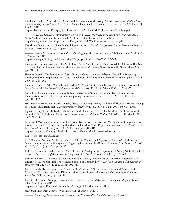Headquarters, U.S. Army Medical Command, Department of the Army, *Medical Services: Medical Facility Management of Sexual Assault*, U.S. Army Medical Command Regulation 40-36, December 23, 2004. As of July 12, 2016:

[http://sill-www.army.mil/sharp/\\_docs/documentation/MEDCOM%20Regulation%2040-36.pdf](http://sill-www.army.mil/sharp/_docs/documentation/MEDCOM%20Regulation%2040-36.pdf)

———, *Medical Services: Medical Review Officers and Review of Positive Urinalysis Drug Testing Results*, U.S. Army Medical Command Regulation 40-51, March 30, 2005. As of July 12, 2016: [http://www.gordon.army.mil/garrison\\_old/asap/downloads/Medical\\_Services\\_Review.pdf](http://www.gordon.army.mil/garrison_old/asap/downloads/Medical_Services_Review.pdf)

Healthcare Operations, Air Force Medical Support Agency, *Special Management: Suicide Prevention Program*, Air Force Instruction 90-505, August 10, 2012.

———, *Special Management: Suicide Prevention Program*, Air Force Instruction 90-505, October 6, 2014. As of August 15, 2016:

[http://static.e-publishing.af.mil/production/1/af\\_sg/publication/afi90-505/afi90-505.pdf](http://static.e-publishing.af.mil/production/1/af_sg/publication/afi90-505/afi90-505.pdf)

Hempstead, Katherine A., and Julie A. Phillips, "Rising Suicide Among Adults Aged 40–64 Years: The Role of Job and Financial Circumstances," *American Journal of Preventive Medicine*, Vol. 48, No. 5, May 2015, pp. 491–500.

Henrich, Joseph, "The Evolution of Costly Displays, Cooperation and Religion: Credibility Enhancing Displays and Their Implications for Cultural Evolution," *Evolution and Human Behavior*, Vol. 30, No. 4, July 2009, pp. 244–260.

Hourani, Laurel L., Giles Warrack, and Patricia A. Cohen, "A Demographic Analysis of Suicide Among U.S. Navy Personnel," *Suicide and Life-Threatening Behavior*, Vol. 29, No. 4, Winter 1999, pp. 365–375.

Humphrey, Stephen E., and Arnold S. Kahn, "Fraternities, Athletic Teams, and Rape: Importance of Identification with a Risky Group," *Journal of Interpersonal Violence*, Vol. 15, No. 12, December 2000, pp. 1313–1320.

Hussong, Andrea M., and Laurie Chassin, "Stress and Coping Among Children of Alcoholic Parents Through the Young Adult Transition," *Developmental Psychopathology*, Vol. 16, No. 4, Fall 2004, pp. 985–1006.

Hyman, Jeffrey, Robert Ireland, Lucinda Frost, and Linda Cottrell, "Suicide Incidence and Risk Factors in an Active Duty US Military Population," *American Journal of Public Health*, Vol. 102, No. S1, March 2012, pp. S138–S146.

Institute of Medicine, Committee on Prevention, Diagnosis, Treatment and Management of Substance Use Disorders in the U.S. Armed Forces, Board on the Health of Select Populations, *Substance Use Disorders in the U.S. Armed Forces*, Washington, D.C., 2013. As of June 28, 2016:

<http://www.nap.edu/catalog/13441/substance-use-disorders-in-the-us-armed-forces>

IOM—*See* Institute of Medicine.

Ito, Tiffany A., Norman Miller, and Vicki E. Pollock, "Alcohol and Aggression: A Meta-Analysis on the Moderating Effects of Inhibitory Cues, Triggering Events, and Self-Focused Attention," *Psychological Bulletin*, Vol. 120, No. 1, July 1996, pp. 60–82.

Jackson, Kristina M., and Kenneth J. Sher, "Conjoint Developmental Trajectories of Young Adult Alcohol and Tobacco Use," *Journal of Abnormal Psychology*, Vol. 114, No. 4, November 2005, pp. 612–626.

Jackson, Kristina M., Kenneth J. Sher, and Phillip K. Wood, "Trajectories of Concurrent Substance Use Disorders: A Developmental, Typological Approach to Comorbidity," *Alcoholism: Clinical and Experimental Research*, Vol. 24, No. 6, June 2000, pp. 902–913.

Jetten, Jolanda, Russell Spears, and Antony S. R. Manstead, "Distinctiveness Threat and Prototypicality: Combined Effects on Intergroup Discrimination and Collective Self-Esteem," *European Journal of Social Psychology*, Vol. 27, 1997, pp. 635–657.

Joint Chiefs of Staff, *Strategic Direction to the Joint Force on Sexual Assault Prevention and Response*, May 7, 2012. As of July 13, 2016:

[http://www.sapr.mil/public/docs/directives/Strategic\\_Direction\\_on\\_SAPR.pdf](http://www.sapr.mil/public/docs/directives/Strategic_Direction_on_SAPR.pdf)

Joint Staff High-Risk Behavior Working Group, charter, May 2014.

———, *Promoting Trust, Enhancing Resources, and Reducing Risk: Final Report*, May 29, 2015.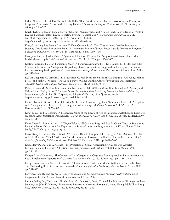Kalev, Alexandra, Frank Dobbin, and Erin Kelly, "Best Practices or Best Guesses? Assessing the Efficacy of Corporate Affirmative Action and Diversity Policies," *American Sociological Review*, Vol. 71, No. 4, August 2006, pp. 589–617.

Karch, Debra L., Joseph Logan, Dawn McDaniel, Sharyn Parks, and Nimesh Patel, "Surveillance for Violent Deaths: National Violent Death Reporting System, 16 States, 2009," *Surveillance Summaries*, Vol. 61, No. SS06, September 14, 2012, pp. 1–43. As of July 13, 2016: <http://www.cdc.gov/mmwr/preview/mmwrhtml/ss6106a1.htm>

Katz, Cara, Shay-Lee Bolton, Laurence Y. Katz, Corinne Isaak, Toni Tilston-Jones, Jitender Sareen, and Swampy Cree Suicide Prevention Team, "A Systematic Review of School-Based Suicide Prevention Programs," *Depression and Anxiety*, Vol. 30, No. 10, October 2013, pp. 1030–1045.

Katz, Jennifer, and Jessica Moore, "Bystander Education Training for Campus Sexual Assault Prevention: An Initial Meta-Analysis," *Violence and Victims*, Vol. 28, No. 6, 2013, pp. 1054–1067.

Keating, Caroline F., Jason Pomerantz, Stacy D. Pommer, Samantha J. H. Ritt, Lauren M. Miller, and Julie McCormick, "Going to College and Unpacking Hazing: A Functional Approach to Decrypting Initiation Practices Among Undergraduates," *Group Dynamics: Theory, Research, and Practice*, Vol. 9, No. 2, June 2005, pp. 104–126.

Kellam, Sheppard G., Amelia C. L. Mackenzie, C. Hendricks Brown, Jeanne M. Poduska, Wei Wang, Hanno Petras, and Holly C. Wilcox, "The Good Behavior Game and the Future of Prevention and Treatment," *Addiction Science and Clinical Practice*, Vol. 6, No. 1, July 2011, pp. 73–84.

Keller, Kirsten M., Miriam Matthews, Kimberly Curry Hall, William Marcellino, Jacqueline A. Mauro, and Nelson Lim, *Hazing in the U.S. Armed Forces: Recommendations for Hazing Prevention Policy and Practice*, Santa Monica, Calif.: RAND Corporation, RR-941-OSD, 2015. As of June 28, 2016: [http://www.rand.org/pubs/research\\_reports/RR941.html](http://www.rand.org/pubs/research_reports/RR941.html)

Kilmer, Jason R., Scott B. Hunt, Christine M. Lee, and Clayton Neighbors, "Marijuana Use, Risk Perception, and Consequences: Is Perceived Risk Congruent with Reality?" *Addictive Behaviors*, Vol. 32, No. 12, December 2007, pp. 3026–3033.

King, K. M., and L. Chassin, "A Prospective Study of the Effects of Age of Initiation of Alcohol and Drug Use on Young Adult Substance Dependence," *Journal of Studies on Alcohol and Drugs*, Vol. 68, No. 2, March 2007, pp. 256–265.

Knox, Kerry L., David A. Litts, G. Wayne Talcott, Jill Catalano Feig, and Eric D. Caine, "Risk of Suicide and Related Adverse Outcomes After Exposure to a Suicide Prevention Programme in the US Air Force: Cohort Study," *BMJ*, Vol. 327, 2003, p. 1376.

Knox, Kerry L., Steven Pflanz, Gerald W. Talcott, Rick L. Campise, Jill E. Lavigne, Alina Bajorska, Xin Tu, and Eric D. Caine, "The US Air Force Suicide Prevention Program: Implications for Public Health Policy," *American Journal of Public Health*, Vol. 100, No. 12, December 2010, pp. 2457–2463.

Koss, Mary P., and John A. Gaines, "The Prediction of Sexual Aggression by Alcohol Use, Athletic Participation, and Fraternity Affiliation," *Journal of Interpersonal Violence*, Vol. 8, No. 1, March 1993, pp. 94–108.

Krieger, Linda Hamilton, "The Content of Our Categories: A Cognitive Bias Approach to Discrimination and Equal Employment Opportunity," *Stanford Law Review*, Vol. 47, No. 6, July 1995, pp. 1161–1248.

Krings, Franciska, and Stéphanie Facchin, "Organizational Justice and Men's Likelihood to Sexually Harass: The Moderating Role of Sexism and Personality," *Journal of Applied Psychology*, Vol. 94, No. 2, March 2009, pp. 501–510.

Lawrence, Paul R., and Jay W. Lorsch, *Organization and the Environment: Managing Differentiation and Integration*, Boston, Mass.: Harvard Business School Press, 1986.

Lessem, Jeffrey M., Christian J. Hopfer, Brett C. Haberstick, David Timberlake, Marissa A. Ehringer, Andrew Smolen, and John K. Hewitt, "Relationship Between Adolescent Marijuana Use and Young Adult Illicit Drug Use," *Behavior Genetics*, Vol. 36, No. 4, July 2006, pp. 498–506.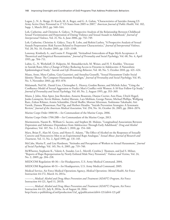Logan, J., N. A. Skopp, D. Karch, M. A. Reger, and G. A. Gahm, "Characteristics of Suicides Among US Army Active Duty Personnel in 17 US States from 2005 to 2007," *American Journal of Public Health*, Vol. 102, Supp. 1, March 2012, pp. S40–S44.

Loh, Catherine, and Christine A. Gidycz, "A Prospective Analysis of the Relationship Between Childhood Sexual Victimization and Perpetration of Dating Violence and Sexual Assault in Adulthood," *Journal of Interpersonal Violence*, Vol. 21, No. 6, June 2006, pp. 732–749.

Loh, Catherine, Christine A. Gidycz, Tracy R. Lobo, and Rohini Luthra, "A Prospective Analysis of Sexual Assault Perpetration: Risk Factors Related to Perpetrator Characteristics," *Journal of Interpersonal Violence*, Vol. 20, No. 10, October 2005, pp. 1325–1348.

Lonsway, Kimberly A., and Louise F. Fitzgerald, "Attitudinal Antecedents of Rape Myth Acceptance: A Theoretical and Empirical Reexamination," *Journal of Personality and Social Psychology*, Vol. 68, No. 4, April 1995, pp. 704–711.

Lubin, G., N. Werbeloff, D. Halperin, M. Shmushkevitch, M. Weiser, and H. Y. Knobler, "Decrease in Suicide Rates After a Change of Policy Reducing Access to Firearms in Adolescents: A Naturalistic Epidemiological Study," *Suicide and Life-Threatening Behavior*, Vol. 40, No. 5, October 2010, pp. 421–424.

Maass, Anne, Mara Cadinu, Gaia Guarnieri, and Annalisa Grasselli, "Sexual Harassment Under Social Identity Threat: The Computer Harassment Paradigm," *Journal of Personality and Social Psychology*, Vol. 85, No. 5, November 2003, pp. 853–870.

Malamuth, Neil M., Daniel Linz, Christopher L. Heavey, Gordon Barnes, and Michele Acker, "Using the Confluence Model of Sexual Aggression to Predict Men's Conflict with Women: A 10-Year Follow-Up Study," *Journal of Personality and Social Psychology*, Vol. 69, No. 2, August 1995, pp. 353–369.

Mann, J. John, Alan Apter, Jose Bertolote, Annette Beautrais, Dianne Currier, Ann Haas, Ulrich Hegerl, Jouko Lonnqvist, Kevin Malone, Andrej Marusic, Lars Mehlum, George Patton, Michael Phillips, Wolfgang Rutz, Zoltan Rihmer, Armin Schmidtke, David Shaffer, Morton Silverman, Yoshitomo Takahashi, Airi Varnik, Danuta Wasserman, Paul Yip, and Herbert Hendin, "Suicide Prevention Strategies: A Systematic Review," *Journal of the American Medical Association*, Vol. 294, No. 16, October 26, 2005, pp. 2064–2074.

Marine Corps Order 1000.9A—*See* Commandant of the Marine Corps, 2006.

Marine Corps Order 1700.28B—*See* Commandant of the Marine Corps, 2013.

Marmorstein, Naomi R., William G. Iacono, and Stephen M. Malone, "Longitudinal Associations Between Depression and Substance Dependence from Adolescence Through Early Adulthood," *Drug and Alcohol Dependence*, Vol. 107, No. 2–3, March 1, 2010, pp. 154–160.

Marx, Brian P., Alan M. Gross, and Henry E. Adams, "The Effect of Alcohol on the Responses of Sexually Coercive and Noncoercive Men to an Experimental Rape Analogue," *Sexual Abuse: Journal of Research and Treatment*, Vol. 11, No. 2, April 1999, pp. 131–145.

McCabe, Marita P., and Lisa Hardman, "Attitudes and Perceptions of Workers to Sexual Harassment," *Journal of Social Psychology*, Vol. 145, No. 6, 2005, pp. 719–740.

McWhorter, Stephanie K., Valerie A. Stander, Lex L. Merrill, Cynthia J. Thomsen, and Joel S. Milner, "Reports of Rape Reperpetration by Newly Enlisted Male Navy Personnel," *Violence and Victims*, Vol. 24, No. 2, 2009, pp. 204–218.

MEDCOM Regulation 40-36—*See* Headquarters, U.S. Army Medical Command, 2004.

MEDCOM Regulation 40-51—*See* Headquarters, U.S. Army Medical Command, 2005.

Medical Service, Air Force Medical Operations Agency, *Medical Operations: Mental Health*, Air Force Instruction 44-172, March 14, 2011a.

———, *Medical: Alcohol and Drug Abuse Prevention and Treatment (ADAPT) Program*, Air Force Instruction 44-121, April 11, 2011b.

———, *Medical: Alcohol and Drug Abuse Prevention and Treatment (ADAPT) Program*, Air Force Instruction 44-121, July 8, 2014a. As of August 18, 2016:

[http://static.e-publishing.af.mil/production/1/af\\_sg/publication/afi44-121/afi44-121.pdf](http://static.e-publishing.af.mil/production/1/af_sg/publication/afi44-121/afi44-121.pdf)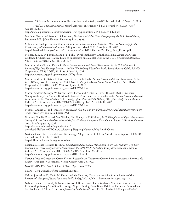———, "Guidance Memorandum to Air Force Instruction (AFI) 44-172, Mental Health," August 5, 2014b.

———, *Medical Operations: Mental Health*, Air Force Instruction 44-172, November 13, 2015. As of August 18, 2016:

[http://static.e-publishing.af.mil/production/1/af\\_sg/publication/afi44-172/afi44-172.pdf](http://static.e-publishing.af.mil/production/1/af_sg/publication/afi44-172/afi44-172.pdf)

Mershon, Sherie, and Steven L. Schlossman, *Foxholes and Color Lines: Desegregating the U.S. Armed Forces*, Baltimore, Md.: Johns Hopkins University Press, 1998.

Military Leadership Diversity Commission, *From Representation to Inclusion: Diversity Leadership for the 21st-Century Military—Final Report*, Arlington, Va., March 2011. As of June 28, 2016: [http://diversity.defense.gov/Portals/51/Documents/Special%20Feature/MLDC\\_Final\\_Report.pdf](http://diversity.defense.gov/Portals/51/Documents/Special%20Feature/MLDC_Final_Report.pdf)

Molnar, B. E., L. F. Berkman, and S. L. Buka, "Psychopathology, Childhood Sexual Abuse and Other Childhood Adversities: Relative Links to Subsequent Suicidal Behavior in the US," *Psychological Medicine*, Vol. 31, No. 6, August 2001, pp. 965–977.

Morral, Andrew R., and Kristie L. Gore, *Sexual Assault and Sexual Harassment in the U.S. Military: A Review of Top-Line Findings from the 2014 RAND Military Workplace Study*, Santa Monica, Calif., RAND Corporation, PT-137-OSD, 2014. As of June 22, 2016: <http://www.rand.org/pubs/presentations/PT137.html>

Morral, Andrew R., Kristie L. Gore, and Terry L. Schell, eds., *Sexual Assault and Sexual Harassment in the U.S. Military*, Vol. 1: *Design of the 2014 RAND Military Workplace Study*, Santa Monica, Calif.: RAND Corporation, RR-870/1-OSD, 2014. As of July 12, 2016: [http://www.rand.org/pubs/research\\_reports/RR870z1.html](http://www.rand.org/pubs/research_reports/RR870z1.html)

Morral, Andrew R., Kayla Williams, Coreen Farris, and Kristie L. Gore, "The 2014 RAND Military Workplace Study," in Andrew R. Morral, Kristie L. Gore, and Terry L. Schell, eds., *Sexual Assault and Sexual Harassment in the U.S. Military*, Vol. 1: *Design of the 2014 RAND Military Workplace Study*, Santa Monica, Calif.: RAND Corporation, RR-870/1-OSD, 2014, pp. 1–6. As of July 12, 2016: [http://www.rand.org/pubs/research\\_reports/RR870z1.html](http://www.rand.org/pubs/research_reports/RR870z1.html)

Moskos, Charles C., and John Sibley Butler, *All That We Can Be: Black Leadership and Racial Integration the Army Way*, New York: Basic Books, 1996.

Namrow, Natalie, Elizabeth Van Winkle, Lisa Davis, and Phil Masui, *2013 Workplace and Equal Opportunity Survey of Active Duty Members*, Alexandria, Va.: Defense Manpower Data Center, Report 2014-040, October 2014. As of August 18, 2016: https://www.dmdc.osd.mil/appj/dwp/rest/

[download?fileName=WEOA1301\\_Report.pdf&groupName=pubOpSurADComp](https://www.dmdc.osd.mil/appj/dwp/rest/download?fileName=WEOA1301_Report.pdf&groupName=pubOpSurADComp)

National Center for Telehealth and Technology, "Department of Defense Suicide Event Report (DoDSER)," undated. As of October 1, 2014: <http://t2health.dcoe.mil/programs/dodser>

National Defense Research Institute, *Sexual Assault and Sexual Harassment in the U.S. Military: Top-Line Estimates for Active-Duty Service Members from the 2014 RAND Military Workplace Study*, Santa Monica, Calif.: RAND Corporation, RR-870-OSD, 2014. As of June 28, 2016: [http://www.rand.org/pubs/research\\_reports/RR870.html](http://www.rand.org/pubs/research_reports/RR870.html)

National Victim Center and Crime Victims Research and Treatment Center, *Rape in America: A Report to the Nation*, Arlington, Va.: National Victim Center, April 23, 1992.

NAVADMIN 153/13—*See* Chief of Naval Operations, 2013.

NDRI—*See* National Defense Research Institute.

Nelson, Jacqueline K., Kevin M. Dunn, and Yin Paradies, "Bystander Anti-Racism: A Review of the Literature," *Analyses of Social Issues and Public Policy*, Vol. 11, No. 1, December 2011, pp. 263–284.

Nelson, Toben F., Timothy S. Naimi, Robert D. Brewer, and Henry Wechsler, "The State Sets the Rate: The Relationship Among State-Specific College Binge Drinking, State Binge Drinking Rates, and Selected State Alcohol Control Policies," *American Journal of Public Health*, Vol. 95, No. 3, March 2005, pp. 441–446.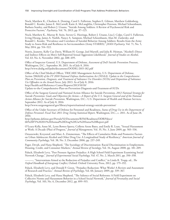Nock, Matthew K., Charlene A. Deming, Carol S. Fullerton, Stephen E. Gilman, Matthew Goldenberg, Ronald C. Kessler, James E. McCarroll, Katie A. McLaughlin, Christopher Peterson, Michael Schoenbaum, Barbara Stanley, and Robert J. Ursano, "Suicide Among Soldiers: A Review of Psychosocial Risk and Protective Factors," *Psychiatry*, Vol. 76, 2013, pp. 97–125.

Nock, Matthew K., Murray B. Stein, Steven G. Heeringa, Robert J. Ursano, Lisa J. Colpe, Carol S. Fullerton, Irving Hwang, James A. Naifeh, Nancy A. Sampson, Michael Schoenbaum, Alan M. Zaslavsky, and Ronald C. Kessler, "Prevalence and Correlates of Suicidal Behavior Among Soldiers: Results from the Army Study to Assess Risk and Resilience in Servicemembers (Army STARRS)," *JAMA Psychiatry*, Vol. 71, No. 5, May 2014, pp. 514–522.

Norris, Jeanette, Kelly Cue Davis, William H. George, Joel Martell, and Julia R. Heiman, "Alcohol's Direct and Indirect Effects on Men's Self-Reported Sexual Aggression Likelihood," *Journal of Studies on Alcohol*, Vol. 63, No. 6, November 2002, pp. 688–695.

Office of Inspector General, U.S. Department of Defense, *Assessment of DoD Suicide Prevention Processes*, Washington, D.C., September 30, 2015. As of July 8, 2016: <http://www.dodig.mil/pubs/documents/DODIG-2015-182.pdf>

Office of the Chief Medical Officer, TRICARE Management Activity, U.S. Department of Defense, *Section 596(b)(8) of the FY 2010 National Defense Authorization Act (NDAA): Update to the Comprehensive Plan on Prevention, Diagnosis, and Treatment of Substance Use Disorders (SUDs) and Disposition of Substance Use Offenders in the Armed Forces*, July 2013. As of July 8, 2016: http://health.mil/Reference-Center/Reports/2013/10/10/ [Update-to-the-Comprehensive-Plan-on-Prevention-Diagnosis-and-Treatment-of-SUDs](http://health.mil/Reference-Center/Reports/2013/10/10/Update-to-the-Comprehensive-Plan-on-Prevention-Diagnosis-and-Treatment-of-SUDs)

Office of the Surgeon General and National Action Alliance for Suicide Prevention, *2012 National Strategy for Suicide Prevention: Goals and Objectives for Action—A Report of the U.S. Surgeon General and of the National Action Alliance for Suicide Prevention*, Washington, D.C.: U.S. Department of Health and Human Services, September 2012. As of July 8, 2016:

<http://www.surgeongeneral.gov/library/reports/national-strategy-suicide-prevention/>

Office of the Under Secretary of Defense for Personnel and Readiness, *Status of Drug Use in the Department of Defense Personnel: Fiscal Year 2011 Drug Testing Statistical Report*, Washington, D.C., c. 2011. As of June 28, 2016:

[http://prhome.defense.gov/Portals/52/Documents/RFM/Readiness/DDRP/docs/](http://prhome.defense.gov/Portals/52/Documents/RFM/Readiness/DDRP/docs/6b%20FY%202011%20Annual%20Drug%20Use%20Status%20Report.pdf) 6b%20FY%202011%20Annual%20Drug%20Use%20Status%20Report.pdf

O'Leary-Kelly, Anne M., Lynn Bowes-Sperry, Collette Arens Bates, and Emily R. Lean, "Sexual Harassment at Work: A Decade (Plus) of Progress," *Journal of Management*, Vol. 35, No. 3, June 2009, pp. 503–536.

Ostaszewski, Krzysztof, and Marc A. Zimmerman, "The Effects of Cumulative Risks and Promotive Factors on Urban Adolescent Alcohol and Other Drug Use: A Longitudinal Study of Resiliency," *American Journal of Community Psychology*, Vol. 38, No. 3, December 2006, pp. 237–249.

Pager, Devah, and Hana Shepherd, "The Sociology of Discrimination: Racial Discrimination in Employment, Housing, Credit, and Consumer Markets," *Annual Review of Sociology*, Vol. 34, August 2008, pp. 181–209.

Paluck, Elizabeth Levy, "Peer Pressure Against Prejudice: A High School Field Experiment Examining Social Network Change," *Journal of Experimental Social Psychology*, Vol. 47, No. 2, March 2011, pp. 350–358.

———, "Interventions Aimed at the Reduction of Prejudice and Conflict," in Linda R. Tropp, ed., *The Oxford Handbook of Intergroup Conflict*, Oxford: Oxford University Press, 2012, pp. 179–192.

Paluck, Elizabeth Levy, and Donald P. Green, "Prejudice Reduction: What Works? A Review and Assessment of Research and Practice," *Annual Review of Psychology*, Vol. 60, January 2009, pp. 339–367.

Paluck, Elizabeth Levy, and Hana Shepherd, "The Salience of Social Referents: A Field Experiment on Collective Norms and Harassment Behavior in a School Social Network," *Journal of Personality and Social Psychology*, Vol. 103, No. 6, December 2012, pp. 899–915.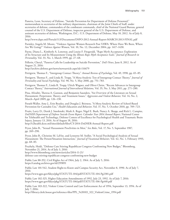Panetta, Leon, Secretary of Defense, "Suicide Prevention for Department of Defense Personnel," memorandum to secretaries of the military departments, chairman of the Joint Chiefs of Staff, under secretaries of defense, commanders of the combatant commands, chief of the National Guard Bureau, general counsel of the U.S. Department of Defense, inspector general of the U.S. Department of Defense, and assistant secretaries of defense, Washington, D.C.: U.S. Department of Defense, May 10, 2012. As of July 8, 2016:

<http://www.dspo.mil/Portals/113/Documents/DSPO-2012-Annual-Report-MARCH-2013-FINAL.pdf>

Parmley, Angela M. Moore, "Violence Against Women Research Post VAWA: Where Have We Been, Where Are We Going?" *Violence Against Women*, Vol. 10, No. 12, December 2004, pp. 1417–1430.

Payne, Diana L., Kimberly A. Lonsway, and Louise F. Fitzgerald, "Rape Myth Acceptance: Exploration of Its Structure and Its Measurement Using the *Illinois Rape Myth Acceptance Scale*," *Journal of Research in Personality*, Vol. 33, No. 1, March 1999, pp. 27–68.

Pellerin, Cheryl, "Panetta Calls for Leadership on Suicide Prevention," *DoD News*, June 8, 2012. As of August 21, 2016:

<http://archive.defense.gov/news/newsarticle.aspx?id=116679>

Pettigrew, Thomas F., "Intergroup Contact Theory," *Annual Review of Psychology*, Vol. 49, 1998, pp. 65–85.

Pettigrew, Thomas F., and Linda R. Tropp, "A Meta-Analytic Test of Intergroup Contact Theory," *Journal of Personality and Social Psychology*, Vol. 90, No. 5, May 2006, pp. 751–783.

Pettigrew, Thomas F., Linda R. Tropp, Ulrich Wagner, and Oliver Christ, "Recent Advances in Intergroup Contact Theory," *International Journal of Intercultural Relations*, Vol. 35, No. 3, May 2011, pp. 271–280.

Pina, Afroditi, Theresa A. Gannon, and Benjamin Saunders, "An Overview of the Literature on Sexual Harassment: Perpetrator, Theory, and Treatment Issues," *Aggression and Violent Behavior*, Vol. 14, No. 2, March–April 2009, pp. 126–138.

Porath-Waller, Amy J., Erin Beasley, and Douglas J. Beirness, "A Meta-Analytic Review of School-Based Prevention for Cannabis Use," *Health Education and Behavior*, Vol. 37, No. 5, October 2010, pp. 709–723.

Pruitt, Larry D., Derek J. Smolenski, Mark A. Reger, Nigel E. Bush, Nancy A. Skopp, and Rick L. Campise, *DoDSER Department of Defense Suicide Event Report: Calendar Year 2014 Annual Report*, National Center for Telehealth and Technology, Defense Centers of Excellence for Psychological Health and Traumatic Brain Injury, January 13, 2016. As of August 18, 2016:

<http://t2health.dcoe.mil/sites/default/files/CY-2014-DoDSER-Annual-Report.pdf>

Pryor, John B., "Sexual Harassment Proclivities in Men," *Sex Roles*, Vol. 17, No. 5, September 1987, pp. 269–290.

Pryor, John B., Christine M. LaVite, and Lynnette M. Stoller, "A Social Psychological Analysis of Sexual Harassment: The Person/Situation Interaction," *Journal of Vocational Behavior*, Vol. 42, No. 1, February 1993, pp. 68–83.

Przybyla, Heidi, "Defense Cuts Stirring Republican Congress Confronting New Budget," Bloomberg, November 21, 2014. As of July 3, 2016: http://www.bloomberg.com/news/articles/2014-11-21/ [defense-cuts-stirring-republican-congress-confronting-new-budget](http://www.bloomberg.com/news/articles/2014-11-21/defense-cuts-stirring-republican-congress-confronting-new-budget)

Public Law 88-352, Civil Rights Act of 1964, July 2, 1964. As of July 5, 2016: <https://catalog.archives.gov/id/299891>

Public Law 101-542, Student Right-to-Know and Campus Security Act, November 8, 1990. As of July 7, 2016:

<https://www.gpo.gov/fdsys/pkg/STATUTE-104/pdf/STATUTE-104-Pg2381.pdf>

Public Law 102-325, Higher Education Amendments of 1992, July 23, 1992. As of July 7, 2016: <https://www.gpo.gov/fdsys/pkg/STATUTE-106/pdf/STATUTE-106-Pg448.pdf>

Public Law 103-322, Violent Crime Control and Law Enforcement Act of 1994, September 13, 1994. As of July 7, 2016:

[http://library.clerk.house.gov/reference-files/PPL\\_%20103\\_322\\_ViolentCrime\\_1994.pdf](http://library.clerk.house.gov/reference-files/PPL_%20103_322_ViolentCrime_1994.pdf)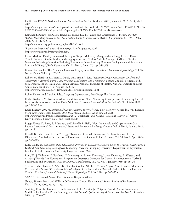Public Law 112-239, National Defense Authorization Act for Fiscal Year 2013, January 2, 2013. As of July 5, 2016:

[https://www.gpo.gov/fdsys/search/pagedetails.action?collectionCode=PLAW&browsePath=112%2FPUBLIC%](https://www.gpo.gov/fdsys/search/pagedetails.action?collectionCode=PLAW&browsePath=112%2FPUBLIC%2F%5B200+-+299%5D&granuleId=&packageId=PLAW-112publ239&fromBrowse=true) 2F%5B200+-+299%5D&granuleId=&packageId=PLAW-112publ239&fromBrowse=true

Ramchand, Rajeev, Joie Acosta, Rachel M. Burns, Lisa H. Jaycox, and Christopher G. Pernin, *The War Within: Preventing Suicide in the U.S. Military*, Santa Monica, Calif.: RAND Corporation, MG-953-OSD, 2011. As of July 3, 2016:

<http://www.rand.org/pubs/monographs/MG953.html>

"Ready and Resilient," undated home page. As of August 21, 2016: <https://www.army.mil/readyandresilient/>

Reger, Mark A., Derek J. Smolenski, Nancy A. Skopp, Melinda J. Metzger-Abamukang, Han K. Kang, Tim A. Bullman, Sondra Perdue, and Gregory A. Gahm, "Risk of Suicide Among US Military Service Members Following Operation Enduring Freedom or Operation Iraqi Freedom Deployment and Separation from the Military," *JAMA Psychiatry*, Vol. 72, No. 6, June 2015, pp. 561–569.

Reskin, Barbara F., "The Proximate Causes of Employment Discrimination," *Contemporary Sociology*, Vol. 29, No. 2, March 2000, pp. 319–328.

Robertson, Elizabeth B., Susan L. David, and Suman A. Rao, *Preventing Drug Abuse Among Children and Adolescents: A Research-Based Guide for Parents, Educators, and Community Leaders*, 2nd ed., Bethesda, Md.: U.S. Department of Health and Human Services, National Institutes of Health, National Institute on Drug Abuse, October 2003. As of August 18, 2016:

<https://www.drugabuse.gov/sites/default/files/preventingdruguse.pdf>

Robey, Daniel, and Carol A. Sales, *Designing Organizations*, Burr Ridge, Ill.: Irwin, 1994.

Roche, Kathleen M., Saiffudin Ahmed, and Robert W. Blum, "Enduring Consequences of Parenting for Risk Behaviors from Adolescence into Early Adulthood," *Social Science and Medicine*, Vol. 66, No. 9, May 2008, pp. 2023–2034.

Rock, Lindsay, *2012 Workplace and Gender Relations Survey of Active Duty Members*, Alexandria, Va.: Defense Manpower Data Center, DMDC-2013-007, March 15, 2013. As of June 22, 2016: [http://www.sapr.mil/public/docs/research/2012\\_Workplace\\_and\\_Gender\\_Relations\\_Survey\\_of\\_Active\\_](http://www.sapr.mil/public/docs/research/2012_Workplace_and_Gender_Relations_Survey_of_Active_Duty_Members-Survey_Note_and_Briefing.pdf) Duty\_Members-Survey\_Note\_and\_Briefing.pdf

Ruggs, Enrica N., Larry R. Martinez, and Michelle R. Hebl, "How Individuals and Organizations Can Reduce Interpersonal Discrimination," *Social and Personality Psychology Compass*, Vol. 5, No. 1, January 2011, pp. 29–42.

Russell, Brenda L., and Kristin Y. Trigg, "Tolerance of Sexual Harassment: An Examination of Gender Differences, Ambivalent Sexism, Social Dominance, and Gender Roles," *Sex Roles*, Vol. 50, No. 7, April 2004, pp. 565–573.

Rutz, Wolfgang, *Evaluation of an Educational Program on Depressive Disorders Given to General Practitioners on Gotland: Short and Long-Term Effects*, Linköping, Sweden: Linköping University, Department of Psychiatry, Faculty of Health Sciences, University Hospital, thesis, 1992.

Rutz, W., J. Wålinder, G. Eberhard, G. Holmberg, A.-L. von Knorring, L. von Knorring, B. Wistedt, and A. Åberg-Wistedt, "An Educational Program on Depressive Disorders for General Practitioners on Gotland: Background and Evaluation," *Acta Psychiatrica Scandinavica*, Vol. 79, No. 1, January 1989, pp. 19–26.

Sandler, Irwin, Sharlene A. Wolchik, Gracelyn Cruden, Nicole E. Mahrer, Soyeon Ahn, Ahnalee Brincks, and C. Hendricks Brown, "Overview of Meta-Analyses of the Prevention of Mental Health, Substance Use, and Conduct Problems," *Annual Review of Clinical Psychology*, Vol. 10, 2014, pp. 243–273.

SAPRO—*See* Sexual Assault Prevention and Response Office.

Sbraga, Tamara Penix, and William O'Donohue, "Sexual Harassment," *Annual Review of Sex Research*, Vol. 11, No. 1, 2000, pp. 258–285.

Schilling, E. A., M. Lawless, L. Buchanan, and R. H. Aseltine Jr., "'Signs of Suicide' Shows Promise as a Middle School Suicide Prevention Program," *Suicide and Life-Threatening Behavior*, Vol. 44, No. 6, December 2014, pp. 653–667.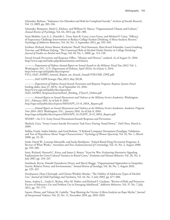Schneider, Barbara, "Substance Use Disorders and Risk for Completed Suicide," *Archives of Suicide Research*, Vol. 13, 2009, pp. 303–316.

Schneider, Benjamin, Mark G. Ehrhart, and William H. Macey, "Organizational Climate and Culture," *Annual Review of Psychology*, Vol. 64, 2013, pp. 361–388.

Scott-Sheldon, Lori A. J., Danielle L. Terry, Kate B. Carey, Lorra Garey, and Michael P. Carey, "Efficacy of Expectancy Challenge Interventions to Reduce College Student Drinking: A Meta-Analytic Review," *Psychology of Addictive Behaviors*, Vol. 26, No. 3, September 2012, pp. 393–405.

Scribner, Richard, Karen Mason, Katherine Theall, Neal Simonsen, Shari Kessel Schneider, Laura Gomberg Towvim, and William DeJong, "The Contextual Role of Alcohol Outlet Density in College Drinking," *Journal of Studies on Alcohol and Drugs*, Vol. 69, No. 1, 2008, pp. 112–120.

Sexual Assault Prevention and Response Office, "Mission and History," undated. As of August 21, 2016: <http://www.sapr.mil/index.php/about/mission-and-history>

———, *Department of Defense Annual Report on Sexual Assault in the Military: Fiscal Year 2012*, Vol. 1, Washington, D.C.: U.S. Department of Defense, April 2013a. As of June 4, 2014: http://www.sapr.mil/public/docs/reports/ [FY12\\_DoD\\_SAPRO\\_Annual\\_Report\\_on\\_Sexual\\_Assault-VOLUME\\_ONE.pdf](http://www.sapr.mil/public/docs/reports/FY12_DoD_SAPRO_Annual_Report_on_Sexual_Assault-VOLUME_ONE.pdf)

———, *DoD SAPR Strategic Plan 2013*, May 2013b.

———, *Department of Defense Sexual Assault Prevention and Response Program: Response Systems Panel*, briefing slides, June 27, 2013c. As of September 22, 2016: http://www.sapr.mil/public/docs/speeches/ [DoD\\_SAPRO\\_ResponseSystemsPanel\\_Briefing\\_27Jun13\\_Online.pdf](http://www.sapr.mil/public/docs/speeches/DoD_SAPRO_ResponseSystemsPanel_Briefing_27Jun13_Online.pdf)

———, *Annual Report on Sexual Harassment and Violence at the Military Service Academies*, Washington, D.C., February 2015. As of July 8, 2016: [http://sapr.mil/public/docs/reports/MSA/APY\\_13-14\\_MSA\\_Report.pdf](http://sapr.mil/public/docs/reports/MSA/APY_13-14_MSA_Report.pdf)

———, *Annual Report on Sexual Harassment and Violence at the Military Service Academies: Academic Program Year 2014–2015*, Washington, D.C., January 2016. As of July 8, 2016: [http://sapr.mil/public/docs/reports/MSA/APY\\_14-15/APY\\_14-15\\_MSA\\_Report.pdf](http://sapr.mil/public/docs/reports/MSA/APY_14-15/APY_14-15_MSA_Report.pdf)

SHARP—*See* U.S. Army Sexual Harassment/Assault Response and Prevention.

Sheftick, Gary, "Army Creates Suicide Prevention Task Force During 'Stand Down,'" *DoD News*, March 6, 2009.

Siebler, Frank, Saskia Sabelus, and Gerd Bohner, "A Refined Computer Harassment Paradigm: Validation, and Test of Hypotheses About Target Characteristics," *Psychology of Women Quarterly*, Vol. 32, No. 1, March 2008, pp. 22–35.

Soole, David W., Lorraine Mazerolle, and Sacha Rombouts, "School-Based Drug Prevention Programs: A Review of What Works," *Australian and New Zealand Journal of Criminology*, Vol. 41, No. 2, August 2008, pp. 259–286.

Sosis, Richard, Howard C. Kress, and James S. Boster, "Scars for War: Evaluating Alternative Signaling Explanations for Cross-Cultural Variance in Ritual Costs," *Evolution and Human Behavior*, Vol. 28, No. 4, July 2007, pp. 234–247.

Stainback, Kevin, Donald Tomaskovic-Devey, and Sheryl Skaggs, "Organizational Approaches to Inequality: Inertia, Relative Power, and Environments," *Annual Review of Sociology*, Vol. 36, No. 1, August 2010, pp. 225–247.

Steinhausen, Hans-Christoph, and Christa Winkler Metzke, "The Validity of Adolescent Types of Alcohol Use," *Journal of Child Psychology and Psychiatry*, Vol. 44, No. 5, July 2003, pp. 677–686.

Stone, Andrea L., Linda G. Becker, Alice M. Huber, and Richard F. Catalano, "Review of Risk and Protective Factors of Substance Use and Problem Use in Emerging Adulthood," *Addictive Behaviors*, Vol. 37, No. 7, July 2012, pp. 747–775.

Suarez, Eliana, and Tahany M. Gadalla, "Stop Blaming the Victim: A Meta-Analysis on Rape Myths," *Journal of Interpersonal Violence*, Vol. 25, No. 11, November 2010, pp. 2010–2035.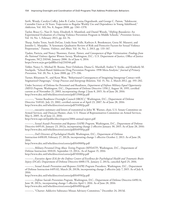Swift, Wendy, Carolyn Coffey, John B. Carlin, Louisa Degenhardt, and George C. Patton, "Adolescent Cannabis Users at 24 Years: Trajectories to Regular Weekly Use and Dependence in Young Adulthood," *Addiction*, Vol. 103, No. 8, August 2008, pp. 1361–1370.

Taylor, Bruce G., Nan D. Stein, Elizabeth A. Mumford, and Daniel Woods, "*Shifting Boundaries*: An Experimental Evaluation of a Dating Violence Prevention Program in Middle Schools," *Prevention Science*, Vol. 14, No. 1, February 2013, pp. 64–76.

Tharp, Andra Teten, Sarah DeGue, Linda Anne Valle, Kathryn A. Brookmeyer, Greta M. Massetti, and Jennifer L. Matjasko, "A Systematic Qualitative Review of Risk and Protective Factors for Sexual Violence Perpetration," *Trauma, Violence, and Abuse*, Vol. 14, No. 2, 2013, pp. 133–167.

Tjaden, Patricia, and Nancy Thoennes, *Extent, Nature, and Consequences of Rape Victimization: Findings from the National Violence Against Women Survey*, Washington, D.C.: U.S. Department of Justice, Office of Justice Programs, NCJ 210346, January 2006. As of June 4, 2014: <https://www.ncjrs.gov/pdffiles1/nij/210346.pdf>

Tobler, Nancy S., Michael R. Roona, Peter Ochshorn, Diana G. Marshall, Andrei V. Streke, and Kimberly M. Stackpole, "School-Based Adolescent Drug Prevention Programs: 1998 Meta-Analysis," *Journal of Primary Prevention*, Vol. 20, No. 4, June 2000, pp. 275–336.

Turner, Rhiannon N., and Keon West, "Behavioural Consequences of Imagining Intergroup Contact with Stigmatized Outgroups," *Group Processes and Intergroup Relations*, Vol. 15, No. 2, March 2012, pp. 193–202.

Under Secretary of Defense for Personnel and Readiness, *Department of Defense Military Equal Opportunity (MEO) Program*, Washington, D.C., Department of Defense Directive 1350.2, August 18, 1995, certified current as of November 21, 2003, incorporating change 2 June 8, 2015. As of June 28, 2016: <http://www.dtic.mil/whs/directives/corres/pdf/135002p.pdf>

———, "Senior Readiness Oversight Council (SROC)," Washington, D.C., Department of Defense Directive 5149.02, July 23, 2002, certified current as of April 23, 2007. As of June 28, 2016: <http://www.dtic.mil/whs/directives/corres/pdf/514902p.pdf>

———, executive summary and letters of transmittal to John W. Warner, chair, U.S. Senate Committee on Armed Services, and Duncan Hunter, chair, U.S. House of Representatives Committee on Armed Services, May 6, 2005. As of June 22, 2016:

<http://www.sapr.mil/public/docs/reports/2004-annual-report.pdf>

———, *Sexual Assault Prevention and Response (SAPR) Program*, Washington, D.C., Department of Defense Directive 6495.01, January 23, 2012a, incorporating change 2 effective January 30, 2015. As of June 28, 2016: <http://www.dtic.mil/whs/directives/corres/pdf/649501p.pdf>

———, *DoD Directors of Psychological Health*, Washington, D.C., Department of Defense Instruction 6490.09, February 27, 2012b, incorporating change 1 effective October 2, 2013. As of June 28, 2016:

<http://www.dtic.mil/whs/directives/corres/pdf/649009p.pdf>

———, *Military Personnel Drug Abuse Testing Program (MPDATP)*, Washington, D.C., Department of Defense Instruction 1010.01, September 13, 2012c. As of August 15, 2016: <http://www.dtic.mil/whs/directives/corres/pdf/101001p.pdf>

———, *Executive Agent (EA) for the Defense Centers of Excellence for Psychological Health and Traumatic Brain Injury (DCoE)*, Department of Defense Directive 6000.17E, January 2, 2013a, canceled April 25, 2016.

———, *Sexual Assault Prevention and Response (SAPR) Program Procedures*, Washington, D.C., Department of Defense Instruction 6495.02, March 28, 2013b, incorporating change 2 effective July 7, 2015. As of July 8, 2016:

<http://www.dtic.mil/whs/directives/corres/pdf/649502p.pdf>

———, *Defense Suicide Prevention Program*, Washington, D.C., Department of Defense Directive 6490.14, June 18, 2013c, incorporating change 1 effective April 1, 2016. As of June 28, 2016: <http://www.dtic.mil/whs/directives/corres/pdf/649014p.pdf>

———, "Charter: Addictive Substance Misuse Advisory Committee," December 24, 2013d.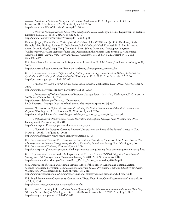———, *Problematic Substance Use by DoD Personnel*, Washington, D.C., Department of Defense Instruction 1010.04, February 20, 2014. As of June 28, 2016: <http://www.dtic.mil/whs/directives/corres/pdf/101004p.pdf>

———, *Diversity Management and Equal Opportunity in the DoD*, Washington, D.C., Department of Defense Directive 1020.02E, June 8, 2015. As of July 5, 2016: <http://www.dtic.mil/whs/directives/corres/pdf/102002E.pdf>

Unützer, Jürgen, Wayne Katon, Christopher M. Callahan, John W. Williams Jr., Enid Hunkeler, Linda Harpole, Marc Hoffing, Richard D. Della Penna, Polly Hitchcock Noël, Elizabeth H. B. Lin, Patricia A. Areán, Mark T. Hegel, Lingqi Tang, Thomas R. Belin, Sabine Oishi, and Christopher Langston, "Collaborative Care Management of Late-Life Depression in the Primary Care Setting: A Randomized Controlled Trial," *Journal of the American Medical Association*, Vol. 288, No. 22, December 11, 2002, pp. 2836–2845.

U.S. Army Sexual Harassment/Assault Response and Prevention, "I. A.M. Strong," undated. As of August 21, 2016:

[http://www.sexualassault.army.mil/Template-IamStrong.cfm?page=iam\\_mission.cfm](http://www.sexualassault.army.mil/Template-IamStrong.cfm?page=iam_mission.cfm)

U.S. Department of Defense, *Uniform Code of Military Justice: Congressional Code of Military Criminal Law Applicable to All Military Members Worldwide*, Washington, D.C., 2000. As of September 22, 2016: <http://purl.access.gpo.gov/GPO/LPS29641>

———, *Manual for Courts-Martial United States (2012 Edition)*, Washington, D.C., 2012a. As of October 3, 2014:

[http://www.loc.gov/rr/frd/Military\\_Law/pdf/MCM-2012.pdf](http://www.loc.gov/rr/frd/Military_Law/pdf/MCM-2012.pdf)

———, *Department of Defense Diversity and Inclusion Strategic Plan, 2012–2017*, Washington, D.C., April 19, 2012b. As of November 14, 2014: http://diversity.defense.gov/Portals/51/Documents/

[DoD\\_Diversity\\_Strategic\\_Plan\\_%20final\\_as%20of%2019%20Apr%2012\[1\].pdf](http://diversity.defense.gov/Portals/51/Documents/DoD_Diversity_Strategic_Plan_%20final_as%20of%2019%20Apr%2012[1].pdf)

———, *Department of Defense Report to the President of the United States on Sexual Assault Prevention and Response*, Washington, D.C., November 21, 2014. As of July 8, 2016: [http://sapr.mil/public/docs/reports/fy14\\_potus/fy14\\_dod\\_report\\_to\\_potus\\_full\\_report.pdf](http://sapr.mil/public/docs/reports/fy14_potus/fy14_dod_report_to_potus_full_report.pdf)

———, *Department of Defense Sexual Assault Prevention and Response Strategic Plan*, Washington, D.C., January 26, 2015a. As of July 8, 2016:

<http://www.sapr.mil/index.php/about/dod-sapr-strategic-plan>

———, "Remarks by Secretary Carter at Syracuse University on the Force of the Future," Syracuse, N.Y., March 31, 2015b. As of June 22, 2016:

<http://www.defense.gov/News/News-Transcripts/Article/607031>

U.S. Department of Defense Task Force on the Prevention of Suicide by Members of the Armed Forces, *The Challenge and the Promise: Strengthening the Force, Preventing Suicide and Saving Lives*, Washington, D.C.: U.S. Department of Defense, 2010. As of July 8, 2016:

<http://www.sprc.org/resources-programs/challenge-promise-strengthening-force-preventing-suicide-saving-lives>

U.S. Department of Defense and U.S. Department of Veterans Affairs, *DoD/VA Integrated Mental Health Strategy (IMHS): Strategic Action Summaries*, January 3, 2011. As of November 26, 2014: [http://www.mentalhealth.va.gov/docs/VA-DoD\\_IMHS\\_Action\\_Summaries\\_040814.pdf](http://www.mentalhealth.va.gov/docs/VA-DoD_IMHS_Action_Summaries_040814.pdf)

U.S. Department of Health and Human Services Office of the Surgeon General and National Action Alliance for Suicide Prevention, *2012 National Strategy for Suicide Prevention: Goals and Objectives for Action*, Washington, D.C., September 2012. As of August 18, 2016:

<http://www.surgeongeneral.gov/library/reports/national-strategy-suicide-prevention/full-report.pdf>

U.S. Equal Employment Opportunity Commission, "Facts About Race/Color Discrimination," undated. As of July 9, 2016:

<https://www1.eeoc.gov//eeoc/publications/fs-race.cfm>

U.S. General Accounting Office, *Military Equal Opportunity: Certain Trends in Racial and Gender Data May Warrant Further Analysis*, Washington, D.C., NSIAD-96-17, November 17, 1995. As of July 3, 2016: <http://www.gao.gov/products/NSIAD-96-17>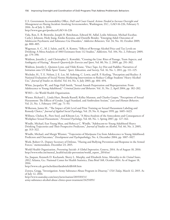U.S. Government Accountability Office, *DoD and Coast Guard: Actions Needed to Increase Oversight and Management on Hazing Incidents Involving Servicemembers*, Washington, D.C., GAO-16-226, February 9, 2016. As of July 3, 2016:

<http://www.gao.gov/products/GAO-16-226>

Vida, Ron, E. B. Brownlie, Joseph H. Beitchman, Edward M. Adlaf, Leslie Atkinson, Michael Escobar, Carla J. Johnson, Hedy Jiang, Emiko Koyama, and Danielle Bender, "Emerging Adult Outcomes of Adolescent Psychiatric and Substance Use Disorders," *Addictive Behaviors*, Vol. 34, No. 10, October 2009, pp. 800–805.

Wagenaar, A. C., M. J. Salois, and K. A. Komro, "Effects of Beverage Alcohol Price and Tax Levels on Drinking: A Meta-Analysis of 1003 Estimates from 112 Studies," *Addiction*, Vol. 104, No. 2, February 2009, pp. 179–190.

Waldron, Jennifer J., and Christopher L. Kowalski, "Crossing the Line: Rites of Passage, Team Aspects, and Ambiguity of Hazing," *Research Quarterly for Exercise and Sport*, Vol. 80, No. 2, 2009, pp. 291–302.

Waldron, Jennifer J., Quinten Lynn, and Vikki Krane, "Duct Tape, Icy Hot and Paddles: Narratives of Initiation onto US Male Sport Teams," *Sport, Education, and Society*, Vol. 16, No. 1, 2011, pp. 111–125.

Wechsler, H., T. E. Nelson, J. E. Lee, M. Seibring, C. Lewis, and R. P. Keeling, "Perception and Reality: A National Evaluation of Social Norms Marketing Interventions to Reduce College Students' Heavy Alcohol Use," *Journal of Studies on Alcohol*, Vol. 64, No. 4, July 2003, pp. 484–494.

White, Jacquelyn W., and Paige Hall Smith, "Sexual Assault Perpetration and Reperpetration: From Adolescence to Young Adulthood," *Criminal Justice and Behavior*, Vol. 31, No. 2, April 2004, pp. 182–202.

WHO—*See* World Health Organization.

Wiener, Richard L., Linda Hurt, Brenda Russell, Kelley Mannen, and Charles Gasper, "Perceptions of Sexual Harassment: The Effects of Gender, Legal Standard, and Ambivalent Sexism," *Law and Human Behavior*, Vol. 21, No. 1, February 1997, pp. 71–93.

Wilkerson, James M., "The Impact of Job Level and Prior Training on Sexual Harassment Labeling and Remedy Choice," *Journal of Applied Social Psychology*, Vol. 29, No. 8, August 1999, pp. 1605–1623.

Willness, Chelsea R., Piers Steel, and Kibeom Lee, "A Meta‐Analysis of the Antecedents and Consequences of Workplace Sexual Harassment," *Personnel Psychology*, Vol. 60, No. 1, Spring 2007, pp. 127–162.

Windle, Michael, Eun Young Mun, and Rebecca C. Windle, "Adolescent-to–Young Adulthood Heavy Drinking Trajectories and Their Prospective Predictors," *Journal of Studies on Alcohol*, Vol. 66, No. 3, 2005, pp. 313–322.

Windle, Michael, and Margit Wiesner, "Trajectories of Marijuana Use from Adolescence to Young Adulthood: Predictors and Outcomes," *Development and Psychopathology*, No. 4, December 2004, pp. 1007–1027.

Work, Robert O., Deputy Secretary of Defense, "Hazing and Bullying Prevention and Response in the Armed Forces," memorandum, December 23, 2015.

World Health Organization, *Preventing Suicide: A Global Imperative*, Geneva, 2014. As of August 18, 2016: [http://www.who.int/mental\\_health/suicide-prevention/world\\_report\\_2014/en/](http://www.who.int/mental_health/suicide-prevention/world_report_2014/en/)

Xu, Jiaquan, Kenneth D. Kochanek, Sherry L. Murphy, and Elizabeth Arias, *Mortality in the United States, 2012*, Atlanta, Ga.: National Center for Health Statistics, Data Brief 168, October 2014. As of August 18, 2016:

<http://www.cdc.gov/nchs/data/databriefs/db168.htm>

Zoroya, Gregg, "Investigation: Army Substance-Abuse Program in Disarray," *USA Today*, March 12, 2015. As of July 12, 2016:

http://www.usatoday.com/story/news/nation/2015/03/11/ [army-substance-alcohol-abuse-clinics-poor-treatment/24251091/](http://www.usatoday.com/story/news/nation/2015/03/11/army-substance-alcohol-abuse-clinics-poor-treatment/24251091/)